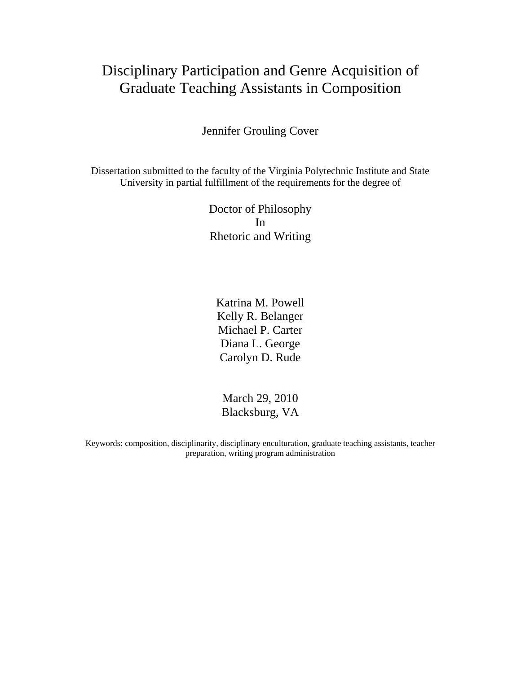# Disciplinary Participation and Genre Acquisition of Graduate Teaching Assistants in Composition

Jennifer Grouling Cover

Dissertation submitted to the faculty of the Virginia Polytechnic Institute and State University in partial fulfillment of the requirements for the degree of

> Doctor of Philosophy In Rhetoric and Writing

Katrina M. Powell Kelly R. Belanger Michael P. Carter Diana L. George Carolyn D. Rude

March 29, 2010 Blacksburg, VA

Keywords: composition, disciplinarity, disciplinary enculturation, graduate teaching assistants, teacher preparation, writing program administration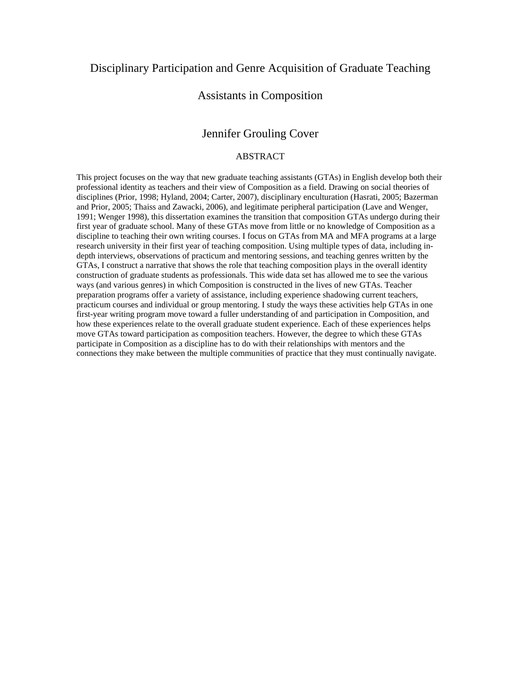## Disciplinary Participation and Genre Acquisition of Graduate Teaching

## Assistants in Composition

## Jennifer Grouling Cover

#### ABSTRACT

This project focuses on the way that new graduate teaching assistants (GTAs) in English develop both their professional identity as teachers and their view of Composition as a field. Drawing on social theories of disciplines (Prior, 1998; Hyland, 2004; Carter, 2007), disciplinary enculturation (Hasrati, 2005; Bazerman and Prior, 2005; Thaiss and Zawacki, 2006), and legitimate peripheral participation (Lave and Wenger, 1991; Wenger 1998), this dissertation examines the transition that composition GTAs undergo during their first year of graduate school. Many of these GTAs move from little or no knowledge of Composition as a discipline to teaching their own writing courses. I focus on GTAs from MA and MFA programs at a large research university in their first year of teaching composition. Using multiple types of data, including indepth interviews, observations of practicum and mentoring sessions, and teaching genres written by the GTAs, I construct a narrative that shows the role that teaching composition plays in the overall identity construction of graduate students as professionals. This wide data set has allowed me to see the various ways (and various genres) in which Composition is constructed in the lives of new GTAs. Teacher preparation programs offer a variety of assistance, including experience shadowing current teachers, practicum courses and individual or group mentoring. I study the ways these activities help GTAs in one first-year writing program move toward a fuller understanding of and participation in Composition, and how these experiences relate to the overall graduate student experience. Each of these experiences helps move GTAs toward participation as composition teachers. However, the degree to which these GTAs participate in Composition as a discipline has to do with their relationships with mentors and the connections they make between the multiple communities of practice that they must continually navigate.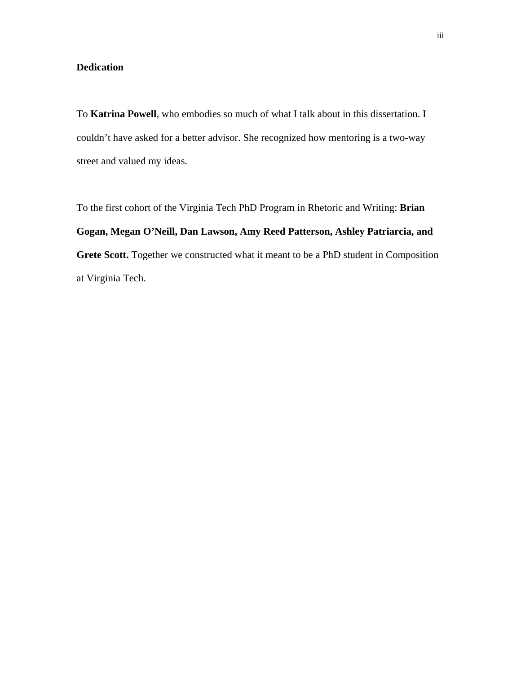## **Dedication**

To **Katrina Powell**, who embodies so much of what I talk about in this dissertation. I couldn't have asked for a better advisor. She recognized how mentoring is a two-way street and valued my ideas.

To the first cohort of the Virginia Tech PhD Program in Rhetoric and Writing: **Brian Gogan, Megan O'Neill, Dan Lawson, Amy Reed Patterson, Ashley Patriarcia, and Grete Scott.** Together we constructed what it meant to be a PhD student in Composition at Virginia Tech.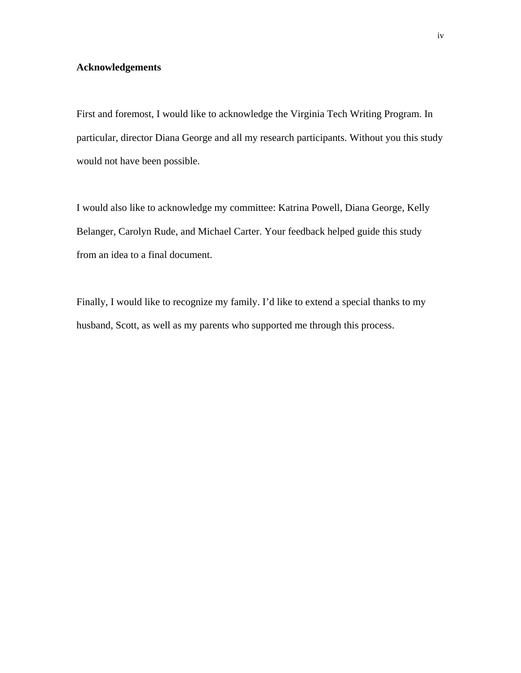## **Acknowledgements**

First and foremost, I would like to acknowledge the Virginia Tech Writing Program. In particular, director Diana George and all my research participants. Without you this study would not have been possible.

I would also like to acknowledge my committee: Katrina Powell, Diana George, Kelly Belanger, Carolyn Rude, and Michael Carter. Your feedback helped guide this study from an idea to a final document.

Finally, I would like to recognize my family. I'd like to extend a special thanks to my husband, Scott, as well as my parents who supported me through this process.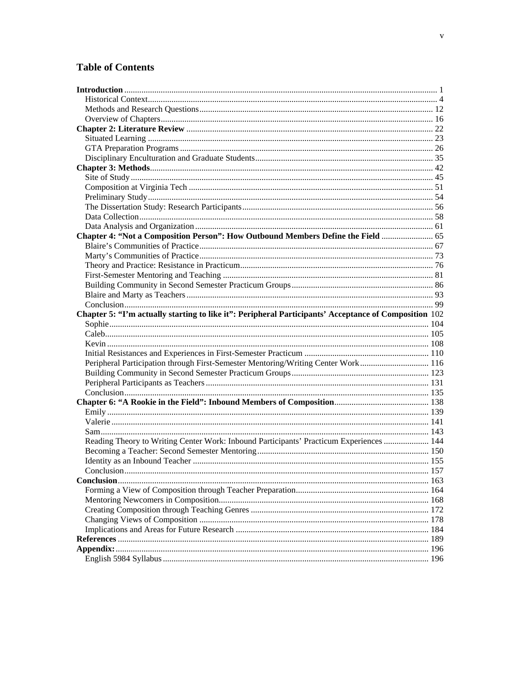## **Table of Contents**

| Chapter 4: "Not a Composition Person": How Outbound Members Define the Field  65                      |  |
|-------------------------------------------------------------------------------------------------------|--|
|                                                                                                       |  |
|                                                                                                       |  |
|                                                                                                       |  |
|                                                                                                       |  |
|                                                                                                       |  |
|                                                                                                       |  |
|                                                                                                       |  |
| Chapter 5: "I'm actually starting to like it": Peripheral Participants' Acceptance of Composition 102 |  |
|                                                                                                       |  |
|                                                                                                       |  |
|                                                                                                       |  |
|                                                                                                       |  |
|                                                                                                       |  |
| Peripheral Participation through First-Semester Mentoring/Writing Center Work 116                     |  |
|                                                                                                       |  |
|                                                                                                       |  |
|                                                                                                       |  |
|                                                                                                       |  |
|                                                                                                       |  |
|                                                                                                       |  |
|                                                                                                       |  |
| Reading Theory to Writing Center Work: Inbound Participants' Practicum Experiences  144               |  |
|                                                                                                       |  |
|                                                                                                       |  |
|                                                                                                       |  |
|                                                                                                       |  |
|                                                                                                       |  |
|                                                                                                       |  |
|                                                                                                       |  |
|                                                                                                       |  |
|                                                                                                       |  |
|                                                                                                       |  |
|                                                                                                       |  |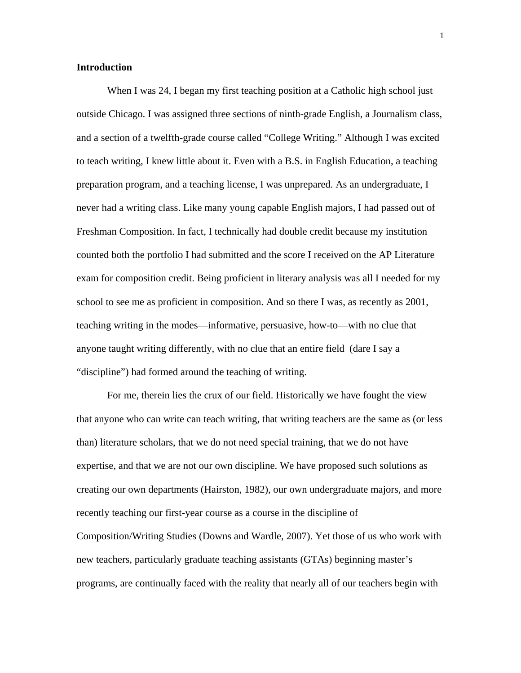#### **Introduction**

When I was 24, I began my first teaching position at a Catholic high school just outside Chicago. I was assigned three sections of ninth-grade English, a Journalism class, and a section of a twelfth-grade course called "College Writing." Although I was excited to teach writing, I knew little about it. Even with a B.S. in English Education, a teaching preparation program, and a teaching license, I was unprepared. As an undergraduate, I never had a writing class. Like many young capable English majors, I had passed out of Freshman Composition. In fact, I technically had double credit because my institution counted both the portfolio I had submitted and the score I received on the AP Literature exam for composition credit. Being proficient in literary analysis was all I needed for my school to see me as proficient in composition. And so there I was, as recently as 2001, teaching writing in the modes—informative, persuasive, how-to—with no clue that anyone taught writing differently, with no clue that an entire field (dare I say a "discipline") had formed around the teaching of writing.

For me, therein lies the crux of our field. Historically we have fought the view that anyone who can write can teach writing, that writing teachers are the same as (or less than) literature scholars, that we do not need special training, that we do not have expertise, and that we are not our own discipline. We have proposed such solutions as creating our own departments (Hairston, 1982), our own undergraduate majors, and more recently teaching our first-year course as a course in the discipline of Composition/Writing Studies (Downs and Wardle, 2007). Yet those of us who work with new teachers, particularly graduate teaching assistants (GTAs) beginning master's programs, are continually faced with the reality that nearly all of our teachers begin with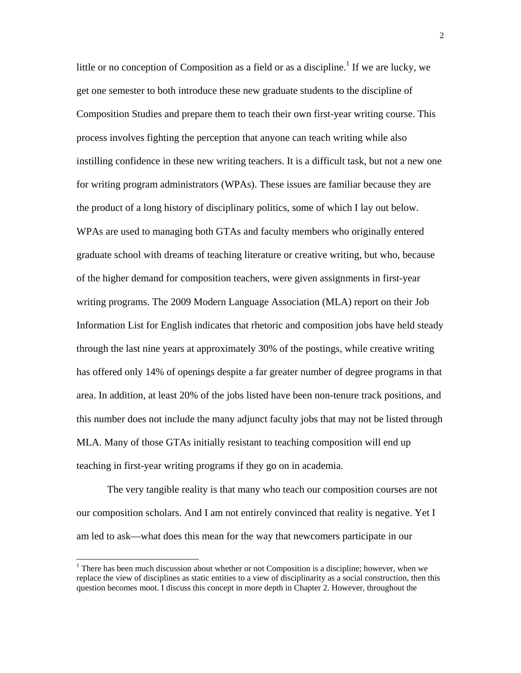little or no conception of Composition as a field or as a discipline.<sup>1</sup> If we are lucky, we get one semester to both introduce these new graduate students to the discipline of Composition Studies and prepare them to teach their own first-year writing course. This process involves fighting the perception that anyone can teach writing while also instilling confidence in these new writing teachers. It is a difficult task, but not a new one for writing program administrators (WPAs). These issues are familiar because they are the product of a long history of disciplinary politics, some of which I lay out below. WPAs are used to managing both GTAs and faculty members who originally entered graduate school with dreams of teaching literature or creative writing, but who, because of the higher demand for composition teachers, were given assignments in first-year writing programs. The 2009 Modern Language Association (MLA) report on their Job Information List for English indicates that rhetoric and composition jobs have held steady through the last nine years at approximately 30% of the postings, while creative writing has offered only 14% of openings despite a far greater number of degree programs in that area. In addition, at least 20% of the jobs listed have been non-tenure track positions, and this number does not include the many adjunct faculty jobs that may not be listed through MLA. Many of those GTAs initially resistant to teaching composition will end up teaching in first-year writing programs if they go on in academia.

The very tangible reality is that many who teach our composition courses are not our composition scholars. And I am not entirely convinced that reality is negative. Yet I am led to ask—what does this mean for the way that newcomers participate in our

 $\overline{\phantom{a}}$ 

 $1$  There has been much discussion about whether or not Composition is a discipline; however, when we replace the view of disciplines as static entities to a view of disciplinarity as a social construction, then this question becomes moot. I discuss this concept in more depth in Chapter 2. However, throughout the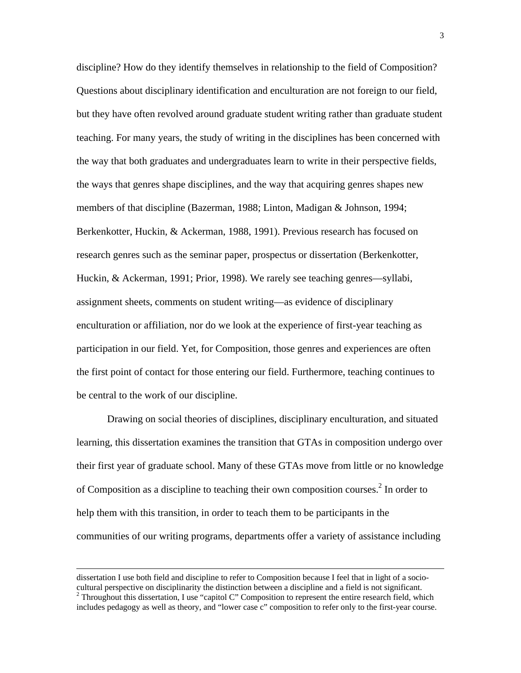discipline? How do they identify themselves in relationship to the field of Composition? Questions about disciplinary identification and enculturation are not foreign to our field, but they have often revolved around graduate student writing rather than graduate student teaching. For many years, the study of writing in the disciplines has been concerned with the way that both graduates and undergraduates learn to write in their perspective fields, the ways that genres shape disciplines, and the way that acquiring genres shapes new members of that discipline (Bazerman, 1988; Linton, Madigan & Johnson, 1994; Berkenkotter, Huckin, & Ackerman, 1988, 1991). Previous research has focused on research genres such as the seminar paper, prospectus or dissertation (Berkenkotter, Huckin, & Ackerman, 1991; Prior, 1998). We rarely see teaching genres—syllabi, assignment sheets, comments on student writing—as evidence of disciplinary enculturation or affiliation, nor do we look at the experience of first-year teaching as participation in our field. Yet, for Composition, those genres and experiences are often the first point of contact for those entering our field. Furthermore, teaching continues to be central to the work of our discipline.

Drawing on social theories of disciplines, disciplinary enculturation, and situated learning, this dissertation examines the transition that GTAs in composition undergo over their first year of graduate school. Many of these GTAs move from little or no knowledge of Composition as a discipline to teaching their own composition courses.<sup>2</sup> In order to help them with this transition, in order to teach them to be participants in the communities of our writing programs, departments offer a variety of assistance including

 $\overline{\phantom{a}}$ 

dissertation I use both field and discipline to refer to Composition because I feel that in light of a sociocultural perspective on disciplinarity the distinction between a discipline and a field is not significant. <sup>2</sup>  $2$  Throughout this dissertation, I use "capitol C" Composition to represent the entire research field, which includes pedagogy as well as theory, and "lower case c" composition to refer only to the first-year course.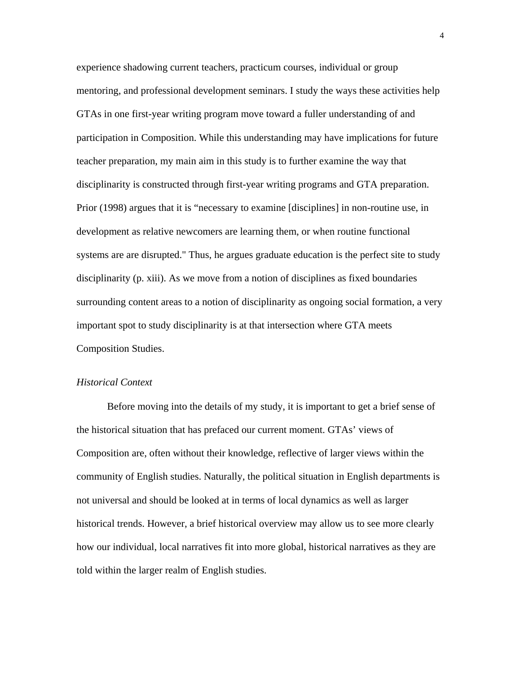experience shadowing current teachers, practicum courses, individual or group mentoring, and professional development seminars. I study the ways these activities help GTAs in one first-year writing program move toward a fuller understanding of and participation in Composition. While this understanding may have implications for future teacher preparation, my main aim in this study is to further examine the way that disciplinarity is constructed through first-year writing programs and GTA preparation. Prior (1998) argues that it is "necessary to examine [disciplines] in non-routine use, in development as relative newcomers are learning them, or when routine functional systems are are disrupted." Thus, he argues graduate education is the perfect site to study disciplinarity (p. xiii). As we move from a notion of disciplines as fixed boundaries surrounding content areas to a notion of disciplinarity as ongoing social formation, a very important spot to study disciplinarity is at that intersection where GTA meets Composition Studies.

#### *Historical Context*

Before moving into the details of my study, it is important to get a brief sense of the historical situation that has prefaced our current moment. GTAs' views of Composition are, often without their knowledge, reflective of larger views within the community of English studies. Naturally, the political situation in English departments is not universal and should be looked at in terms of local dynamics as well as larger historical trends. However, a brief historical overview may allow us to see more clearly how our individual, local narratives fit into more global, historical narratives as they are told within the larger realm of English studies.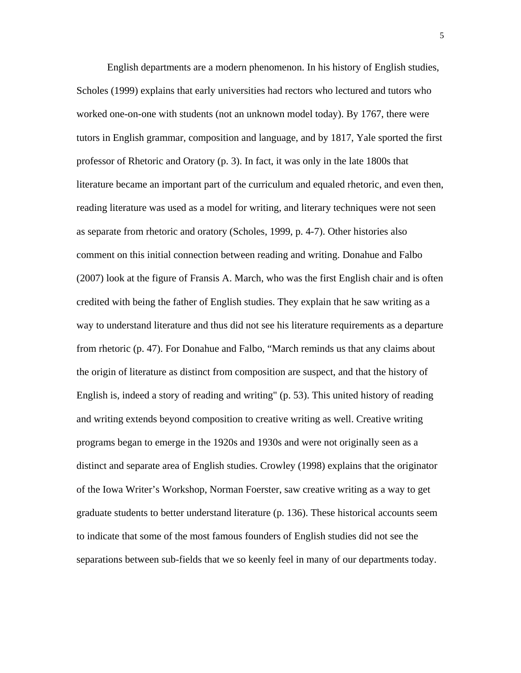English departments are a modern phenomenon. In his history of English studies, Scholes (1999) explains that early universities had rectors who lectured and tutors who worked one-on-one with students (not an unknown model today). By 1767, there were tutors in English grammar, composition and language, and by 1817, Yale sported the first professor of Rhetoric and Oratory (p. 3). In fact, it was only in the late 1800s that literature became an important part of the curriculum and equaled rhetoric, and even then, reading literature was used as a model for writing, and literary techniques were not seen as separate from rhetoric and oratory (Scholes, 1999, p. 4-7). Other histories also comment on this initial connection between reading and writing. Donahue and Falbo (2007) look at the figure of Fransis A. March, who was the first English chair and is often credited with being the father of English studies. They explain that he saw writing as a way to understand literature and thus did not see his literature requirements as a departure from rhetoric (p. 47). For Donahue and Falbo, "March reminds us that any claims about the origin of literature as distinct from composition are suspect, and that the history of English is, indeed a story of reading and writing" (p. 53). This united history of reading and writing extends beyond composition to creative writing as well. Creative writing programs began to emerge in the 1920s and 1930s and were not originally seen as a distinct and separate area of English studies. Crowley (1998) explains that the originator of the Iowa Writer's Workshop, Norman Foerster, saw creative writing as a way to get graduate students to better understand literature (p. 136). These historical accounts seem to indicate that some of the most famous founders of English studies did not see the separations between sub-fields that we so keenly feel in many of our departments today.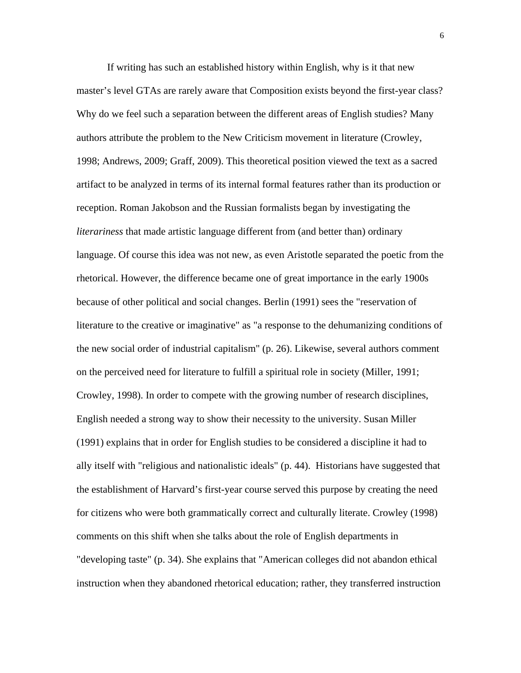If writing has such an established history within English, why is it that new master's level GTAs are rarely aware that Composition exists beyond the first-year class? Why do we feel such a separation between the different areas of English studies? Many authors attribute the problem to the New Criticism movement in literature (Crowley, 1998; Andrews, 2009; Graff, 2009). This theoretical position viewed the text as a sacred artifact to be analyzed in terms of its internal formal features rather than its production or reception. Roman Jakobson and the Russian formalists began by investigating the *literariness* that made artistic language different from (and better than) ordinary language. Of course this idea was not new, as even Aristotle separated the poetic from the rhetorical. However, the difference became one of great importance in the early 1900s because of other political and social changes. Berlin (1991) sees the "reservation of literature to the creative or imaginative" as "a response to the dehumanizing conditions of the new social order of industrial capitalism" (p. 26). Likewise, several authors comment on the perceived need for literature to fulfill a spiritual role in society (Miller, 1991; Crowley, 1998). In order to compete with the growing number of research disciplines, English needed a strong way to show their necessity to the university. Susan Miller (1991) explains that in order for English studies to be considered a discipline it had to ally itself with "religious and nationalistic ideals" (p. 44). Historians have suggested that the establishment of Harvard's first-year course served this purpose by creating the need for citizens who were both grammatically correct and culturally literate. Crowley (1998) comments on this shift when she talks about the role of English departments in "developing taste" (p. 34). She explains that "American colleges did not abandon ethical instruction when they abandoned rhetorical education; rather, they transferred instruction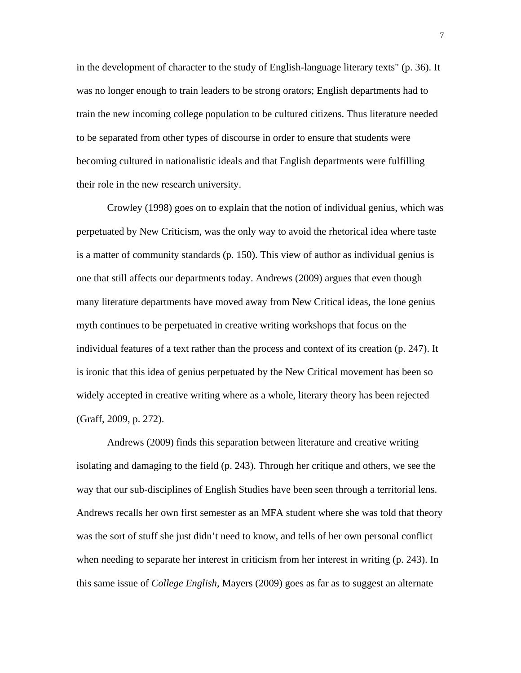in the development of character to the study of English-language literary texts" (p. 36). It was no longer enough to train leaders to be strong orators; English departments had to train the new incoming college population to be cultured citizens. Thus literature needed to be separated from other types of discourse in order to ensure that students were becoming cultured in nationalistic ideals and that English departments were fulfilling their role in the new research university.

Crowley (1998) goes on to explain that the notion of individual genius, which was perpetuated by New Criticism, was the only way to avoid the rhetorical idea where taste is a matter of community standards (p. 150). This view of author as individual genius is one that still affects our departments today. Andrews (2009) argues that even though many literature departments have moved away from New Critical ideas, the lone genius myth continues to be perpetuated in creative writing workshops that focus on the individual features of a text rather than the process and context of its creation (p. 247). It is ironic that this idea of genius perpetuated by the New Critical movement has been so widely accepted in creative writing where as a whole, literary theory has been rejected (Graff, 2009, p. 272).

Andrews (2009) finds this separation between literature and creative writing isolating and damaging to the field (p. 243). Through her critique and others, we see the way that our sub-disciplines of English Studies have been seen through a territorial lens. Andrews recalls her own first semester as an MFA student where she was told that theory was the sort of stuff she just didn't need to know, and tells of her own personal conflict when needing to separate her interest in criticism from her interest in writing (p. 243). In this same issue of *College English,* Mayers (2009) goes as far as to suggest an alternate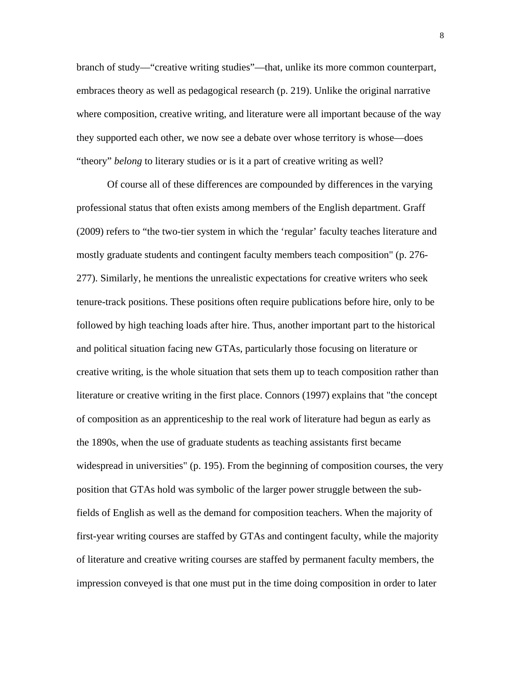branch of study—"creative writing studies"—that, unlike its more common counterpart, embraces theory as well as pedagogical research (p. 219). Unlike the original narrative where composition, creative writing, and literature were all important because of the way they supported each other, we now see a debate over whose territory is whose—does "theory" *belong* to literary studies or is it a part of creative writing as well?

Of course all of these differences are compounded by differences in the varying professional status that often exists among members of the English department. Graff (2009) refers to "the two-tier system in which the 'regular' faculty teaches literature and mostly graduate students and contingent faculty members teach composition" (p. 276- 277). Similarly, he mentions the unrealistic expectations for creative writers who seek tenure-track positions. These positions often require publications before hire, only to be followed by high teaching loads after hire. Thus, another important part to the historical and political situation facing new GTAs, particularly those focusing on literature or creative writing, is the whole situation that sets them up to teach composition rather than literature or creative writing in the first place. Connors (1997) explains that "the concept of composition as an apprenticeship to the real work of literature had begun as early as the 1890s, when the use of graduate students as teaching assistants first became widespread in universities" (p. 195). From the beginning of composition courses, the very position that GTAs hold was symbolic of the larger power struggle between the subfields of English as well as the demand for composition teachers. When the majority of first-year writing courses are staffed by GTAs and contingent faculty, while the majority of literature and creative writing courses are staffed by permanent faculty members, the impression conveyed is that one must put in the time doing composition in order to later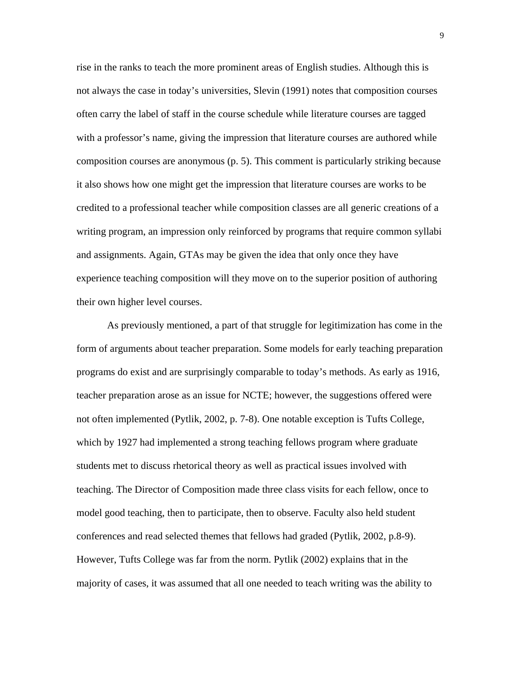rise in the ranks to teach the more prominent areas of English studies. Although this is not always the case in today's universities, Slevin (1991) notes that composition courses often carry the label of staff in the course schedule while literature courses are tagged with a professor's name, giving the impression that literature courses are authored while composition courses are anonymous (p. 5). This comment is particularly striking because it also shows how one might get the impression that literature courses are works to be credited to a professional teacher while composition classes are all generic creations of a writing program, an impression only reinforced by programs that require common syllabi and assignments. Again, GTAs may be given the idea that only once they have experience teaching composition will they move on to the superior position of authoring their own higher level courses.

As previously mentioned, a part of that struggle for legitimization has come in the form of arguments about teacher preparation. Some models for early teaching preparation programs do exist and are surprisingly comparable to today's methods. As early as 1916, teacher preparation arose as an issue for NCTE; however, the suggestions offered were not often implemented (Pytlik, 2002, p. 7-8). One notable exception is Tufts College, which by 1927 had implemented a strong teaching fellows program where graduate students met to discuss rhetorical theory as well as practical issues involved with teaching. The Director of Composition made three class visits for each fellow, once to model good teaching, then to participate, then to observe. Faculty also held student conferences and read selected themes that fellows had graded (Pytlik, 2002, p.8-9). However, Tufts College was far from the norm. Pytlik (2002) explains that in the majority of cases, it was assumed that all one needed to teach writing was the ability to

9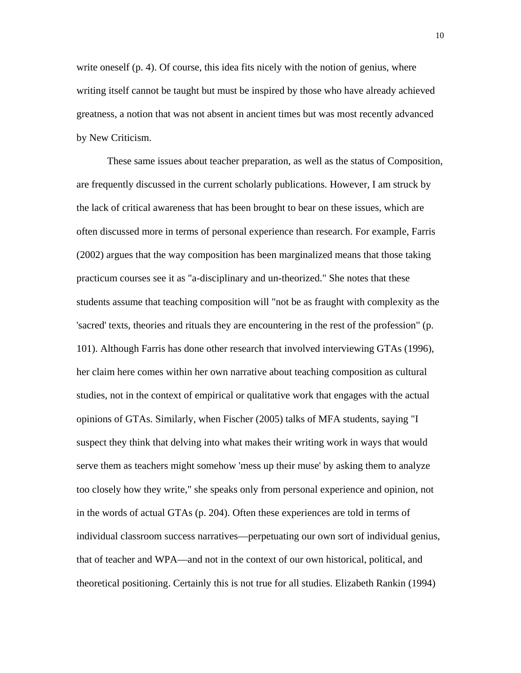write oneself (p. 4). Of course, this idea fits nicely with the notion of genius, where writing itself cannot be taught but must be inspired by those who have already achieved greatness, a notion that was not absent in ancient times but was most recently advanced by New Criticism.

These same issues about teacher preparation, as well as the status of Composition, are frequently discussed in the current scholarly publications. However, I am struck by the lack of critical awareness that has been brought to bear on these issues, which are often discussed more in terms of personal experience than research. For example, Farris (2002) argues that the way composition has been marginalized means that those taking practicum courses see it as "a-disciplinary and un-theorized." She notes that these students assume that teaching composition will "not be as fraught with complexity as the 'sacred' texts, theories and rituals they are encountering in the rest of the profession" (p. 101). Although Farris has done other research that involved interviewing GTAs (1996), her claim here comes within her own narrative about teaching composition as cultural studies, not in the context of empirical or qualitative work that engages with the actual opinions of GTAs. Similarly, when Fischer (2005) talks of MFA students, saying "I suspect they think that delving into what makes their writing work in ways that would serve them as teachers might somehow 'mess up their muse' by asking them to analyze too closely how they write," she speaks only from personal experience and opinion, not in the words of actual GTAs (p. 204). Often these experiences are told in terms of individual classroom success narratives—perpetuating our own sort of individual genius, that of teacher and WPA—and not in the context of our own historical, political, and theoretical positioning. Certainly this is not true for all studies. Elizabeth Rankin (1994)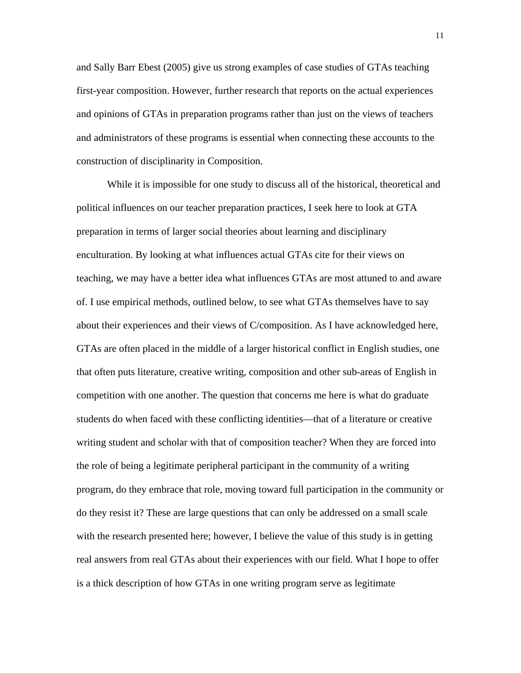and Sally Barr Ebest (2005) give us strong examples of case studies of GTAs teaching first-year composition. However, further research that reports on the actual experiences and opinions of GTAs in preparation programs rather than just on the views of teachers and administrators of these programs is essential when connecting these accounts to the construction of disciplinarity in Composition.

While it is impossible for one study to discuss all of the historical, theoretical and political influences on our teacher preparation practices, I seek here to look at GTA preparation in terms of larger social theories about learning and disciplinary enculturation. By looking at what influences actual GTAs cite for their views on teaching, we may have a better idea what influences GTAs are most attuned to and aware of. I use empirical methods, outlined below, to see what GTAs themselves have to say about their experiences and their views of C/composition. As I have acknowledged here, GTAs are often placed in the middle of a larger historical conflict in English studies, one that often puts literature, creative writing, composition and other sub-areas of English in competition with one another. The question that concerns me here is what do graduate students do when faced with these conflicting identities—that of a literature or creative writing student and scholar with that of composition teacher? When they are forced into the role of being a legitimate peripheral participant in the community of a writing program, do they embrace that role, moving toward full participation in the community or do they resist it? These are large questions that can only be addressed on a small scale with the research presented here; however, I believe the value of this study is in getting real answers from real GTAs about their experiences with our field. What I hope to offer is a thick description of how GTAs in one writing program serve as legitimate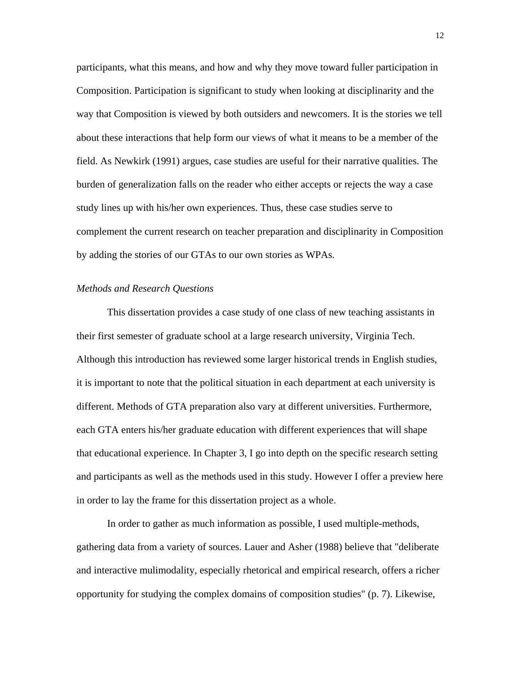participants, what this means, and how and why they move toward fuller participation in Composition. Participation is significant to study when looking at disciplinarity and the way that Composition is viewed by both outsiders and newcomers. It is the stories we tell about these interactions that help form our views of what it means to be a member of the field. As Newkirk (1991) argues, case studies are useful for their narrative qualities. The burden of generalization falls on the reader who either accepts or rejects the way a case study lines up with his/her own experiences. Thus, these case studies serve to complement the current research on teacher preparation and disciplinarity in Composition by adding the stories of our GTAs to our own stories as WPAs.

#### *Methods and Research Questions*

This dissertation provides a case study of one class of new teaching assistants in their first semester of graduate school at a large research university, Virginia Tech. Although this introduction has reviewed some larger historical trends in English studies, it is important to note that the political situation in each department at each university is different. Methods of GTA preparation also vary at different universities. Furthermore, each GTA enters his/her graduate education with different experiences that will shape that educational experience. In Chapter 3, I go into depth on the specific research setting and participants as well as the methods used in this study. However I offer a preview here in order to lay the frame for this dissertation project as a whole.

In order to gather as much information as possible, I used multiple-methods, gathering data from a variety of sources. Lauer and Asher (1988) believe that "deliberate and interactive mulimodality, especially rhetorical and empirical research, offers a richer opportunity for studying the complex domains of composition studies" (p. 7). Likewise,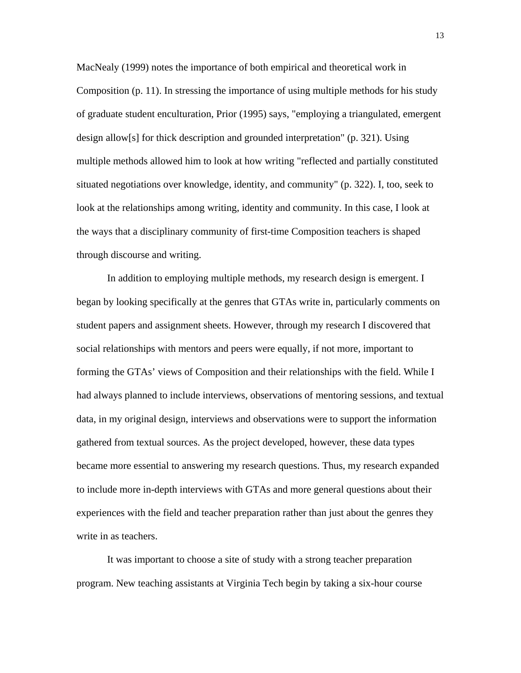MacNealy (1999) notes the importance of both empirical and theoretical work in Composition (p. 11). In stressing the importance of using multiple methods for his study of graduate student enculturation, Prior (1995) says, "employing a triangulated, emergent design allow[s] for thick description and grounded interpretation" (p. 321). Using multiple methods allowed him to look at how writing "reflected and partially constituted situated negotiations over knowledge, identity, and community" (p. 322). I, too, seek to look at the relationships among writing, identity and community. In this case, I look at the ways that a disciplinary community of first-time Composition teachers is shaped through discourse and writing.

In addition to employing multiple methods, my research design is emergent. I began by looking specifically at the genres that GTAs write in, particularly comments on student papers and assignment sheets. However, through my research I discovered that social relationships with mentors and peers were equally, if not more, important to forming the GTAs' views of Composition and their relationships with the field. While I had always planned to include interviews, observations of mentoring sessions, and textual data, in my original design, interviews and observations were to support the information gathered from textual sources. As the project developed, however, these data types became more essential to answering my research questions. Thus, my research expanded to include more in-depth interviews with GTAs and more general questions about their experiences with the field and teacher preparation rather than just about the genres they write in as teachers.

It was important to choose a site of study with a strong teacher preparation program. New teaching assistants at Virginia Tech begin by taking a six-hour course 13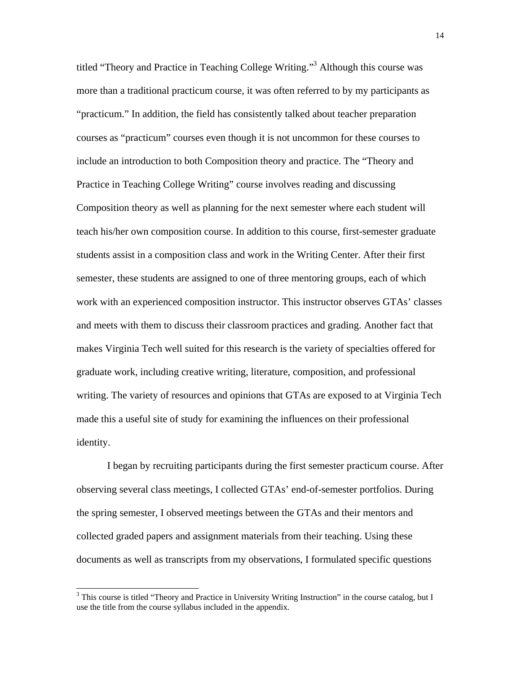titled "Theory and Practice in Teaching College Writing."3 Although this course was more than a traditional practicum course, it was often referred to by my participants as "practicum." In addition, the field has consistently talked about teacher preparation courses as "practicum" courses even though it is not uncommon for these courses to include an introduction to both Composition theory and practice. The "Theory and Practice in Teaching College Writing" course involves reading and discussing Composition theory as well as planning for the next semester where each student will teach his/her own composition course. In addition to this course, first-semester graduate students assist in a composition class and work in the Writing Center. After their first semester, these students are assigned to one of three mentoring groups, each of which work with an experienced composition instructor. This instructor observes GTAs' classes and meets with them to discuss their classroom practices and grading. Another fact that makes Virginia Tech well suited for this research is the variety of specialties offered for graduate work, including creative writing, literature, composition, and professional writing. The variety of resources and opinions that GTAs are exposed to at Virginia Tech made this a useful site of study for examining the influences on their professional identity.

I began by recruiting participants during the first semester practicum course. After observing several class meetings, I collected GTAs' end-of-semester portfolios. During the spring semester, I observed meetings between the GTAs and their mentors and collected graded papers and assignment materials from their teaching. Using these documents as well as transcripts from my observations, I formulated specific questions

 $\overline{\phantom{a}}$ 

<sup>&</sup>lt;sup>3</sup> This course is titled "Theory and Practice in University Writing Instruction" in the course catalog, but I use the title from the course syllabus included in the appendix.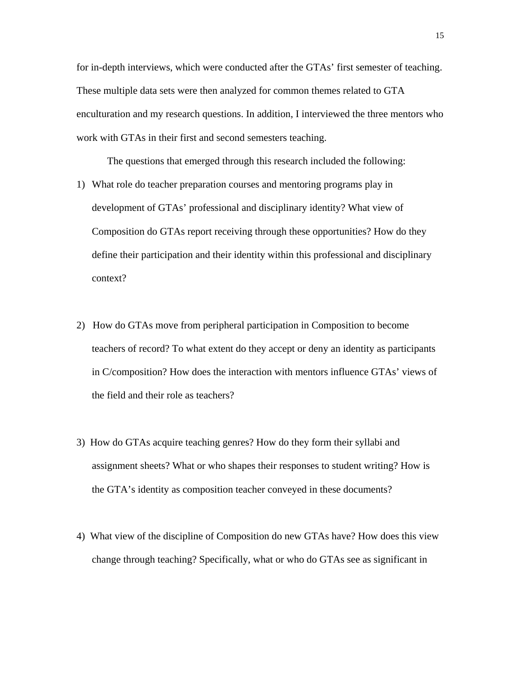for in-depth interviews, which were conducted after the GTAs' first semester of teaching. These multiple data sets were then analyzed for common themes related to GTA enculturation and my research questions. In addition, I interviewed the three mentors who work with GTAs in their first and second semesters teaching.

The questions that emerged through this research included the following:

- 1) What role do teacher preparation courses and mentoring programs play in development of GTAs' professional and disciplinary identity? What view of Composition do GTAs report receiving through these opportunities? How do they define their participation and their identity within this professional and disciplinary context?
- 2) How do GTAs move from peripheral participation in Composition to become teachers of record? To what extent do they accept or deny an identity as participants in C/composition? How does the interaction with mentors influence GTAs' views of the field and their role as teachers?
- 3) How do GTAs acquire teaching genres? How do they form their syllabi and assignment sheets? What or who shapes their responses to student writing? How is the GTA's identity as composition teacher conveyed in these documents?
- 4) What view of the discipline of Composition do new GTAs have? How does this view change through teaching? Specifically, what or who do GTAs see as significant in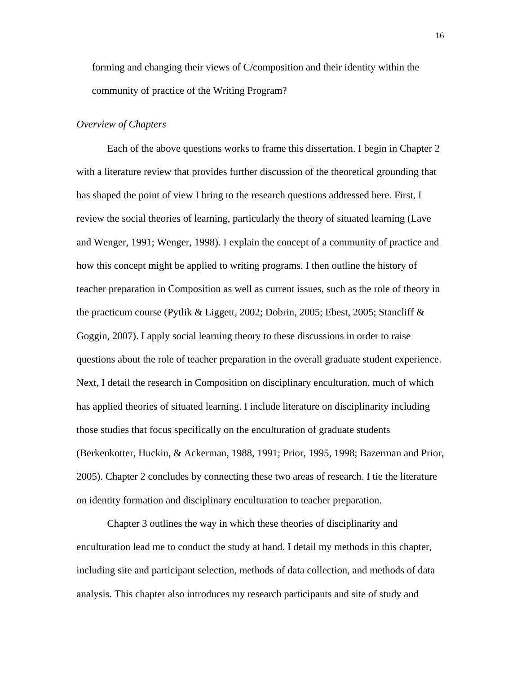forming and changing their views of C/composition and their identity within the community of practice of the Writing Program?

#### *Overview of Chapters*

Each of the above questions works to frame this dissertation. I begin in Chapter 2 with a literature review that provides further discussion of the theoretical grounding that has shaped the point of view I bring to the research questions addressed here. First, I review the social theories of learning, particularly the theory of situated learning (Lave and Wenger, 1991; Wenger, 1998). I explain the concept of a community of practice and how this concept might be applied to writing programs. I then outline the history of teacher preparation in Composition as well as current issues, such as the role of theory in the practicum course (Pytlik & Liggett, 2002; Dobrin, 2005; Ebest, 2005; Stancliff & Goggin, 2007). I apply social learning theory to these discussions in order to raise questions about the role of teacher preparation in the overall graduate student experience. Next, I detail the research in Composition on disciplinary enculturation, much of which has applied theories of situated learning. I include literature on disciplinarity including those studies that focus specifically on the enculturation of graduate students (Berkenkotter, Huckin, & Ackerman, 1988, 1991; Prior, 1995, 1998; Bazerman and Prior, 2005). Chapter 2 concludes by connecting these two areas of research. I tie the literature on identity formation and disciplinary enculturation to teacher preparation.

Chapter 3 outlines the way in which these theories of disciplinarity and enculturation lead me to conduct the study at hand. I detail my methods in this chapter, including site and participant selection, methods of data collection, and methods of data analysis. This chapter also introduces my research participants and site of study and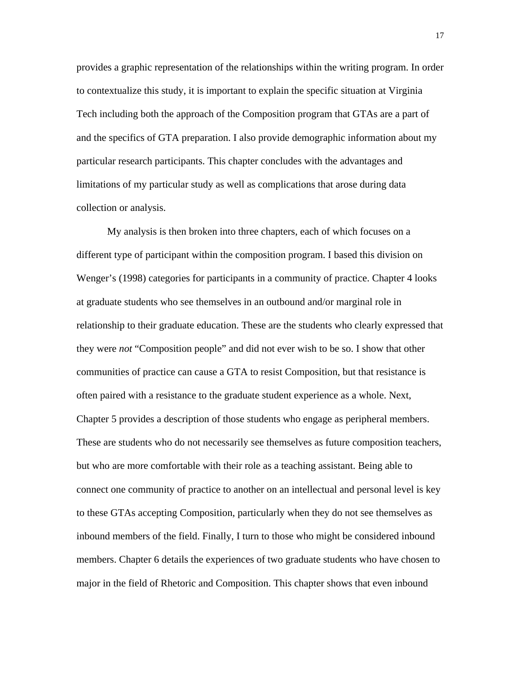provides a graphic representation of the relationships within the writing program. In order to contextualize this study, it is important to explain the specific situation at Virginia Tech including both the approach of the Composition program that GTAs are a part of and the specifics of GTA preparation. I also provide demographic information about my particular research participants. This chapter concludes with the advantages and limitations of my particular study as well as complications that arose during data collection or analysis.

My analysis is then broken into three chapters, each of which focuses on a different type of participant within the composition program. I based this division on Wenger's (1998) categories for participants in a community of practice. Chapter 4 looks at graduate students who see themselves in an outbound and/or marginal role in relationship to their graduate education. These are the students who clearly expressed that they were *not* "Composition people" and did not ever wish to be so. I show that other communities of practice can cause a GTA to resist Composition, but that resistance is often paired with a resistance to the graduate student experience as a whole. Next, Chapter 5 provides a description of those students who engage as peripheral members. These are students who do not necessarily see themselves as future composition teachers, but who are more comfortable with their role as a teaching assistant. Being able to connect one community of practice to another on an intellectual and personal level is key to these GTAs accepting Composition, particularly when they do not see themselves as inbound members of the field. Finally, I turn to those who might be considered inbound members. Chapter 6 details the experiences of two graduate students who have chosen to major in the field of Rhetoric and Composition. This chapter shows that even inbound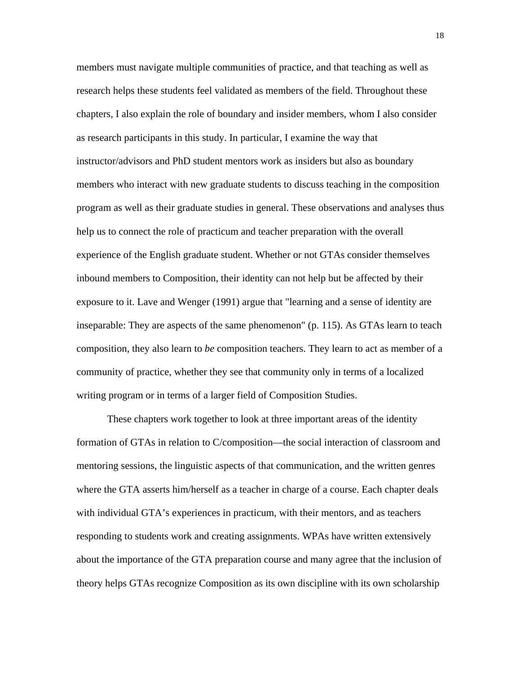members must navigate multiple communities of practice, and that teaching as well as research helps these students feel validated as members of the field. Throughout these chapters, I also explain the role of boundary and insider members, whom I also consider as research participants in this study. In particular, I examine the way that instructor/advisors and PhD student mentors work as insiders but also as boundary members who interact with new graduate students to discuss teaching in the composition program as well as their graduate studies in general. These observations and analyses thus help us to connect the role of practicum and teacher preparation with the overall experience of the English graduate student. Whether or not GTAs consider themselves inbound members to Composition, their identity can not help but be affected by their exposure to it. Lave and Wenger (1991) argue that "learning and a sense of identity are inseparable: They are aspects of the same phenomenon" (p. 115). As GTAs learn to teach composition, they also learn to *be* composition teachers. They learn to act as member of a community of practice, whether they see that community only in terms of a localized writing program or in terms of a larger field of Composition Studies.

These chapters work together to look at three important areas of the identity formation of GTAs in relation to C/composition—the social interaction of classroom and mentoring sessions, the linguistic aspects of that communication, and the written genres where the GTA asserts him/herself as a teacher in charge of a course. Each chapter deals with individual GTA's experiences in practicum, with their mentors, and as teachers responding to students work and creating assignments. WPAs have written extensively about the importance of the GTA preparation course and many agree that the inclusion of theory helps GTAs recognize Composition as its own discipline with its own scholarship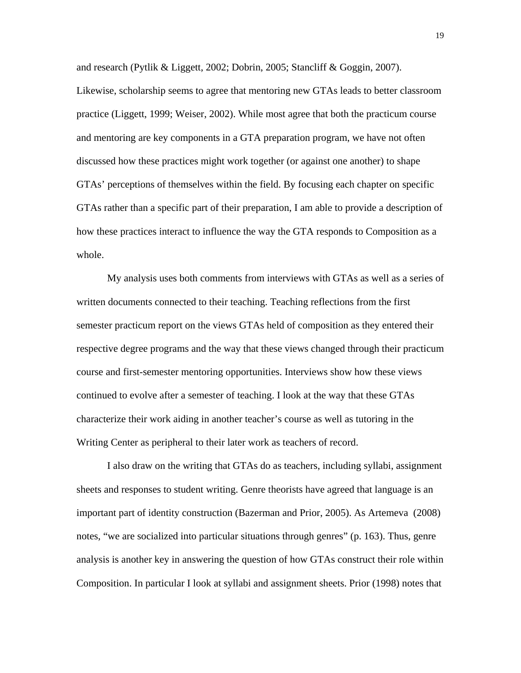and research (Pytlik & Liggett, 2002; Dobrin, 2005; Stancliff & Goggin, 2007). Likewise, scholarship seems to agree that mentoring new GTAs leads to better classroom practice (Liggett, 1999; Weiser, 2002). While most agree that both the practicum course and mentoring are key components in a GTA preparation program, we have not often discussed how these practices might work together (or against one another) to shape GTAs' perceptions of themselves within the field. By focusing each chapter on specific GTAs rather than a specific part of their preparation, I am able to provide a description of how these practices interact to influence the way the GTA responds to Composition as a whole.

My analysis uses both comments from interviews with GTAs as well as a series of written documents connected to their teaching. Teaching reflections from the first semester practicum report on the views GTAs held of composition as they entered their respective degree programs and the way that these views changed through their practicum course and first-semester mentoring opportunities. Interviews show how these views continued to evolve after a semester of teaching. I look at the way that these GTAs characterize their work aiding in another teacher's course as well as tutoring in the Writing Center as peripheral to their later work as teachers of record.

I also draw on the writing that GTAs do as teachers, including syllabi, assignment sheets and responses to student writing. Genre theorists have agreed that language is an important part of identity construction (Bazerman and Prior, 2005). As Artemeva (2008) notes, "we are socialized into particular situations through genres" (p. 163). Thus, genre analysis is another key in answering the question of how GTAs construct their role within Composition. In particular I look at syllabi and assignment sheets. Prior (1998) notes that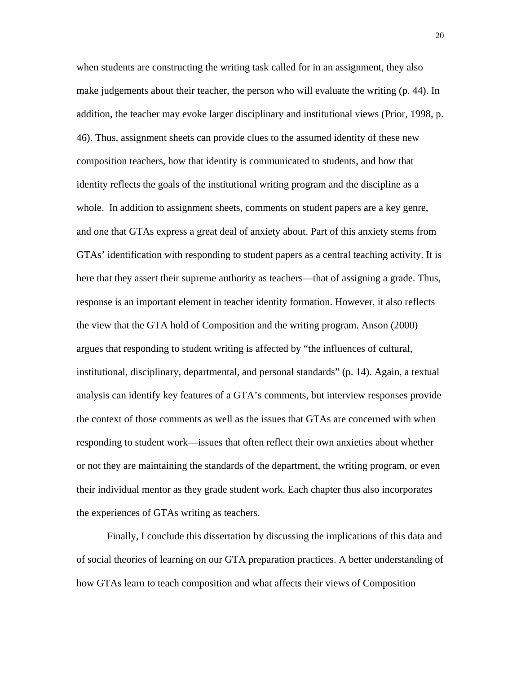when students are constructing the writing task called for in an assignment, they also make judgements about their teacher, the person who will evaluate the writing (p. 44). In addition, the teacher may evoke larger disciplinary and institutional views (Prior, 1998, p. 46). Thus, assignment sheets can provide clues to the assumed identity of these new composition teachers, how that identity is communicated to students, and how that identity reflects the goals of the institutional writing program and the discipline as a whole. In addition to assignment sheets, comments on student papers are a key genre, and one that GTAs express a great deal of anxiety about. Part of this anxiety stems from GTAs' identification with responding to student papers as a central teaching activity. It is here that they assert their supreme authority as teachers—that of assigning a grade. Thus, response is an important element in teacher identity formation. However, it also reflects the view that the GTA hold of Composition and the writing program. Anson (2000) argues that responding to student writing is affected by "the influences of cultural, institutional, disciplinary, departmental, and personal standards" (p. 14). Again, a textual analysis can identify key features of a GTA's comments, but interview responses provide the context of those comments as well as the issues that GTAs are concerned with when responding to student work—issues that often reflect their own anxieties about whether or not they are maintaining the standards of the department, the writing program, or even their individual mentor as they grade student work. Each chapter thus also incorporates the experiences of GTAs writing as teachers.

Finally, I conclude this dissertation by discussing the implications of this data and of social theories of learning on our GTA preparation practices. A better understanding of how GTAs learn to teach composition and what affects their views of Composition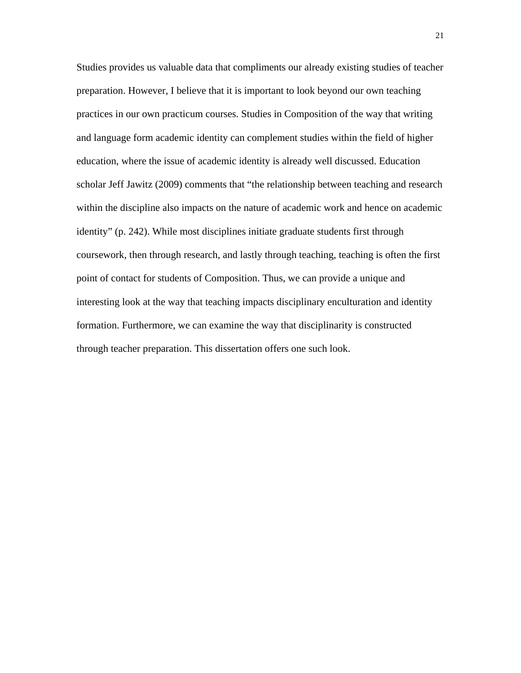Studies provides us valuable data that compliments our already existing studies of teacher preparation. However, I believe that it is important to look beyond our own teaching practices in our own practicum courses. Studies in Composition of the way that writing and language form academic identity can complement studies within the field of higher education, where the issue of academic identity is already well discussed. Education scholar Jeff Jawitz (2009) comments that "the relationship between teaching and research within the discipline also impacts on the nature of academic work and hence on academic identity" (p. 242). While most disciplines initiate graduate students first through coursework, then through research, and lastly through teaching, teaching is often the first point of contact for students of Composition. Thus, we can provide a unique and interesting look at the way that teaching impacts disciplinary enculturation and identity formation. Furthermore, we can examine the way that disciplinarity is constructed through teacher preparation. This dissertation offers one such look.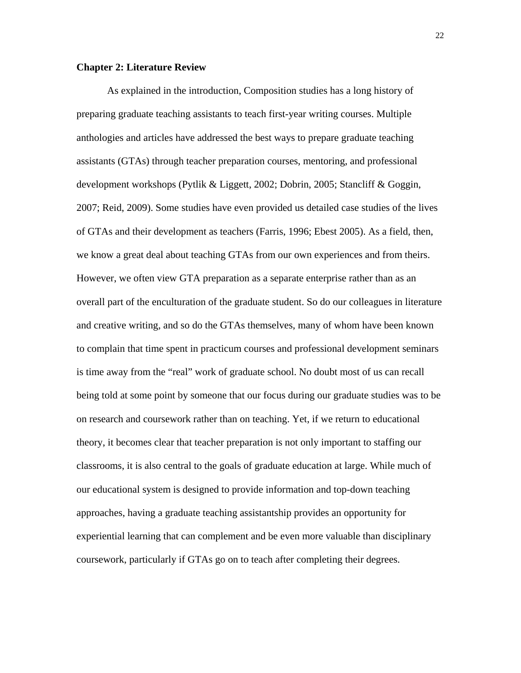#### **Chapter 2: Literature Review**

As explained in the introduction, Composition studies has a long history of preparing graduate teaching assistants to teach first-year writing courses. Multiple anthologies and articles have addressed the best ways to prepare graduate teaching assistants (GTAs) through teacher preparation courses, mentoring, and professional development workshops (Pytlik & Liggett, 2002; Dobrin, 2005; Stancliff & Goggin, 2007; Reid, 2009). Some studies have even provided us detailed case studies of the lives of GTAs and their development as teachers (Farris, 1996; Ebest 2005). As a field, then, we know a great deal about teaching GTAs from our own experiences and from theirs. However, we often view GTA preparation as a separate enterprise rather than as an overall part of the enculturation of the graduate student. So do our colleagues in literature and creative writing, and so do the GTAs themselves, many of whom have been known to complain that time spent in practicum courses and professional development seminars is time away from the "real" work of graduate school. No doubt most of us can recall being told at some point by someone that our focus during our graduate studies was to be on research and coursework rather than on teaching. Yet, if we return to educational theory, it becomes clear that teacher preparation is not only important to staffing our classrooms, it is also central to the goals of graduate education at large. While much of our educational system is designed to provide information and top-down teaching approaches, having a graduate teaching assistantship provides an opportunity for experiential learning that can complement and be even more valuable than disciplinary coursework, particularly if GTAs go on to teach after completing their degrees.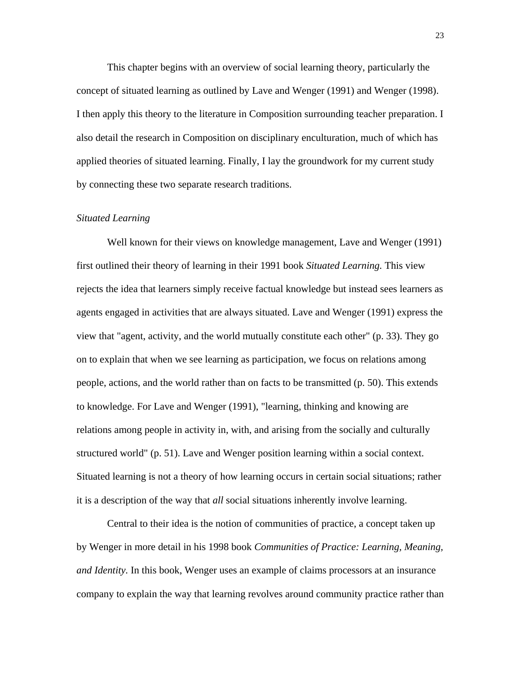This chapter begins with an overview of social learning theory, particularly the concept of situated learning as outlined by Lave and Wenger (1991) and Wenger (1998). I then apply this theory to the literature in Composition surrounding teacher preparation. I also detail the research in Composition on disciplinary enculturation, much of which has applied theories of situated learning. Finally, I lay the groundwork for my current study by connecting these two separate research traditions.

#### *Situated Learning*

Well known for their views on knowledge management, Lave and Wenger (1991) first outlined their theory of learning in their 1991 book *Situated Learning.* This view rejects the idea that learners simply receive factual knowledge but instead sees learners as agents engaged in activities that are always situated. Lave and Wenger (1991) express the view that "agent, activity, and the world mutually constitute each other" (p. 33). They go on to explain that when we see learning as participation, we focus on relations among people, actions, and the world rather than on facts to be transmitted (p. 50). This extends to knowledge. For Lave and Wenger (1991), "learning, thinking and knowing are relations among people in activity in, with, and arising from the socially and culturally structured world" (p. 51). Lave and Wenger position learning within a social context. Situated learning is not a theory of how learning occurs in certain social situations; rather it is a description of the way that *all* social situations inherently involve learning.

Central to their idea is the notion of communities of practice, a concept taken up by Wenger in more detail in his 1998 book *Communities of Practice: Learning, Meaning, and Identity.* In this book, Wenger uses an example of claims processors at an insurance company to explain the way that learning revolves around community practice rather than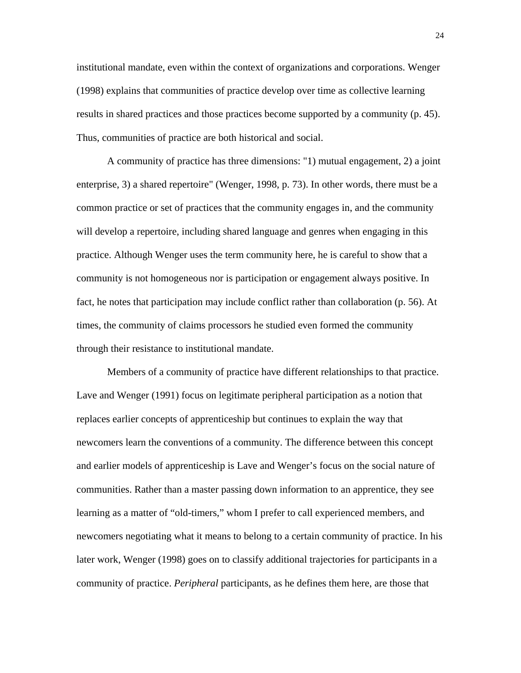institutional mandate, even within the context of organizations and corporations. Wenger (1998) explains that communities of practice develop over time as collective learning results in shared practices and those practices become supported by a community (p. 45). Thus, communities of practice are both historical and social.

A community of practice has three dimensions: "1) mutual engagement, 2) a joint enterprise, 3) a shared repertoire" (Wenger, 1998, p. 73). In other words, there must be a common practice or set of practices that the community engages in, and the community will develop a repertoire, including shared language and genres when engaging in this practice. Although Wenger uses the term community here, he is careful to show that a community is not homogeneous nor is participation or engagement always positive. In fact, he notes that participation may include conflict rather than collaboration (p. 56). At times, the community of claims processors he studied even formed the community through their resistance to institutional mandate.

Members of a community of practice have different relationships to that practice. Lave and Wenger (1991) focus on legitimate peripheral participation as a notion that replaces earlier concepts of apprenticeship but continues to explain the way that newcomers learn the conventions of a community. The difference between this concept and earlier models of apprenticeship is Lave and Wenger's focus on the social nature of communities. Rather than a master passing down information to an apprentice, they see learning as a matter of "old-timers," whom I prefer to call experienced members, and newcomers negotiating what it means to belong to a certain community of practice. In his later work, Wenger (1998) goes on to classify additional trajectories for participants in a community of practice. *Peripheral* participants, as he defines them here, are those that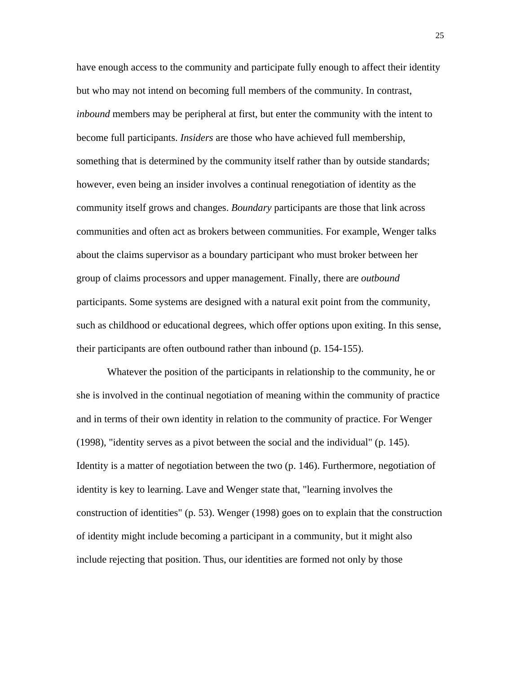have enough access to the community and participate fully enough to affect their identity but who may not intend on becoming full members of the community. In contrast, *inbound* members may be peripheral at first, but enter the community with the intent to become full participants. *Insiders* are those who have achieved full membership, something that is determined by the community itself rather than by outside standards; however, even being an insider involves a continual renegotiation of identity as the community itself grows and changes. *Boundary* participants are those that link across communities and often act as brokers between communities. For example, Wenger talks about the claims supervisor as a boundary participant who must broker between her group of claims processors and upper management. Finally, there are *outbound* participants. Some systems are designed with a natural exit point from the community, such as childhood or educational degrees, which offer options upon exiting. In this sense, their participants are often outbound rather than inbound (p. 154-155).

Whatever the position of the participants in relationship to the community, he or she is involved in the continual negotiation of meaning within the community of practice and in terms of their own identity in relation to the community of practice. For Wenger (1998), "identity serves as a pivot between the social and the individual" (p. 145). Identity is a matter of negotiation between the two (p. 146). Furthermore, negotiation of identity is key to learning. Lave and Wenger state that, "learning involves the construction of identities" (p. 53). Wenger (1998) goes on to explain that the construction of identity might include becoming a participant in a community, but it might also include rejecting that position. Thus, our identities are formed not only by those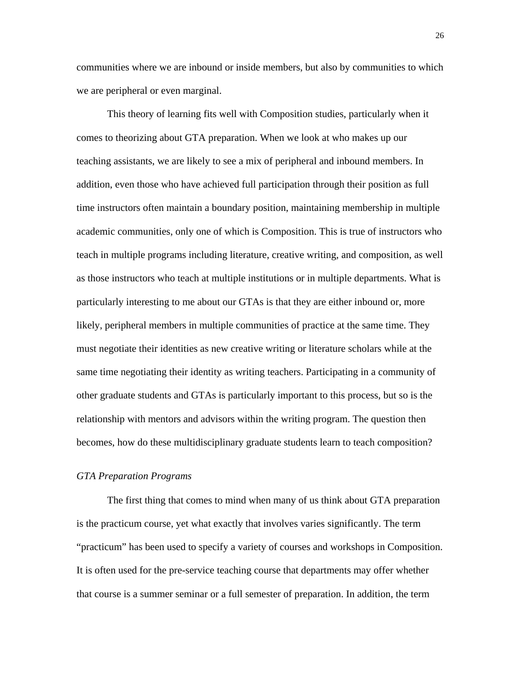communities where we are inbound or inside members, but also by communities to which we are peripheral or even marginal.

This theory of learning fits well with Composition studies, particularly when it comes to theorizing about GTA preparation. When we look at who makes up our teaching assistants, we are likely to see a mix of peripheral and inbound members. In addition, even those who have achieved full participation through their position as full time instructors often maintain a boundary position, maintaining membership in multiple academic communities, only one of which is Composition. This is true of instructors who teach in multiple programs including literature, creative writing, and composition, as well as those instructors who teach at multiple institutions or in multiple departments. What is particularly interesting to me about our GTAs is that they are either inbound or, more likely, peripheral members in multiple communities of practice at the same time. They must negotiate their identities as new creative writing or literature scholars while at the same time negotiating their identity as writing teachers. Participating in a community of other graduate students and GTAs is particularly important to this process, but so is the relationship with mentors and advisors within the writing program. The question then becomes, how do these multidisciplinary graduate students learn to teach composition?

#### *GTA Preparation Programs*

The first thing that comes to mind when many of us think about GTA preparation is the practicum course, yet what exactly that involves varies significantly. The term "practicum" has been used to specify a variety of courses and workshops in Composition. It is often used for the pre-service teaching course that departments may offer whether that course is a summer seminar or a full semester of preparation. In addition, the term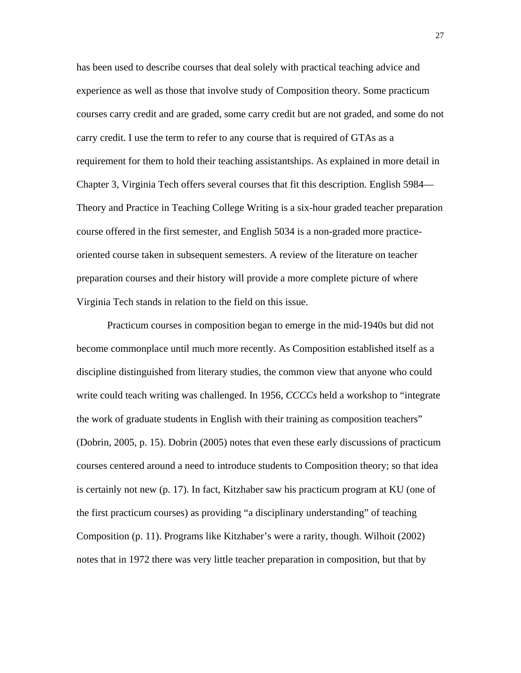has been used to describe courses that deal solely with practical teaching advice and experience as well as those that involve study of Composition theory. Some practicum courses carry credit and are graded, some carry credit but are not graded, and some do not carry credit. I use the term to refer to any course that is required of GTAs as a requirement for them to hold their teaching assistantships. As explained in more detail in Chapter 3, Virginia Tech offers several courses that fit this description. English 5984— Theory and Practice in Teaching College Writing is a six-hour graded teacher preparation course offered in the first semester, and English 5034 is a non-graded more practiceoriented course taken in subsequent semesters. A review of the literature on teacher preparation courses and their history will provide a more complete picture of where Virginia Tech stands in relation to the field on this issue.

Practicum courses in composition began to emerge in the mid-1940s but did not become commonplace until much more recently. As Composition established itself as a discipline distinguished from literary studies, the common view that anyone who could write could teach writing was challenged. In 1956, *CCCCs* held a workshop to "integrate the work of graduate students in English with their training as composition teachers" (Dobrin, 2005, p. 15). Dobrin (2005) notes that even these early discussions of practicum courses centered around a need to introduce students to Composition theory; so that idea is certainly not new (p. 17). In fact, Kitzhaber saw his practicum program at KU (one of the first practicum courses) as providing "a disciplinary understanding" of teaching Composition (p. 11). Programs like Kitzhaber's were a rarity, though. Wilhoit (2002) notes that in 1972 there was very little teacher preparation in composition, but that by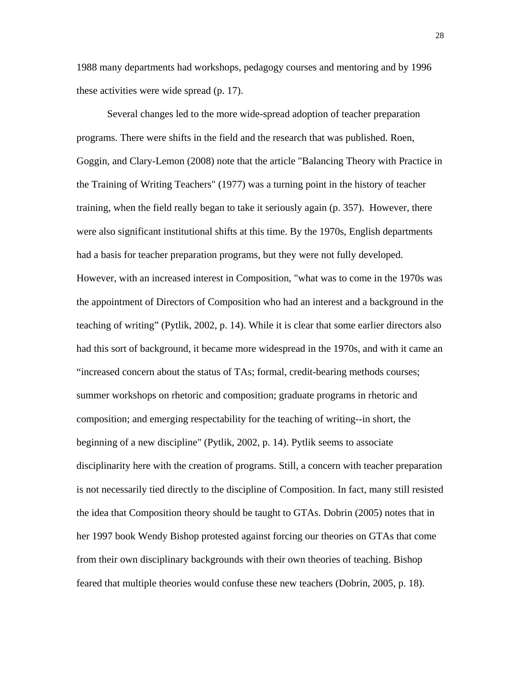1988 many departments had workshops, pedagogy courses and mentoring and by 1996 these activities were wide spread (p. 17).

Several changes led to the more wide-spread adoption of teacher preparation programs. There were shifts in the field and the research that was published. Roen, Goggin, and Clary-Lemon (2008) note that the article "Balancing Theory with Practice in the Training of Writing Teachers" (1977) was a turning point in the history of teacher training, when the field really began to take it seriously again (p. 357). However, there were also significant institutional shifts at this time. By the 1970s, English departments had a basis for teacher preparation programs, but they were not fully developed. However, with an increased interest in Composition, "what was to come in the 1970s was the appointment of Directors of Composition who had an interest and a background in the teaching of writing" (Pytlik, 2002, p. 14). While it is clear that some earlier directors also had this sort of background, it became more widespread in the 1970s, and with it came an "increased concern about the status of TAs; formal, credit-bearing methods courses; summer workshops on rhetoric and composition; graduate programs in rhetoric and composition; and emerging respectability for the teaching of writing--in short, the beginning of a new discipline" (Pytlik, 2002, p. 14). Pytlik seems to associate disciplinarity here with the creation of programs. Still, a concern with teacher preparation is not necessarily tied directly to the discipline of Composition. In fact, many still resisted the idea that Composition theory should be taught to GTAs. Dobrin (2005) notes that in her 1997 book Wendy Bishop protested against forcing our theories on GTAs that come from their own disciplinary backgrounds with their own theories of teaching. Bishop feared that multiple theories would confuse these new teachers (Dobrin, 2005, p. 18).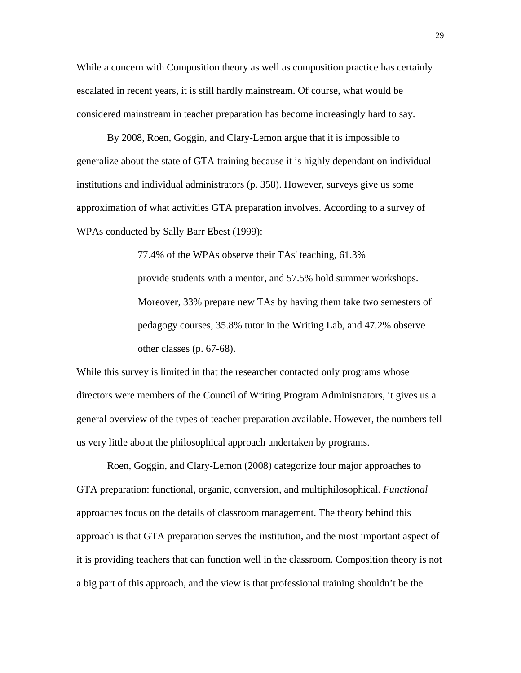While a concern with Composition theory as well as composition practice has certainly escalated in recent years, it is still hardly mainstream. Of course, what would be considered mainstream in teacher preparation has become increasingly hard to say.

By 2008, Roen, Goggin, and Clary-Lemon argue that it is impossible to generalize about the state of GTA training because it is highly dependant on individual institutions and individual administrators (p. 358). However, surveys give us some approximation of what activities GTA preparation involves. According to a survey of WPAs conducted by Sally Barr Ebest (1999):

> 77.4% of the WPAs observe their TAs' teaching, 61.3% provide students with a mentor, and 57.5% hold summer workshops. Moreover, 33% prepare new TAs by having them take two semesters of pedagogy courses, 35.8% tutor in the Writing Lab, and 47.2% observe other classes (p. 67-68).

While this survey is limited in that the researcher contacted only programs whose directors were members of the Council of Writing Program Administrators, it gives us a general overview of the types of teacher preparation available. However, the numbers tell us very little about the philosophical approach undertaken by programs.

Roen, Goggin, and Clary-Lemon (2008) categorize four major approaches to GTA preparation: functional, organic, conversion, and multiphilosophical. *Functional* approaches focus on the details of classroom management. The theory behind this approach is that GTA preparation serves the institution, and the most important aspect of it is providing teachers that can function well in the classroom. Composition theory is not a big part of this approach, and the view is that professional training shouldn't be the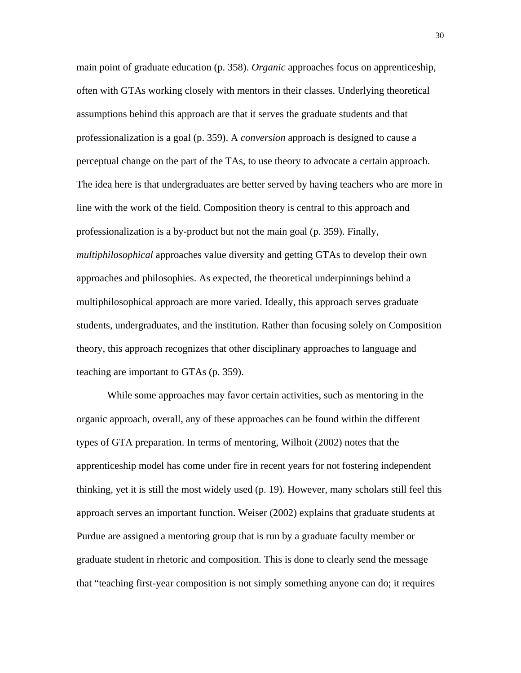main point of graduate education (p. 358). *Organic* approaches focus on apprenticeship, often with GTAs working closely with mentors in their classes. Underlying theoretical assumptions behind this approach are that it serves the graduate students and that professionalization is a goal (p. 359). A *conversion* approach is designed to cause a perceptual change on the part of the TAs, to use theory to advocate a certain approach. The idea here is that undergraduates are better served by having teachers who are more in line with the work of the field. Composition theory is central to this approach and professionalization is a by-product but not the main goal (p. 359). Finally, *multiphilosophical* approaches value diversity and getting GTAs to develop their own approaches and philosophies. As expected, the theoretical underpinnings behind a multiphilosophical approach are more varied. Ideally, this approach serves graduate students, undergraduates, and the institution. Rather than focusing solely on Composition theory, this approach recognizes that other disciplinary approaches to language and teaching are important to GTAs (p. 359).

While some approaches may favor certain activities, such as mentoring in the organic approach, overall, any of these approaches can be found within the different types of GTA preparation. In terms of mentoring, Wilhoit (2002) notes that the apprenticeship model has come under fire in recent years for not fostering independent thinking, yet it is still the most widely used (p. 19). However, many scholars still feel this approach serves an important function. Weiser (2002) explains that graduate students at Purdue are assigned a mentoring group that is run by a graduate faculty member or graduate student in rhetoric and composition. This is done to clearly send the message that "teaching first-year composition is not simply something anyone can do; it requires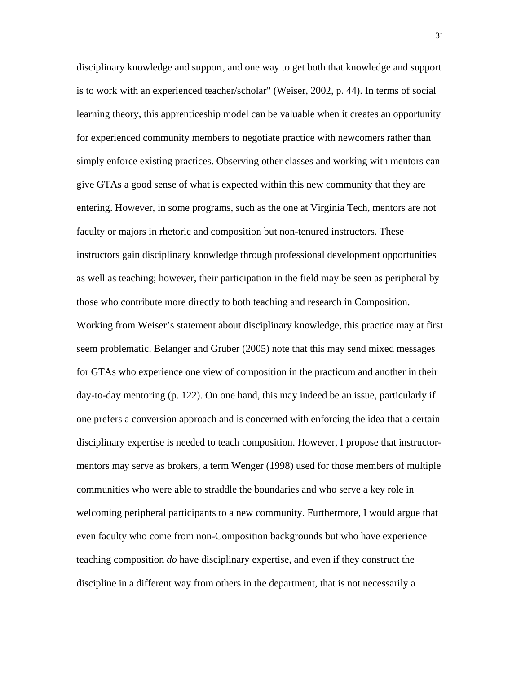disciplinary knowledge and support, and one way to get both that knowledge and support is to work with an experienced teacher/scholar" (Weiser, 2002, p. 44). In terms of social learning theory, this apprenticeship model can be valuable when it creates an opportunity for experienced community members to negotiate practice with newcomers rather than simply enforce existing practices. Observing other classes and working with mentors can give GTAs a good sense of what is expected within this new community that they are entering. However, in some programs, such as the one at Virginia Tech, mentors are not faculty or majors in rhetoric and composition but non-tenured instructors. These instructors gain disciplinary knowledge through professional development opportunities as well as teaching; however, their participation in the field may be seen as peripheral by those who contribute more directly to both teaching and research in Composition. Working from Weiser's statement about disciplinary knowledge, this practice may at first seem problematic. Belanger and Gruber (2005) note that this may send mixed messages for GTAs who experience one view of composition in the practicum and another in their day-to-day mentoring (p. 122). On one hand, this may indeed be an issue, particularly if one prefers a conversion approach and is concerned with enforcing the idea that a certain disciplinary expertise is needed to teach composition. However, I propose that instructormentors may serve as brokers, a term Wenger (1998) used for those members of multiple communities who were able to straddle the boundaries and who serve a key role in welcoming peripheral participants to a new community. Furthermore, I would argue that even faculty who come from non-Composition backgrounds but who have experience teaching composition *do* have disciplinary expertise, and even if they construct the discipline in a different way from others in the department, that is not necessarily a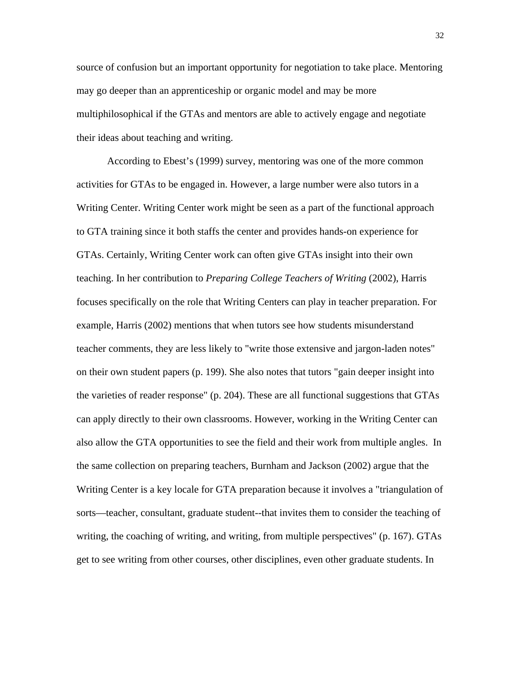source of confusion but an important opportunity for negotiation to take place. Mentoring may go deeper than an apprenticeship or organic model and may be more multiphilosophical if the GTAs and mentors are able to actively engage and negotiate their ideas about teaching and writing.

According to Ebest's (1999) survey, mentoring was one of the more common activities for GTAs to be engaged in. However, a large number were also tutors in a Writing Center. Writing Center work might be seen as a part of the functional approach to GTA training since it both staffs the center and provides hands-on experience for GTAs. Certainly, Writing Center work can often give GTAs insight into their own teaching. In her contribution to *Preparing College Teachers of Writing* (2002), Harris focuses specifically on the role that Writing Centers can play in teacher preparation. For example, Harris (2002) mentions that when tutors see how students misunderstand teacher comments, they are less likely to "write those extensive and jargon-laden notes" on their own student papers (p. 199). She also notes that tutors "gain deeper insight into the varieties of reader response" (p. 204). These are all functional suggestions that GTAs can apply directly to their own classrooms. However, working in the Writing Center can also allow the GTA opportunities to see the field and their work from multiple angles. In the same collection on preparing teachers, Burnham and Jackson (2002) argue that the Writing Center is a key locale for GTA preparation because it involves a "triangulation of sorts—teacher, consultant, graduate student--that invites them to consider the teaching of writing, the coaching of writing, and writing, from multiple perspectives" (p. 167). GTAs get to see writing from other courses, other disciplines, even other graduate students. In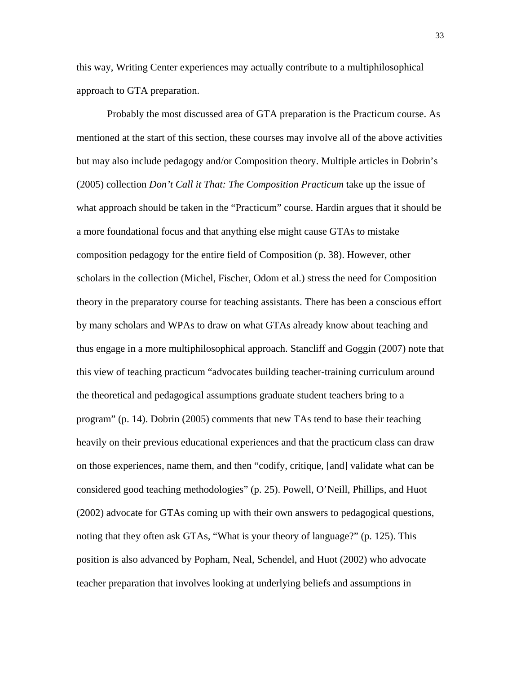this way, Writing Center experiences may actually contribute to a multiphilosophical approach to GTA preparation.

Probably the most discussed area of GTA preparation is the Practicum course. As mentioned at the start of this section, these courses may involve all of the above activities but may also include pedagogy and/or Composition theory. Multiple articles in Dobrin's (2005) collection *Don't Call it That: The Composition Practicum* take up the issue of what approach should be taken in the "Practicum" course. Hardin argues that it should be a more foundational focus and that anything else might cause GTAs to mistake composition pedagogy for the entire field of Composition (p. 38). However, other scholars in the collection (Michel, Fischer, Odom et al.) stress the need for Composition theory in the preparatory course for teaching assistants. There has been a conscious effort by many scholars and WPAs to draw on what GTAs already know about teaching and thus engage in a more multiphilosophical approach. Stancliff and Goggin (2007) note that this view of teaching practicum "advocates building teacher-training curriculum around the theoretical and pedagogical assumptions graduate student teachers bring to a program" (p. 14). Dobrin (2005) comments that new TAs tend to base their teaching heavily on their previous educational experiences and that the practicum class can draw on those experiences, name them, and then "codify, critique, [and] validate what can be considered good teaching methodologies" (p. 25). Powell, O'Neill, Phillips, and Huot (2002) advocate for GTAs coming up with their own answers to pedagogical questions, noting that they often ask GTAs, "What is your theory of language?" (p. 125). This position is also advanced by Popham, Neal, Schendel, and Huot (2002) who advocate teacher preparation that involves looking at underlying beliefs and assumptions in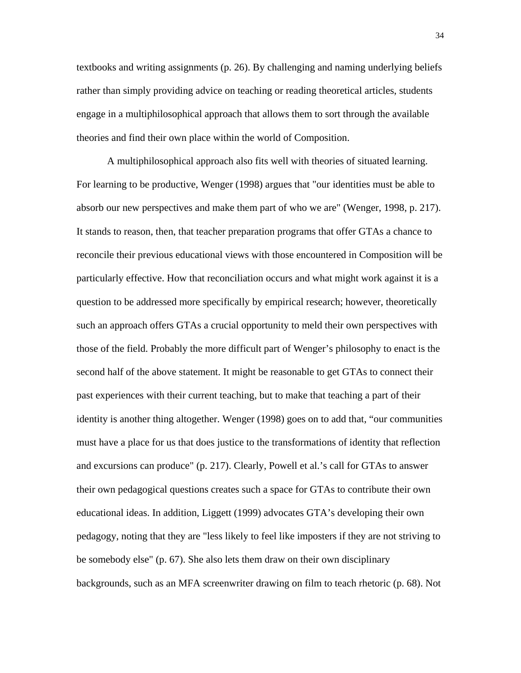textbooks and writing assignments (p. 26). By challenging and naming underlying beliefs rather than simply providing advice on teaching or reading theoretical articles, students engage in a multiphilosophical approach that allows them to sort through the available theories and find their own place within the world of Composition.

A multiphilosophical approach also fits well with theories of situated learning. For learning to be productive, Wenger (1998) argues that "our identities must be able to absorb our new perspectives and make them part of who we are" (Wenger, 1998, p. 217). It stands to reason, then, that teacher preparation programs that offer GTAs a chance to reconcile their previous educational views with those encountered in Composition will be particularly effective. How that reconciliation occurs and what might work against it is a question to be addressed more specifically by empirical research; however, theoretically such an approach offers GTAs a crucial opportunity to meld their own perspectives with those of the field. Probably the more difficult part of Wenger's philosophy to enact is the second half of the above statement. It might be reasonable to get GTAs to connect their past experiences with their current teaching, but to make that teaching a part of their identity is another thing altogether. Wenger (1998) goes on to add that, "our communities must have a place for us that does justice to the transformations of identity that reflection and excursions can produce" (p. 217). Clearly, Powell et al.'s call for GTAs to answer their own pedagogical questions creates such a space for GTAs to contribute their own educational ideas. In addition, Liggett (1999) advocates GTA's developing their own pedagogy, noting that they are "less likely to feel like imposters if they are not striving to be somebody else" (p. 67). She also lets them draw on their own disciplinary backgrounds, such as an MFA screenwriter drawing on film to teach rhetoric (p. 68). Not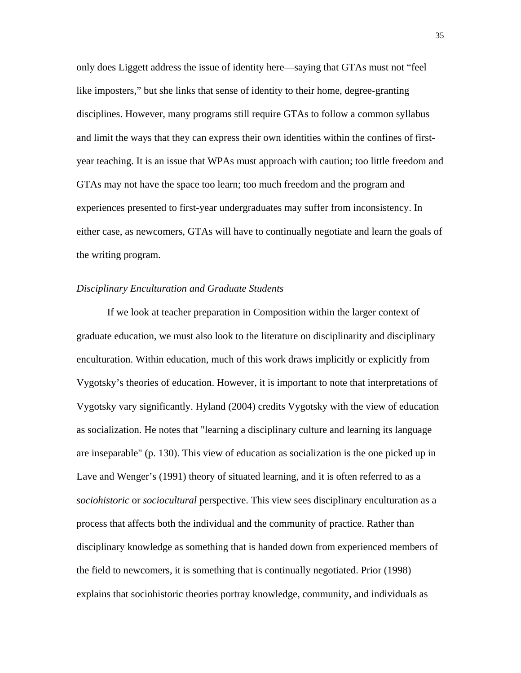only does Liggett address the issue of identity here—saying that GTAs must not "feel like imposters," but she links that sense of identity to their home, degree-granting disciplines. However, many programs still require GTAs to follow a common syllabus and limit the ways that they can express their own identities within the confines of firstyear teaching. It is an issue that WPAs must approach with caution; too little freedom and GTAs may not have the space too learn; too much freedom and the program and experiences presented to first-year undergraduates may suffer from inconsistency. In either case, as newcomers, GTAs will have to continually negotiate and learn the goals of the writing program.

## *Disciplinary Enculturation and Graduate Students*

If we look at teacher preparation in Composition within the larger context of graduate education, we must also look to the literature on disciplinarity and disciplinary enculturation. Within education, much of this work draws implicitly or explicitly from Vygotsky's theories of education. However, it is important to note that interpretations of Vygotsky vary significantly. Hyland (2004) credits Vygotsky with the view of education as socialization. He notes that "learning a disciplinary culture and learning its language are inseparable" (p. 130). This view of education as socialization is the one picked up in Lave and Wenger's (1991) theory of situated learning, and it is often referred to as a *sociohistoric* or *sociocultural* perspective. This view sees disciplinary enculturation as a process that affects both the individual and the community of practice. Rather than disciplinary knowledge as something that is handed down from experienced members of the field to newcomers, it is something that is continually negotiated. Prior (1998) explains that sociohistoric theories portray knowledge, community, and individuals as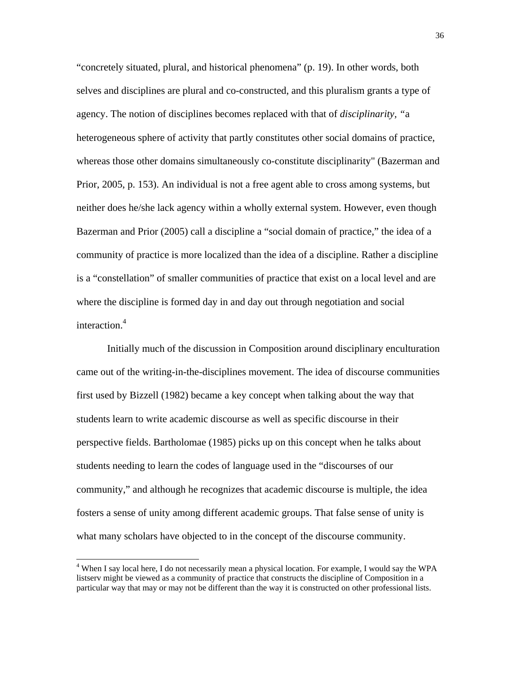"concretely situated, plural, and historical phenomena" (p. 19). In other words, both selves and disciplines are plural and co-constructed, and this pluralism grants a type of agency. The notion of disciplines becomes replaced with that of *disciplinarity, "*a heterogeneous sphere of activity that partly constitutes other social domains of practice, whereas those other domains simultaneously co-constitute disciplinarity" (Bazerman and Prior, 2005, p. 153). An individual is not a free agent able to cross among systems, but neither does he/she lack agency within a wholly external system. However, even though Bazerman and Prior (2005) call a discipline a "social domain of practice," the idea of a community of practice is more localized than the idea of a discipline. Rather a discipline is a "constellation" of smaller communities of practice that exist on a local level and are where the discipline is formed day in and day out through negotiation and social interaction.<sup>4</sup>

Initially much of the discussion in Composition around disciplinary enculturation came out of the writing-in-the-disciplines movement. The idea of discourse communities first used by Bizzell (1982) became a key concept when talking about the way that students learn to write academic discourse as well as specific discourse in their perspective fields. Bartholomae (1985) picks up on this concept when he talks about students needing to learn the codes of language used in the "discourses of our community," and although he recognizes that academic discourse is multiple, the idea fosters a sense of unity among different academic groups. That false sense of unity is what many scholars have objected to in the concept of the discourse community.

<sup>&</sup>lt;sup>4</sup> When I say local here, I do not necessarily mean a physical location. For example, I would say the WPA listserv might be viewed as a community of practice that constructs the discipline of Composition in a particular way that may or may not be different than the way it is constructed on other professional lists.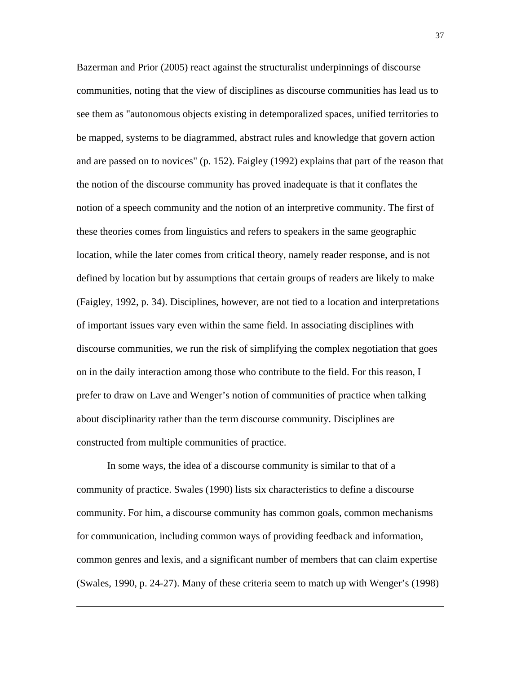Bazerman and Prior (2005) react against the structuralist underpinnings of discourse communities, noting that the view of disciplines as discourse communities has lead us to see them as "autonomous objects existing in detemporalized spaces, unified territories to be mapped, systems to be diagrammed, abstract rules and knowledge that govern action and are passed on to novices" (p. 152). Faigley (1992) explains that part of the reason that the notion of the discourse community has proved inadequate is that it conflates the notion of a speech community and the notion of an interpretive community. The first of these theories comes from linguistics and refers to speakers in the same geographic location, while the later comes from critical theory, namely reader response, and is not defined by location but by assumptions that certain groups of readers are likely to make (Faigley, 1992, p. 34). Disciplines, however, are not tied to a location and interpretations of important issues vary even within the same field. In associating disciplines with discourse communities, we run the risk of simplifying the complex negotiation that goes on in the daily interaction among those who contribute to the field. For this reason, I prefer to draw on Lave and Wenger's notion of communities of practice when talking about disciplinarity rather than the term discourse community. Disciplines are constructed from multiple communities of practice.

In some ways, the idea of a discourse community is similar to that of a community of practice. Swales (1990) lists six characteristics to define a discourse community. For him, a discourse community has common goals, common mechanisms for communication, including common ways of providing feedback and information, common genres and lexis, and a significant number of members that can claim expertise (Swales, 1990, p. 24-27). Many of these criteria seem to match up with Wenger's (1998)

 $\overline{\phantom{a}}$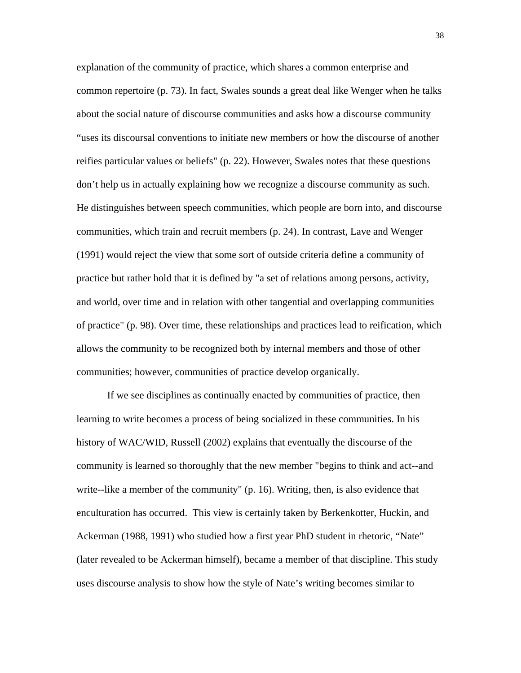explanation of the community of practice, which shares a common enterprise and common repertoire (p. 73). In fact, Swales sounds a great deal like Wenger when he talks about the social nature of discourse communities and asks how a discourse community "uses its discoursal conventions to initiate new members or how the discourse of another reifies particular values or beliefs" (p. 22). However, Swales notes that these questions don't help us in actually explaining how we recognize a discourse community as such. He distinguishes between speech communities, which people are born into, and discourse communities, which train and recruit members (p. 24). In contrast, Lave and Wenger (1991) would reject the view that some sort of outside criteria define a community of practice but rather hold that it is defined by "a set of relations among persons, activity, and world, over time and in relation with other tangential and overlapping communities of practice" (p. 98). Over time, these relationships and practices lead to reification, which allows the community to be recognized both by internal members and those of other communities; however, communities of practice develop organically.

If we see disciplines as continually enacted by communities of practice, then learning to write becomes a process of being socialized in these communities. In his history of WAC/WID, Russell (2002) explains that eventually the discourse of the community is learned so thoroughly that the new member "begins to think and act--and write--like a member of the community" (p. 16). Writing, then, is also evidence that enculturation has occurred. This view is certainly taken by Berkenkotter, Huckin, and Ackerman (1988, 1991) who studied how a first year PhD student in rhetoric, "Nate" (later revealed to be Ackerman himself), became a member of that discipline. This study uses discourse analysis to show how the style of Nate's writing becomes similar to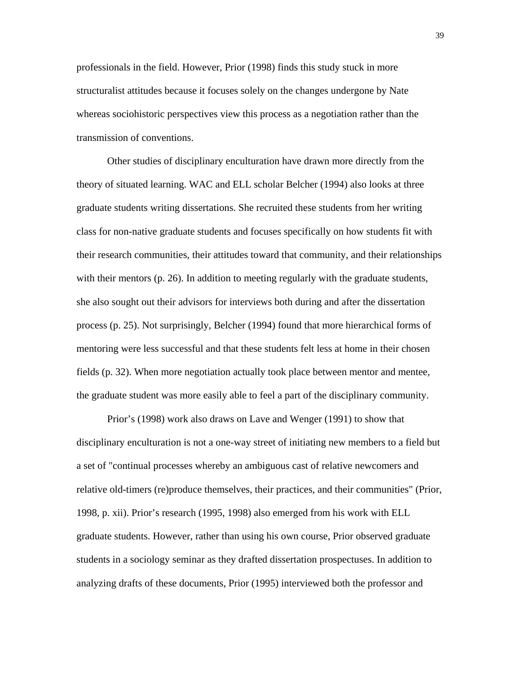professionals in the field. However, Prior (1998) finds this study stuck in more structuralist attitudes because it focuses solely on the changes undergone by Nate whereas sociohistoric perspectives view this process as a negotiation rather than the transmission of conventions.

Other studies of disciplinary enculturation have drawn more directly from the theory of situated learning. WAC and ELL scholar Belcher (1994) also looks at three graduate students writing dissertations. She recruited these students from her writing class for non-native graduate students and focuses specifically on how students fit with their research communities, their attitudes toward that community, and their relationships with their mentors (p. 26). In addition to meeting regularly with the graduate students, she also sought out their advisors for interviews both during and after the dissertation process (p. 25). Not surprisingly, Belcher (1994) found that more hierarchical forms of mentoring were less successful and that these students felt less at home in their chosen fields (p. 32). When more negotiation actually took place between mentor and mentee, the graduate student was more easily able to feel a part of the disciplinary community.

Prior's (1998) work also draws on Lave and Wenger (1991) to show that disciplinary enculturation is not a one-way street of initiating new members to a field but a set of "continual processes whereby an ambiguous cast of relative newcomers and relative old-timers (re)produce themselves, their practices, and their communities" (Prior, 1998, p. xii). Prior's research (1995, 1998) also emerged from his work with ELL graduate students. However, rather than using his own course, Prior observed graduate students in a sociology seminar as they drafted dissertation prospectuses. In addition to analyzing drafts of these documents, Prior (1995) interviewed both the professor and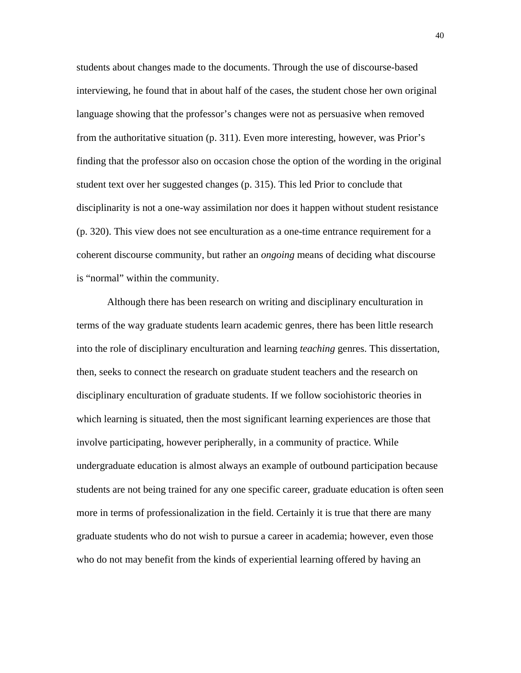students about changes made to the documents. Through the use of discourse-based interviewing, he found that in about half of the cases, the student chose her own original language showing that the professor's changes were not as persuasive when removed from the authoritative situation (p. 311). Even more interesting, however, was Prior's finding that the professor also on occasion chose the option of the wording in the original student text over her suggested changes (p. 315). This led Prior to conclude that disciplinarity is not a one-way assimilation nor does it happen without student resistance (p. 320). This view does not see enculturation as a one-time entrance requirement for a coherent discourse community, but rather an *ongoing* means of deciding what discourse is "normal" within the community.

Although there has been research on writing and disciplinary enculturation in terms of the way graduate students learn academic genres, there has been little research into the role of disciplinary enculturation and learning *teaching* genres. This dissertation, then, seeks to connect the research on graduate student teachers and the research on disciplinary enculturation of graduate students. If we follow sociohistoric theories in which learning is situated, then the most significant learning experiences are those that involve participating, however peripherally, in a community of practice. While undergraduate education is almost always an example of outbound participation because students are not being trained for any one specific career, graduate education is often seen more in terms of professionalization in the field. Certainly it is true that there are many graduate students who do not wish to pursue a career in academia; however, even those who do not may benefit from the kinds of experiential learning offered by having an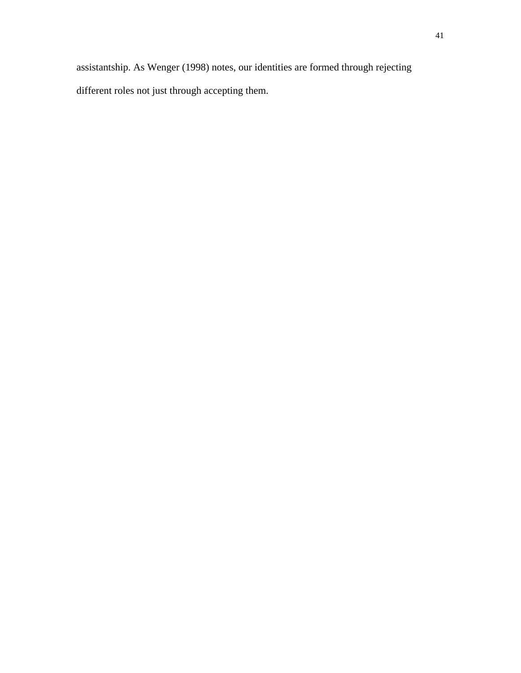assistantship. As Wenger (1998) notes, our identities are formed through rejecting different roles not just through accepting them.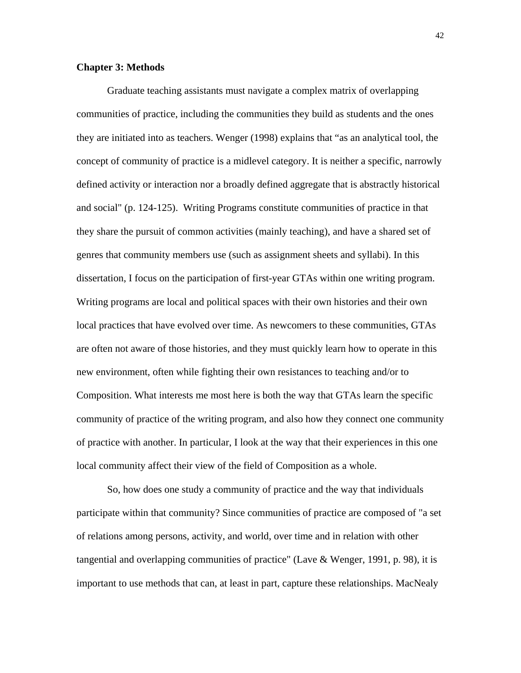## **Chapter 3: Methods**

Graduate teaching assistants must navigate a complex matrix of overlapping communities of practice, including the communities they build as students and the ones they are initiated into as teachers. Wenger (1998) explains that "as an analytical tool, the concept of community of practice is a midlevel category. It is neither a specific, narrowly defined activity or interaction nor a broadly defined aggregate that is abstractly historical and social" (p. 124-125). Writing Programs constitute communities of practice in that they share the pursuit of common activities (mainly teaching), and have a shared set of genres that community members use (such as assignment sheets and syllabi). In this dissertation, I focus on the participation of first-year GTAs within one writing program. Writing programs are local and political spaces with their own histories and their own local practices that have evolved over time. As newcomers to these communities, GTAs are often not aware of those histories, and they must quickly learn how to operate in this new environment, often while fighting their own resistances to teaching and/or to Composition. What interests me most here is both the way that GTAs learn the specific community of practice of the writing program, and also how they connect one community of practice with another. In particular, I look at the way that their experiences in this one local community affect their view of the field of Composition as a whole.

So, how does one study a community of practice and the way that individuals participate within that community? Since communities of practice are composed of "a set of relations among persons, activity, and world, over time and in relation with other tangential and overlapping communities of practice" (Lave & Wenger, 1991, p. 98), it is important to use methods that can, at least in part, capture these relationships. MacNealy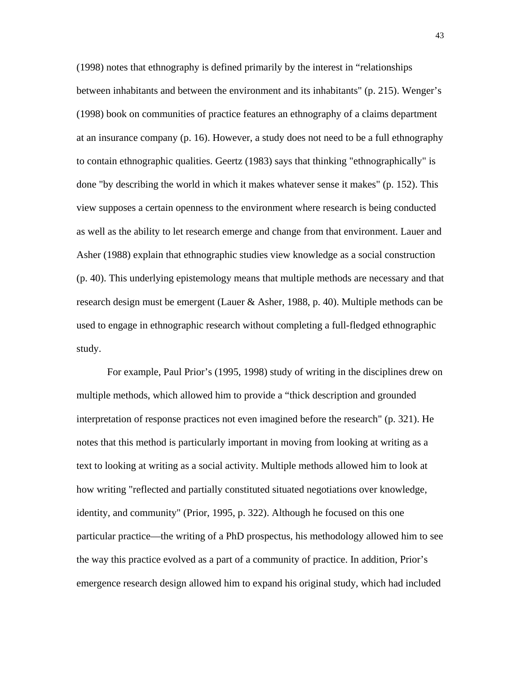(1998) notes that ethnography is defined primarily by the interest in "relationships between inhabitants and between the environment and its inhabitants" (p. 215). Wenger's (1998) book on communities of practice features an ethnography of a claims department at an insurance company (p. 16). However, a study does not need to be a full ethnography to contain ethnographic qualities. Geertz (1983) says that thinking "ethnographically" is done "by describing the world in which it makes whatever sense it makes" (p. 152). This view supposes a certain openness to the environment where research is being conducted as well as the ability to let research emerge and change from that environment. Lauer and Asher (1988) explain that ethnographic studies view knowledge as a social construction (p. 40). This underlying epistemology means that multiple methods are necessary and that research design must be emergent (Lauer & Asher, 1988, p. 40). Multiple methods can be used to engage in ethnographic research without completing a full-fledged ethnographic study.

For example, Paul Prior's (1995, 1998) study of writing in the disciplines drew on multiple methods, which allowed him to provide a "thick description and grounded interpretation of response practices not even imagined before the research" (p. 321). He notes that this method is particularly important in moving from looking at writing as a text to looking at writing as a social activity. Multiple methods allowed him to look at how writing "reflected and partially constituted situated negotiations over knowledge, identity, and community" (Prior, 1995, p. 322). Although he focused on this one particular practice—the writing of a PhD prospectus, his methodology allowed him to see the way this practice evolved as a part of a community of practice. In addition, Prior's emergence research design allowed him to expand his original study, which had included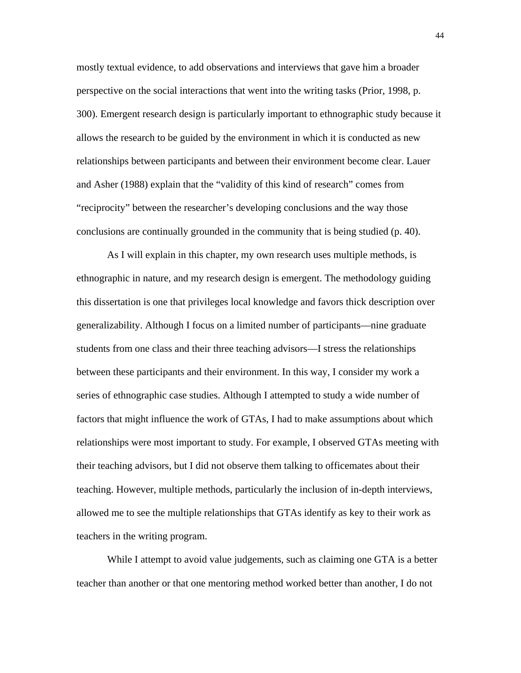mostly textual evidence, to add observations and interviews that gave him a broader perspective on the social interactions that went into the writing tasks (Prior, 1998, p. 300). Emergent research design is particularly important to ethnographic study because it allows the research to be guided by the environment in which it is conducted as new relationships between participants and between their environment become clear. Lauer and Asher (1988) explain that the "validity of this kind of research" comes from "reciprocity" between the researcher's developing conclusions and the way those conclusions are continually grounded in the community that is being studied (p. 40).

As I will explain in this chapter, my own research uses multiple methods, is ethnographic in nature, and my research design is emergent. The methodology guiding this dissertation is one that privileges local knowledge and favors thick description over generalizability. Although I focus on a limited number of participants—nine graduate students from one class and their three teaching advisors—I stress the relationships between these participants and their environment. In this way, I consider my work a series of ethnographic case studies. Although I attempted to study a wide number of factors that might influence the work of GTAs, I had to make assumptions about which relationships were most important to study. For example, I observed GTAs meeting with their teaching advisors, but I did not observe them talking to officemates about their teaching. However, multiple methods, particularly the inclusion of in-depth interviews, allowed me to see the multiple relationships that GTAs identify as key to their work as teachers in the writing program.

While I attempt to avoid value judgements, such as claiming one GTA is a better teacher than another or that one mentoring method worked better than another, I do not

44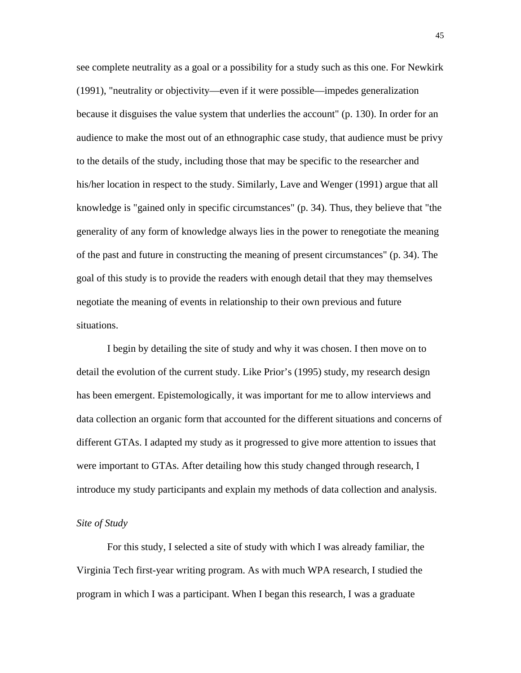see complete neutrality as a goal or a possibility for a study such as this one. For Newkirk (1991), "neutrality or objectivity—even if it were possible—impedes generalization because it disguises the value system that underlies the account" (p. 130). In order for an audience to make the most out of an ethnographic case study, that audience must be privy to the details of the study, including those that may be specific to the researcher and his/her location in respect to the study. Similarly, Lave and Wenger (1991) argue that all knowledge is "gained only in specific circumstances" (p. 34). Thus, they believe that "the generality of any form of knowledge always lies in the power to renegotiate the meaning of the past and future in constructing the meaning of present circumstances" (p. 34). The goal of this study is to provide the readers with enough detail that they may themselves negotiate the meaning of events in relationship to their own previous and future situations.

I begin by detailing the site of study and why it was chosen. I then move on to detail the evolution of the current study. Like Prior's (1995) study, my research design has been emergent. Epistemologically, it was important for me to allow interviews and data collection an organic form that accounted for the different situations and concerns of different GTAs. I adapted my study as it progressed to give more attention to issues that were important to GTAs. After detailing how this study changed through research, I introduce my study participants and explain my methods of data collection and analysis.

## *Site of Study*

For this study, I selected a site of study with which I was already familiar, the Virginia Tech first-year writing program. As with much WPA research, I studied the program in which I was a participant. When I began this research, I was a graduate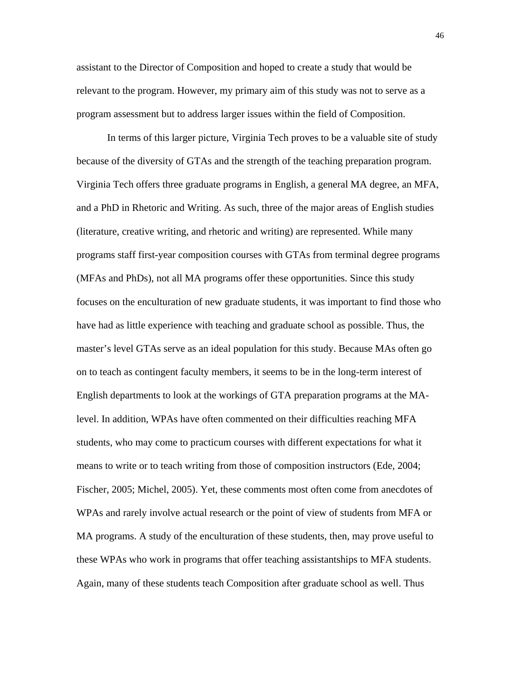assistant to the Director of Composition and hoped to create a study that would be relevant to the program. However, my primary aim of this study was not to serve as a program assessment but to address larger issues within the field of Composition.

In terms of this larger picture, Virginia Tech proves to be a valuable site of study because of the diversity of GTAs and the strength of the teaching preparation program. Virginia Tech offers three graduate programs in English, a general MA degree, an MFA, and a PhD in Rhetoric and Writing. As such, three of the major areas of English studies (literature, creative writing, and rhetoric and writing) are represented. While many programs staff first-year composition courses with GTAs from terminal degree programs (MFAs and PhDs), not all MA programs offer these opportunities. Since this study focuses on the enculturation of new graduate students, it was important to find those who have had as little experience with teaching and graduate school as possible. Thus, the master's level GTAs serve as an ideal population for this study. Because MAs often go on to teach as contingent faculty members, it seems to be in the long-term interest of English departments to look at the workings of GTA preparation programs at the MAlevel. In addition, WPAs have often commented on their difficulties reaching MFA students, who may come to practicum courses with different expectations for what it means to write or to teach writing from those of composition instructors (Ede, 2004; Fischer, 2005; Michel, 2005). Yet, these comments most often come from anecdotes of WPAs and rarely involve actual research or the point of view of students from MFA or MA programs. A study of the enculturation of these students, then, may prove useful to these WPAs who work in programs that offer teaching assistantships to MFA students. Again, many of these students teach Composition after graduate school as well. Thus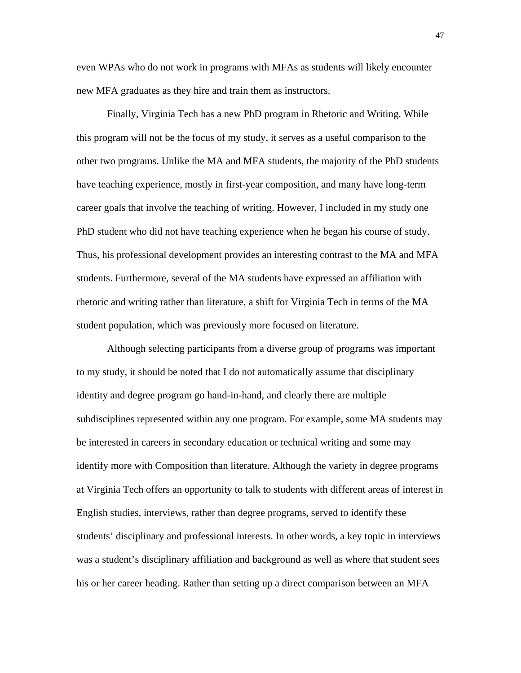even WPAs who do not work in programs with MFAs as students will likely encounter new MFA graduates as they hire and train them as instructors.

Finally, Virginia Tech has a new PhD program in Rhetoric and Writing. While this program will not be the focus of my study, it serves as a useful comparison to the other two programs. Unlike the MA and MFA students, the majority of the PhD students have teaching experience, mostly in first-year composition, and many have long-term career goals that involve the teaching of writing. However, I included in my study one PhD student who did not have teaching experience when he began his course of study. Thus, his professional development provides an interesting contrast to the MA and MFA students. Furthermore, several of the MA students have expressed an affiliation with rhetoric and writing rather than literature, a shift for Virginia Tech in terms of the MA student population, which was previously more focused on literature.

Although selecting participants from a diverse group of programs was important to my study, it should be noted that I do not automatically assume that disciplinary identity and degree program go hand-in-hand, and clearly there are multiple subdisciplines represented within any one program. For example, some MA students may be interested in careers in secondary education or technical writing and some may identify more with Composition than literature. Although the variety in degree programs at Virginia Tech offers an opportunity to talk to students with different areas of interest in English studies, interviews, rather than degree programs, served to identify these students' disciplinary and professional interests. In other words, a key topic in interviews was a student's disciplinary affiliation and background as well as where that student sees his or her career heading. Rather than setting up a direct comparison between an MFA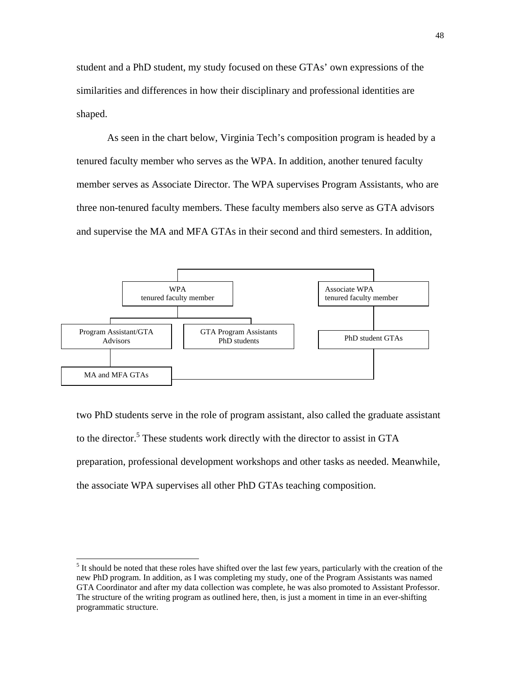student and a PhD student, my study focused on these GTAs' own expressions of the similarities and differences in how their disciplinary and professional identities are shaped.

As seen in the chart below, Virginia Tech's composition program is headed by a tenured faculty member who serves as the WPA. In addition, another tenured faculty member serves as Associate Director. The WPA supervises Program Assistants, who are three non-tenured faculty members. These faculty members also serve as GTA advisors and supervise the MA and MFA GTAs in their second and third semesters. In addition,



two PhD students serve in the role of program assistant, also called the graduate assistant to the director.<sup>5</sup> These students work directly with the director to assist in GTA preparation, professional development workshops and other tasks as needed. Meanwhile, the associate WPA supervises all other PhD GTAs teaching composition.

 $\overline{\phantom{a}}$ 

<sup>&</sup>lt;sup>5</sup> It should be noted that these roles have shifted over the last few years, particularly with the creation of the new PhD program. In addition, as I was completing my study, one of the Program Assistants was named GTA Coordinator and after my data collection was complete, he was also promoted to Assistant Professor. The structure of the writing program as outlined here, then, is just a moment in time in an ever-shifting programmatic structure.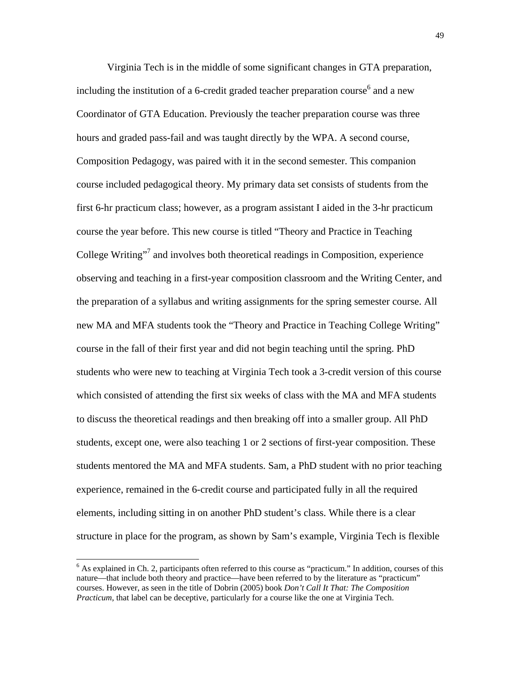Virginia Tech is in the middle of some significant changes in GTA preparation, including the institution of a 6-credit graded teacher preparation course  $6$  and a new Coordinator of GTA Education. Previously the teacher preparation course was three hours and graded pass-fail and was taught directly by the WPA. A second course, Composition Pedagogy, was paired with it in the second semester. This companion course included pedagogical theory. My primary data set consists of students from the first 6-hr practicum class; however, as a program assistant I aided in the 3-hr practicum course the year before. This new course is titled "Theory and Practice in Teaching College Writing"<sup>7</sup> and involves both theoretical readings in Composition, experience observing and teaching in a first-year composition classroom and the Writing Center, and the preparation of a syllabus and writing assignments for the spring semester course. All new MA and MFA students took the "Theory and Practice in Teaching College Writing" course in the fall of their first year and did not begin teaching until the spring. PhD students who were new to teaching at Virginia Tech took a 3-credit version of this course which consisted of attending the first six weeks of class with the MA and MFA students to discuss the theoretical readings and then breaking off into a smaller group. All PhD students, except one, were also teaching 1 or 2 sections of first-year composition. These students mentored the MA and MFA students. Sam, a PhD student with no prior teaching experience, remained in the 6-credit course and participated fully in all the required elements, including sitting in on another PhD student's class. While there is a clear structure in place for the program, as shown by Sam's example, Virginia Tech is flexible

<sup>&</sup>lt;sup>6</sup> As explained in Ch. 2, participants often referred to this course as "practicum." In addition, courses of this nature—that include both theory and practice—have been referred to by the literature as "practicum" courses. However, as seen in the title of Dobrin (2005) book *Don't Call It That: The Composition Practicum*, that label can be deceptive, particularly for a course like the one at Virginia Tech.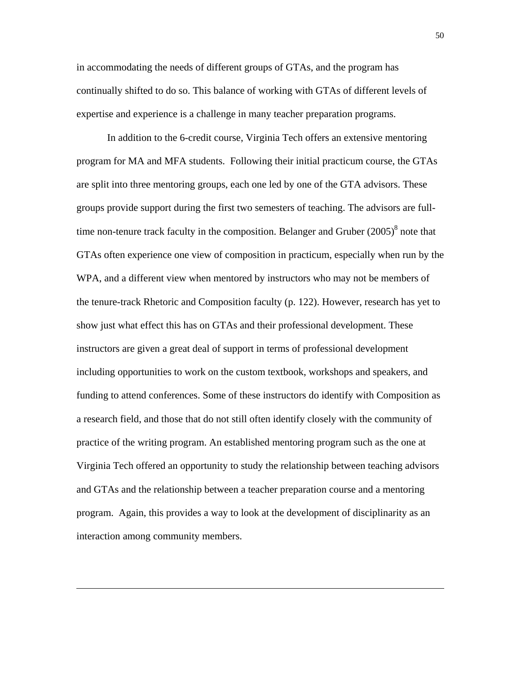in accommodating the needs of different groups of GTAs, and the program has continually shifted to do so. This balance of working with GTAs of different levels of expertise and experience is a challenge in many teacher preparation programs.

In addition to the 6-credit course, Virginia Tech offers an extensive mentoring program for MA and MFA students. Following their initial practicum course, the GTAs are split into three mentoring groups, each one led by one of the GTA advisors. These groups provide support during the first two semesters of teaching. The advisors are fulltime non-tenure track faculty in the composition. Belanger and Gruber  $(2005)^8$  note that GTAs often experience one view of composition in practicum, especially when run by the WPA, and a different view when mentored by instructors who may not be members of the tenure-track Rhetoric and Composition faculty (p. 122). However, research has yet to show just what effect this has on GTAs and their professional development. These instructors are given a great deal of support in terms of professional development including opportunities to work on the custom textbook, workshops and speakers, and funding to attend conferences. Some of these instructors do identify with Composition as a research field, and those that do not still often identify closely with the community of practice of the writing program. An established mentoring program such as the one at Virginia Tech offered an opportunity to study the relationship between teaching advisors and GTAs and the relationship between a teacher preparation course and a mentoring program. Again, this provides a way to look at the development of disciplinarity as an interaction among community members.

 $\overline{\phantom{a}}$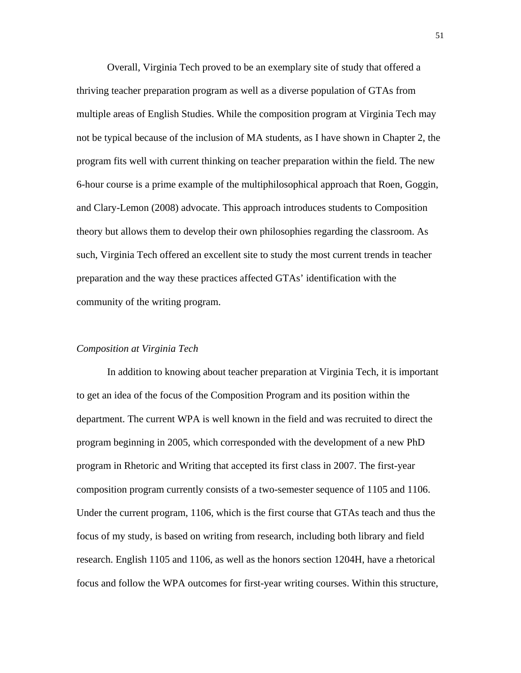Overall, Virginia Tech proved to be an exemplary site of study that offered a thriving teacher preparation program as well as a diverse population of GTAs from multiple areas of English Studies. While the composition program at Virginia Tech may not be typical because of the inclusion of MA students, as I have shown in Chapter 2, the program fits well with current thinking on teacher preparation within the field. The new 6-hour course is a prime example of the multiphilosophical approach that Roen, Goggin, and Clary-Lemon (2008) advocate. This approach introduces students to Composition theory but allows them to develop their own philosophies regarding the classroom. As such, Virginia Tech offered an excellent site to study the most current trends in teacher preparation and the way these practices affected GTAs' identification with the community of the writing program.

## *Composition at Virginia Tech*

In addition to knowing about teacher preparation at Virginia Tech, it is important to get an idea of the focus of the Composition Program and its position within the department. The current WPA is well known in the field and was recruited to direct the program beginning in 2005, which corresponded with the development of a new PhD program in Rhetoric and Writing that accepted its first class in 2007. The first-year composition program currently consists of a two-semester sequence of 1105 and 1106. Under the current program, 1106, which is the first course that GTAs teach and thus the focus of my study, is based on writing from research, including both library and field research. English 1105 and 1106, as well as the honors section 1204H, have a rhetorical focus and follow the WPA outcomes for first-year writing courses. Within this structure,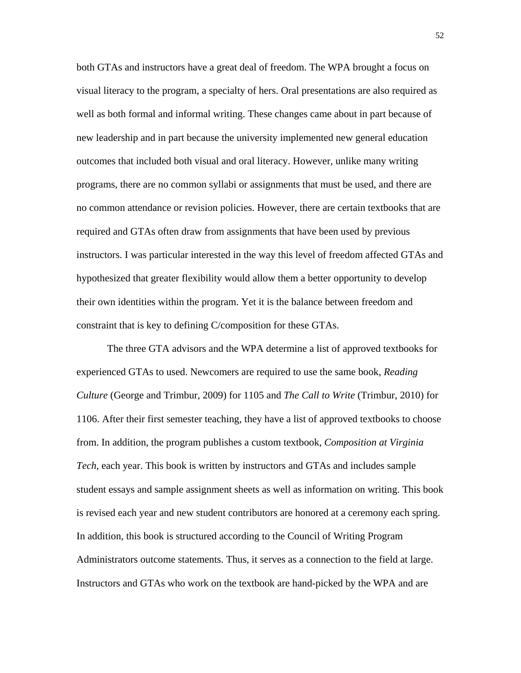both GTAs and instructors have a great deal of freedom. The WPA brought a focus on visual literacy to the program, a specialty of hers. Oral presentations are also required as well as both formal and informal writing. These changes came about in part because of new leadership and in part because the university implemented new general education outcomes that included both visual and oral literacy. However, unlike many writing programs, there are no common syllabi or assignments that must be used, and there are no common attendance or revision policies. However, there are certain textbooks that are required and GTAs often draw from assignments that have been used by previous instructors. I was particular interested in the way this level of freedom affected GTAs and hypothesized that greater flexibility would allow them a better opportunity to develop their own identities within the program. Yet it is the balance between freedom and constraint that is key to defining C/composition for these GTAs.

The three GTA advisors and the WPA determine a list of approved textbooks for experienced GTAs to used. Newcomers are required to use the same book, *Reading Culture* (George and Trimbur, 2009) for 1105 and *The Call to Write* (Trimbur, 2010) for 1106. After their first semester teaching, they have a list of approved textbooks to choose from. In addition, the program publishes a custom textbook, *Composition at Virginia Tech*, each year. This book is written by instructors and GTAs and includes sample student essays and sample assignment sheets as well as information on writing. This book is revised each year and new student contributors are honored at a ceremony each spring. In addition, this book is structured according to the Council of Writing Program Administrators outcome statements. Thus, it serves as a connection to the field at large. Instructors and GTAs who work on the textbook are hand-picked by the WPA and are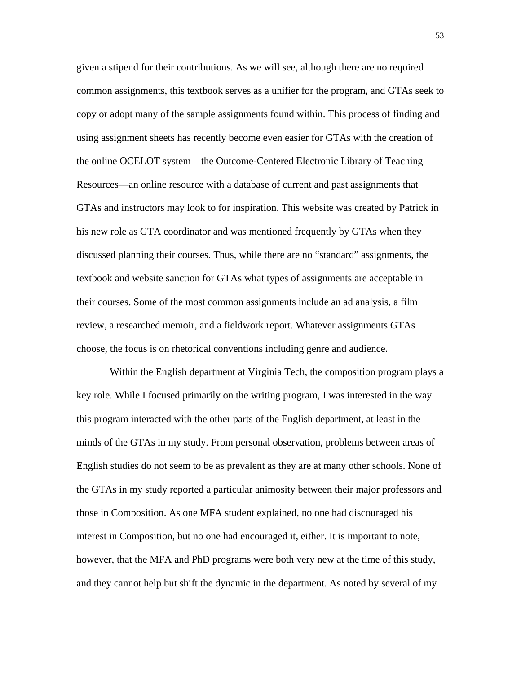given a stipend for their contributions. As we will see, although there are no required common assignments, this textbook serves as a unifier for the program, and GTAs seek to copy or adopt many of the sample assignments found within. This process of finding and using assignment sheets has recently become even easier for GTAs with the creation of the online OCELOT system—the Outcome-Centered Electronic Library of Teaching Resources—an online resource with a database of current and past assignments that GTAs and instructors may look to for inspiration. This website was created by Patrick in his new role as GTA coordinator and was mentioned frequently by GTAs when they discussed planning their courses. Thus, while there are no "standard" assignments, the textbook and website sanction for GTAs what types of assignments are acceptable in their courses. Some of the most common assignments include an ad analysis, a film review, a researched memoir, and a fieldwork report. Whatever assignments GTAs choose, the focus is on rhetorical conventions including genre and audience.

 Within the English department at Virginia Tech, the composition program plays a key role. While I focused primarily on the writing program, I was interested in the way this program interacted with the other parts of the English department, at least in the minds of the GTAs in my study. From personal observation, problems between areas of English studies do not seem to be as prevalent as they are at many other schools. None of the GTAs in my study reported a particular animosity between their major professors and those in Composition. As one MFA student explained, no one had discouraged his interest in Composition, but no one had encouraged it, either. It is important to note, however, that the MFA and PhD programs were both very new at the time of this study, and they cannot help but shift the dynamic in the department. As noted by several of my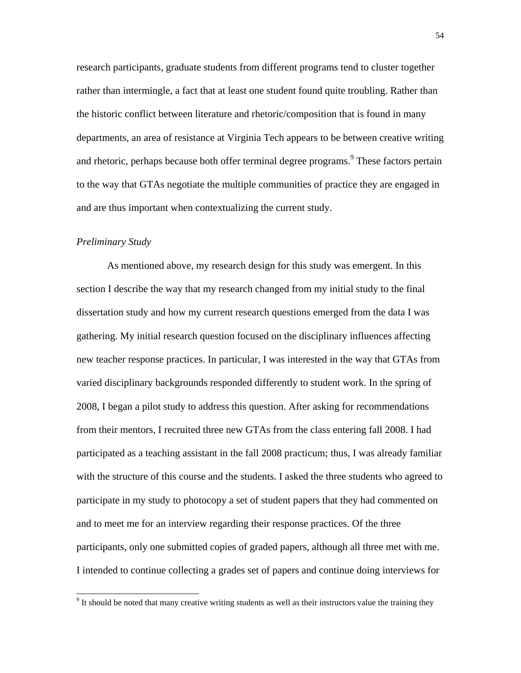research participants, graduate students from different programs tend to cluster together rather than intermingle, a fact that at least one student found quite troubling. Rather than the historic conflict between literature and rhetoric/composition that is found in many departments, an area of resistance at Virginia Tech appears to be between creative writing and rhetoric, perhaps because both offer terminal degree programs. <sup>9</sup> These factors pertain to the way that GTAs negotiate the multiple communities of practice they are engaged in and are thus important when contextualizing the current study.

## *Preliminary Study*

 $\overline{\phantom{a}}$ 

As mentioned above, my research design for this study was emergent. In this section I describe the way that my research changed from my initial study to the final dissertation study and how my current research questions emerged from the data I was gathering. My initial research question focused on the disciplinary influences affecting new teacher response practices. In particular, I was interested in the way that GTAs from varied disciplinary backgrounds responded differently to student work. In the spring of 2008, I began a pilot study to address this question. After asking for recommendations from their mentors, I recruited three new GTAs from the class entering fall 2008. I had participated as a teaching assistant in the fall 2008 practicum; thus, I was already familiar with the structure of this course and the students. I asked the three students who agreed to participate in my study to photocopy a set of student papers that they had commented on and to meet me for an interview regarding their response practices. Of the three participants, only one submitted copies of graded papers, although all three met with me. I intended to continue collecting a grades set of papers and continue doing interviews for

<sup>&</sup>lt;sup>9</sup> It should be noted that many creative writing students as well as their instructors value the training they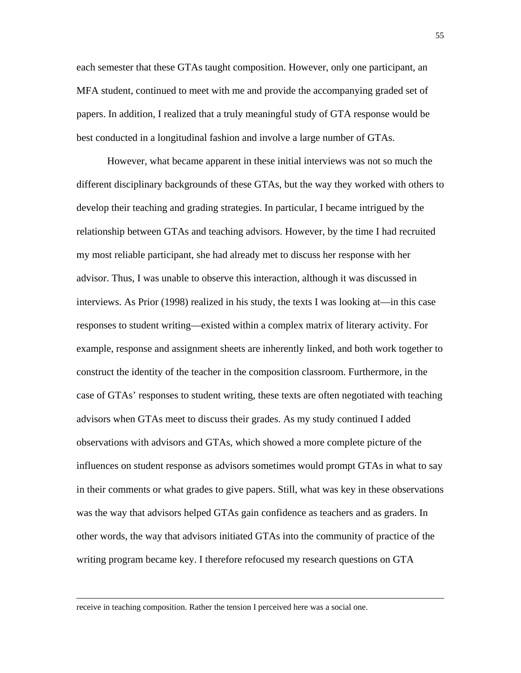each semester that these GTAs taught composition. However, only one participant, an MFA student, continued to meet with me and provide the accompanying graded set of papers. In addition, I realized that a truly meaningful study of GTA response would be best conducted in a longitudinal fashion and involve a large number of GTAs.

However, what became apparent in these initial interviews was not so much the different disciplinary backgrounds of these GTAs, but the way they worked with others to develop their teaching and grading strategies. In particular, I became intrigued by the relationship between GTAs and teaching advisors. However, by the time I had recruited my most reliable participant, she had already met to discuss her response with her advisor. Thus, I was unable to observe this interaction, although it was discussed in interviews. As Prior (1998) realized in his study, the texts I was looking at—in this case responses to student writing—existed within a complex matrix of literary activity. For example, response and assignment sheets are inherently linked, and both work together to construct the identity of the teacher in the composition classroom. Furthermore, in the case of GTAs' responses to student writing, these texts are often negotiated with teaching advisors when GTAs meet to discuss their grades. As my study continued I added observations with advisors and GTAs, which showed a more complete picture of the influences on student response as advisors sometimes would prompt GTAs in what to say in their comments or what grades to give papers. Still, what was key in these observations was the way that advisors helped GTAs gain confidence as teachers and as graders. In other words, the way that advisors initiated GTAs into the community of practice of the writing program became key. I therefore refocused my research questions on GTA

receive in teaching composition. Rather the tension I perceived here was a social one.

 $\overline{\phantom{a}}$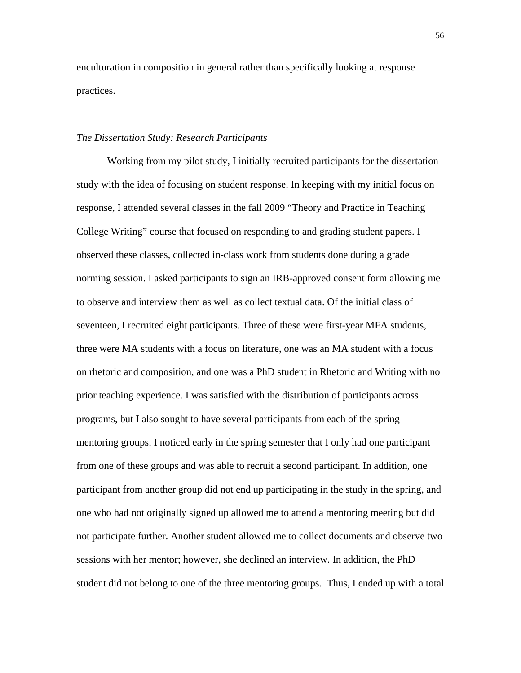enculturation in composition in general rather than specifically looking at response practices.

# *The Dissertation Study: Research Participants*

Working from my pilot study, I initially recruited participants for the dissertation study with the idea of focusing on student response. In keeping with my initial focus on response, I attended several classes in the fall 2009 "Theory and Practice in Teaching College Writing" course that focused on responding to and grading student papers. I observed these classes, collected in-class work from students done during a grade norming session. I asked participants to sign an IRB-approved consent form allowing me to observe and interview them as well as collect textual data. Of the initial class of seventeen, I recruited eight participants. Three of these were first-year MFA students, three were MA students with a focus on literature, one was an MA student with a focus on rhetoric and composition, and one was a PhD student in Rhetoric and Writing with no prior teaching experience. I was satisfied with the distribution of participants across programs, but I also sought to have several participants from each of the spring mentoring groups. I noticed early in the spring semester that I only had one participant from one of these groups and was able to recruit a second participant. In addition, one participant from another group did not end up participating in the study in the spring, and one who had not originally signed up allowed me to attend a mentoring meeting but did not participate further. Another student allowed me to collect documents and observe two sessions with her mentor; however, she declined an interview. In addition, the PhD student did not belong to one of the three mentoring groups. Thus, I ended up with a total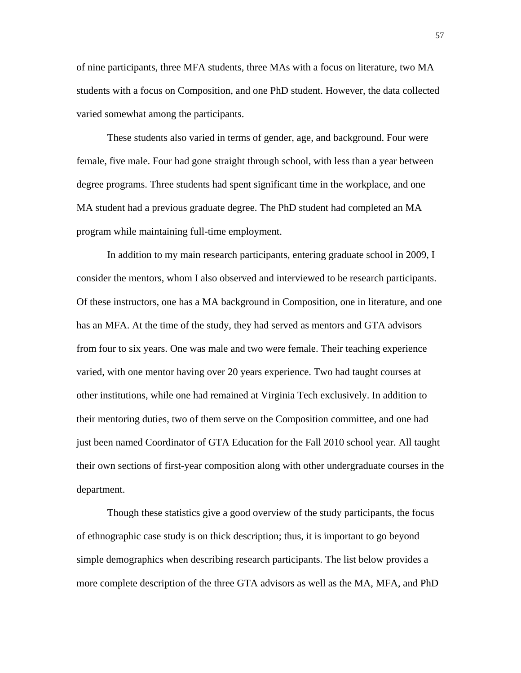of nine participants, three MFA students, three MAs with a focus on literature, two MA students with a focus on Composition, and one PhD student. However, the data collected varied somewhat among the participants.

These students also varied in terms of gender, age, and background. Four were female, five male. Four had gone straight through school, with less than a year between degree programs. Three students had spent significant time in the workplace, and one MA student had a previous graduate degree. The PhD student had completed an MA program while maintaining full-time employment.

In addition to my main research participants, entering graduate school in 2009, I consider the mentors, whom I also observed and interviewed to be research participants. Of these instructors, one has a MA background in Composition, one in literature, and one has an MFA. At the time of the study, they had served as mentors and GTA advisors from four to six years. One was male and two were female. Their teaching experience varied, with one mentor having over 20 years experience. Two had taught courses at other institutions, while one had remained at Virginia Tech exclusively. In addition to their mentoring duties, two of them serve on the Composition committee, and one had just been named Coordinator of GTA Education for the Fall 2010 school year. All taught their own sections of first-year composition along with other undergraduate courses in the department.

Though these statistics give a good overview of the study participants, the focus of ethnographic case study is on thick description; thus, it is important to go beyond simple demographics when describing research participants. The list below provides a more complete description of the three GTA advisors as well as the MA, MFA, and PhD

57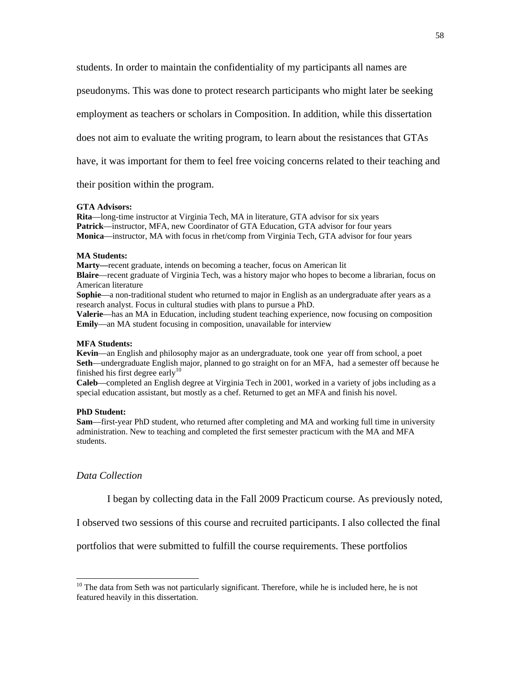students. In order to maintain the confidentiality of my participants all names are

pseudonyms. This was done to protect research participants who might later be seeking

employment as teachers or scholars in Composition. In addition, while this dissertation

does not aim to evaluate the writing program, to learn about the resistances that GTAs

have, it was important for them to feel free voicing concerns related to their teaching and

their position within the program.

### **GTA Advisors:**

**Rita**—long-time instructor at Virginia Tech, MA in literature, GTA advisor for six years **Patrick**—instructor, MFA, new Coordinator of GTA Education, GTA advisor for four years **Monica**—instructor, MA with focus in rhet/comp from Virginia Tech, GTA advisor for four years

### **MA Students:**

**Marty—**recent graduate, intends on becoming a teacher, focus on American lit

**Blaire**—recent graduate of Virginia Tech, was a history major who hopes to become a librarian, focus on American literature

**Sophie**—a non-traditional student who returned to major in English as an undergraduate after years as a research analyst. Focus in cultural studies with plans to pursue a PhD.

**Valerie**—has an MA in Education, including student teaching experience, now focusing on composition **Emily**—an MA student focusing in composition, unavailable for interview

### **MFA Students:**

**Kevin**—an English and philosophy major as an undergraduate, took one year off from school, a poet **Seth**—undergraduate English major, planned to go straight on for an MFA, had a semester off because he finished his first degree early $10$ 

**Caleb**—completed an English degree at Virginia Tech in 2001, worked in a variety of jobs including as a special education assistant, but mostly as a chef. Returned to get an MFA and finish his novel.

#### **PhD Student:**

**Sam**—first-year PhD student, who returned after completing and MA and working full time in university administration. New to teaching and completed the first semester practicum with the MA and MFA students.

## *Data Collection*

l

I began by collecting data in the Fall 2009 Practicum course. As previously noted,

I observed two sessions of this course and recruited participants. I also collected the final

portfolios that were submitted to fulfill the course requirements. These portfolios

<sup>&</sup>lt;sup>10</sup> The data from Seth was not particularly significant. Therefore, while he is included here, he is not featured heavily in this dissertation.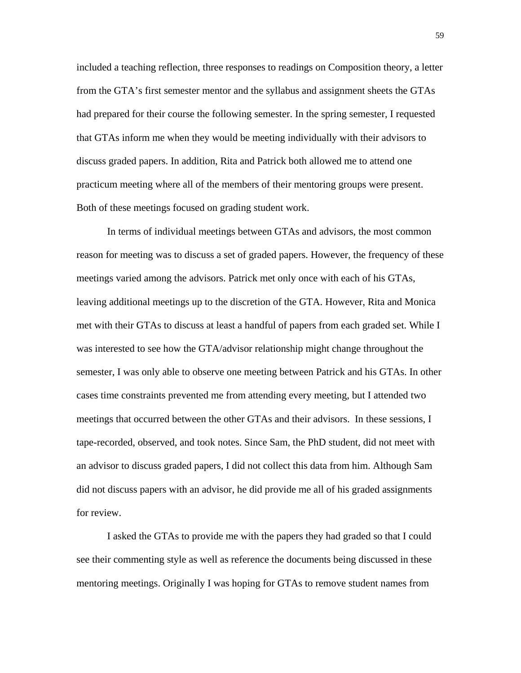included a teaching reflection, three responses to readings on Composition theory, a letter from the GTA's first semester mentor and the syllabus and assignment sheets the GTAs had prepared for their course the following semester. In the spring semester, I requested that GTAs inform me when they would be meeting individually with their advisors to discuss graded papers. In addition, Rita and Patrick both allowed me to attend one practicum meeting where all of the members of their mentoring groups were present. Both of these meetings focused on grading student work.

In terms of individual meetings between GTAs and advisors, the most common reason for meeting was to discuss a set of graded papers. However, the frequency of these meetings varied among the advisors. Patrick met only once with each of his GTAs, leaving additional meetings up to the discretion of the GTA. However, Rita and Monica met with their GTAs to discuss at least a handful of papers from each graded set. While I was interested to see how the GTA/advisor relationship might change throughout the semester, I was only able to observe one meeting between Patrick and his GTAs. In other cases time constraints prevented me from attending every meeting, but I attended two meetings that occurred between the other GTAs and their advisors. In these sessions, I tape-recorded, observed, and took notes. Since Sam, the PhD student, did not meet with an advisor to discuss graded papers, I did not collect this data from him. Although Sam did not discuss papers with an advisor, he did provide me all of his graded assignments for review.

I asked the GTAs to provide me with the papers they had graded so that I could see their commenting style as well as reference the documents being discussed in these mentoring meetings. Originally I was hoping for GTAs to remove student names from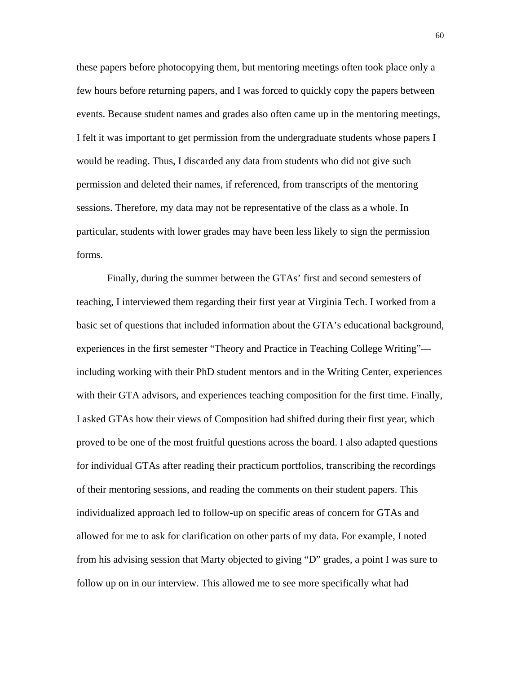these papers before photocopying them, but mentoring meetings often took place only a few hours before returning papers, and I was forced to quickly copy the papers between events. Because student names and grades also often came up in the mentoring meetings, I felt it was important to get permission from the undergraduate students whose papers I would be reading. Thus, I discarded any data from students who did not give such permission and deleted their names, if referenced, from transcripts of the mentoring sessions. Therefore, my data may not be representative of the class as a whole. In particular, students with lower grades may have been less likely to sign the permission forms.

Finally, during the summer between the GTAs' first and second semesters of teaching, I interviewed them regarding their first year at Virginia Tech. I worked from a basic set of questions that included information about the GTA's educational background, experiences in the first semester "Theory and Practice in Teaching College Writing" including working with their PhD student mentors and in the Writing Center, experiences with their GTA advisors, and experiences teaching composition for the first time. Finally, I asked GTAs how their views of Composition had shifted during their first year, which proved to be one of the most fruitful questions across the board. I also adapted questions for individual GTAs after reading their practicum portfolios, transcribing the recordings of their mentoring sessions, and reading the comments on their student papers. This individualized approach led to follow-up on specific areas of concern for GTAs and allowed for me to ask for clarification on other parts of my data. For example, I noted from his advising session that Marty objected to giving "D" grades, a point I was sure to follow up on in our interview. This allowed me to see more specifically what had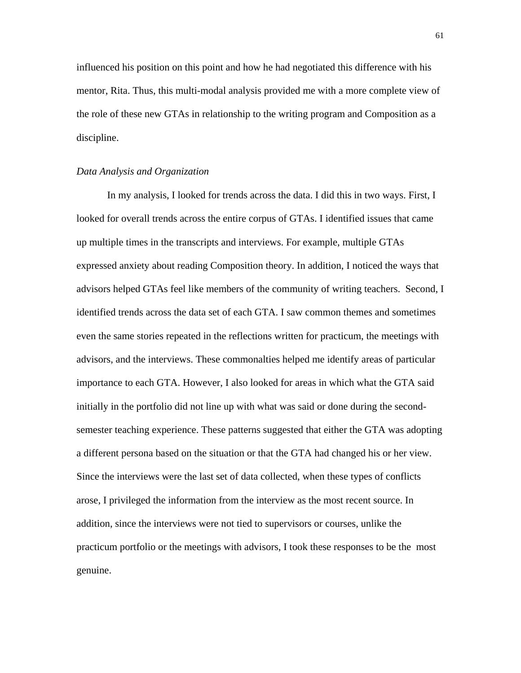influenced his position on this point and how he had negotiated this difference with his mentor, Rita. Thus, this multi-modal analysis provided me with a more complete view of the role of these new GTAs in relationship to the writing program and Composition as a discipline.

## *Data Analysis and Organization*

In my analysis, I looked for trends across the data. I did this in two ways. First, I looked for overall trends across the entire corpus of GTAs. I identified issues that came up multiple times in the transcripts and interviews. For example, multiple GTAs expressed anxiety about reading Composition theory. In addition, I noticed the ways that advisors helped GTAs feel like members of the community of writing teachers. Second, I identified trends across the data set of each GTA. I saw common themes and sometimes even the same stories repeated in the reflections written for practicum, the meetings with advisors, and the interviews. These commonalties helped me identify areas of particular importance to each GTA. However, I also looked for areas in which what the GTA said initially in the portfolio did not line up with what was said or done during the secondsemester teaching experience. These patterns suggested that either the GTA was adopting a different persona based on the situation or that the GTA had changed his or her view. Since the interviews were the last set of data collected, when these types of conflicts arose, I privileged the information from the interview as the most recent source. In addition, since the interviews were not tied to supervisors or courses, unlike the practicum portfolio or the meetings with advisors, I took these responses to be the most genuine.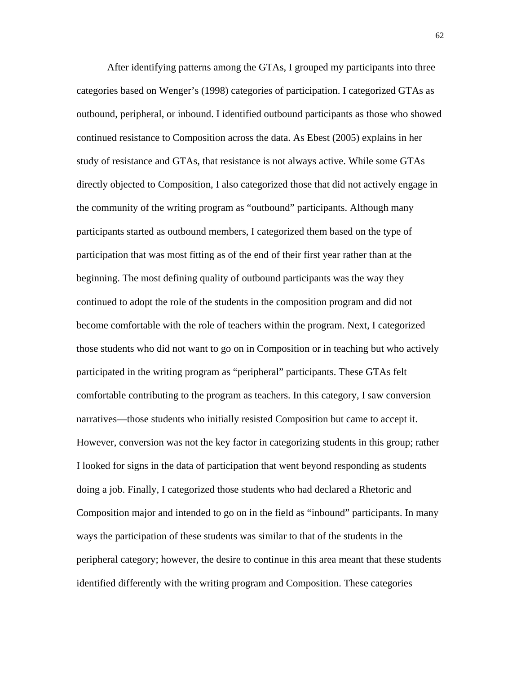After identifying patterns among the GTAs, I grouped my participants into three categories based on Wenger's (1998) categories of participation. I categorized GTAs as outbound, peripheral, or inbound. I identified outbound participants as those who showed continued resistance to Composition across the data. As Ebest (2005) explains in her study of resistance and GTAs, that resistance is not always active. While some GTAs directly objected to Composition, I also categorized those that did not actively engage in the community of the writing program as "outbound" participants. Although many participants started as outbound members, I categorized them based on the type of participation that was most fitting as of the end of their first year rather than at the beginning. The most defining quality of outbound participants was the way they continued to adopt the role of the students in the composition program and did not become comfortable with the role of teachers within the program. Next, I categorized those students who did not want to go on in Composition or in teaching but who actively participated in the writing program as "peripheral" participants. These GTAs felt comfortable contributing to the program as teachers. In this category, I saw conversion narratives—those students who initially resisted Composition but came to accept it. However, conversion was not the key factor in categorizing students in this group; rather I looked for signs in the data of participation that went beyond responding as students doing a job. Finally, I categorized those students who had declared a Rhetoric and Composition major and intended to go on in the field as "inbound" participants. In many ways the participation of these students was similar to that of the students in the peripheral category; however, the desire to continue in this area meant that these students identified differently with the writing program and Composition. These categories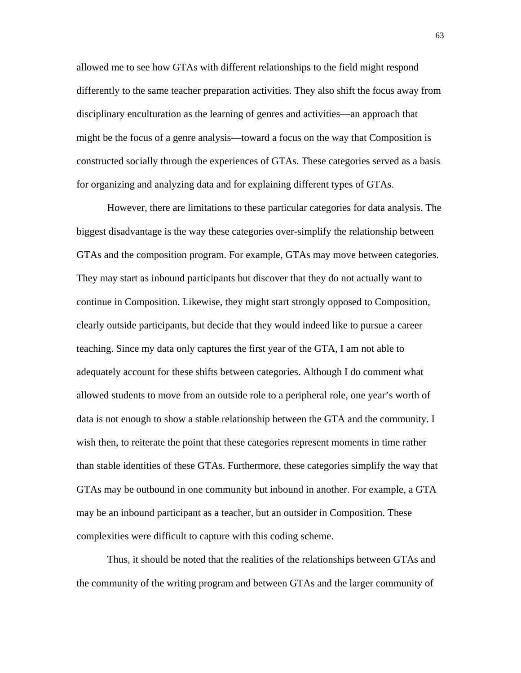allowed me to see how GTAs with different relationships to the field might respond differently to the same teacher preparation activities. They also shift the focus away from disciplinary enculturation as the learning of genres and activities—an approach that might be the focus of a genre analysis—toward a focus on the way that Composition is constructed socially through the experiences of GTAs. These categories served as a basis for organizing and analyzing data and for explaining different types of GTAs.

However, there are limitations to these particular categories for data analysis. The biggest disadvantage is the way these categories over-simplify the relationship between GTAs and the composition program. For example, GTAs may move between categories. They may start as inbound participants but discover that they do not actually want to continue in Composition. Likewise, they might start strongly opposed to Composition, clearly outside participants, but decide that they would indeed like to pursue a career teaching. Since my data only captures the first year of the GTA, I am not able to adequately account for these shifts between categories. Although I do comment what allowed students to move from an outside role to a peripheral role, one year's worth of data is not enough to show a stable relationship between the GTA and the community. I wish then, to reiterate the point that these categories represent moments in time rather than stable identities of these GTAs. Furthermore, these categories simplify the way that GTAs may be outbound in one community but inbound in another. For example, a GTA may be an inbound participant as a teacher, but an outsider in Composition. These complexities were difficult to capture with this coding scheme.

Thus, it should be noted that the realities of the relationships between GTAs and the community of the writing program and between GTAs and the larger community of

63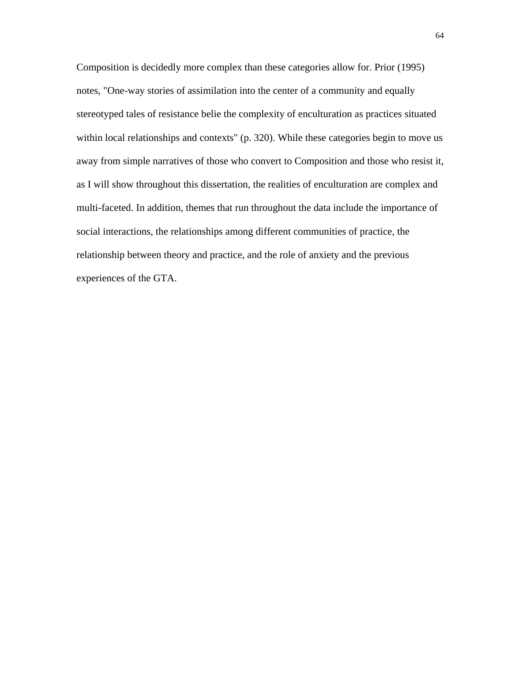Composition is decidedly more complex than these categories allow for. Prior (1995) notes, "One-way stories of assimilation into the center of a community and equally stereotyped tales of resistance belie the complexity of enculturation as practices situated within local relationships and contexts" (p. 320). While these categories begin to move us away from simple narratives of those who convert to Composition and those who resist it, as I will show throughout this dissertation, the realities of enculturation are complex and multi-faceted. In addition, themes that run throughout the data include the importance of social interactions, the relationships among different communities of practice, the relationship between theory and practice, and the role of anxiety and the previous experiences of the GTA.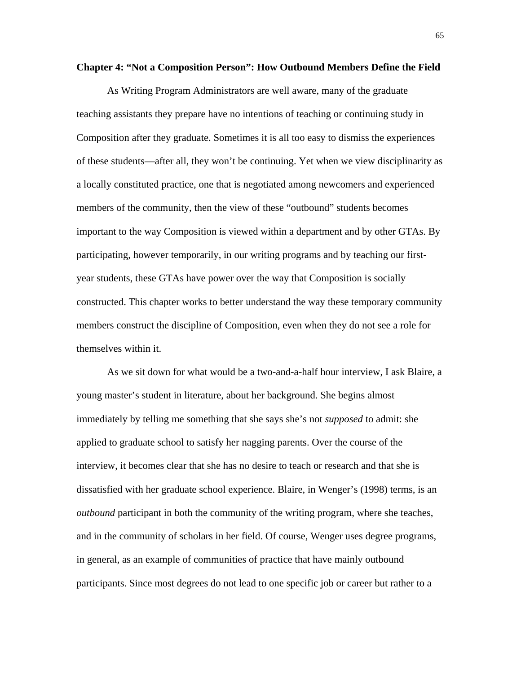## **Chapter 4: "Not a Composition Person": How Outbound Members Define the Field**

As Writing Program Administrators are well aware, many of the graduate teaching assistants they prepare have no intentions of teaching or continuing study in Composition after they graduate. Sometimes it is all too easy to dismiss the experiences of these students—after all, they won't be continuing. Yet when we view disciplinarity as a locally constituted practice, one that is negotiated among newcomers and experienced members of the community, then the view of these "outbound" students becomes important to the way Composition is viewed within a department and by other GTAs. By participating, however temporarily, in our writing programs and by teaching our firstyear students, these GTAs have power over the way that Composition is socially constructed. This chapter works to better understand the way these temporary community members construct the discipline of Composition, even when they do not see a role for themselves within it.

As we sit down for what would be a two-and-a-half hour interview, I ask Blaire, a young master's student in literature, about her background. She begins almost immediately by telling me something that she says she's not *supposed* to admit: she applied to graduate school to satisfy her nagging parents. Over the course of the interview, it becomes clear that she has no desire to teach or research and that she is dissatisfied with her graduate school experience. Blaire, in Wenger's (1998) terms, is an *outbound* participant in both the community of the writing program, where she teaches, and in the community of scholars in her field. Of course, Wenger uses degree programs, in general, as an example of communities of practice that have mainly outbound participants. Since most degrees do not lead to one specific job or career but rather to a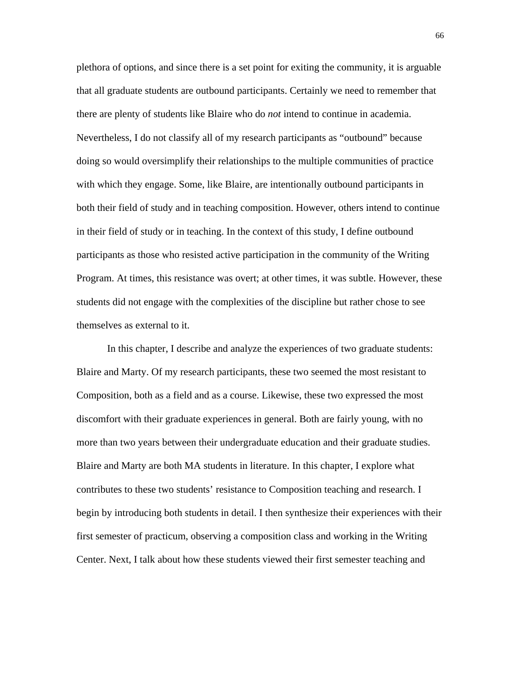plethora of options, and since there is a set point for exiting the community, it is arguable that all graduate students are outbound participants. Certainly we need to remember that there are plenty of students like Blaire who do *not* intend to continue in academia. Nevertheless, I do not classify all of my research participants as "outbound" because doing so would oversimplify their relationships to the multiple communities of practice with which they engage. Some, like Blaire, are intentionally outbound participants in both their field of study and in teaching composition. However, others intend to continue in their field of study or in teaching. In the context of this study, I define outbound participants as those who resisted active participation in the community of the Writing Program. At times, this resistance was overt; at other times, it was subtle. However, these students did not engage with the complexities of the discipline but rather chose to see themselves as external to it.

In this chapter, I describe and analyze the experiences of two graduate students: Blaire and Marty. Of my research participants, these two seemed the most resistant to Composition, both as a field and as a course. Likewise, these two expressed the most discomfort with their graduate experiences in general. Both are fairly young, with no more than two years between their undergraduate education and their graduate studies. Blaire and Marty are both MA students in literature. In this chapter, I explore what contributes to these two students' resistance to Composition teaching and research. I begin by introducing both students in detail. I then synthesize their experiences with their first semester of practicum, observing a composition class and working in the Writing Center. Next, I talk about how these students viewed their first semester teaching and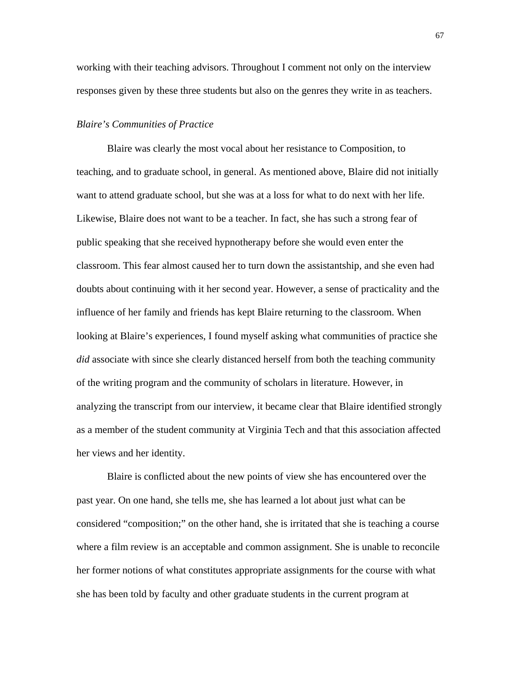working with their teaching advisors. Throughout I comment not only on the interview responses given by these three students but also on the genres they write in as teachers.

## *Blaire's Communities of Practice*

Blaire was clearly the most vocal about her resistance to Composition, to teaching, and to graduate school, in general. As mentioned above, Blaire did not initially want to attend graduate school, but she was at a loss for what to do next with her life. Likewise, Blaire does not want to be a teacher. In fact, she has such a strong fear of public speaking that she received hypnotherapy before she would even enter the classroom. This fear almost caused her to turn down the assistantship, and she even had doubts about continuing with it her second year. However, a sense of practicality and the influence of her family and friends has kept Blaire returning to the classroom. When looking at Blaire's experiences, I found myself asking what communities of practice she *did* associate with since she clearly distanced herself from both the teaching community of the writing program and the community of scholars in literature. However, in analyzing the transcript from our interview, it became clear that Blaire identified strongly as a member of the student community at Virginia Tech and that this association affected her views and her identity.

Blaire is conflicted about the new points of view she has encountered over the past year. On one hand, she tells me, she has learned a lot about just what can be considered "composition;" on the other hand, she is irritated that she is teaching a course where a film review is an acceptable and common assignment. She is unable to reconcile her former notions of what constitutes appropriate assignments for the course with what she has been told by faculty and other graduate students in the current program at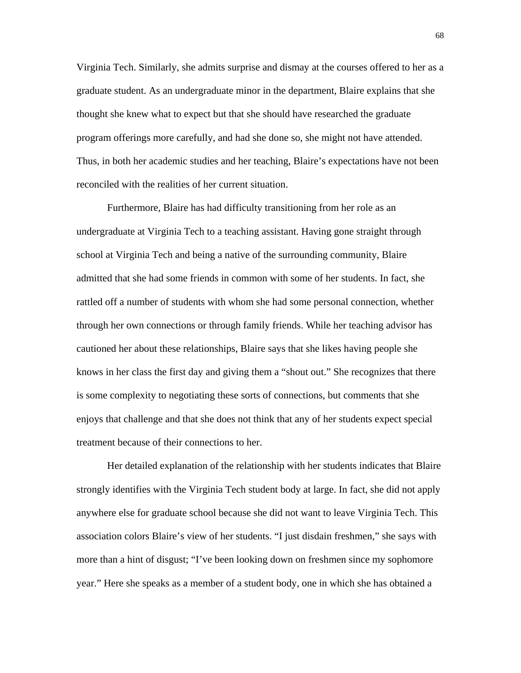Virginia Tech. Similarly, she admits surprise and dismay at the courses offered to her as a graduate student. As an undergraduate minor in the department, Blaire explains that she thought she knew what to expect but that she should have researched the graduate program offerings more carefully, and had she done so, she might not have attended. Thus, in both her academic studies and her teaching, Blaire's expectations have not been reconciled with the realities of her current situation.

Furthermore, Blaire has had difficulty transitioning from her role as an undergraduate at Virginia Tech to a teaching assistant. Having gone straight through school at Virginia Tech and being a native of the surrounding community, Blaire admitted that she had some friends in common with some of her students. In fact, she rattled off a number of students with whom she had some personal connection, whether through her own connections or through family friends. While her teaching advisor has cautioned her about these relationships, Blaire says that she likes having people she knows in her class the first day and giving them a "shout out." She recognizes that there is some complexity to negotiating these sorts of connections, but comments that she enjoys that challenge and that she does not think that any of her students expect special treatment because of their connections to her.

Her detailed explanation of the relationship with her students indicates that Blaire strongly identifies with the Virginia Tech student body at large. In fact, she did not apply anywhere else for graduate school because she did not want to leave Virginia Tech. This association colors Blaire's view of her students. "I just disdain freshmen," she says with more than a hint of disgust; "I've been looking down on freshmen since my sophomore year." Here she speaks as a member of a student body, one in which she has obtained a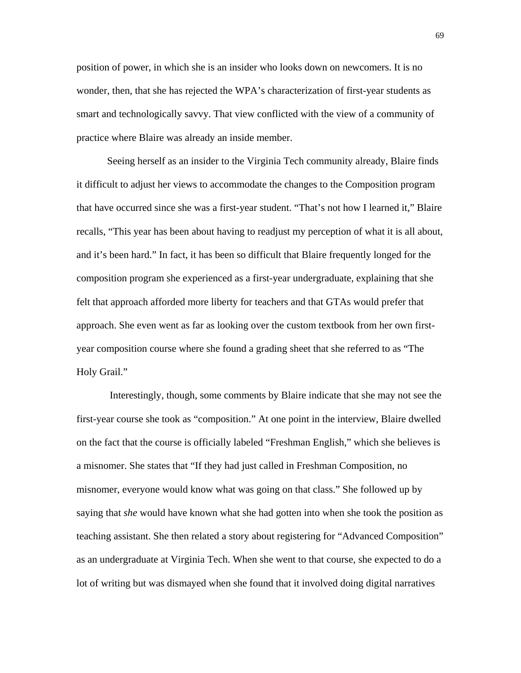position of power, in which she is an insider who looks down on newcomers. It is no wonder, then, that she has rejected the WPA's characterization of first-year students as smart and technologically savvy. That view conflicted with the view of a community of practice where Blaire was already an inside member.

Seeing herself as an insider to the Virginia Tech community already, Blaire finds it difficult to adjust her views to accommodate the changes to the Composition program that have occurred since she was a first-year student. "That's not how I learned it," Blaire recalls, "This year has been about having to readjust my perception of what it is all about, and it's been hard." In fact, it has been so difficult that Blaire frequently longed for the composition program she experienced as a first-year undergraduate, explaining that she felt that approach afforded more liberty for teachers and that GTAs would prefer that approach. She even went as far as looking over the custom textbook from her own firstyear composition course where she found a grading sheet that she referred to as "The Holy Grail."

 Interestingly, though, some comments by Blaire indicate that she may not see the first-year course she took as "composition." At one point in the interview, Blaire dwelled on the fact that the course is officially labeled "Freshman English," which she believes is a misnomer. She states that "If they had just called in Freshman Composition, no misnomer, everyone would know what was going on that class." She followed up by saying that *she* would have known what she had gotten into when she took the position as teaching assistant. She then related a story about registering for "Advanced Composition" as an undergraduate at Virginia Tech. When she went to that course, she expected to do a lot of writing but was dismayed when she found that it involved doing digital narratives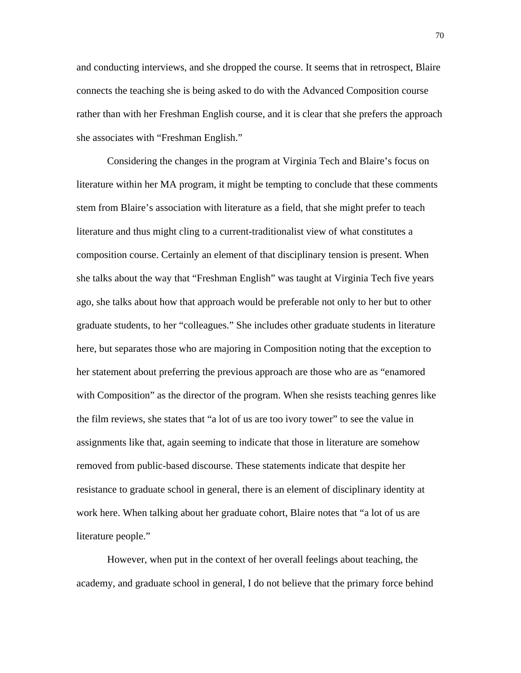and conducting interviews, and she dropped the course. It seems that in retrospect, Blaire connects the teaching she is being asked to do with the Advanced Composition course rather than with her Freshman English course, and it is clear that she prefers the approach she associates with "Freshman English."

Considering the changes in the program at Virginia Tech and Blaire's focus on literature within her MA program, it might be tempting to conclude that these comments stem from Blaire's association with literature as a field, that she might prefer to teach literature and thus might cling to a current-traditionalist view of what constitutes a composition course. Certainly an element of that disciplinary tension is present. When she talks about the way that "Freshman English" was taught at Virginia Tech five years ago, she talks about how that approach would be preferable not only to her but to other graduate students, to her "colleagues." She includes other graduate students in literature here, but separates those who are majoring in Composition noting that the exception to her statement about preferring the previous approach are those who are as "enamored with Composition" as the director of the program. When she resists teaching genres like the film reviews, she states that "a lot of us are too ivory tower" to see the value in assignments like that, again seeming to indicate that those in literature are somehow removed from public-based discourse. These statements indicate that despite her resistance to graduate school in general, there is an element of disciplinary identity at work here. When talking about her graduate cohort, Blaire notes that "a lot of us are literature people."

However, when put in the context of her overall feelings about teaching, the academy, and graduate school in general, I do not believe that the primary force behind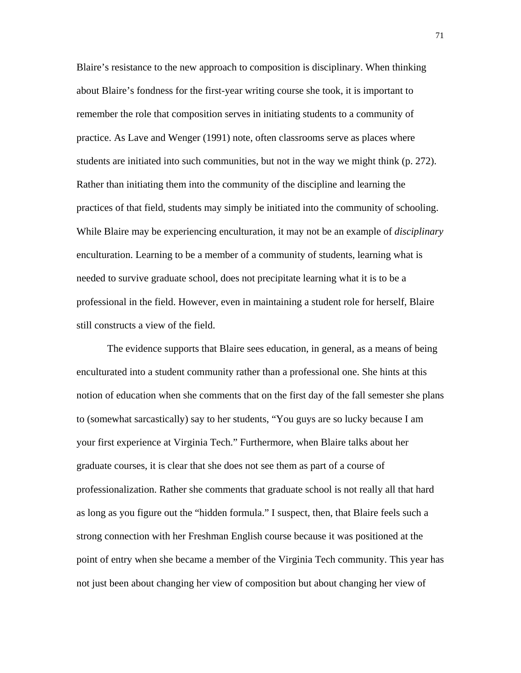Blaire's resistance to the new approach to composition is disciplinary. When thinking about Blaire's fondness for the first-year writing course she took, it is important to remember the role that composition serves in initiating students to a community of practice. As Lave and Wenger (1991) note, often classrooms serve as places where students are initiated into such communities, but not in the way we might think (p. 272). Rather than initiating them into the community of the discipline and learning the practices of that field, students may simply be initiated into the community of schooling. While Blaire may be experiencing enculturation, it may not be an example of *disciplinary* enculturation. Learning to be a member of a community of students, learning what is needed to survive graduate school, does not precipitate learning what it is to be a professional in the field. However, even in maintaining a student role for herself, Blaire still constructs a view of the field.

The evidence supports that Blaire sees education, in general, as a means of being enculturated into a student community rather than a professional one. She hints at this notion of education when she comments that on the first day of the fall semester she plans to (somewhat sarcastically) say to her students, "You guys are so lucky because I am your first experience at Virginia Tech." Furthermore, when Blaire talks about her graduate courses, it is clear that she does not see them as part of a course of professionalization. Rather she comments that graduate school is not really all that hard as long as you figure out the "hidden formula." I suspect, then, that Blaire feels such a strong connection with her Freshman English course because it was positioned at the point of entry when she became a member of the Virginia Tech community. This year has not just been about changing her view of composition but about changing her view of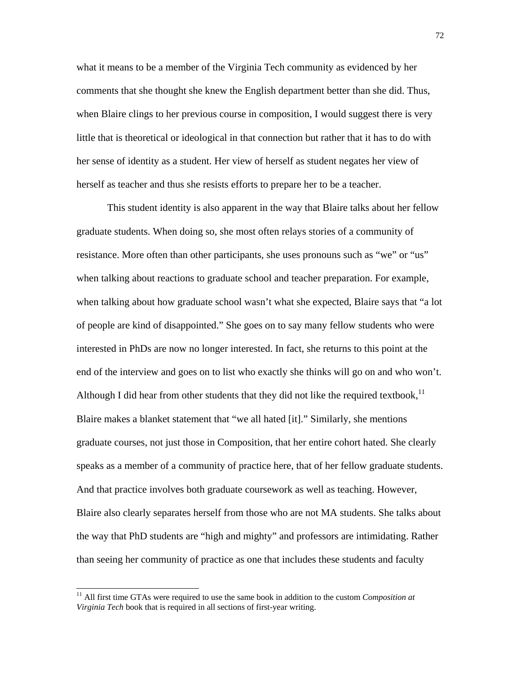what it means to be a member of the Virginia Tech community as evidenced by her comments that she thought she knew the English department better than she did. Thus, when Blaire clings to her previous course in composition, I would suggest there is very little that is theoretical or ideological in that connection but rather that it has to do with her sense of identity as a student. Her view of herself as student negates her view of herself as teacher and thus she resists efforts to prepare her to be a teacher.

This student identity is also apparent in the way that Blaire talks about her fellow graduate students. When doing so, she most often relays stories of a community of resistance. More often than other participants, she uses pronouns such as "we" or "us" when talking about reactions to graduate school and teacher preparation. For example, when talking about how graduate school wasn't what she expected, Blaire says that "a lot of people are kind of disappointed." She goes on to say many fellow students who were interested in PhDs are now no longer interested. In fact, she returns to this point at the end of the interview and goes on to list who exactly she thinks will go on and who won't. Although I did hear from other students that they did not like the required textbook.<sup>11</sup> Blaire makes a blanket statement that "we all hated [it]." Similarly, she mentions graduate courses, not just those in Composition, that her entire cohort hated. She clearly speaks as a member of a community of practice here, that of her fellow graduate students. And that practice involves both graduate coursework as well as teaching. However, Blaire also clearly separates herself from those who are not MA students. She talks about the way that PhD students are "high and mighty" and professors are intimidating. Rather than seeing her community of practice as one that includes these students and faculty

 $\overline{\phantom{a}}$ 

<sup>&</sup>lt;sup>11</sup> All first time GTAs were required to use the same book in addition to the custom *Composition at Virginia Tech* book that is required in all sections of first-year writing.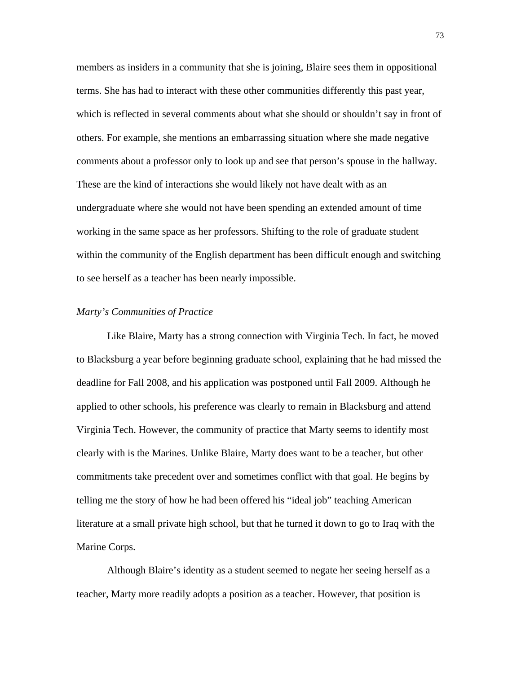members as insiders in a community that she is joining, Blaire sees them in oppositional terms. She has had to interact with these other communities differently this past year, which is reflected in several comments about what she should or shouldn't say in front of others. For example, she mentions an embarrassing situation where she made negative comments about a professor only to look up and see that person's spouse in the hallway. These are the kind of interactions she would likely not have dealt with as an undergraduate where she would not have been spending an extended amount of time working in the same space as her professors. Shifting to the role of graduate student within the community of the English department has been difficult enough and switching to see herself as a teacher has been nearly impossible.

## *Marty's Communities of Practice*

Like Blaire, Marty has a strong connection with Virginia Tech. In fact, he moved to Blacksburg a year before beginning graduate school, explaining that he had missed the deadline for Fall 2008, and his application was postponed until Fall 2009. Although he applied to other schools, his preference was clearly to remain in Blacksburg and attend Virginia Tech. However, the community of practice that Marty seems to identify most clearly with is the Marines. Unlike Blaire, Marty does want to be a teacher, but other commitments take precedent over and sometimes conflict with that goal. He begins by telling me the story of how he had been offered his "ideal job" teaching American literature at a small private high school, but that he turned it down to go to Iraq with the Marine Corps.

Although Blaire's identity as a student seemed to negate her seeing herself as a teacher, Marty more readily adopts a position as a teacher. However, that position is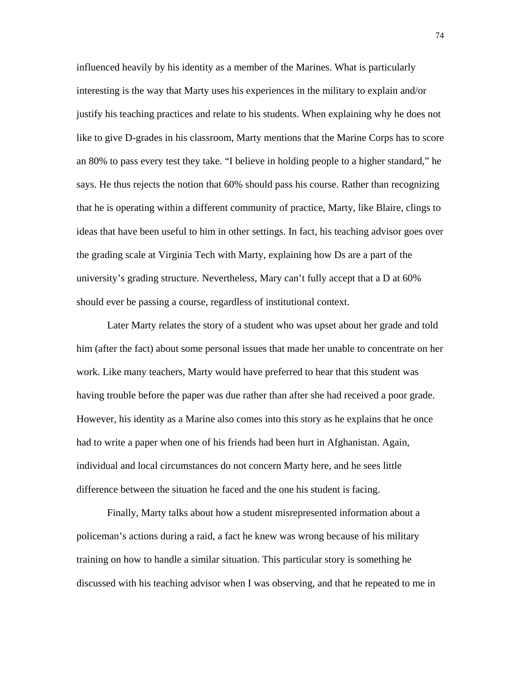influenced heavily by his identity as a member of the Marines. What is particularly interesting is the way that Marty uses his experiences in the military to explain and/or justify his teaching practices and relate to his students. When explaining why he does not like to give D-grades in his classroom, Marty mentions that the Marine Corps has to score an 80% to pass every test they take. "I believe in holding people to a higher standard," he says. He thus rejects the notion that 60% should pass his course. Rather than recognizing that he is operating within a different community of practice, Marty, like Blaire, clings to ideas that have been useful to him in other settings. In fact, his teaching advisor goes over the grading scale at Virginia Tech with Marty, explaining how Ds are a part of the university's grading structure. Nevertheless, Mary can't fully accept that a D at 60% should ever be passing a course, regardless of institutional context.

Later Marty relates the story of a student who was upset about her grade and told him (after the fact) about some personal issues that made her unable to concentrate on her work. Like many teachers, Marty would have preferred to hear that this student was having trouble before the paper was due rather than after she had received a poor grade. However, his identity as a Marine also comes into this story as he explains that he once had to write a paper when one of his friends had been hurt in Afghanistan. Again, individual and local circumstances do not concern Marty here, and he sees little difference between the situation he faced and the one his student is facing.

Finally, Marty talks about how a student misrepresented information about a policeman's actions during a raid, a fact he knew was wrong because of his military training on how to handle a similar situation. This particular story is something he discussed with his teaching advisor when I was observing, and that he repeated to me in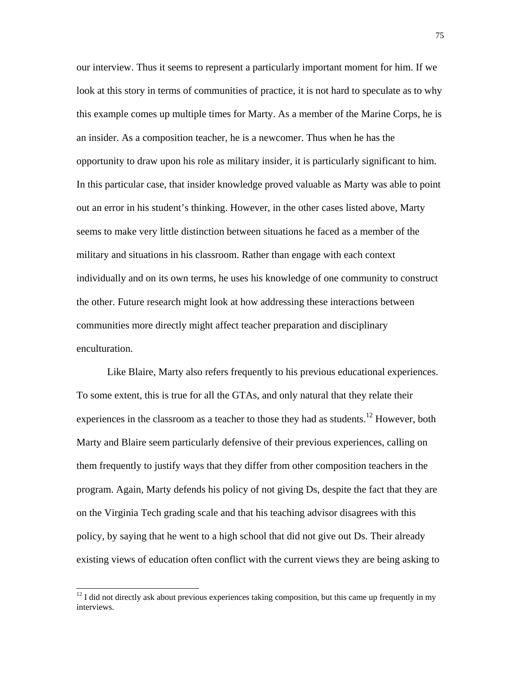our interview. Thus it seems to represent a particularly important moment for him. If we look at this story in terms of communities of practice, it is not hard to speculate as to why this example comes up multiple times for Marty. As a member of the Marine Corps, he is an insider. As a composition teacher, he is a newcomer. Thus when he has the opportunity to draw upon his role as military insider, it is particularly significant to him. In this particular case, that insider knowledge proved valuable as Marty was able to point out an error in his student's thinking. However, in the other cases listed above, Marty seems to make very little distinction between situations he faced as a member of the military and situations in his classroom. Rather than engage with each context individually and on its own terms, he uses his knowledge of one community to construct the other. Future research might look at how addressing these interactions between communities more directly might affect teacher preparation and disciplinary enculturation.

Like Blaire, Marty also refers frequently to his previous educational experiences. To some extent, this is true for all the GTAs, and only natural that they relate their experiences in the classroom as a teacher to those they had as students.<sup>12</sup> However, both Marty and Blaire seem particularly defensive of their previous experiences, calling on them frequently to justify ways that they differ from other composition teachers in the program. Again, Marty defends his policy of not giving Ds, despite the fact that they are on the Virginia Tech grading scale and that his teaching advisor disagrees with this policy, by saying that he went to a high school that did not give out Ds. Their already existing views of education often conflict with the current views they are being asking to

 $\overline{\phantom{a}}$ 

 $12$  I did not directly ask about previous experiences taking composition, but this came up frequently in my interviews.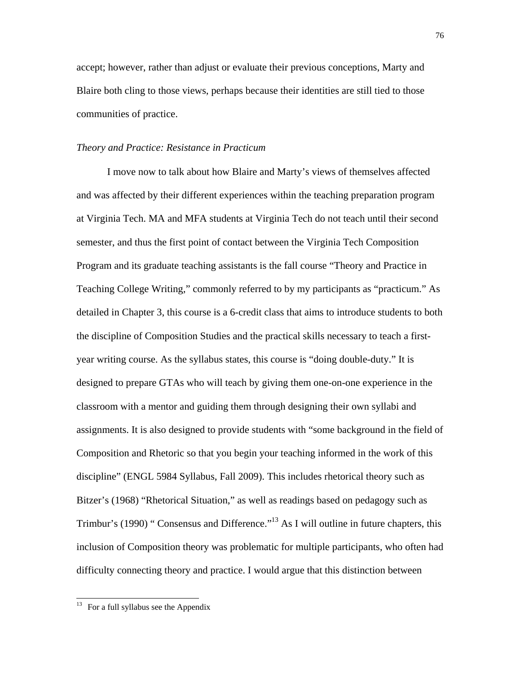accept; however, rather than adjust or evaluate their previous conceptions, Marty and Blaire both cling to those views, perhaps because their identities are still tied to those communities of practice.

#### *Theory and Practice: Resistance in Practicum*

I move now to talk about how Blaire and Marty's views of themselves affected and was affected by their different experiences within the teaching preparation program at Virginia Tech. MA and MFA students at Virginia Tech do not teach until their second semester, and thus the first point of contact between the Virginia Tech Composition Program and its graduate teaching assistants is the fall course "Theory and Practice in Teaching College Writing," commonly referred to by my participants as "practicum." As detailed in Chapter 3, this course is a 6-credit class that aims to introduce students to both the discipline of Composition Studies and the practical skills necessary to teach a firstyear writing course. As the syllabus states, this course is "doing double-duty." It is designed to prepare GTAs who will teach by giving them one-on-one experience in the classroom with a mentor and guiding them through designing their own syllabi and assignments. It is also designed to provide students with "some background in the field of Composition and Rhetoric so that you begin your teaching informed in the work of this discipline" (ENGL 5984 Syllabus, Fall 2009). This includes rhetorical theory such as Bitzer's (1968) "Rhetorical Situation," as well as readings based on pedagogy such as Trimbur's (1990) " Consensus and Difference."<sup>13</sup> As I will outline in future chapters, this inclusion of Composition theory was problematic for multiple participants, who often had difficulty connecting theory and practice. I would argue that this distinction between

 $\overline{\phantom{a}}$ 

 $13$  For a full syllabus see the Appendix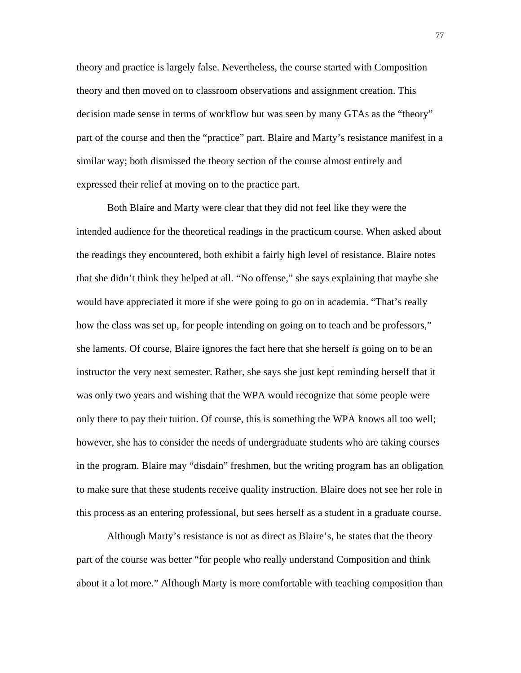theory and practice is largely false. Nevertheless, the course started with Composition theory and then moved on to classroom observations and assignment creation. This decision made sense in terms of workflow but was seen by many GTAs as the "theory" part of the course and then the "practice" part. Blaire and Marty's resistance manifest in a similar way; both dismissed the theory section of the course almost entirely and expressed their relief at moving on to the practice part.

Both Blaire and Marty were clear that they did not feel like they were the intended audience for the theoretical readings in the practicum course. When asked about the readings they encountered, both exhibit a fairly high level of resistance. Blaire notes that she didn't think they helped at all. "No offense," she says explaining that maybe she would have appreciated it more if she were going to go on in academia. "That's really how the class was set up, for people intending on going on to teach and be professors," she laments. Of course, Blaire ignores the fact here that she herself *is* going on to be an instructor the very next semester. Rather, she says she just kept reminding herself that it was only two years and wishing that the WPA would recognize that some people were only there to pay their tuition. Of course, this is something the WPA knows all too well; however, she has to consider the needs of undergraduate students who are taking courses in the program. Blaire may "disdain" freshmen, but the writing program has an obligation to make sure that these students receive quality instruction. Blaire does not see her role in this process as an entering professional, but sees herself as a student in a graduate course.

Although Marty's resistance is not as direct as Blaire's, he states that the theory part of the course was better "for people who really understand Composition and think about it a lot more." Although Marty is more comfortable with teaching composition than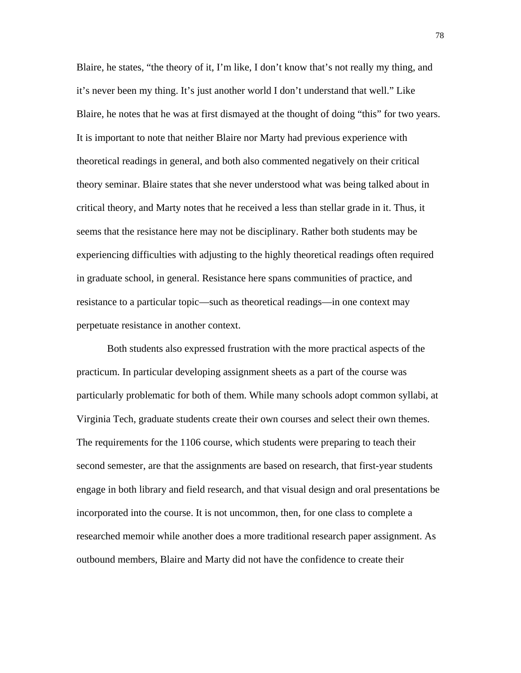Blaire, he states, "the theory of it, I'm like, I don't know that's not really my thing, and it's never been my thing. It's just another world I don't understand that well." Like Blaire, he notes that he was at first dismayed at the thought of doing "this" for two years. It is important to note that neither Blaire nor Marty had previous experience with theoretical readings in general, and both also commented negatively on their critical theory seminar. Blaire states that she never understood what was being talked about in critical theory, and Marty notes that he received a less than stellar grade in it. Thus, it seems that the resistance here may not be disciplinary. Rather both students may be experiencing difficulties with adjusting to the highly theoretical readings often required in graduate school, in general. Resistance here spans communities of practice, and resistance to a particular topic—such as theoretical readings—in one context may perpetuate resistance in another context.

Both students also expressed frustration with the more practical aspects of the practicum. In particular developing assignment sheets as a part of the course was particularly problematic for both of them. While many schools adopt common syllabi, at Virginia Tech, graduate students create their own courses and select their own themes. The requirements for the 1106 course, which students were preparing to teach their second semester, are that the assignments are based on research, that first-year students engage in both library and field research, and that visual design and oral presentations be incorporated into the course. It is not uncommon, then, for one class to complete a researched memoir while another does a more traditional research paper assignment. As outbound members, Blaire and Marty did not have the confidence to create their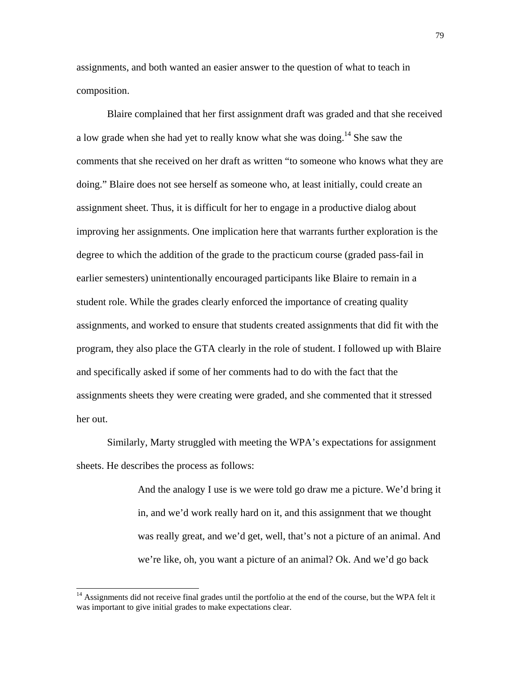assignments, and both wanted an easier answer to the question of what to teach in composition.

Blaire complained that her first assignment draft was graded and that she received a low grade when she had yet to really know what she was doing.<sup>14</sup> She saw the comments that she received on her draft as written "to someone who knows what they are doing." Blaire does not see herself as someone who, at least initially, could create an assignment sheet. Thus, it is difficult for her to engage in a productive dialog about improving her assignments. One implication here that warrants further exploration is the degree to which the addition of the grade to the practicum course (graded pass-fail in earlier semesters) unintentionally encouraged participants like Blaire to remain in a student role. While the grades clearly enforced the importance of creating quality assignments, and worked to ensure that students created assignments that did fit with the program, they also place the GTA clearly in the role of student. I followed up with Blaire and specifically asked if some of her comments had to do with the fact that the assignments sheets they were creating were graded, and she commented that it stressed her out.

Similarly, Marty struggled with meeting the WPA's expectations for assignment sheets. He describes the process as follows:

> And the analogy I use is we were told go draw me a picture. We'd bring it in, and we'd work really hard on it, and this assignment that we thought was really great, and we'd get, well, that's not a picture of an animal. And we're like, oh, you want a picture of an animal? Ok. And we'd go back

 $\overline{\phantom{a}}$ 

<sup>&</sup>lt;sup>14</sup> Assignments did not receive final grades until the portfolio at the end of the course, but the WPA felt it was important to give initial grades to make expectations clear.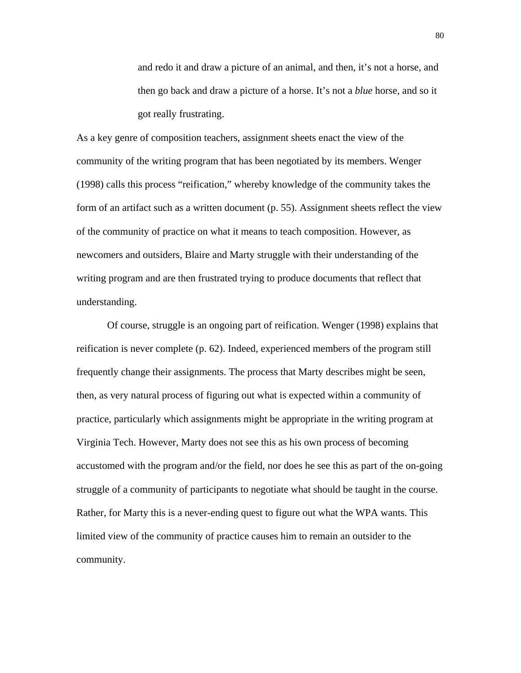and redo it and draw a picture of an animal, and then, it's not a horse, and then go back and draw a picture of a horse. It's not a *blue* horse, and so it got really frustrating.

As a key genre of composition teachers, assignment sheets enact the view of the community of the writing program that has been negotiated by its members. Wenger (1998) calls this process "reification," whereby knowledge of the community takes the form of an artifact such as a written document (p. 55). Assignment sheets reflect the view of the community of practice on what it means to teach composition. However, as newcomers and outsiders, Blaire and Marty struggle with their understanding of the writing program and are then frustrated trying to produce documents that reflect that understanding.

Of course, struggle is an ongoing part of reification. Wenger (1998) explains that reification is never complete (p. 62). Indeed, experienced members of the program still frequently change their assignments. The process that Marty describes might be seen, then, as very natural process of figuring out what is expected within a community of practice, particularly which assignments might be appropriate in the writing program at Virginia Tech. However, Marty does not see this as his own process of becoming accustomed with the program and/or the field, nor does he see this as part of the on-going struggle of a community of participants to negotiate what should be taught in the course. Rather, for Marty this is a never-ending quest to figure out what the WPA wants. This limited view of the community of practice causes him to remain an outsider to the community.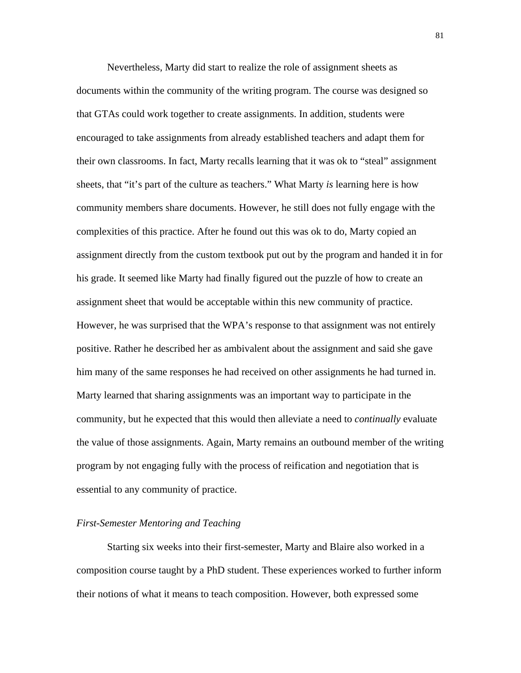Nevertheless, Marty did start to realize the role of assignment sheets as documents within the community of the writing program. The course was designed so that GTAs could work together to create assignments. In addition, students were encouraged to take assignments from already established teachers and adapt them for their own classrooms. In fact, Marty recalls learning that it was ok to "steal" assignment sheets, that "it's part of the culture as teachers." What Marty *is* learning here is how community members share documents. However, he still does not fully engage with the complexities of this practice. After he found out this was ok to do, Marty copied an assignment directly from the custom textbook put out by the program and handed it in for his grade. It seemed like Marty had finally figured out the puzzle of how to create an assignment sheet that would be acceptable within this new community of practice. However, he was surprised that the WPA's response to that assignment was not entirely positive. Rather he described her as ambivalent about the assignment and said she gave him many of the same responses he had received on other assignments he had turned in. Marty learned that sharing assignments was an important way to participate in the community, but he expected that this would then alleviate a need to *continually* evaluate the value of those assignments. Again, Marty remains an outbound member of the writing program by not engaging fully with the process of reification and negotiation that is essential to any community of practice.

## *First-Semester Mentoring and Teaching*

Starting six weeks into their first-semester, Marty and Blaire also worked in a composition course taught by a PhD student. These experiences worked to further inform their notions of what it means to teach composition. However, both expressed some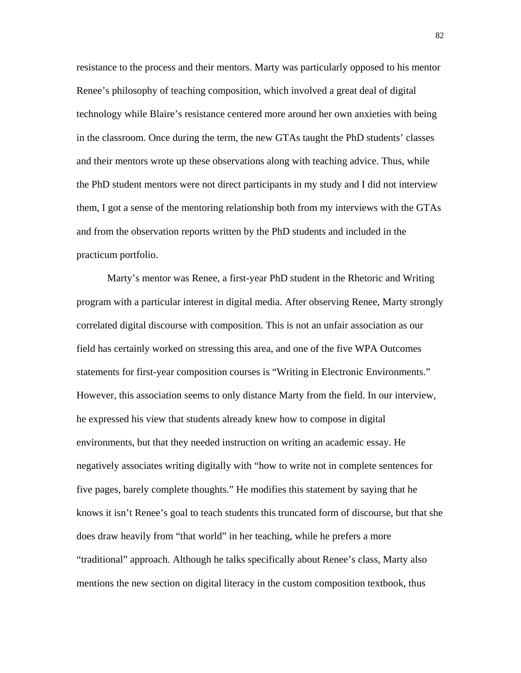resistance to the process and their mentors. Marty was particularly opposed to his mentor Renee's philosophy of teaching composition, which involved a great deal of digital technology while Blaire's resistance centered more around her own anxieties with being in the classroom. Once during the term, the new GTAs taught the PhD students' classes and their mentors wrote up these observations along with teaching advice. Thus, while the PhD student mentors were not direct participants in my study and I did not interview them, I got a sense of the mentoring relationship both from my interviews with the GTAs and from the observation reports written by the PhD students and included in the practicum portfolio.

Marty's mentor was Renee, a first-year PhD student in the Rhetoric and Writing program with a particular interest in digital media. After observing Renee, Marty strongly correlated digital discourse with composition. This is not an unfair association as our field has certainly worked on stressing this area, and one of the five WPA Outcomes statements for first-year composition courses is "Writing in Electronic Environments." However, this association seems to only distance Marty from the field. In our interview, he expressed his view that students already knew how to compose in digital environments, but that they needed instruction on writing an academic essay. He negatively associates writing digitally with "how to write not in complete sentences for five pages, barely complete thoughts." He modifies this statement by saying that he knows it isn't Renee's goal to teach students this truncated form of discourse, but that she does draw heavily from "that world" in her teaching, while he prefers a more "traditional" approach. Although he talks specifically about Renee's class, Marty also mentions the new section on digital literacy in the custom composition textbook, thus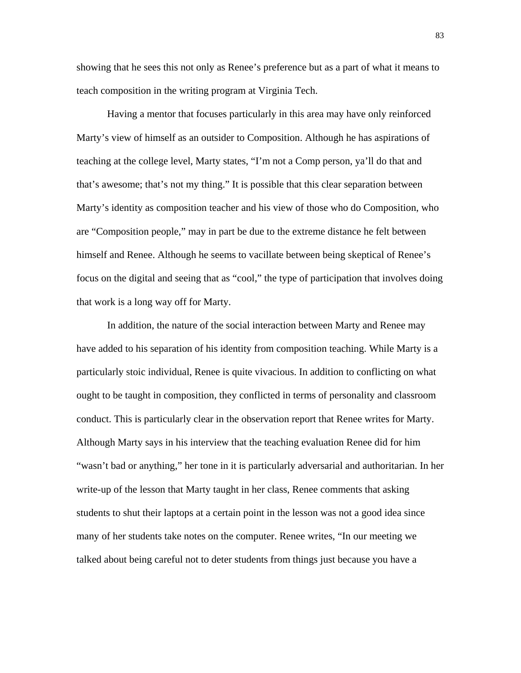showing that he sees this not only as Renee's preference but as a part of what it means to teach composition in the writing program at Virginia Tech.

Having a mentor that focuses particularly in this area may have only reinforced Marty's view of himself as an outsider to Composition. Although he has aspirations of teaching at the college level, Marty states, "I'm not a Comp person, ya'll do that and that's awesome; that's not my thing." It is possible that this clear separation between Marty's identity as composition teacher and his view of those who do Composition, who are "Composition people," may in part be due to the extreme distance he felt between himself and Renee. Although he seems to vacillate between being skeptical of Renee's focus on the digital and seeing that as "cool," the type of participation that involves doing that work is a long way off for Marty.

In addition, the nature of the social interaction between Marty and Renee may have added to his separation of his identity from composition teaching. While Marty is a particularly stoic individual, Renee is quite vivacious. In addition to conflicting on what ought to be taught in composition, they conflicted in terms of personality and classroom conduct. This is particularly clear in the observation report that Renee writes for Marty. Although Marty says in his interview that the teaching evaluation Renee did for him "wasn't bad or anything," her tone in it is particularly adversarial and authoritarian. In her write-up of the lesson that Marty taught in her class, Renee comments that asking students to shut their laptops at a certain point in the lesson was not a good idea since many of her students take notes on the computer. Renee writes, "In our meeting we talked about being careful not to deter students from things just because you have a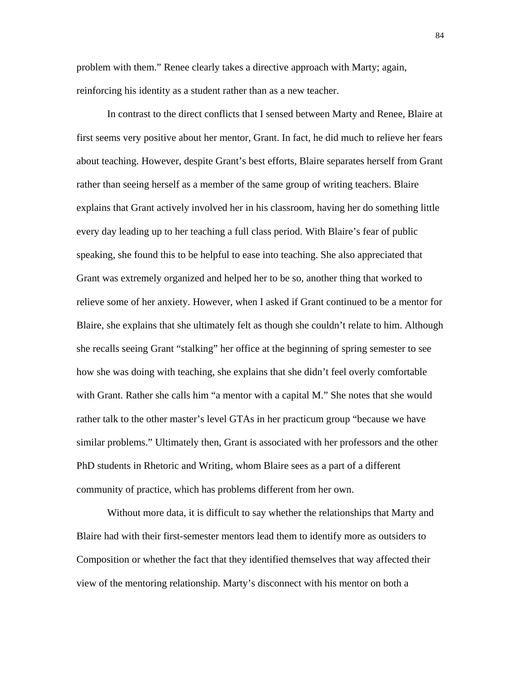problem with them." Renee clearly takes a directive approach with Marty; again, reinforcing his identity as a student rather than as a new teacher.

In contrast to the direct conflicts that I sensed between Marty and Renee, Blaire at first seems very positive about her mentor, Grant. In fact, he did much to relieve her fears about teaching. However, despite Grant's best efforts, Blaire separates herself from Grant rather than seeing herself as a member of the same group of writing teachers. Blaire explains that Grant actively involved her in his classroom, having her do something little every day leading up to her teaching a full class period. With Blaire's fear of public speaking, she found this to be helpful to ease into teaching. She also appreciated that Grant was extremely organized and helped her to be so, another thing that worked to relieve some of her anxiety. However, when I asked if Grant continued to be a mentor for Blaire, she explains that she ultimately felt as though she couldn't relate to him. Although she recalls seeing Grant "stalking" her office at the beginning of spring semester to see how she was doing with teaching, she explains that she didn't feel overly comfortable with Grant. Rather she calls him "a mentor with a capital M." She notes that she would rather talk to the other master's level GTAs in her practicum group "because we have similar problems." Ultimately then, Grant is associated with her professors and the other PhD students in Rhetoric and Writing, whom Blaire sees as a part of a different community of practice, which has problems different from her own.

Without more data, it is difficult to say whether the relationships that Marty and Blaire had with their first-semester mentors lead them to identify more as outsiders to Composition or whether the fact that they identified themselves that way affected their view of the mentoring relationship. Marty's disconnect with his mentor on both a

84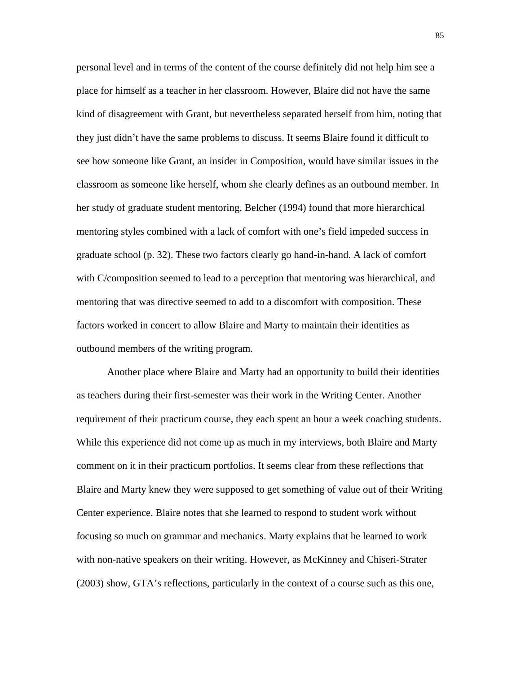personal level and in terms of the content of the course definitely did not help him see a place for himself as a teacher in her classroom. However, Blaire did not have the same kind of disagreement with Grant, but nevertheless separated herself from him, noting that they just didn't have the same problems to discuss. It seems Blaire found it difficult to see how someone like Grant, an insider in Composition, would have similar issues in the classroom as someone like herself, whom she clearly defines as an outbound member. In her study of graduate student mentoring, Belcher (1994) found that more hierarchical mentoring styles combined with a lack of comfort with one's field impeded success in graduate school (p. 32). These two factors clearly go hand-in-hand. A lack of comfort with C/composition seemed to lead to a perception that mentoring was hierarchical, and mentoring that was directive seemed to add to a discomfort with composition. These factors worked in concert to allow Blaire and Marty to maintain their identities as outbound members of the writing program.

Another place where Blaire and Marty had an opportunity to build their identities as teachers during their first-semester was their work in the Writing Center. Another requirement of their practicum course, they each spent an hour a week coaching students. While this experience did not come up as much in my interviews, both Blaire and Marty comment on it in their practicum portfolios. It seems clear from these reflections that Blaire and Marty knew they were supposed to get something of value out of their Writing Center experience. Blaire notes that she learned to respond to student work without focusing so much on grammar and mechanics. Marty explains that he learned to work with non-native speakers on their writing. However, as McKinney and Chiseri-Strater (2003) show, GTA's reflections, particularly in the context of a course such as this one,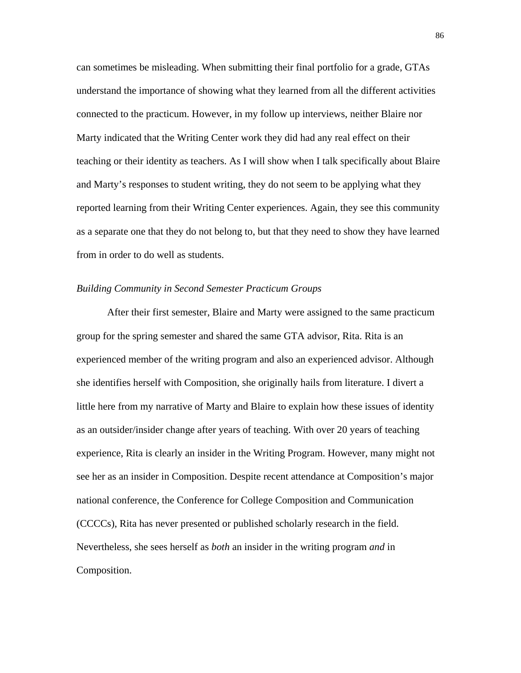can sometimes be misleading. When submitting their final portfolio for a grade, GTAs understand the importance of showing what they learned from all the different activities connected to the practicum. However, in my follow up interviews, neither Blaire nor Marty indicated that the Writing Center work they did had any real effect on their teaching or their identity as teachers. As I will show when I talk specifically about Blaire and Marty's responses to student writing, they do not seem to be applying what they reported learning from their Writing Center experiences. Again, they see this community as a separate one that they do not belong to, but that they need to show they have learned from in order to do well as students.

#### *Building Community in Second Semester Practicum Groups*

After their first semester, Blaire and Marty were assigned to the same practicum group for the spring semester and shared the same GTA advisor, Rita. Rita is an experienced member of the writing program and also an experienced advisor. Although she identifies herself with Composition, she originally hails from literature. I divert a little here from my narrative of Marty and Blaire to explain how these issues of identity as an outsider/insider change after years of teaching. With over 20 years of teaching experience, Rita is clearly an insider in the Writing Program. However, many might not see her as an insider in Composition. Despite recent attendance at Composition's major national conference, the Conference for College Composition and Communication (CCCCs), Rita has never presented or published scholarly research in the field. Nevertheless, she sees herself as *both* an insider in the writing program *and* in Composition.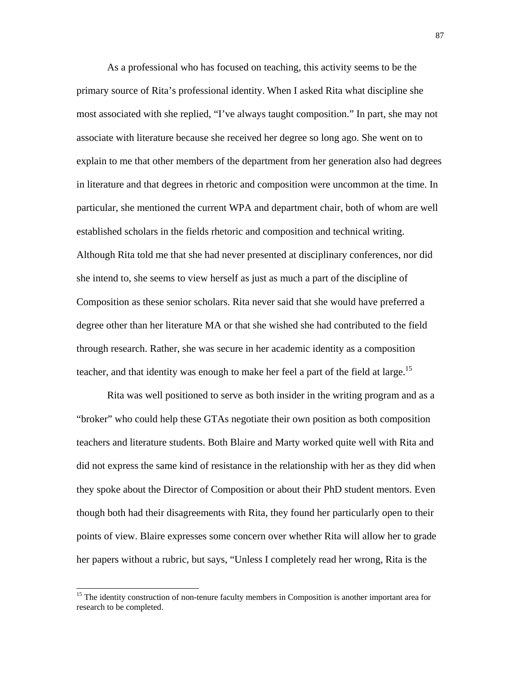As a professional who has focused on teaching, this activity seems to be the primary source of Rita's professional identity. When I asked Rita what discipline she most associated with she replied, "I've always taught composition." In part, she may not associate with literature because she received her degree so long ago. She went on to explain to me that other members of the department from her generation also had degrees in literature and that degrees in rhetoric and composition were uncommon at the time. In particular, she mentioned the current WPA and department chair, both of whom are well established scholars in the fields rhetoric and composition and technical writing. Although Rita told me that she had never presented at disciplinary conferences, nor did she intend to, she seems to view herself as just as much a part of the discipline of Composition as these senior scholars. Rita never said that she would have preferred a degree other than her literature MA or that she wished she had contributed to the field through research. Rather, she was secure in her academic identity as a composition teacher, and that identity was enough to make her feel a part of the field at large.<sup>15</sup>

Rita was well positioned to serve as both insider in the writing program and as a "broker" who could help these GTAs negotiate their own position as both composition teachers and literature students. Both Blaire and Marty worked quite well with Rita and did not express the same kind of resistance in the relationship with her as they did when they spoke about the Director of Composition or about their PhD student mentors. Even though both had their disagreements with Rita, they found her particularly open to their points of view. Blaire expresses some concern over whether Rita will allow her to grade her papers without a rubric, but says, "Unless I completely read her wrong, Rita is the

 $\overline{\phantom{a}}$ 

<sup>&</sup>lt;sup>15</sup> The identity construction of non-tenure faculty members in Composition is another important area for research to be completed.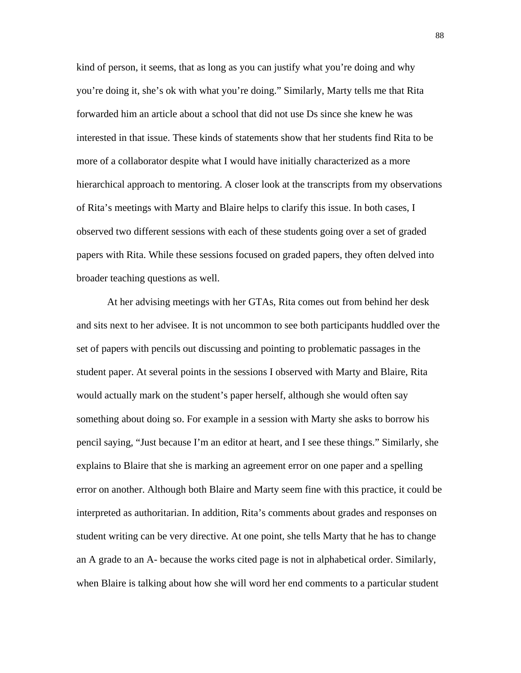kind of person, it seems, that as long as you can justify what you're doing and why you're doing it, she's ok with what you're doing." Similarly, Marty tells me that Rita forwarded him an article about a school that did not use Ds since she knew he was interested in that issue. These kinds of statements show that her students find Rita to be more of a collaborator despite what I would have initially characterized as a more hierarchical approach to mentoring. A closer look at the transcripts from my observations of Rita's meetings with Marty and Blaire helps to clarify this issue. In both cases, I observed two different sessions with each of these students going over a set of graded papers with Rita. While these sessions focused on graded papers, they often delved into broader teaching questions as well.

At her advising meetings with her GTAs, Rita comes out from behind her desk and sits next to her advisee. It is not uncommon to see both participants huddled over the set of papers with pencils out discussing and pointing to problematic passages in the student paper. At several points in the sessions I observed with Marty and Blaire, Rita would actually mark on the student's paper herself, although she would often say something about doing so. For example in a session with Marty she asks to borrow his pencil saying, "Just because I'm an editor at heart, and I see these things." Similarly, she explains to Blaire that she is marking an agreement error on one paper and a spelling error on another. Although both Blaire and Marty seem fine with this practice, it could be interpreted as authoritarian. In addition, Rita's comments about grades and responses on student writing can be very directive. At one point, she tells Marty that he has to change an A grade to an A- because the works cited page is not in alphabetical order. Similarly, when Blaire is talking about how she will word her end comments to a particular student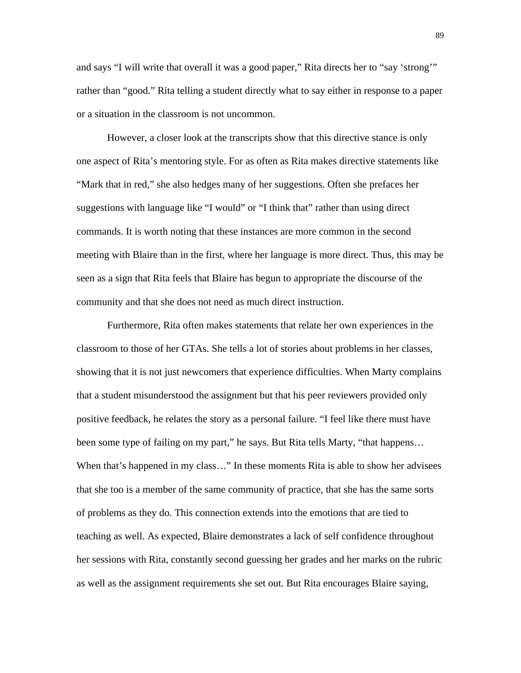and says "I will write that overall it was a good paper," Rita directs her to "say 'strong'" rather than "good." Rita telling a student directly what to say either in response to a paper or a situation in the classroom is not uncommon.

However, a closer look at the transcripts show that this directive stance is only one aspect of Rita's mentoring style. For as often as Rita makes directive statements like "Mark that in red," she also hedges many of her suggestions. Often she prefaces her suggestions with language like "I would" or "I think that" rather than using direct commands. It is worth noting that these instances are more common in the second meeting with Blaire than in the first, where her language is more direct. Thus, this may be seen as a sign that Rita feels that Blaire has begun to appropriate the discourse of the community and that she does not need as much direct instruction.

Furthermore, Rita often makes statements that relate her own experiences in the classroom to those of her GTAs. She tells a lot of stories about problems in her classes, showing that it is not just newcomers that experience difficulties. When Marty complains that a student misunderstood the assignment but that his peer reviewers provided only positive feedback, he relates the story as a personal failure. "I feel like there must have been some type of failing on my part," he says. But Rita tells Marty, "that happens… When that's happened in my class..." In these moments Rita is able to show her advisees that she too is a member of the same community of practice, that she has the same sorts of problems as they do. This connection extends into the emotions that are tied to teaching as well. As expected, Blaire demonstrates a lack of self confidence throughout her sessions with Rita, constantly second guessing her grades and her marks on the rubric as well as the assignment requirements she set out. But Rita encourages Blaire saying,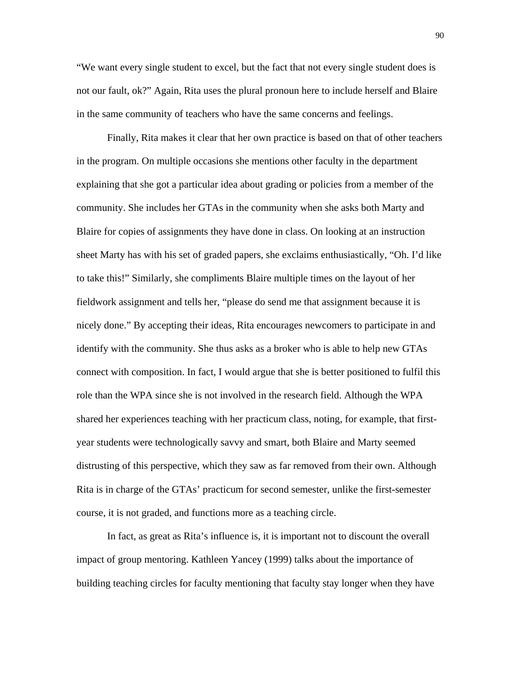"We want every single student to excel, but the fact that not every single student does is not our fault, ok?" Again, Rita uses the plural pronoun here to include herself and Blaire in the same community of teachers who have the same concerns and feelings.

Finally, Rita makes it clear that her own practice is based on that of other teachers in the program. On multiple occasions she mentions other faculty in the department explaining that she got a particular idea about grading or policies from a member of the community. She includes her GTAs in the community when she asks both Marty and Blaire for copies of assignments they have done in class. On looking at an instruction sheet Marty has with his set of graded papers, she exclaims enthusiastically, "Oh. I'd like to take this!" Similarly, she compliments Blaire multiple times on the layout of her fieldwork assignment and tells her, "please do send me that assignment because it is nicely done." By accepting their ideas, Rita encourages newcomers to participate in and identify with the community. She thus asks as a broker who is able to help new GTAs connect with composition. In fact, I would argue that she is better positioned to fulfil this role than the WPA since she is not involved in the research field. Although the WPA shared her experiences teaching with her practicum class, noting, for example, that firstyear students were technologically savvy and smart, both Blaire and Marty seemed distrusting of this perspective, which they saw as far removed from their own. Although Rita is in charge of the GTAs' practicum for second semester, unlike the first-semester course, it is not graded, and functions more as a teaching circle.

In fact, as great as Rita's influence is, it is important not to discount the overall impact of group mentoring. Kathleen Yancey (1999) talks about the importance of building teaching circles for faculty mentioning that faculty stay longer when they have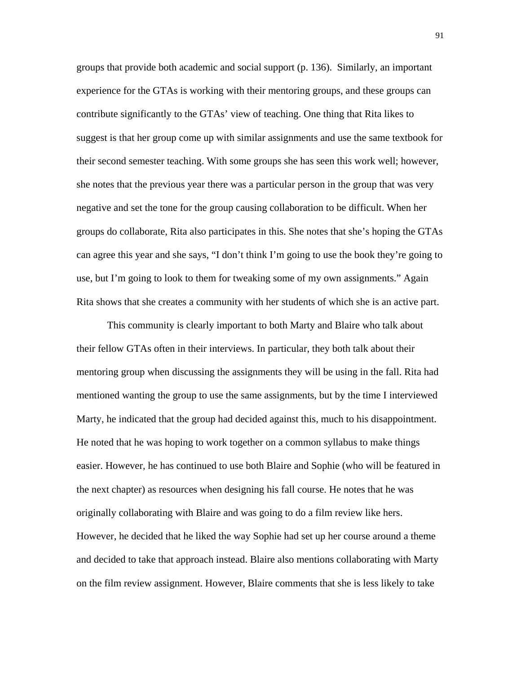groups that provide both academic and social support (p. 136). Similarly, an important experience for the GTAs is working with their mentoring groups, and these groups can contribute significantly to the GTAs' view of teaching. One thing that Rita likes to suggest is that her group come up with similar assignments and use the same textbook for their second semester teaching. With some groups she has seen this work well; however, she notes that the previous year there was a particular person in the group that was very negative and set the tone for the group causing collaboration to be difficult. When her groups do collaborate, Rita also participates in this. She notes that she's hoping the GTAs can agree this year and she says, "I don't think I'm going to use the book they're going to use, but I'm going to look to them for tweaking some of my own assignments." Again Rita shows that she creates a community with her students of which she is an active part.

This community is clearly important to both Marty and Blaire who talk about their fellow GTAs often in their interviews. In particular, they both talk about their mentoring group when discussing the assignments they will be using in the fall. Rita had mentioned wanting the group to use the same assignments, but by the time I interviewed Marty, he indicated that the group had decided against this, much to his disappointment. He noted that he was hoping to work together on a common syllabus to make things easier. However, he has continued to use both Blaire and Sophie (who will be featured in the next chapter) as resources when designing his fall course. He notes that he was originally collaborating with Blaire and was going to do a film review like hers. However, he decided that he liked the way Sophie had set up her course around a theme and decided to take that approach instead. Blaire also mentions collaborating with Marty on the film review assignment. However, Blaire comments that she is less likely to take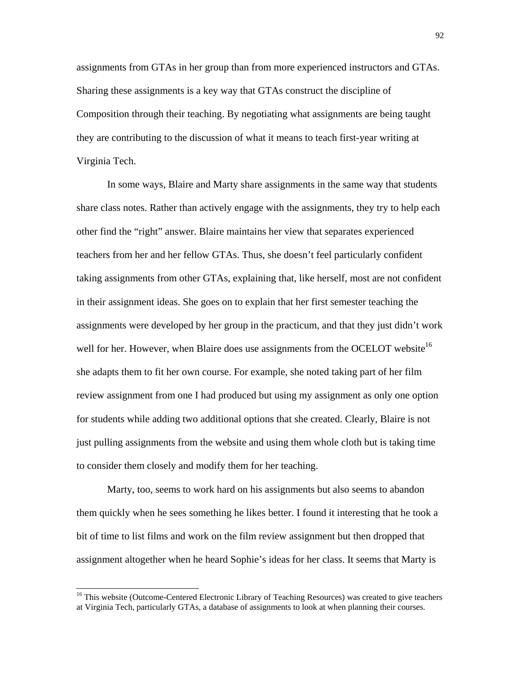assignments from GTAs in her group than from more experienced instructors and GTAs. Sharing these assignments is a key way that GTAs construct the discipline of Composition through their teaching. By negotiating what assignments are being taught they are contributing to the discussion of what it means to teach first-year writing at Virginia Tech.

In some ways, Blaire and Marty share assignments in the same way that students share class notes. Rather than actively engage with the assignments, they try to help each other find the "right" answer. Blaire maintains her view that separates experienced teachers from her and her fellow GTAs. Thus, she doesn't feel particularly confident taking assignments from other GTAs, explaining that, like herself, most are not confident in their assignment ideas. She goes on to explain that her first semester teaching the assignments were developed by her group in the practicum, and that they just didn't work well for her. However, when Blaire does use assignments from the OCELOT website<sup>16</sup> she adapts them to fit her own course. For example, she noted taking part of her film review assignment from one I had produced but using my assignment as only one option for students while adding two additional options that she created. Clearly, Blaire is not just pulling assignments from the website and using them whole cloth but is taking time to consider them closely and modify them for her teaching.

Marty, too, seems to work hard on his assignments but also seems to abandon them quickly when he sees something he likes better. I found it interesting that he took a bit of time to list films and work on the film review assignment but then dropped that assignment altogether when he heard Sophie's ideas for her class. It seems that Marty is

 $\overline{\phantom{a}}$ 

<sup>&</sup>lt;sup>16</sup> This website (Outcome-Centered Electronic Library of Teaching Resources) was created to give teachers at Virginia Tech, particularly GTAs, a database of assignments to look at when planning their courses.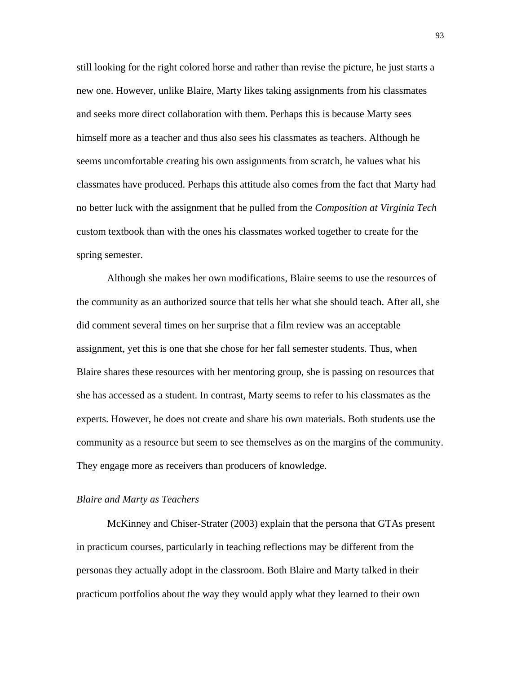still looking for the right colored horse and rather than revise the picture, he just starts a new one. However, unlike Blaire, Marty likes taking assignments from his classmates and seeks more direct collaboration with them. Perhaps this is because Marty sees himself more as a teacher and thus also sees his classmates as teachers. Although he seems uncomfortable creating his own assignments from scratch, he values what his classmates have produced. Perhaps this attitude also comes from the fact that Marty had no better luck with the assignment that he pulled from the *Composition at Virginia Tech* custom textbook than with the ones his classmates worked together to create for the spring semester.

Although she makes her own modifications, Blaire seems to use the resources of the community as an authorized source that tells her what she should teach. After all, she did comment several times on her surprise that a film review was an acceptable assignment, yet this is one that she chose for her fall semester students. Thus, when Blaire shares these resources with her mentoring group, she is passing on resources that she has accessed as a student. In contrast, Marty seems to refer to his classmates as the experts. However, he does not create and share his own materials. Both students use the community as a resource but seem to see themselves as on the margins of the community. They engage more as receivers than producers of knowledge.

## *Blaire and Marty as Teachers*

McKinney and Chiser-Strater (2003) explain that the persona that GTAs present in practicum courses, particularly in teaching reflections may be different from the personas they actually adopt in the classroom. Both Blaire and Marty talked in their practicum portfolios about the way they would apply what they learned to their own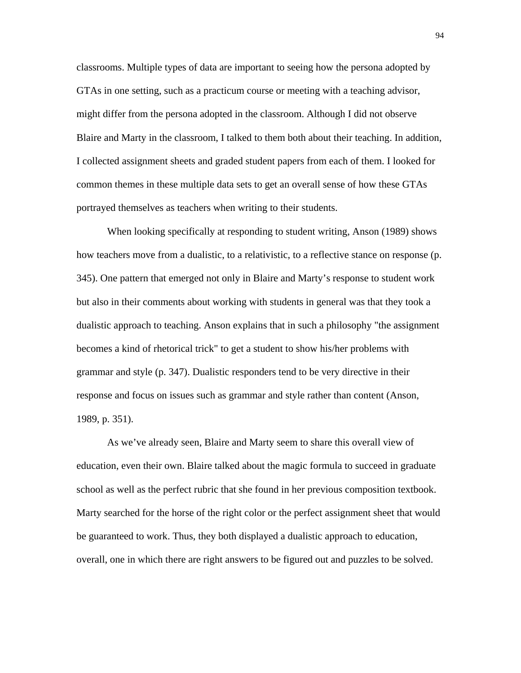classrooms. Multiple types of data are important to seeing how the persona adopted by GTAs in one setting, such as a practicum course or meeting with a teaching advisor, might differ from the persona adopted in the classroom. Although I did not observe Blaire and Marty in the classroom, I talked to them both about their teaching. In addition, I collected assignment sheets and graded student papers from each of them. I looked for common themes in these multiple data sets to get an overall sense of how these GTAs portrayed themselves as teachers when writing to their students.

When looking specifically at responding to student writing, Anson (1989) shows how teachers move from a dualistic, to a relativistic, to a reflective stance on response (p. 345). One pattern that emerged not only in Blaire and Marty's response to student work but also in their comments about working with students in general was that they took a dualistic approach to teaching. Anson explains that in such a philosophy "the assignment becomes a kind of rhetorical trick" to get a student to show his/her problems with grammar and style (p. 347). Dualistic responders tend to be very directive in their response and focus on issues such as grammar and style rather than content (Anson, 1989, p. 351).

As we've already seen, Blaire and Marty seem to share this overall view of education, even their own. Blaire talked about the magic formula to succeed in graduate school as well as the perfect rubric that she found in her previous composition textbook. Marty searched for the horse of the right color or the perfect assignment sheet that would be guaranteed to work. Thus, they both displayed a dualistic approach to education, overall, one in which there are right answers to be figured out and puzzles to be solved.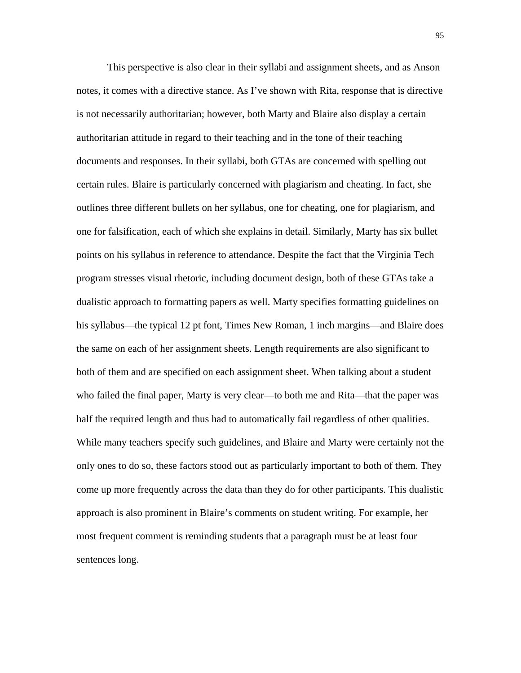This perspective is also clear in their syllabi and assignment sheets, and as Anson notes, it comes with a directive stance. As I've shown with Rita, response that is directive is not necessarily authoritarian; however, both Marty and Blaire also display a certain authoritarian attitude in regard to their teaching and in the tone of their teaching documents and responses. In their syllabi, both GTAs are concerned with spelling out certain rules. Blaire is particularly concerned with plagiarism and cheating. In fact, she outlines three different bullets on her syllabus, one for cheating, one for plagiarism, and one for falsification, each of which she explains in detail. Similarly, Marty has six bullet points on his syllabus in reference to attendance. Despite the fact that the Virginia Tech program stresses visual rhetoric, including document design, both of these GTAs take a dualistic approach to formatting papers as well. Marty specifies formatting guidelines on his syllabus—the typical 12 pt font, Times New Roman, 1 inch margins—and Blaire does the same on each of her assignment sheets. Length requirements are also significant to both of them and are specified on each assignment sheet. When talking about a student who failed the final paper, Marty is very clear—to both me and Rita—that the paper was half the required length and thus had to automatically fail regardless of other qualities. While many teachers specify such guidelines, and Blaire and Marty were certainly not the only ones to do so, these factors stood out as particularly important to both of them. They come up more frequently across the data than they do for other participants. This dualistic approach is also prominent in Blaire's comments on student writing. For example, her most frequent comment is reminding students that a paragraph must be at least four sentences long.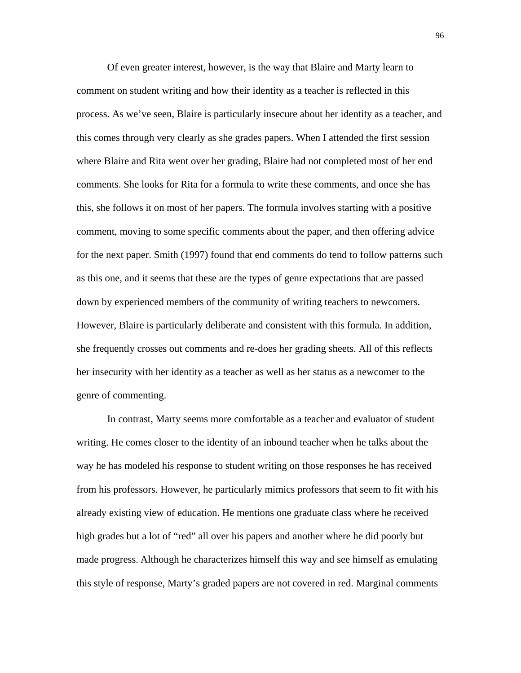Of even greater interest, however, is the way that Blaire and Marty learn to comment on student writing and how their identity as a teacher is reflected in this process. As we've seen, Blaire is particularly insecure about her identity as a teacher, and this comes through very clearly as she grades papers. When I attended the first session where Blaire and Rita went over her grading, Blaire had not completed most of her end comments. She looks for Rita for a formula to write these comments, and once she has this, she follows it on most of her papers. The formula involves starting with a positive comment, moving to some specific comments about the paper, and then offering advice for the next paper. Smith (1997) found that end comments do tend to follow patterns such as this one, and it seems that these are the types of genre expectations that are passed down by experienced members of the community of writing teachers to newcomers. However, Blaire is particularly deliberate and consistent with this formula. In addition, she frequently crosses out comments and re-does her grading sheets. All of this reflects her insecurity with her identity as a teacher as well as her status as a newcomer to the genre of commenting.

In contrast, Marty seems more comfortable as a teacher and evaluator of student writing. He comes closer to the identity of an inbound teacher when he talks about the way he has modeled his response to student writing on those responses he has received from his professors. However, he particularly mimics professors that seem to fit with his already existing view of education. He mentions one graduate class where he received high grades but a lot of "red" all over his papers and another where he did poorly but made progress. Although he characterizes himself this way and see himself as emulating this style of response, Marty's graded papers are not covered in red. Marginal comments

96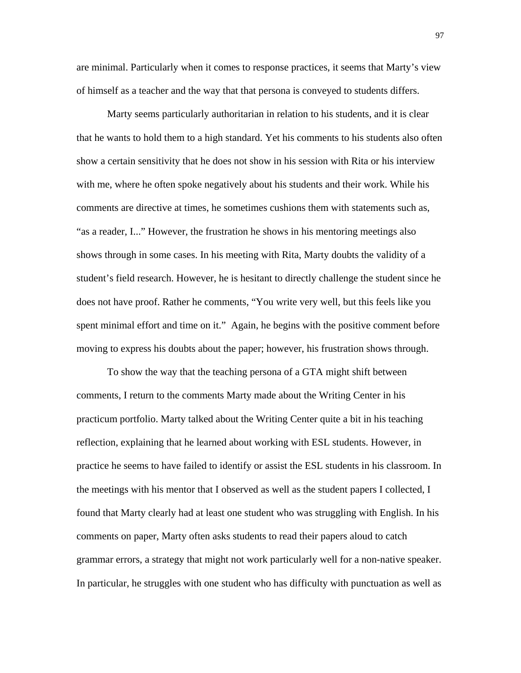are minimal. Particularly when it comes to response practices, it seems that Marty's view of himself as a teacher and the way that that persona is conveyed to students differs.

Marty seems particularly authoritarian in relation to his students, and it is clear that he wants to hold them to a high standard. Yet his comments to his students also often show a certain sensitivity that he does not show in his session with Rita or his interview with me, where he often spoke negatively about his students and their work. While his comments are directive at times, he sometimes cushions them with statements such as, "as a reader, I..." However, the frustration he shows in his mentoring meetings also shows through in some cases. In his meeting with Rita, Marty doubts the validity of a student's field research. However, he is hesitant to directly challenge the student since he does not have proof. Rather he comments, "You write very well, but this feels like you spent minimal effort and time on it." Again, he begins with the positive comment before moving to express his doubts about the paper; however, his frustration shows through.

To show the way that the teaching persona of a GTA might shift between comments, I return to the comments Marty made about the Writing Center in his practicum portfolio. Marty talked about the Writing Center quite a bit in his teaching reflection, explaining that he learned about working with ESL students. However, in practice he seems to have failed to identify or assist the ESL students in his classroom. In the meetings with his mentor that I observed as well as the student papers I collected, I found that Marty clearly had at least one student who was struggling with English. In his comments on paper, Marty often asks students to read their papers aloud to catch grammar errors, a strategy that might not work particularly well for a non-native speaker. In particular, he struggles with one student who has difficulty with punctuation as well as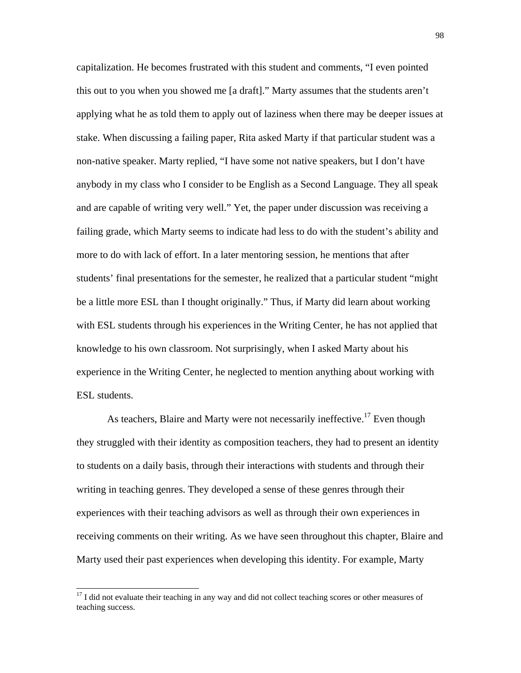capitalization. He becomes frustrated with this student and comments, "I even pointed this out to you when you showed me [a draft]." Marty assumes that the students aren't applying what he as told them to apply out of laziness when there may be deeper issues at stake. When discussing a failing paper, Rita asked Marty if that particular student was a non-native speaker. Marty replied, "I have some not native speakers, but I don't have anybody in my class who I consider to be English as a Second Language. They all speak and are capable of writing very well." Yet, the paper under discussion was receiving a failing grade, which Marty seems to indicate had less to do with the student's ability and more to do with lack of effort. In a later mentoring session, he mentions that after students' final presentations for the semester, he realized that a particular student "might be a little more ESL than I thought originally." Thus, if Marty did learn about working with ESL students through his experiences in the Writing Center, he has not applied that knowledge to his own classroom. Not surprisingly, when I asked Marty about his experience in the Writing Center, he neglected to mention anything about working with ESL students.

As teachers, Blaire and Marty were not necessarily ineffective.<sup>17</sup> Even though they struggled with their identity as composition teachers, they had to present an identity to students on a daily basis, through their interactions with students and through their writing in teaching genres. They developed a sense of these genres through their experiences with their teaching advisors as well as through their own experiences in receiving comments on their writing. As we have seen throughout this chapter, Blaire and Marty used their past experiences when developing this identity. For example, Marty

 $\overline{\phantom{a}}$ 

 $17$  I did not evaluate their teaching in any way and did not collect teaching scores or other measures of teaching success.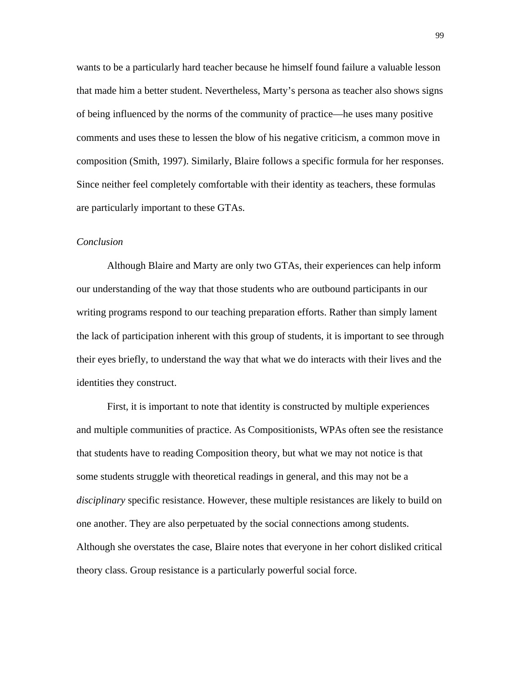wants to be a particularly hard teacher because he himself found failure a valuable lesson that made him a better student. Nevertheless, Marty's persona as teacher also shows signs of being influenced by the norms of the community of practice—he uses many positive comments and uses these to lessen the blow of his negative criticism, a common move in composition (Smith, 1997). Similarly, Blaire follows a specific formula for her responses. Since neither feel completely comfortable with their identity as teachers, these formulas are particularly important to these GTAs.

### *Conclusion*

Although Blaire and Marty are only two GTAs, their experiences can help inform our understanding of the way that those students who are outbound participants in our writing programs respond to our teaching preparation efforts. Rather than simply lament the lack of participation inherent with this group of students, it is important to see through their eyes briefly, to understand the way that what we do interacts with their lives and the identities they construct.

First, it is important to note that identity is constructed by multiple experiences and multiple communities of practice. As Compositionists, WPAs often see the resistance that students have to reading Composition theory, but what we may not notice is that some students struggle with theoretical readings in general, and this may not be a *disciplinary* specific resistance. However, these multiple resistances are likely to build on one another. They are also perpetuated by the social connections among students. Although she overstates the case, Blaire notes that everyone in her cohort disliked critical theory class. Group resistance is a particularly powerful social force.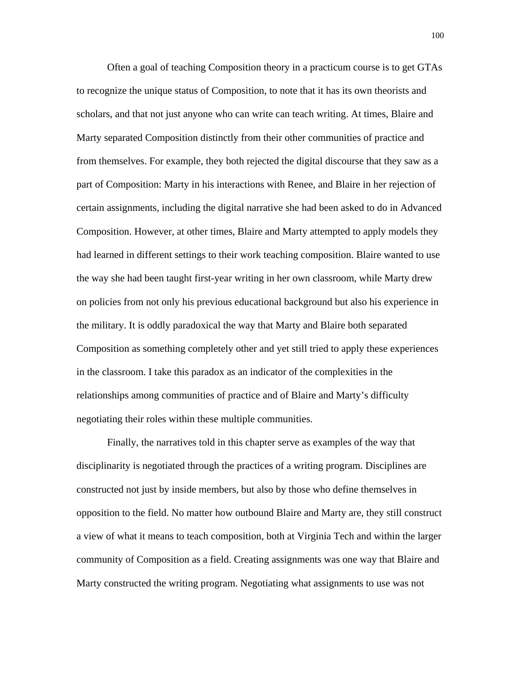Often a goal of teaching Composition theory in a practicum course is to get GTAs to recognize the unique status of Composition, to note that it has its own theorists and scholars, and that not just anyone who can write can teach writing. At times, Blaire and Marty separated Composition distinctly from their other communities of practice and from themselves. For example, they both rejected the digital discourse that they saw as a part of Composition: Marty in his interactions with Renee, and Blaire in her rejection of certain assignments, including the digital narrative she had been asked to do in Advanced Composition. However, at other times, Blaire and Marty attempted to apply models they had learned in different settings to their work teaching composition. Blaire wanted to use the way she had been taught first-year writing in her own classroom, while Marty drew on policies from not only his previous educational background but also his experience in the military. It is oddly paradoxical the way that Marty and Blaire both separated Composition as something completely other and yet still tried to apply these experiences in the classroom. I take this paradox as an indicator of the complexities in the relationships among communities of practice and of Blaire and Marty's difficulty negotiating their roles within these multiple communities.

Finally, the narratives told in this chapter serve as examples of the way that disciplinarity is negotiated through the practices of a writing program. Disciplines are constructed not just by inside members, but also by those who define themselves in opposition to the field. No matter how outbound Blaire and Marty are, they still construct a view of what it means to teach composition, both at Virginia Tech and within the larger community of Composition as a field. Creating assignments was one way that Blaire and Marty constructed the writing program. Negotiating what assignments to use was not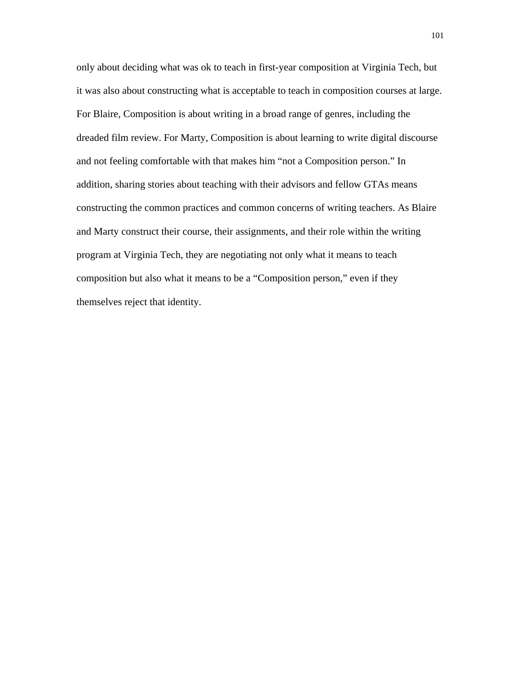only about deciding what was ok to teach in first-year composition at Virginia Tech, but it was also about constructing what is acceptable to teach in composition courses at large. For Blaire, Composition is about writing in a broad range of genres, including the dreaded film review. For Marty, Composition is about learning to write digital discourse and not feeling comfortable with that makes him "not a Composition person." In addition, sharing stories about teaching with their advisors and fellow GTAs means constructing the common practices and common concerns of writing teachers. As Blaire and Marty construct their course, their assignments, and their role within the writing program at Virginia Tech, they are negotiating not only what it means to teach composition but also what it means to be a "Composition person," even if they themselves reject that identity.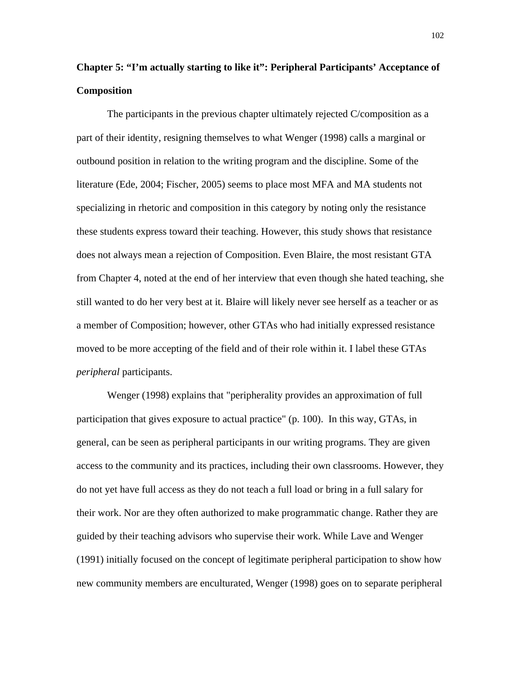# **Chapter 5: "I'm actually starting to like it": Peripheral Participants' Acceptance of Composition**

The participants in the previous chapter ultimately rejected C/composition as a part of their identity, resigning themselves to what Wenger (1998) calls a marginal or outbound position in relation to the writing program and the discipline. Some of the literature (Ede, 2004; Fischer, 2005) seems to place most MFA and MA students not specializing in rhetoric and composition in this category by noting only the resistance these students express toward their teaching. However, this study shows that resistance does not always mean a rejection of Composition. Even Blaire, the most resistant GTA from Chapter 4, noted at the end of her interview that even though she hated teaching, she still wanted to do her very best at it. Blaire will likely never see herself as a teacher or as a member of Composition; however, other GTAs who had initially expressed resistance moved to be more accepting of the field and of their role within it. I label these GTAs *peripheral* participants.

Wenger (1998) explains that "peripherality provides an approximation of full participation that gives exposure to actual practice" (p. 100). In this way, GTAs, in general, can be seen as peripheral participants in our writing programs. They are given access to the community and its practices, including their own classrooms. However, they do not yet have full access as they do not teach a full load or bring in a full salary for their work. Nor are they often authorized to make programmatic change. Rather they are guided by their teaching advisors who supervise their work. While Lave and Wenger (1991) initially focused on the concept of legitimate peripheral participation to show how new community members are enculturated, Wenger (1998) goes on to separate peripheral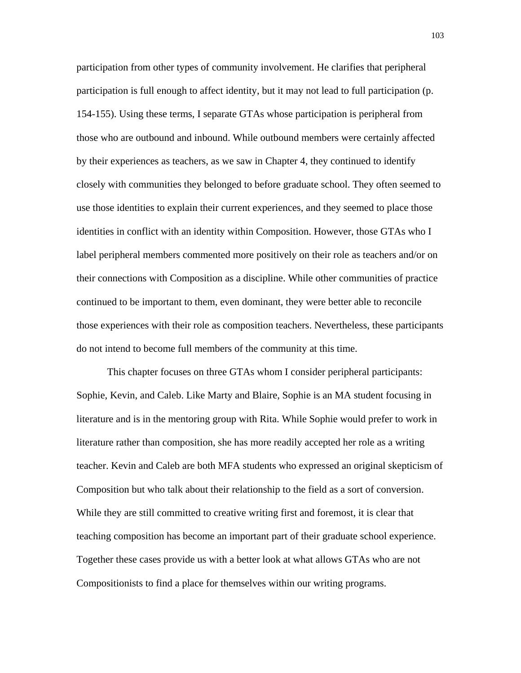participation from other types of community involvement. He clarifies that peripheral participation is full enough to affect identity, but it may not lead to full participation (p. 154-155). Using these terms, I separate GTAs whose participation is peripheral from those who are outbound and inbound. While outbound members were certainly affected by their experiences as teachers, as we saw in Chapter 4, they continued to identify closely with communities they belonged to before graduate school. They often seemed to use those identities to explain their current experiences, and they seemed to place those identities in conflict with an identity within Composition. However, those GTAs who I label peripheral members commented more positively on their role as teachers and/or on their connections with Composition as a discipline. While other communities of practice continued to be important to them, even dominant, they were better able to reconcile those experiences with their role as composition teachers. Nevertheless, these participants do not intend to become full members of the community at this time.

This chapter focuses on three GTAs whom I consider peripheral participants: Sophie, Kevin, and Caleb. Like Marty and Blaire, Sophie is an MA student focusing in literature and is in the mentoring group with Rita. While Sophie would prefer to work in literature rather than composition, she has more readily accepted her role as a writing teacher. Kevin and Caleb are both MFA students who expressed an original skepticism of Composition but who talk about their relationship to the field as a sort of conversion. While they are still committed to creative writing first and foremost, it is clear that teaching composition has become an important part of their graduate school experience. Together these cases provide us with a better look at what allows GTAs who are not Compositionists to find a place for themselves within our writing programs.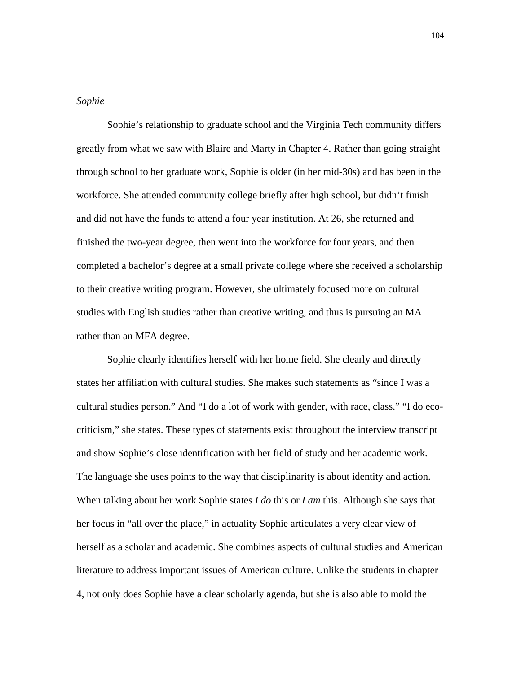## *Sophie*

Sophie's relationship to graduate school and the Virginia Tech community differs greatly from what we saw with Blaire and Marty in Chapter 4. Rather than going straight through school to her graduate work, Sophie is older (in her mid-30s) and has been in the workforce. She attended community college briefly after high school, but didn't finish and did not have the funds to attend a four year institution. At 26, she returned and finished the two-year degree, then went into the workforce for four years, and then completed a bachelor's degree at a small private college where she received a scholarship to their creative writing program. However, she ultimately focused more on cultural studies with English studies rather than creative writing, and thus is pursuing an MA rather than an MFA degree.

Sophie clearly identifies herself with her home field. She clearly and directly states her affiliation with cultural studies. She makes such statements as "since I was a cultural studies person." And "I do a lot of work with gender, with race, class." "I do ecocriticism," she states. These types of statements exist throughout the interview transcript and show Sophie's close identification with her field of study and her academic work. The language she uses points to the way that disciplinarity is about identity and action. When talking about her work Sophie states *I do* this or *I am* this. Although she says that her focus in "all over the place," in actuality Sophie articulates a very clear view of herself as a scholar and academic. She combines aspects of cultural studies and American literature to address important issues of American culture. Unlike the students in chapter 4, not only does Sophie have a clear scholarly agenda, but she is also able to mold the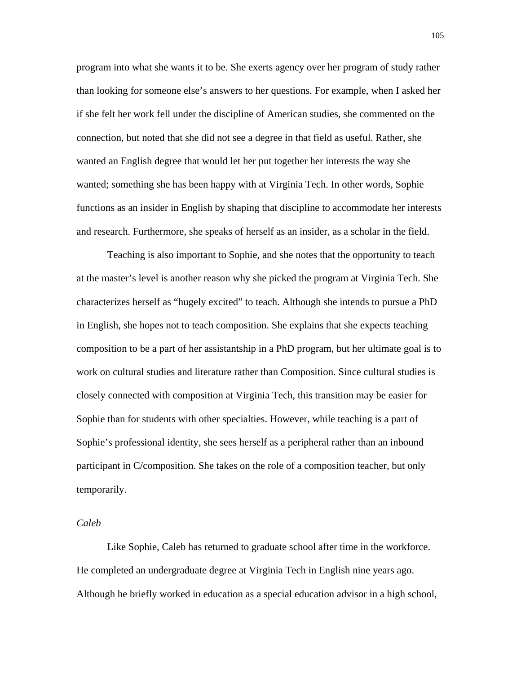program into what she wants it to be. She exerts agency over her program of study rather than looking for someone else's answers to her questions. For example, when I asked her if she felt her work fell under the discipline of American studies, she commented on the connection, but noted that she did not see a degree in that field as useful. Rather, she wanted an English degree that would let her put together her interests the way she wanted; something she has been happy with at Virginia Tech. In other words, Sophie functions as an insider in English by shaping that discipline to accommodate her interests and research. Furthermore, she speaks of herself as an insider, as a scholar in the field.

Teaching is also important to Sophie, and she notes that the opportunity to teach at the master's level is another reason why she picked the program at Virginia Tech. She characterizes herself as "hugely excited" to teach. Although she intends to pursue a PhD in English, she hopes not to teach composition. She explains that she expects teaching composition to be a part of her assistantship in a PhD program, but her ultimate goal is to work on cultural studies and literature rather than Composition. Since cultural studies is closely connected with composition at Virginia Tech, this transition may be easier for Sophie than for students with other specialties. However, while teaching is a part of Sophie's professional identity, she sees herself as a peripheral rather than an inbound participant in C/composition. She takes on the role of a composition teacher, but only temporarily.

# *Caleb*

Like Sophie, Caleb has returned to graduate school after time in the workforce. He completed an undergraduate degree at Virginia Tech in English nine years ago. Although he briefly worked in education as a special education advisor in a high school,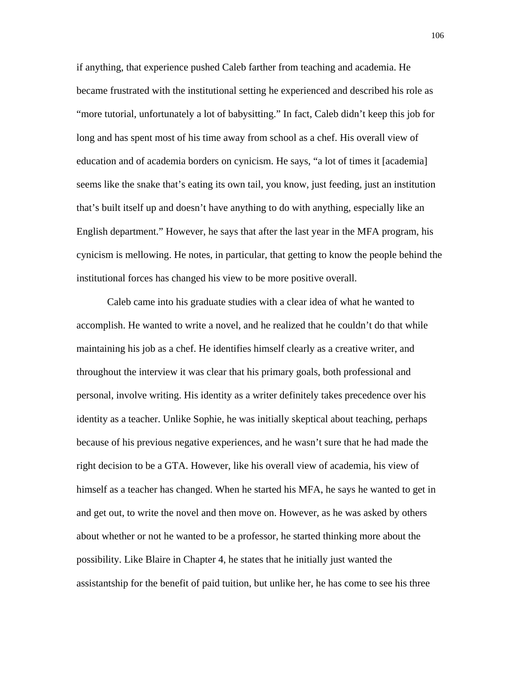if anything, that experience pushed Caleb farther from teaching and academia. He became frustrated with the institutional setting he experienced and described his role as "more tutorial, unfortunately a lot of babysitting." In fact, Caleb didn't keep this job for long and has spent most of his time away from school as a chef. His overall view of education and of academia borders on cynicism. He says, "a lot of times it [academia] seems like the snake that's eating its own tail, you know, just feeding, just an institution that's built itself up and doesn't have anything to do with anything, especially like an English department." However, he says that after the last year in the MFA program, his cynicism is mellowing. He notes, in particular, that getting to know the people behind the institutional forces has changed his view to be more positive overall.

Caleb came into his graduate studies with a clear idea of what he wanted to accomplish. He wanted to write a novel, and he realized that he couldn't do that while maintaining his job as a chef. He identifies himself clearly as a creative writer, and throughout the interview it was clear that his primary goals, both professional and personal, involve writing. His identity as a writer definitely takes precedence over his identity as a teacher. Unlike Sophie, he was initially skeptical about teaching, perhaps because of his previous negative experiences, and he wasn't sure that he had made the right decision to be a GTA. However, like his overall view of academia, his view of himself as a teacher has changed. When he started his MFA, he says he wanted to get in and get out, to write the novel and then move on. However, as he was asked by others about whether or not he wanted to be a professor, he started thinking more about the possibility. Like Blaire in Chapter 4, he states that he initially just wanted the assistantship for the benefit of paid tuition, but unlike her, he has come to see his three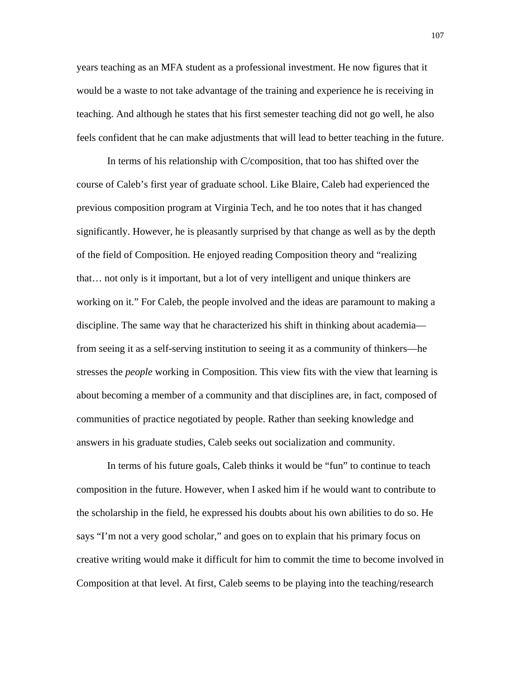years teaching as an MFA student as a professional investment. He now figures that it would be a waste to not take advantage of the training and experience he is receiving in teaching. And although he states that his first semester teaching did not go well, he also feels confident that he can make adjustments that will lead to better teaching in the future.

In terms of his relationship with C/composition, that too has shifted over the course of Caleb's first year of graduate school. Like Blaire, Caleb had experienced the previous composition program at Virginia Tech, and he too notes that it has changed significantly. However, he is pleasantly surprised by that change as well as by the depth of the field of Composition. He enjoyed reading Composition theory and "realizing that… not only is it important, but a lot of very intelligent and unique thinkers are working on it." For Caleb, the people involved and the ideas are paramount to making a discipline. The same way that he characterized his shift in thinking about academia from seeing it as a self-serving institution to seeing it as a community of thinkers—he stresses the *people* working in Composition. This view fits with the view that learning is about becoming a member of a community and that disciplines are, in fact, composed of communities of practice negotiated by people. Rather than seeking knowledge and answers in his graduate studies, Caleb seeks out socialization and community.

In terms of his future goals, Caleb thinks it would be "fun" to continue to teach composition in the future. However, when I asked him if he would want to contribute to the scholarship in the field, he expressed his doubts about his own abilities to do so. He says "I'm not a very good scholar," and goes on to explain that his primary focus on creative writing would make it difficult for him to commit the time to become involved in Composition at that level. At first, Caleb seems to be playing into the teaching/research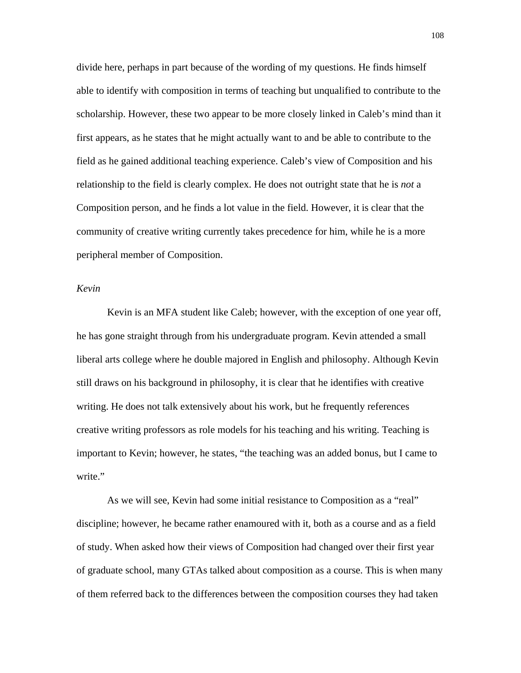divide here, perhaps in part because of the wording of my questions. He finds himself able to identify with composition in terms of teaching but unqualified to contribute to the scholarship. However, these two appear to be more closely linked in Caleb's mind than it first appears, as he states that he might actually want to and be able to contribute to the field as he gained additional teaching experience. Caleb's view of Composition and his relationship to the field is clearly complex. He does not outright state that he is *not* a Composition person, and he finds a lot value in the field. However, it is clear that the community of creative writing currently takes precedence for him, while he is a more peripheral member of Composition.

## *Kevin*

Kevin is an MFA student like Caleb; however, with the exception of one year off, he has gone straight through from his undergraduate program. Kevin attended a small liberal arts college where he double majored in English and philosophy. Although Kevin still draws on his background in philosophy, it is clear that he identifies with creative writing. He does not talk extensively about his work, but he frequently references creative writing professors as role models for his teaching and his writing. Teaching is important to Kevin; however, he states, "the teaching was an added bonus, but I came to write."

As we will see, Kevin had some initial resistance to Composition as a "real" discipline; however, he became rather enamoured with it, both as a course and as a field of study. When asked how their views of Composition had changed over their first year of graduate school, many GTAs talked about composition as a course. This is when many of them referred back to the differences between the composition courses they had taken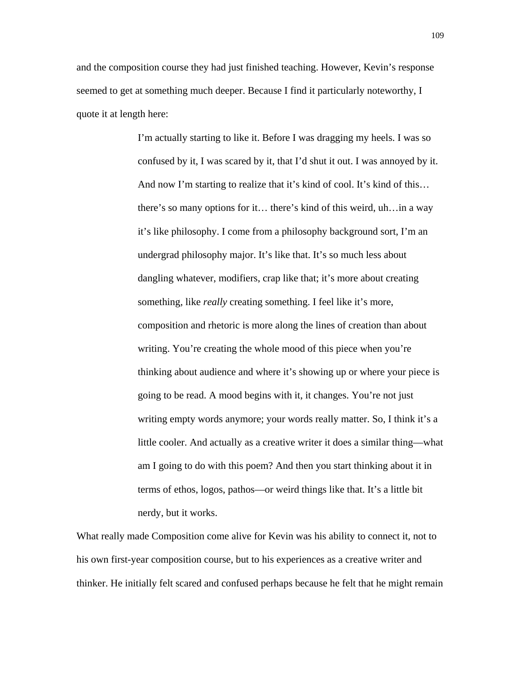and the composition course they had just finished teaching. However, Kevin's response seemed to get at something much deeper. Because I find it particularly noteworthy, I quote it at length here:

> I'm actually starting to like it. Before I was dragging my heels. I was so confused by it, I was scared by it, that I'd shut it out. I was annoyed by it. And now I'm starting to realize that it's kind of cool. It's kind of this... there's so many options for it… there's kind of this weird, uh…in a way it's like philosophy. I come from a philosophy background sort, I'm an undergrad philosophy major. It's like that. It's so much less about dangling whatever, modifiers, crap like that; it's more about creating something, like *really* creating something. I feel like it's more, composition and rhetoric is more along the lines of creation than about writing. You're creating the whole mood of this piece when you're thinking about audience and where it's showing up or where your piece is going to be read. A mood begins with it, it changes. You're not just writing empty words anymore; your words really matter. So, I think it's a little cooler. And actually as a creative writer it does a similar thing—what am I going to do with this poem? And then you start thinking about it in terms of ethos, logos, pathos—or weird things like that. It's a little bit nerdy, but it works.

What really made Composition come alive for Kevin was his ability to connect it, not to his own first-year composition course, but to his experiences as a creative writer and thinker. He initially felt scared and confused perhaps because he felt that he might remain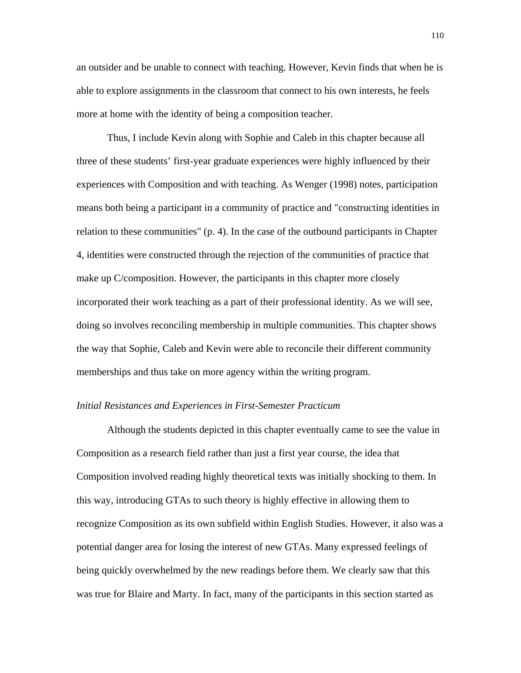an outsider and be unable to connect with teaching. However, Kevin finds that when he is able to explore assignments in the classroom that connect to his own interests, he feels more at home with the identity of being a composition teacher.

Thus, I include Kevin along with Sophie and Caleb in this chapter because all three of these students' first-year graduate experiences were highly influenced by their experiences with Composition and with teaching. As Wenger (1998) notes, participation means both being a participant in a community of practice and "constructing identities in relation to these communities" (p. 4). In the case of the outbound participants in Chapter 4, identities were constructed through the rejection of the communities of practice that make up C/composition. However, the participants in this chapter more closely incorporated their work teaching as a part of their professional identity. As we will see, doing so involves reconciling membership in multiple communities. This chapter shows the way that Sophie, Caleb and Kevin were able to reconcile their different community memberships and thus take on more agency within the writing program.

# *Initial Resistances and Experiences in First-Semester Practicum*

Although the students depicted in this chapter eventually came to see the value in Composition as a research field rather than just a first year course, the idea that Composition involved reading highly theoretical texts was initially shocking to them. In this way, introducing GTAs to such theory is highly effective in allowing them to recognize Composition as its own subfield within English Studies. However, it also was a potential danger area for losing the interest of new GTAs. Many expressed feelings of being quickly overwhelmed by the new readings before them. We clearly saw that this was true for Blaire and Marty. In fact, many of the participants in this section started as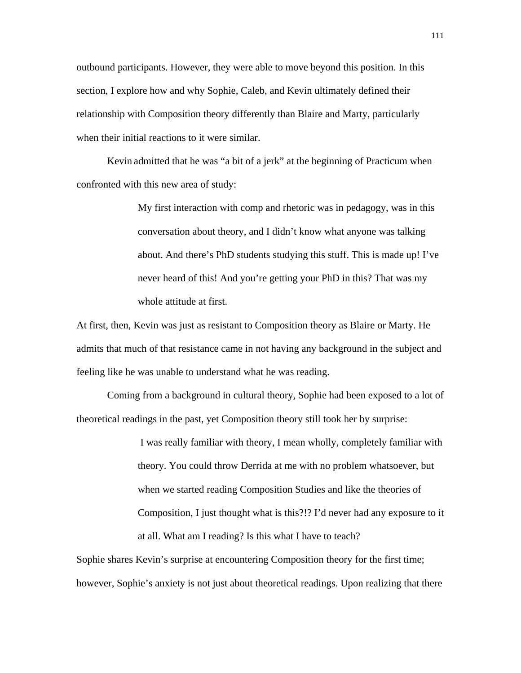outbound participants. However, they were able to move beyond this position. In this section, I explore how and why Sophie, Caleb, and Kevin ultimately defined their relationship with Composition theory differently than Blaire and Marty, particularly when their initial reactions to it were similar.

Kevin admitted that he was "a bit of a jerk" at the beginning of Practicum when confronted with this new area of study:

> My first interaction with comp and rhetoric was in pedagogy, was in this conversation about theory, and I didn't know what anyone was talking about. And there's PhD students studying this stuff. This is made up! I've never heard of this! And you're getting your PhD in this? That was my whole attitude at first.

At first, then, Kevin was just as resistant to Composition theory as Blaire or Marty. He admits that much of that resistance came in not having any background in the subject and feeling like he was unable to understand what he was reading.

Coming from a background in cultural theory, Sophie had been exposed to a lot of theoretical readings in the past, yet Composition theory still took her by surprise:

> I was really familiar with theory, I mean wholly, completely familiar with theory. You could throw Derrida at me with no problem whatsoever, but when we started reading Composition Studies and like the theories of Composition, I just thought what is this?!? I'd never had any exposure to it at all. What am I reading? Is this what I have to teach?

Sophie shares Kevin's surprise at encountering Composition theory for the first time; however, Sophie's anxiety is not just about theoretical readings. Upon realizing that there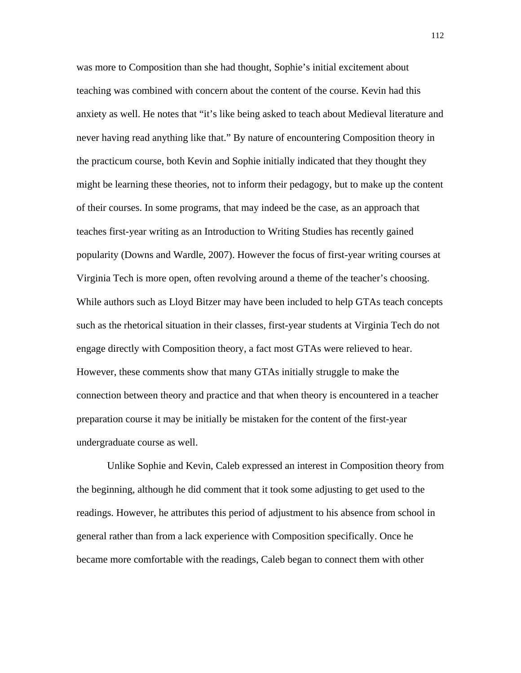was more to Composition than she had thought, Sophie's initial excitement about teaching was combined with concern about the content of the course. Kevin had this anxiety as well. He notes that "it's like being asked to teach about Medieval literature and never having read anything like that." By nature of encountering Composition theory in the practicum course, both Kevin and Sophie initially indicated that they thought they might be learning these theories, not to inform their pedagogy, but to make up the content of their courses. In some programs, that may indeed be the case, as an approach that teaches first-year writing as an Introduction to Writing Studies has recently gained popularity (Downs and Wardle, 2007). However the focus of first-year writing courses at Virginia Tech is more open, often revolving around a theme of the teacher's choosing. While authors such as Lloyd Bitzer may have been included to help GTAs teach concepts such as the rhetorical situation in their classes, first-year students at Virginia Tech do not engage directly with Composition theory, a fact most GTAs were relieved to hear. However, these comments show that many GTAs initially struggle to make the connection between theory and practice and that when theory is encountered in a teacher preparation course it may be initially be mistaken for the content of the first-year undergraduate course as well.

Unlike Sophie and Kevin, Caleb expressed an interest in Composition theory from the beginning, although he did comment that it took some adjusting to get used to the readings. However, he attributes this period of adjustment to his absence from school in general rather than from a lack experience with Composition specifically. Once he became more comfortable with the readings, Caleb began to connect them with other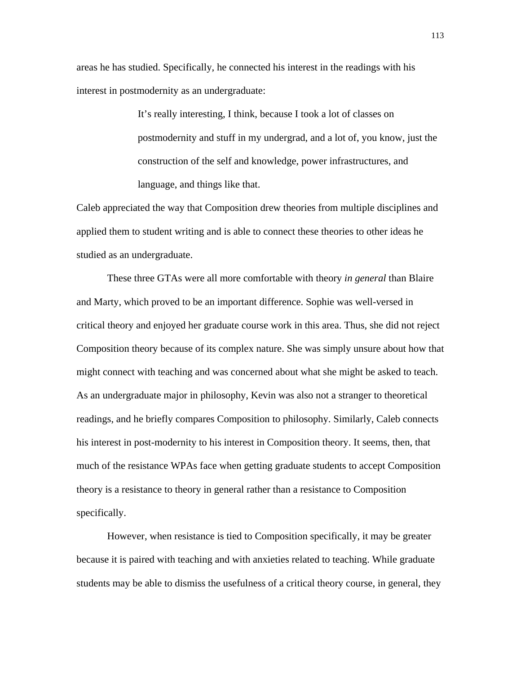areas he has studied. Specifically, he connected his interest in the readings with his interest in postmodernity as an undergraduate:

> It's really interesting, I think, because I took a lot of classes on postmodernity and stuff in my undergrad, and a lot of, you know, just the construction of the self and knowledge, power infrastructures, and language, and things like that.

Caleb appreciated the way that Composition drew theories from multiple disciplines and applied them to student writing and is able to connect these theories to other ideas he studied as an undergraduate.

These three GTAs were all more comfortable with theory *in general* than Blaire and Marty, which proved to be an important difference. Sophie was well-versed in critical theory and enjoyed her graduate course work in this area. Thus, she did not reject Composition theory because of its complex nature. She was simply unsure about how that might connect with teaching and was concerned about what she might be asked to teach. As an undergraduate major in philosophy, Kevin was also not a stranger to theoretical readings, and he briefly compares Composition to philosophy. Similarly, Caleb connects his interest in post-modernity to his interest in Composition theory. It seems, then, that much of the resistance WPAs face when getting graduate students to accept Composition theory is a resistance to theory in general rather than a resistance to Composition specifically.

However, when resistance is tied to Composition specifically, it may be greater because it is paired with teaching and with anxieties related to teaching. While graduate students may be able to dismiss the usefulness of a critical theory course, in general, they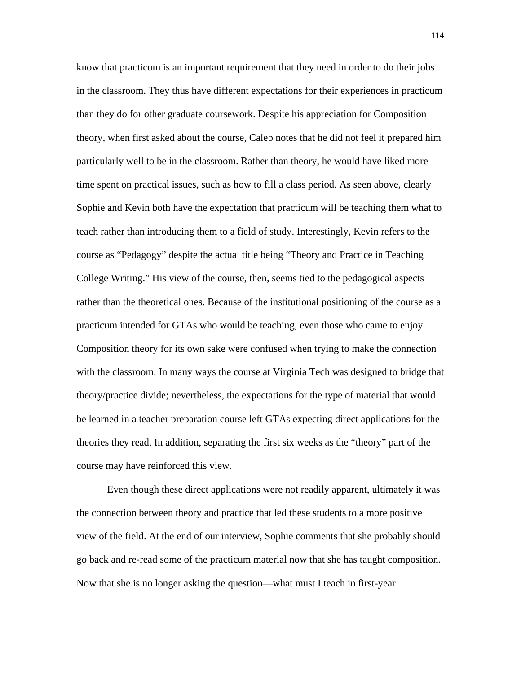know that practicum is an important requirement that they need in order to do their jobs in the classroom. They thus have different expectations for their experiences in practicum than they do for other graduate coursework. Despite his appreciation for Composition theory, when first asked about the course, Caleb notes that he did not feel it prepared him particularly well to be in the classroom. Rather than theory, he would have liked more time spent on practical issues, such as how to fill a class period. As seen above, clearly Sophie and Kevin both have the expectation that practicum will be teaching them what to teach rather than introducing them to a field of study. Interestingly, Kevin refers to the course as "Pedagogy" despite the actual title being "Theory and Practice in Teaching College Writing." His view of the course, then, seems tied to the pedagogical aspects rather than the theoretical ones. Because of the institutional positioning of the course as a practicum intended for GTAs who would be teaching, even those who came to enjoy Composition theory for its own sake were confused when trying to make the connection with the classroom. In many ways the course at Virginia Tech was designed to bridge that theory/practice divide; nevertheless, the expectations for the type of material that would be learned in a teacher preparation course left GTAs expecting direct applications for the theories they read. In addition, separating the first six weeks as the "theory" part of the course may have reinforced this view.

Even though these direct applications were not readily apparent, ultimately it was the connection between theory and practice that led these students to a more positive view of the field. At the end of our interview, Sophie comments that she probably should go back and re-read some of the practicum material now that she has taught composition. Now that she is no longer asking the question—what must I teach in first-year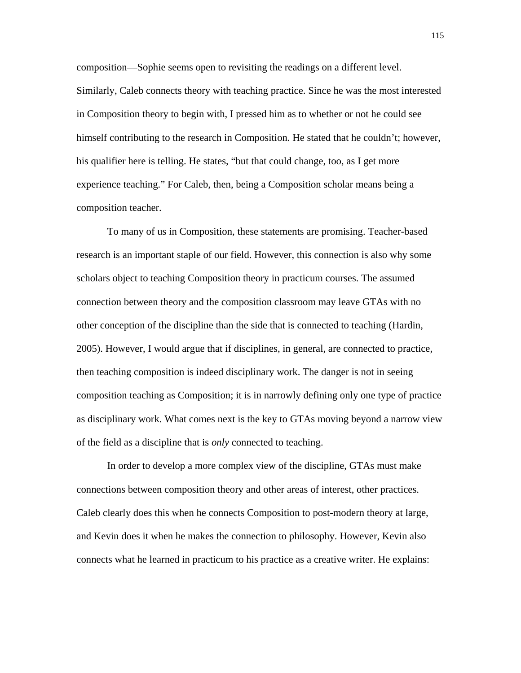composition—Sophie seems open to revisiting the readings on a different level. Similarly, Caleb connects theory with teaching practice. Since he was the most interested in Composition theory to begin with, I pressed him as to whether or not he could see himself contributing to the research in Composition. He stated that he couldn't; however, his qualifier here is telling. He states, "but that could change, too, as I get more experience teaching." For Caleb, then, being a Composition scholar means being a composition teacher.

To many of us in Composition, these statements are promising. Teacher-based research is an important staple of our field. However, this connection is also why some scholars object to teaching Composition theory in practicum courses. The assumed connection between theory and the composition classroom may leave GTAs with no other conception of the discipline than the side that is connected to teaching (Hardin, 2005). However, I would argue that if disciplines, in general, are connected to practice, then teaching composition is indeed disciplinary work. The danger is not in seeing composition teaching as Composition; it is in narrowly defining only one type of practice as disciplinary work. What comes next is the key to GTAs moving beyond a narrow view of the field as a discipline that is *only* connected to teaching.

In order to develop a more complex view of the discipline, GTAs must make connections between composition theory and other areas of interest, other practices. Caleb clearly does this when he connects Composition to post-modern theory at large, and Kevin does it when he makes the connection to philosophy. However, Kevin also connects what he learned in practicum to his practice as a creative writer. He explains: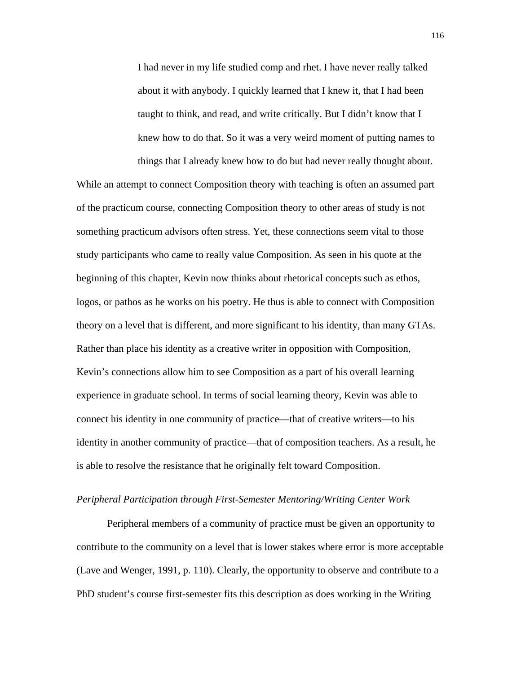I had never in my life studied comp and rhet. I have never really talked about it with anybody. I quickly learned that I knew it, that I had been taught to think, and read, and write critically. But I didn't know that I knew how to do that. So it was a very weird moment of putting names to things that I already knew how to do but had never really thought about.

While an attempt to connect Composition theory with teaching is often an assumed part of the practicum course, connecting Composition theory to other areas of study is not something practicum advisors often stress. Yet, these connections seem vital to those study participants who came to really value Composition. As seen in his quote at the beginning of this chapter, Kevin now thinks about rhetorical concepts such as ethos, logos, or pathos as he works on his poetry. He thus is able to connect with Composition theory on a level that is different, and more significant to his identity, than many GTAs. Rather than place his identity as a creative writer in opposition with Composition, Kevin's connections allow him to see Composition as a part of his overall learning experience in graduate school. In terms of social learning theory, Kevin was able to connect his identity in one community of practice—that of creative writers—to his identity in another community of practice—that of composition teachers. As a result, he is able to resolve the resistance that he originally felt toward Composition.

# *Peripheral Participation through First-Semester Mentoring/Writing Center Work*

Peripheral members of a community of practice must be given an opportunity to contribute to the community on a level that is lower stakes where error is more acceptable (Lave and Wenger, 1991, p. 110). Clearly, the opportunity to observe and contribute to a PhD student's course first-semester fits this description as does working in the Writing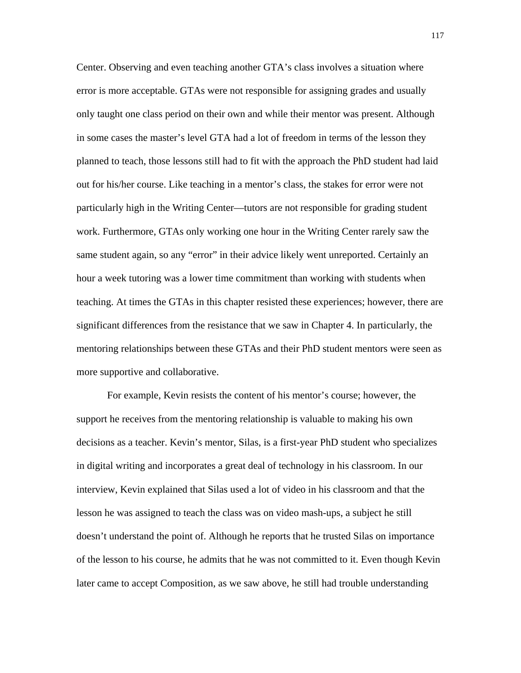Center. Observing and even teaching another GTA's class involves a situation where error is more acceptable. GTAs were not responsible for assigning grades and usually only taught one class period on their own and while their mentor was present. Although in some cases the master's level GTA had a lot of freedom in terms of the lesson they planned to teach, those lessons still had to fit with the approach the PhD student had laid out for his/her course. Like teaching in a mentor's class, the stakes for error were not particularly high in the Writing Center—tutors are not responsible for grading student work. Furthermore, GTAs only working one hour in the Writing Center rarely saw the same student again, so any "error" in their advice likely went unreported. Certainly an hour a week tutoring was a lower time commitment than working with students when teaching. At times the GTAs in this chapter resisted these experiences; however, there are significant differences from the resistance that we saw in Chapter 4. In particularly, the mentoring relationships between these GTAs and their PhD student mentors were seen as more supportive and collaborative.

For example, Kevin resists the content of his mentor's course; however, the support he receives from the mentoring relationship is valuable to making his own decisions as a teacher. Kevin's mentor, Silas, is a first-year PhD student who specializes in digital writing and incorporates a great deal of technology in his classroom. In our interview, Kevin explained that Silas used a lot of video in his classroom and that the lesson he was assigned to teach the class was on video mash-ups, a subject he still doesn't understand the point of. Although he reports that he trusted Silas on importance of the lesson to his course, he admits that he was not committed to it. Even though Kevin later came to accept Composition, as we saw above, he still had trouble understanding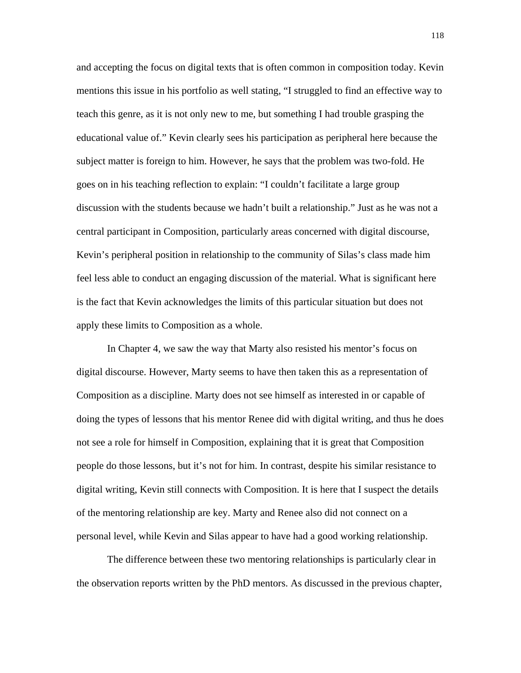and accepting the focus on digital texts that is often common in composition today. Kevin mentions this issue in his portfolio as well stating, "I struggled to find an effective way to teach this genre, as it is not only new to me, but something I had trouble grasping the educational value of." Kevin clearly sees his participation as peripheral here because the subject matter is foreign to him. However, he says that the problem was two-fold. He goes on in his teaching reflection to explain: "I couldn't facilitate a large group discussion with the students because we hadn't built a relationship." Just as he was not a central participant in Composition, particularly areas concerned with digital discourse, Kevin's peripheral position in relationship to the community of Silas's class made him feel less able to conduct an engaging discussion of the material. What is significant here is the fact that Kevin acknowledges the limits of this particular situation but does not apply these limits to Composition as a whole.

In Chapter 4, we saw the way that Marty also resisted his mentor's focus on digital discourse. However, Marty seems to have then taken this as a representation of Composition as a discipline. Marty does not see himself as interested in or capable of doing the types of lessons that his mentor Renee did with digital writing, and thus he does not see a role for himself in Composition, explaining that it is great that Composition people do those lessons, but it's not for him. In contrast, despite his similar resistance to digital writing, Kevin still connects with Composition. It is here that I suspect the details of the mentoring relationship are key. Marty and Renee also did not connect on a personal level, while Kevin and Silas appear to have had a good working relationship.

The difference between these two mentoring relationships is particularly clear in the observation reports written by the PhD mentors. As discussed in the previous chapter,

118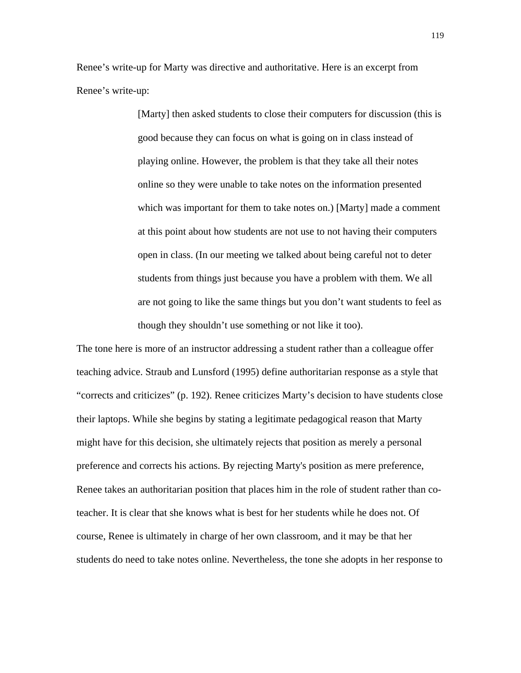Renee's write-up for Marty was directive and authoritative. Here is an excerpt from Renee's write-up:

> [Marty] then asked students to close their computers for discussion (this is good because they can focus on what is going on in class instead of playing online. However, the problem is that they take all their notes online so they were unable to take notes on the information presented which was important for them to take notes on.) [Marty] made a comment at this point about how students are not use to not having their computers open in class. (In our meeting we talked about being careful not to deter students from things just because you have a problem with them. We all are not going to like the same things but you don't want students to feel as though they shouldn't use something or not like it too).

The tone here is more of an instructor addressing a student rather than a colleague offer teaching advice. Straub and Lunsford (1995) define authoritarian response as a style that "corrects and criticizes" (p. 192). Renee criticizes Marty's decision to have students close their laptops. While she begins by stating a legitimate pedagogical reason that Marty might have for this decision, she ultimately rejects that position as merely a personal preference and corrects his actions. By rejecting Marty's position as mere preference, Renee takes an authoritarian position that places him in the role of student rather than coteacher. It is clear that she knows what is best for her students while he does not. Of course, Renee is ultimately in charge of her own classroom, and it may be that her students do need to take notes online. Nevertheless, the tone she adopts in her response to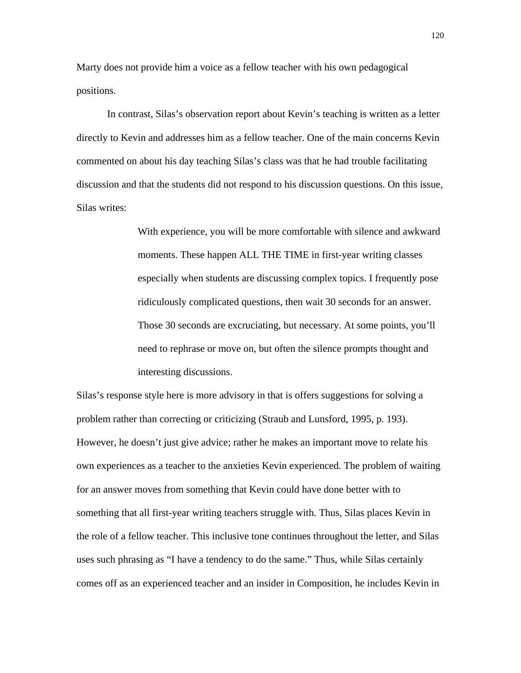Marty does not provide him a voice as a fellow teacher with his own pedagogical positions.

In contrast, Silas's observation report about Kevin's teaching is written as a letter directly to Kevin and addresses him as a fellow teacher. One of the main concerns Kevin commented on about his day teaching Silas's class was that he had trouble facilitating discussion and that the students did not respond to his discussion questions. On this issue, Silas writes:

> With experience, you will be more comfortable with silence and awkward moments. These happen ALL THE TIME in first-year writing classes especially when students are discussing complex topics. I frequently pose ridiculously complicated questions, then wait 30 seconds for an answer. Those 30 seconds are excruciating, but necessary. At some points, you'll need to rephrase or move on, but often the silence prompts thought and interesting discussions.

Silas's response style here is more advisory in that is offers suggestions for solving a problem rather than correcting or criticizing (Straub and Lunsford, 1995, p. 193). However, he doesn't just give advice; rather he makes an important move to relate his own experiences as a teacher to the anxieties Kevin experienced. The problem of waiting for an answer moves from something that Kevin could have done better with to something that all first-year writing teachers struggle with. Thus, Silas places Kevin in the role of a fellow teacher. This inclusive tone continues throughout the letter, and Silas uses such phrasing as "I have a tendency to do the same." Thus, while Silas certainly comes off as an experienced teacher and an insider in Composition, he includes Kevin in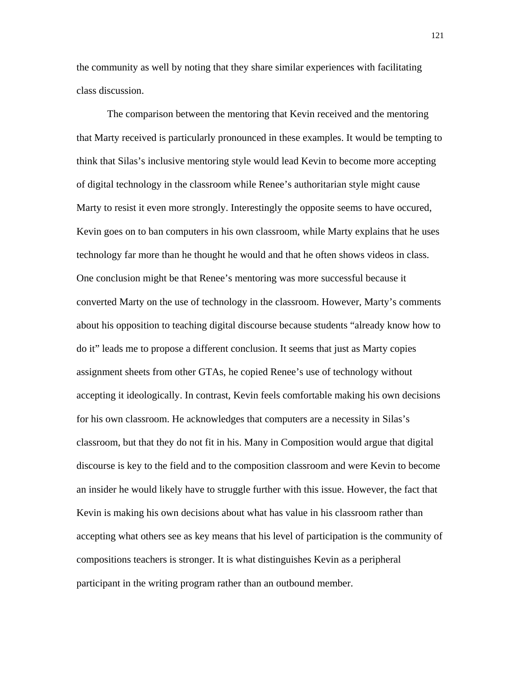the community as well by noting that they share similar experiences with facilitating class discussion.

The comparison between the mentoring that Kevin received and the mentoring that Marty received is particularly pronounced in these examples. It would be tempting to think that Silas's inclusive mentoring style would lead Kevin to become more accepting of digital technology in the classroom while Renee's authoritarian style might cause Marty to resist it even more strongly. Interestingly the opposite seems to have occured, Kevin goes on to ban computers in his own classroom, while Marty explains that he uses technology far more than he thought he would and that he often shows videos in class. One conclusion might be that Renee's mentoring was more successful because it converted Marty on the use of technology in the classroom. However, Marty's comments about his opposition to teaching digital discourse because students "already know how to do it" leads me to propose a different conclusion. It seems that just as Marty copies assignment sheets from other GTAs, he copied Renee's use of technology without accepting it ideologically. In contrast, Kevin feels comfortable making his own decisions for his own classroom. He acknowledges that computers are a necessity in Silas's classroom, but that they do not fit in his. Many in Composition would argue that digital discourse is key to the field and to the composition classroom and were Kevin to become an insider he would likely have to struggle further with this issue. However, the fact that Kevin is making his own decisions about what has value in his classroom rather than accepting what others see as key means that his level of participation is the community of compositions teachers is stronger. It is what distinguishes Kevin as a peripheral participant in the writing program rather than an outbound member.

121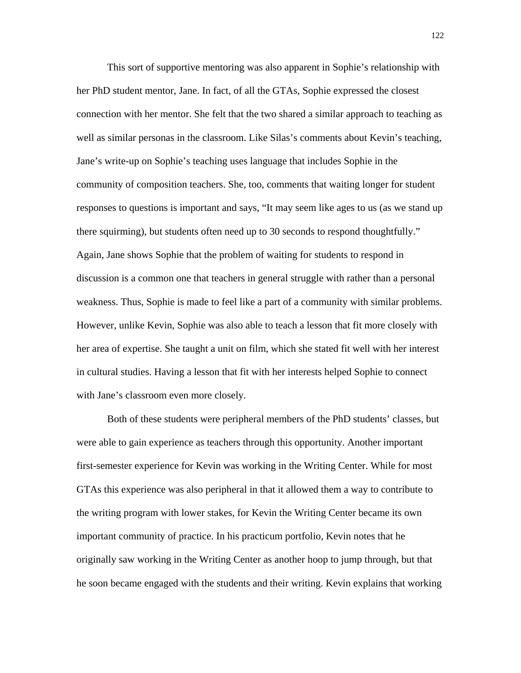This sort of supportive mentoring was also apparent in Sophie's relationship with her PhD student mentor, Jane. In fact, of all the GTAs, Sophie expressed the closest connection with her mentor. She felt that the two shared a similar approach to teaching as well as similar personas in the classroom. Like Silas's comments about Kevin's teaching, Jane's write-up on Sophie's teaching uses language that includes Sophie in the community of composition teachers. She, too, comments that waiting longer for student responses to questions is important and says, "It may seem like ages to us (as we stand up there squirming), but students often need up to 30 seconds to respond thoughtfully." Again, Jane shows Sophie that the problem of waiting for students to respond in discussion is a common one that teachers in general struggle with rather than a personal weakness. Thus, Sophie is made to feel like a part of a community with similar problems. However, unlike Kevin, Sophie was also able to teach a lesson that fit more closely with her area of expertise. She taught a unit on film, which she stated fit well with her interest in cultural studies. Having a lesson that fit with her interests helped Sophie to connect with Jane's classroom even more closely.

Both of these students were peripheral members of the PhD students' classes, but were able to gain experience as teachers through this opportunity. Another important first-semester experience for Kevin was working in the Writing Center. While for most GTAs this experience was also peripheral in that it allowed them a way to contribute to the writing program with lower stakes, for Kevin the Writing Center became its own important community of practice. In his practicum portfolio, Kevin notes that he originally saw working in the Writing Center as another hoop to jump through, but that he soon became engaged with the students and their writing. Kevin explains that working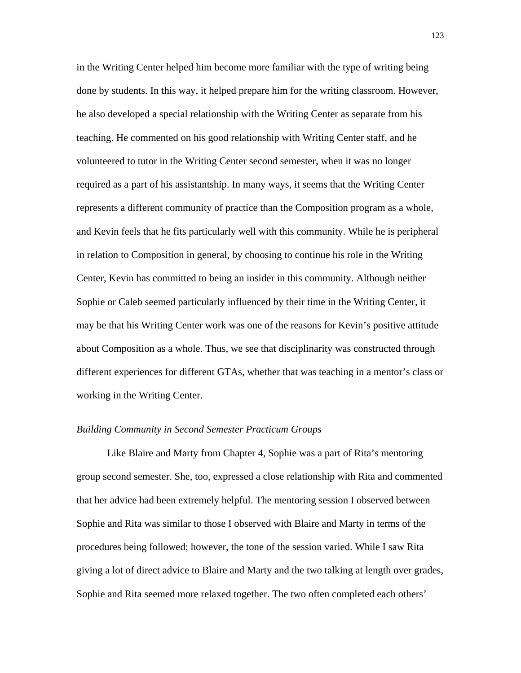in the Writing Center helped him become more familiar with the type of writing being done by students. In this way, it helped prepare him for the writing classroom. However, he also developed a special relationship with the Writing Center as separate from his teaching. He commented on his good relationship with Writing Center staff, and he volunteered to tutor in the Writing Center second semester, when it was no longer required as a part of his assistantship. In many ways, it seems that the Writing Center represents a different community of practice than the Composition program as a whole, and Kevin feels that he fits particularly well with this community. While he is peripheral in relation to Composition in general, by choosing to continue his role in the Writing Center, Kevin has committed to being an insider in this community. Although neither Sophie or Caleb seemed particularly influenced by their time in the Writing Center, it may be that his Writing Center work was one of the reasons for Kevin's positive attitude about Composition as a whole. Thus, we see that disciplinarity was constructed through different experiences for different GTAs, whether that was teaching in a mentor's class or working in the Writing Center.

# *Building Community in Second Semester Practicum Groups*

Like Blaire and Marty from Chapter 4, Sophie was a part of Rita's mentoring group second semester. She, too, expressed a close relationship with Rita and commented that her advice had been extremely helpful. The mentoring session I observed between Sophie and Rita was similar to those I observed with Blaire and Marty in terms of the procedures being followed; however, the tone of the session varied. While I saw Rita giving a lot of direct advice to Blaire and Marty and the two talking at length over grades, Sophie and Rita seemed more relaxed together. The two often completed each others'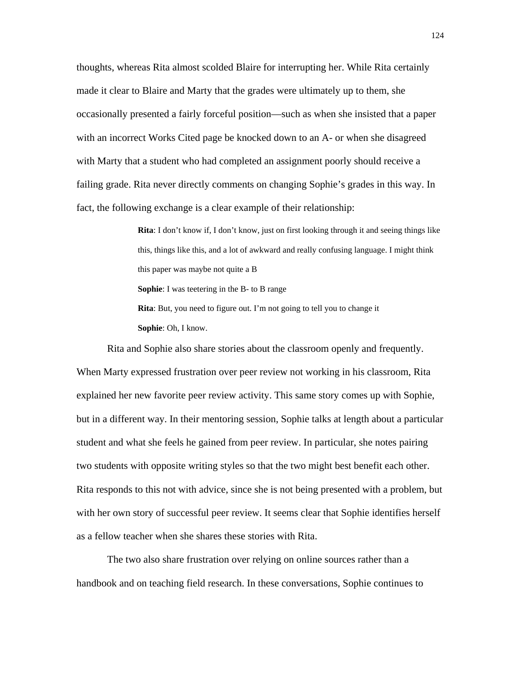thoughts, whereas Rita almost scolded Blaire for interrupting her. While Rita certainly made it clear to Blaire and Marty that the grades were ultimately up to them, she occasionally presented a fairly forceful position—such as when she insisted that a paper with an incorrect Works Cited page be knocked down to an A- or when she disagreed with Marty that a student who had completed an assignment poorly should receive a failing grade. Rita never directly comments on changing Sophie's grades in this way. In fact, the following exchange is a clear example of their relationship:

> **Rita**: I don't know if, I don't know, just on first looking through it and seeing things like this, things like this, and a lot of awkward and really confusing language. I might think this paper was maybe not quite a B **Sophie**: I was teetering in the B- to B range **Rita**: But, you need to figure out. I'm not going to tell you to change it **Sophie**: Oh, I know.

Rita and Sophie also share stories about the classroom openly and frequently. When Marty expressed frustration over peer review not working in his classroom, Rita explained her new favorite peer review activity. This same story comes up with Sophie, but in a different way. In their mentoring session, Sophie talks at length about a particular student and what she feels he gained from peer review. In particular, she notes pairing two students with opposite writing styles so that the two might best benefit each other. Rita responds to this not with advice, since she is not being presented with a problem, but with her own story of successful peer review. It seems clear that Sophie identifies herself as a fellow teacher when she shares these stories with Rita.

The two also share frustration over relying on online sources rather than a handbook and on teaching field research. In these conversations, Sophie continues to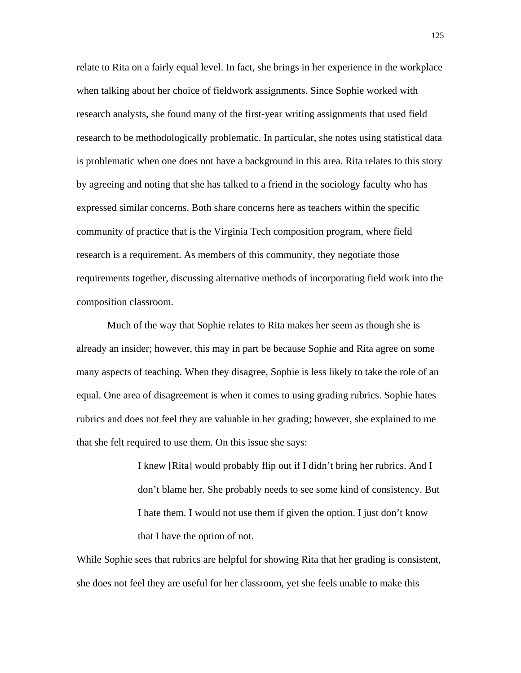relate to Rita on a fairly equal level. In fact, she brings in her experience in the workplace when talking about her choice of fieldwork assignments. Since Sophie worked with research analysts, she found many of the first-year writing assignments that used field research to be methodologically problematic. In particular, she notes using statistical data is problematic when one does not have a background in this area. Rita relates to this story by agreeing and noting that she has talked to a friend in the sociology faculty who has expressed similar concerns. Both share concerns here as teachers within the specific community of practice that is the Virginia Tech composition program, where field research is a requirement. As members of this community, they negotiate those requirements together, discussing alternative methods of incorporating field work into the composition classroom.

Much of the way that Sophie relates to Rita makes her seem as though she is already an insider; however, this may in part be because Sophie and Rita agree on some many aspects of teaching. When they disagree, Sophie is less likely to take the role of an equal. One area of disagreement is when it comes to using grading rubrics. Sophie hates rubrics and does not feel they are valuable in her grading; however, she explained to me that she felt required to use them. On this issue she says:

> I knew [Rita] would probably flip out if I didn't bring her rubrics. And I don't blame her. She probably needs to see some kind of consistency. But I hate them. I would not use them if given the option. I just don't know that I have the option of not.

While Sophie sees that rubrics are helpful for showing Rita that her grading is consistent, she does not feel they are useful for her classroom, yet she feels unable to make this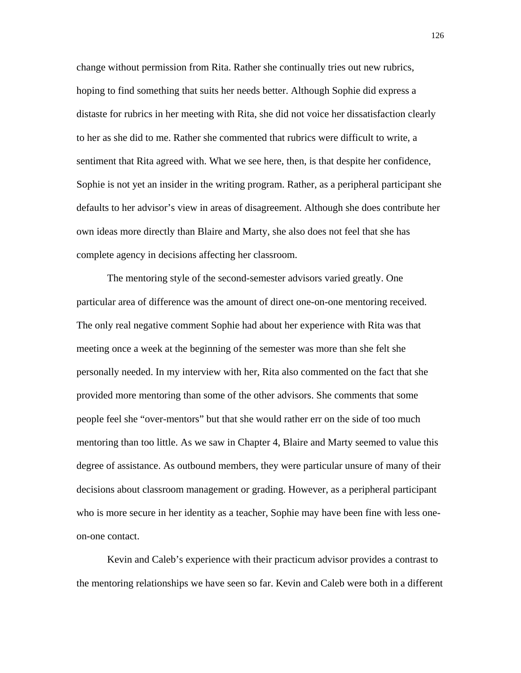change without permission from Rita. Rather she continually tries out new rubrics, hoping to find something that suits her needs better. Although Sophie did express a distaste for rubrics in her meeting with Rita, she did not voice her dissatisfaction clearly to her as she did to me. Rather she commented that rubrics were difficult to write, a sentiment that Rita agreed with. What we see here, then, is that despite her confidence, Sophie is not yet an insider in the writing program. Rather, as a peripheral participant she defaults to her advisor's view in areas of disagreement. Although she does contribute her own ideas more directly than Blaire and Marty, she also does not feel that she has complete agency in decisions affecting her classroom.

The mentoring style of the second-semester advisors varied greatly. One particular area of difference was the amount of direct one-on-one mentoring received. The only real negative comment Sophie had about her experience with Rita was that meeting once a week at the beginning of the semester was more than she felt she personally needed. In my interview with her, Rita also commented on the fact that she provided more mentoring than some of the other advisors. She comments that some people feel she "over-mentors" but that she would rather err on the side of too much mentoring than too little. As we saw in Chapter 4, Blaire and Marty seemed to value this degree of assistance. As outbound members, they were particular unsure of many of their decisions about classroom management or grading. However, as a peripheral participant who is more secure in her identity as a teacher, Sophie may have been fine with less oneon-one contact.

Kevin and Caleb's experience with their practicum advisor provides a contrast to the mentoring relationships we have seen so far. Kevin and Caleb were both in a different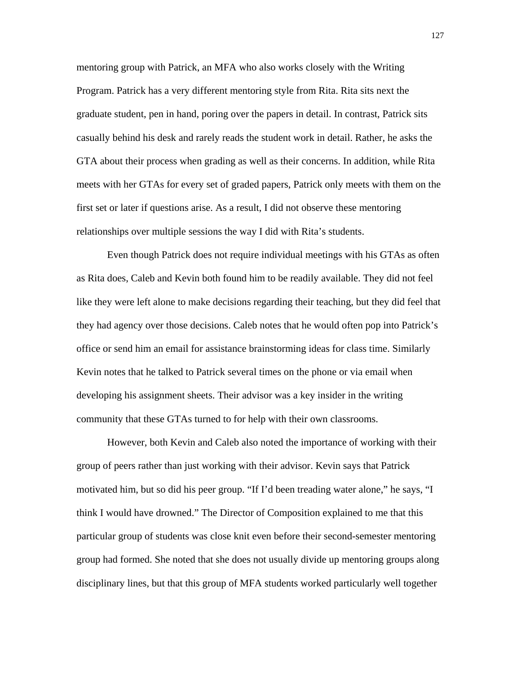mentoring group with Patrick, an MFA who also works closely with the Writing Program. Patrick has a very different mentoring style from Rita. Rita sits next the graduate student, pen in hand, poring over the papers in detail. In contrast, Patrick sits casually behind his desk and rarely reads the student work in detail. Rather, he asks the GTA about their process when grading as well as their concerns. In addition, while Rita meets with her GTAs for every set of graded papers, Patrick only meets with them on the first set or later if questions arise. As a result, I did not observe these mentoring relationships over multiple sessions the way I did with Rita's students.

Even though Patrick does not require individual meetings with his GTAs as often as Rita does, Caleb and Kevin both found him to be readily available. They did not feel like they were left alone to make decisions regarding their teaching, but they did feel that they had agency over those decisions. Caleb notes that he would often pop into Patrick's office or send him an email for assistance brainstorming ideas for class time. Similarly Kevin notes that he talked to Patrick several times on the phone or via email when developing his assignment sheets. Their advisor was a key insider in the writing community that these GTAs turned to for help with their own classrooms.

However, both Kevin and Caleb also noted the importance of working with their group of peers rather than just working with their advisor. Kevin says that Patrick motivated him, but so did his peer group. "If I'd been treading water alone," he says, "I think I would have drowned." The Director of Composition explained to me that this particular group of students was close knit even before their second-semester mentoring group had formed. She noted that she does not usually divide up mentoring groups along disciplinary lines, but that this group of MFA students worked particularly well together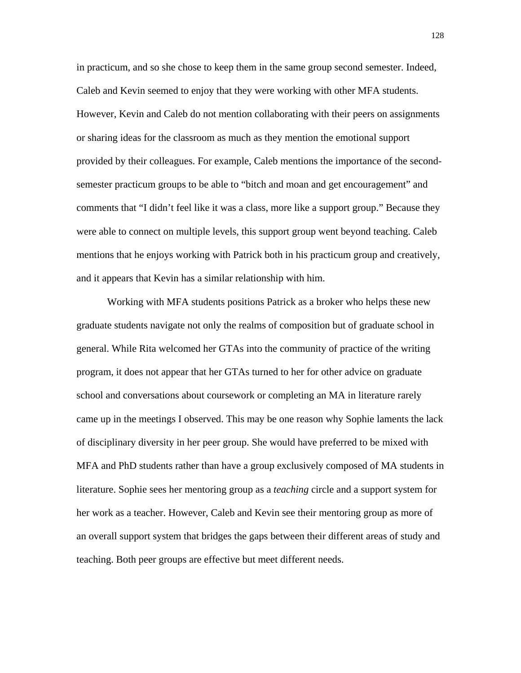in practicum, and so she chose to keep them in the same group second semester. Indeed, Caleb and Kevin seemed to enjoy that they were working with other MFA students. However, Kevin and Caleb do not mention collaborating with their peers on assignments or sharing ideas for the classroom as much as they mention the emotional support provided by their colleagues. For example, Caleb mentions the importance of the secondsemester practicum groups to be able to "bitch and moan and get encouragement" and comments that "I didn't feel like it was a class, more like a support group." Because they were able to connect on multiple levels, this support group went beyond teaching. Caleb mentions that he enjoys working with Patrick both in his practicum group and creatively, and it appears that Kevin has a similar relationship with him.

Working with MFA students positions Patrick as a broker who helps these new graduate students navigate not only the realms of composition but of graduate school in general. While Rita welcomed her GTAs into the community of practice of the writing program, it does not appear that her GTAs turned to her for other advice on graduate school and conversations about coursework or completing an MA in literature rarely came up in the meetings I observed. This may be one reason why Sophie laments the lack of disciplinary diversity in her peer group. She would have preferred to be mixed with MFA and PhD students rather than have a group exclusively composed of MA students in literature. Sophie sees her mentoring group as a *teaching* circle and a support system for her work as a teacher. However, Caleb and Kevin see their mentoring group as more of an overall support system that bridges the gaps between their different areas of study and teaching. Both peer groups are effective but meet different needs.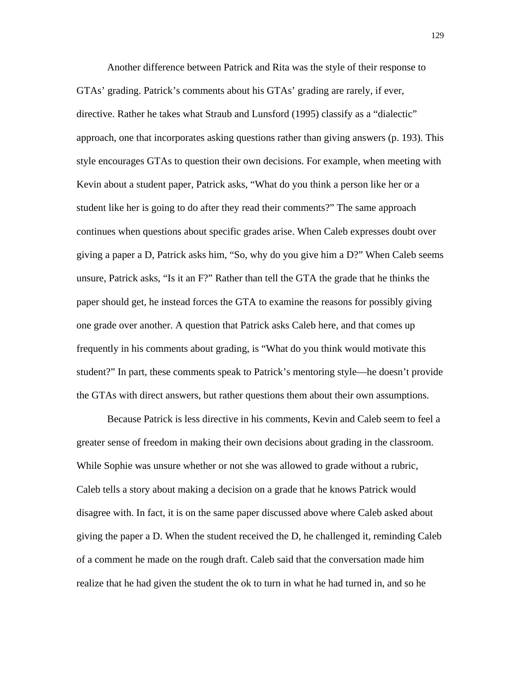Another difference between Patrick and Rita was the style of their response to GTAs' grading. Patrick's comments about his GTAs' grading are rarely, if ever, directive. Rather he takes what Straub and Lunsford (1995) classify as a "dialectic" approach, one that incorporates asking questions rather than giving answers (p. 193). This style encourages GTAs to question their own decisions. For example, when meeting with Kevin about a student paper, Patrick asks, "What do you think a person like her or a student like her is going to do after they read their comments?" The same approach continues when questions about specific grades arise. When Caleb expresses doubt over giving a paper a D, Patrick asks him, "So, why do you give him a D?" When Caleb seems unsure, Patrick asks, "Is it an F?" Rather than tell the GTA the grade that he thinks the paper should get, he instead forces the GTA to examine the reasons for possibly giving one grade over another. A question that Patrick asks Caleb here, and that comes up frequently in his comments about grading, is "What do you think would motivate this student?" In part, these comments speak to Patrick's mentoring style—he doesn't provide the GTAs with direct answers, but rather questions them about their own assumptions.

Because Patrick is less directive in his comments, Kevin and Caleb seem to feel a greater sense of freedom in making their own decisions about grading in the classroom. While Sophie was unsure whether or not she was allowed to grade without a rubric, Caleb tells a story about making a decision on a grade that he knows Patrick would disagree with. In fact, it is on the same paper discussed above where Caleb asked about giving the paper a D. When the student received the D, he challenged it, reminding Caleb of a comment he made on the rough draft. Caleb said that the conversation made him realize that he had given the student the ok to turn in what he had turned in, and so he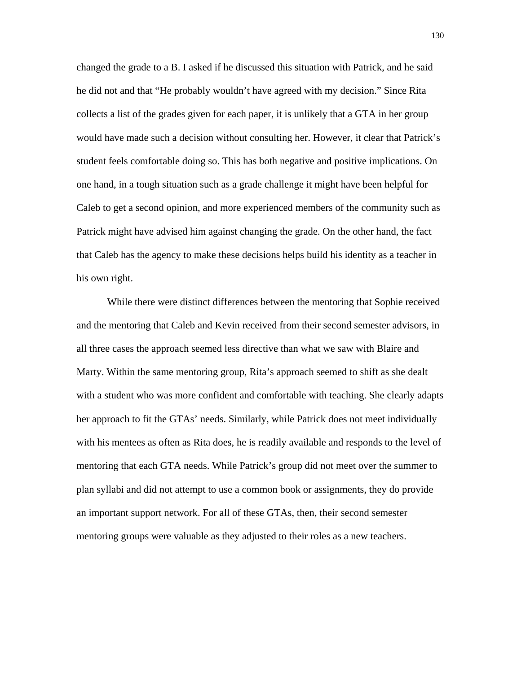changed the grade to a B. I asked if he discussed this situation with Patrick, and he said he did not and that "He probably wouldn't have agreed with my decision." Since Rita collects a list of the grades given for each paper, it is unlikely that a GTA in her group would have made such a decision without consulting her. However, it clear that Patrick's student feels comfortable doing so. This has both negative and positive implications. On one hand, in a tough situation such as a grade challenge it might have been helpful for Caleb to get a second opinion, and more experienced members of the community such as Patrick might have advised him against changing the grade. On the other hand, the fact that Caleb has the agency to make these decisions helps build his identity as a teacher in his own right.

While there were distinct differences between the mentoring that Sophie received and the mentoring that Caleb and Kevin received from their second semester advisors, in all three cases the approach seemed less directive than what we saw with Blaire and Marty. Within the same mentoring group, Rita's approach seemed to shift as she dealt with a student who was more confident and comfortable with teaching. She clearly adapts her approach to fit the GTAs' needs. Similarly, while Patrick does not meet individually with his mentees as often as Rita does, he is readily available and responds to the level of mentoring that each GTA needs. While Patrick's group did not meet over the summer to plan syllabi and did not attempt to use a common book or assignments, they do provide an important support network. For all of these GTAs, then, their second semester mentoring groups were valuable as they adjusted to their roles as a new teachers.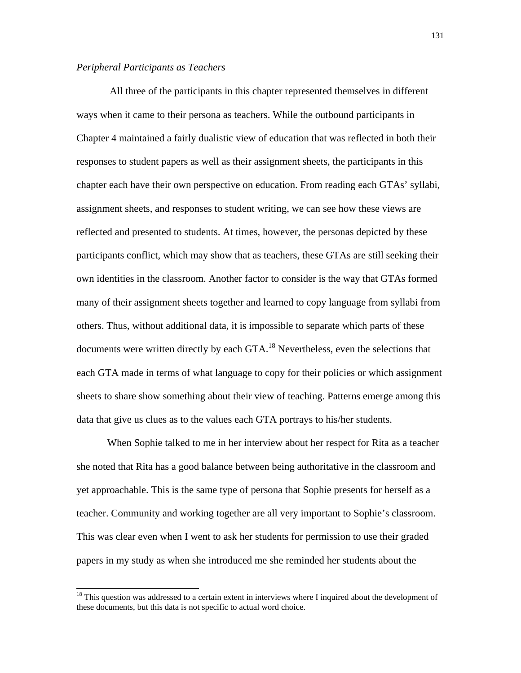## *Peripheral Participants as Teachers*

 $\overline{a}$ 

 All three of the participants in this chapter represented themselves in different ways when it came to their persona as teachers. While the outbound participants in Chapter 4 maintained a fairly dualistic view of education that was reflected in both their responses to student papers as well as their assignment sheets, the participants in this chapter each have their own perspective on education. From reading each GTAs' syllabi, assignment sheets, and responses to student writing, we can see how these views are reflected and presented to students. At times, however, the personas depicted by these participants conflict, which may show that as teachers, these GTAs are still seeking their own identities in the classroom. Another factor to consider is the way that GTAs formed many of their assignment sheets together and learned to copy language from syllabi from others. Thus, without additional data, it is impossible to separate which parts of these documents were written directly by each GTA.<sup>18</sup> Nevertheless, even the selections that each GTA made in terms of what language to copy for their policies or which assignment sheets to share show something about their view of teaching. Patterns emerge among this data that give us clues as to the values each GTA portrays to his/her students.

When Sophie talked to me in her interview about her respect for Rita as a teacher she noted that Rita has a good balance between being authoritative in the classroom and yet approachable. This is the same type of persona that Sophie presents for herself as a teacher. Community and working together are all very important to Sophie's classroom. This was clear even when I went to ask her students for permission to use their graded papers in my study as when she introduced me she reminded her students about the

 $18$  This question was addressed to a certain extent in interviews where I inquired about the development of these documents, but this data is not specific to actual word choice.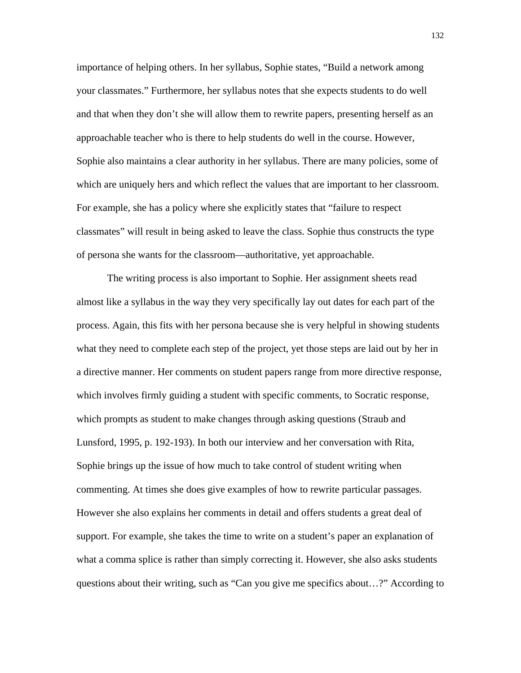importance of helping others. In her syllabus, Sophie states, "Build a network among your classmates." Furthermore, her syllabus notes that she expects students to do well and that when they don't she will allow them to rewrite papers, presenting herself as an approachable teacher who is there to help students do well in the course. However, Sophie also maintains a clear authority in her syllabus. There are many policies, some of which are uniquely hers and which reflect the values that are important to her classroom. For example, she has a policy where she explicitly states that "failure to respect classmates" will result in being asked to leave the class. Sophie thus constructs the type of persona she wants for the classroom—authoritative, yet approachable.

The writing process is also important to Sophie. Her assignment sheets read almost like a syllabus in the way they very specifically lay out dates for each part of the process. Again, this fits with her persona because she is very helpful in showing students what they need to complete each step of the project, yet those steps are laid out by her in a directive manner. Her comments on student papers range from more directive response, which involves firmly guiding a student with specific comments, to Socratic response, which prompts as student to make changes through asking questions (Straub and Lunsford, 1995, p. 192-193). In both our interview and her conversation with Rita, Sophie brings up the issue of how much to take control of student writing when commenting. At times she does give examples of how to rewrite particular passages. However she also explains her comments in detail and offers students a great deal of support. For example, she takes the time to write on a student's paper an explanation of what a comma splice is rather than simply correcting it. However, she also asks students questions about their writing, such as "Can you give me specifics about…?" According to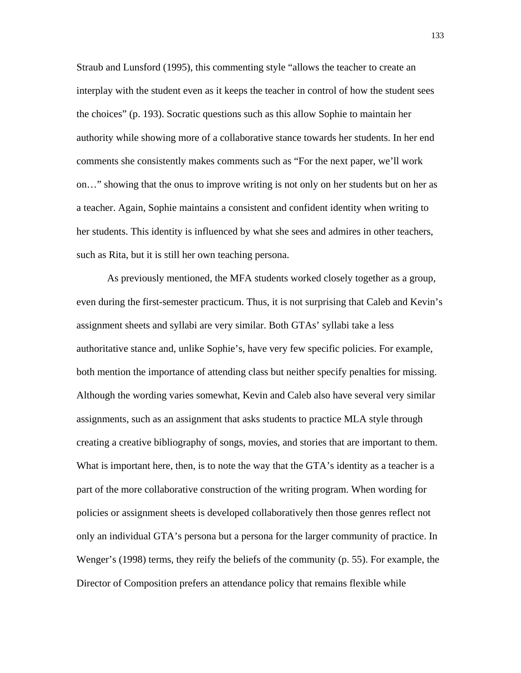Straub and Lunsford (1995), this commenting style "allows the teacher to create an interplay with the student even as it keeps the teacher in control of how the student sees the choices" (p. 193). Socratic questions such as this allow Sophie to maintain her authority while showing more of a collaborative stance towards her students. In her end comments she consistently makes comments such as "For the next paper, we'll work on…" showing that the onus to improve writing is not only on her students but on her as a teacher. Again, Sophie maintains a consistent and confident identity when writing to her students. This identity is influenced by what she sees and admires in other teachers, such as Rita, but it is still her own teaching persona.

As previously mentioned, the MFA students worked closely together as a group, even during the first-semester practicum. Thus, it is not surprising that Caleb and Kevin's assignment sheets and syllabi are very similar. Both GTAs' syllabi take a less authoritative stance and, unlike Sophie's, have very few specific policies. For example, both mention the importance of attending class but neither specify penalties for missing. Although the wording varies somewhat, Kevin and Caleb also have several very similar assignments, such as an assignment that asks students to practice MLA style through creating a creative bibliography of songs, movies, and stories that are important to them. What is important here, then, is to note the way that the GTA's identity as a teacher is a part of the more collaborative construction of the writing program. When wording for policies or assignment sheets is developed collaboratively then those genres reflect not only an individual GTA's persona but a persona for the larger community of practice. In Wenger's (1998) terms, they reify the beliefs of the community (p. 55). For example, the Director of Composition prefers an attendance policy that remains flexible while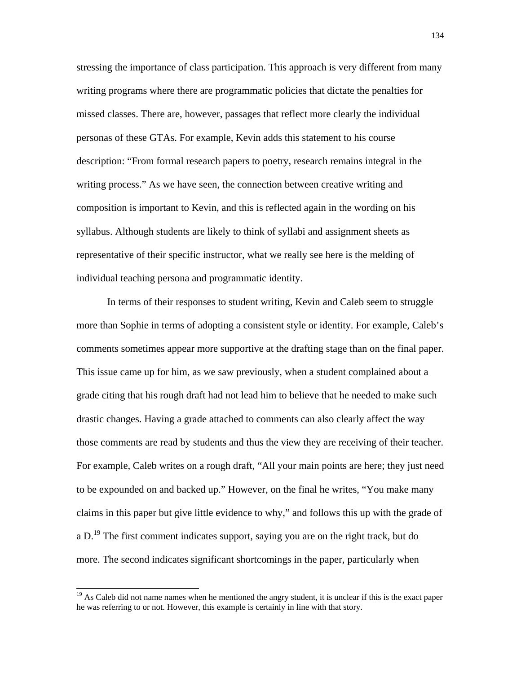stressing the importance of class participation. This approach is very different from many writing programs where there are programmatic policies that dictate the penalties for missed classes. There are, however, passages that reflect more clearly the individual personas of these GTAs. For example, Kevin adds this statement to his course description: "From formal research papers to poetry, research remains integral in the writing process." As we have seen, the connection between creative writing and composition is important to Kevin, and this is reflected again in the wording on his syllabus. Although students are likely to think of syllabi and assignment sheets as representative of their specific instructor, what we really see here is the melding of individual teaching persona and programmatic identity.

In terms of their responses to student writing, Kevin and Caleb seem to struggle more than Sophie in terms of adopting a consistent style or identity. For example, Caleb's comments sometimes appear more supportive at the drafting stage than on the final paper. This issue came up for him, as we saw previously, when a student complained about a grade citing that his rough draft had not lead him to believe that he needed to make such drastic changes. Having a grade attached to comments can also clearly affect the way those comments are read by students and thus the view they are receiving of their teacher. For example, Caleb writes on a rough draft, "All your main points are here; they just need to be expounded on and backed up." However, on the final he writes, "You make many claims in this paper but give little evidence to why," and follows this up with the grade of a D.<sup>19</sup> The first comment indicates support, saying you are on the right track, but do more. The second indicates significant shortcomings in the paper, particularly when

 $\overline{a}$ 

<sup>&</sup>lt;sup>19</sup> As Caleb did not name names when he mentioned the angry student, it is unclear if this is the exact paper he was referring to or not. However, this example is certainly in line with that story.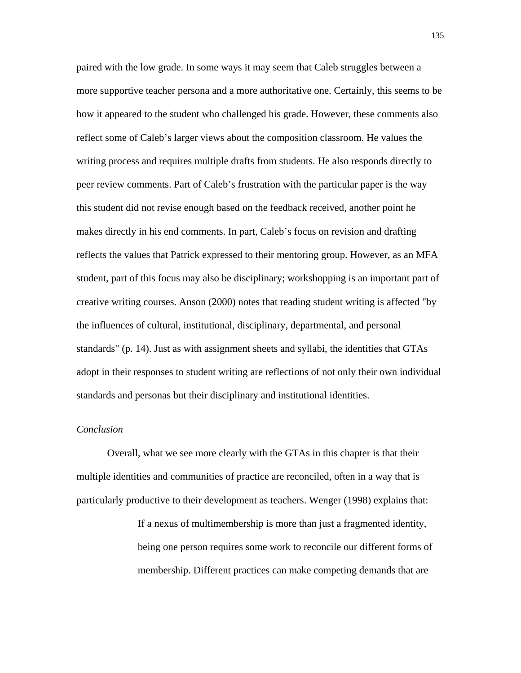paired with the low grade. In some ways it may seem that Caleb struggles between a more supportive teacher persona and a more authoritative one. Certainly, this seems to be how it appeared to the student who challenged his grade. However, these comments also reflect some of Caleb's larger views about the composition classroom. He values the writing process and requires multiple drafts from students. He also responds directly to peer review comments. Part of Caleb's frustration with the particular paper is the way this student did not revise enough based on the feedback received, another point he makes directly in his end comments. In part, Caleb's focus on revision and drafting reflects the values that Patrick expressed to their mentoring group. However, as an MFA student, part of this focus may also be disciplinary; workshopping is an important part of creative writing courses. Anson (2000) notes that reading student writing is affected "by the influences of cultural, institutional, disciplinary, departmental, and personal standards" (p. 14). Just as with assignment sheets and syllabi, the identities that GTAs adopt in their responses to student writing are reflections of not only their own individual standards and personas but their disciplinary and institutional identities.

# *Conclusion*

Overall, what we see more clearly with the GTAs in this chapter is that their multiple identities and communities of practice are reconciled, often in a way that is particularly productive to their development as teachers. Wenger (1998) explains that:

> If a nexus of multimembership is more than just a fragmented identity, being one person requires some work to reconcile our different forms of membership. Different practices can make competing demands that are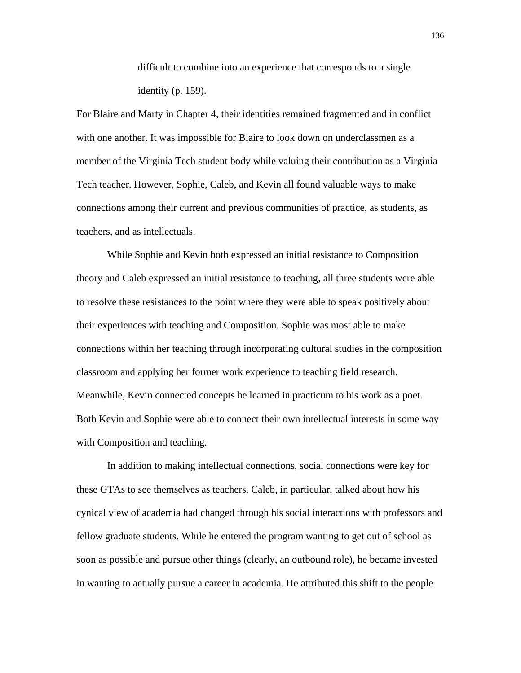difficult to combine into an experience that corresponds to a single identity (p. 159).

For Blaire and Marty in Chapter 4, their identities remained fragmented and in conflict with one another. It was impossible for Blaire to look down on underclassmen as a member of the Virginia Tech student body while valuing their contribution as a Virginia Tech teacher. However, Sophie, Caleb, and Kevin all found valuable ways to make connections among their current and previous communities of practice, as students, as teachers, and as intellectuals.

While Sophie and Kevin both expressed an initial resistance to Composition theory and Caleb expressed an initial resistance to teaching, all three students were able to resolve these resistances to the point where they were able to speak positively about their experiences with teaching and Composition. Sophie was most able to make connections within her teaching through incorporating cultural studies in the composition classroom and applying her former work experience to teaching field research. Meanwhile, Kevin connected concepts he learned in practicum to his work as a poet. Both Kevin and Sophie were able to connect their own intellectual interests in some way with Composition and teaching.

In addition to making intellectual connections, social connections were key for these GTAs to see themselves as teachers. Caleb, in particular, talked about how his cynical view of academia had changed through his social interactions with professors and fellow graduate students. While he entered the program wanting to get out of school as soon as possible and pursue other things (clearly, an outbound role), he became invested in wanting to actually pursue a career in academia. He attributed this shift to the people

136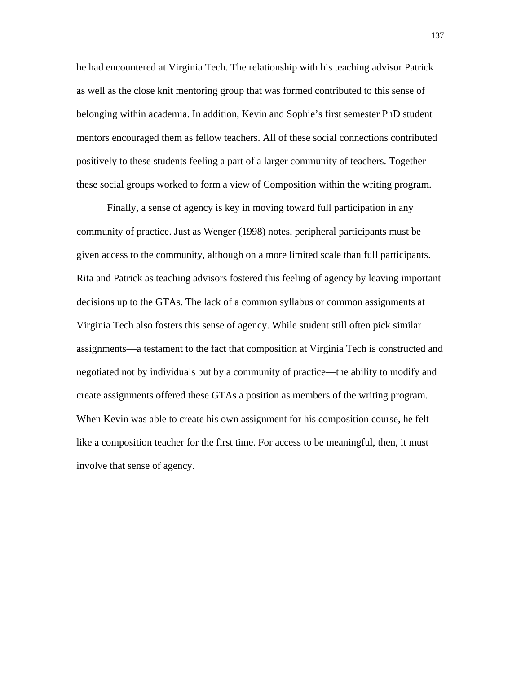he had encountered at Virginia Tech. The relationship with his teaching advisor Patrick as well as the close knit mentoring group that was formed contributed to this sense of belonging within academia. In addition, Kevin and Sophie's first semester PhD student mentors encouraged them as fellow teachers. All of these social connections contributed positively to these students feeling a part of a larger community of teachers. Together these social groups worked to form a view of Composition within the writing program.

Finally, a sense of agency is key in moving toward full participation in any community of practice. Just as Wenger (1998) notes, peripheral participants must be given access to the community, although on a more limited scale than full participants. Rita and Patrick as teaching advisors fostered this feeling of agency by leaving important decisions up to the GTAs. The lack of a common syllabus or common assignments at Virginia Tech also fosters this sense of agency. While student still often pick similar assignments—a testament to the fact that composition at Virginia Tech is constructed and negotiated not by individuals but by a community of practice—the ability to modify and create assignments offered these GTAs a position as members of the writing program. When Kevin was able to create his own assignment for his composition course, he felt like a composition teacher for the first time. For access to be meaningful, then, it must involve that sense of agency.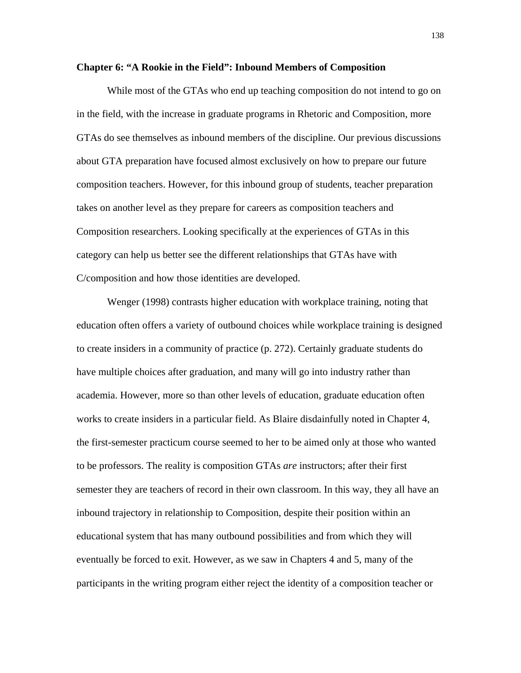#### **Chapter 6: "A Rookie in the Field": Inbound Members of Composition**

While most of the GTAs who end up teaching composition do not intend to go on in the field, with the increase in graduate programs in Rhetoric and Composition, more GTAs do see themselves as inbound members of the discipline. Our previous discussions about GTA preparation have focused almost exclusively on how to prepare our future composition teachers. However, for this inbound group of students, teacher preparation takes on another level as they prepare for careers as composition teachers and Composition researchers. Looking specifically at the experiences of GTAs in this category can help us better see the different relationships that GTAs have with C/composition and how those identities are developed.

Wenger (1998) contrasts higher education with workplace training, noting that education often offers a variety of outbound choices while workplace training is designed to create insiders in a community of practice (p. 272). Certainly graduate students do have multiple choices after graduation, and many will go into industry rather than academia. However, more so than other levels of education, graduate education often works to create insiders in a particular field. As Blaire disdainfully noted in Chapter 4, the first-semester practicum course seemed to her to be aimed only at those who wanted to be professors. The reality is composition GTAs *are* instructors; after their first semester they are teachers of record in their own classroom. In this way, they all have an inbound trajectory in relationship to Composition, despite their position within an educational system that has many outbound possibilities and from which they will eventually be forced to exit. However, as we saw in Chapters 4 and 5, many of the participants in the writing program either reject the identity of a composition teacher or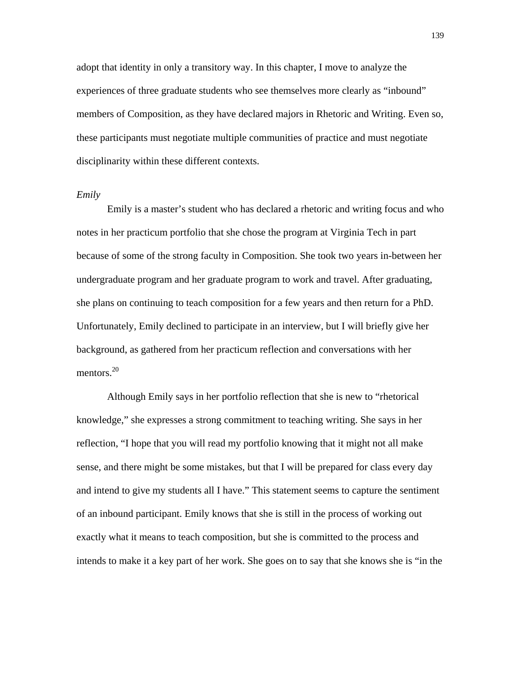adopt that identity in only a transitory way. In this chapter, I move to analyze the experiences of three graduate students who see themselves more clearly as "inbound" members of Composition, as they have declared majors in Rhetoric and Writing. Even so, these participants must negotiate multiple communities of practice and must negotiate disciplinarity within these different contexts.

## *Emily*

Emily is a master's student who has declared a rhetoric and writing focus and who notes in her practicum portfolio that she chose the program at Virginia Tech in part because of some of the strong faculty in Composition. She took two years in-between her undergraduate program and her graduate program to work and travel. After graduating, she plans on continuing to teach composition for a few years and then return for a PhD. Unfortunately, Emily declined to participate in an interview, but I will briefly give her background, as gathered from her practicum reflection and conversations with her mentors.<sup>20</sup>

Although Emily says in her portfolio reflection that she is new to "rhetorical knowledge," she expresses a strong commitment to teaching writing. She says in her reflection, "I hope that you will read my portfolio knowing that it might not all make sense, and there might be some mistakes, but that I will be prepared for class every day and intend to give my students all I have." This statement seems to capture the sentiment of an inbound participant. Emily knows that she is still in the process of working out exactly what it means to teach composition, but she is committed to the process and intends to make it a key part of her work. She goes on to say that she knows she is "in the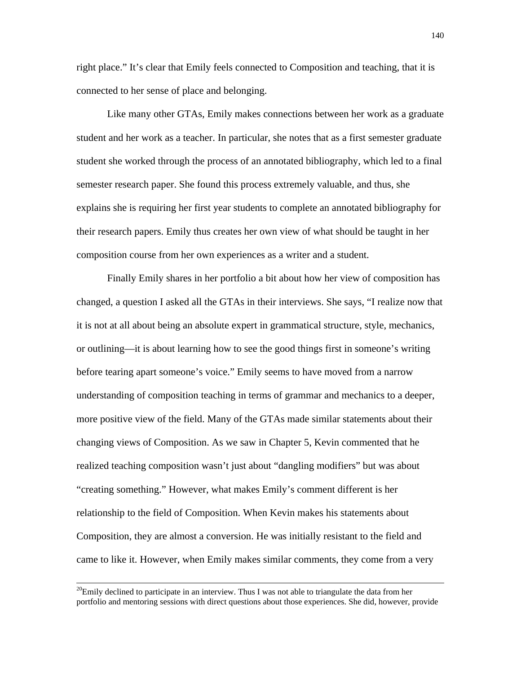right place." It's clear that Emily feels connected to Composition and teaching, that it is connected to her sense of place and belonging.

Like many other GTAs, Emily makes connections between her work as a graduate student and her work as a teacher. In particular, she notes that as a first semester graduate student she worked through the process of an annotated bibliography, which led to a final semester research paper. She found this process extremely valuable, and thus, she explains she is requiring her first year students to complete an annotated bibliography for their research papers. Emily thus creates her own view of what should be taught in her composition course from her own experiences as a writer and a student.

Finally Emily shares in her portfolio a bit about how her view of composition has changed, a question I asked all the GTAs in their interviews. She says, "I realize now that it is not at all about being an absolute expert in grammatical structure, style, mechanics, or outlining—it is about learning how to see the good things first in someone's writing before tearing apart someone's voice." Emily seems to have moved from a narrow understanding of composition teaching in terms of grammar and mechanics to a deeper, more positive view of the field. Many of the GTAs made similar statements about their changing views of Composition. As we saw in Chapter 5, Kevin commented that he realized teaching composition wasn't just about "dangling modifiers" but was about "creating something." However, what makes Emily's comment different is her relationship to the field of Composition. When Kevin makes his statements about Composition, they are almost a conversion. He was initially resistant to the field and came to like it. However, when Emily makes similar comments, they come from a very

 $^{20}$ Emily declined to participate in an interview. Thus I was not able to triangulate the data from her portfolio and mentoring sessions with direct questions about those experiences. She did, however, provide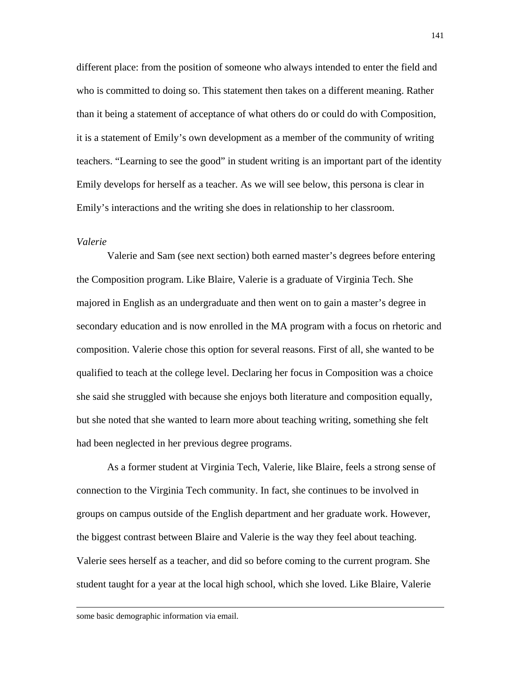different place: from the position of someone who always intended to enter the field and who is committed to doing so. This statement then takes on a different meaning. Rather than it being a statement of acceptance of what others do or could do with Composition, it is a statement of Emily's own development as a member of the community of writing teachers. "Learning to see the good" in student writing is an important part of the identity Emily develops for herself as a teacher. As we will see below, this persona is clear in Emily's interactions and the writing she does in relationship to her classroom.

### *Valerie*

Valerie and Sam (see next section) both earned master's degrees before entering the Composition program. Like Blaire, Valerie is a graduate of Virginia Tech. She majored in English as an undergraduate and then went on to gain a master's degree in secondary education and is now enrolled in the MA program with a focus on rhetoric and composition. Valerie chose this option for several reasons. First of all, she wanted to be qualified to teach at the college level. Declaring her focus in Composition was a choice she said she struggled with because she enjoys both literature and composition equally, but she noted that she wanted to learn more about teaching writing, something she felt had been neglected in her previous degree programs.

As a former student at Virginia Tech, Valerie, like Blaire, feels a strong sense of connection to the Virginia Tech community. In fact, she continues to be involved in groups on campus outside of the English department and her graduate work. However, the biggest contrast between Blaire and Valerie is the way they feel about teaching. Valerie sees herself as a teacher, and did so before coming to the current program. She student taught for a year at the local high school, which she loved. Like Blaire, Valerie

some basic demographic information via email.

 $\overline{a}$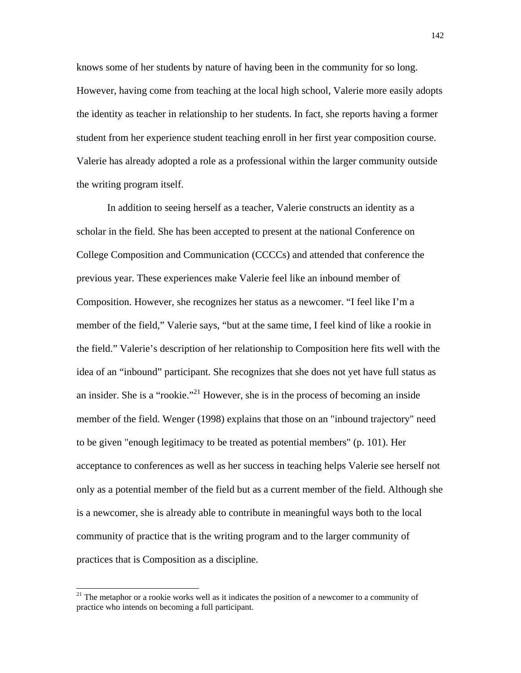knows some of her students by nature of having been in the community for so long. However, having come from teaching at the local high school, Valerie more easily adopts the identity as teacher in relationship to her students. In fact, she reports having a former student from her experience student teaching enroll in her first year composition course. Valerie has already adopted a role as a professional within the larger community outside the writing program itself.

In addition to seeing herself as a teacher, Valerie constructs an identity as a scholar in the field. She has been accepted to present at the national Conference on College Composition and Communication (CCCCs) and attended that conference the previous year. These experiences make Valerie feel like an inbound member of Composition. However, she recognizes her status as a newcomer. "I feel like I'm a member of the field," Valerie says, "but at the same time, I feel kind of like a rookie in the field." Valerie's description of her relationship to Composition here fits well with the idea of an "inbound" participant. She recognizes that she does not yet have full status as an insider. She is a "rookie."<sup>21</sup> However, she is in the process of becoming an inside member of the field. Wenger (1998) explains that those on an "inbound trajectory" need to be given "enough legitimacy to be treated as potential members" (p. 101). Her acceptance to conferences as well as her success in teaching helps Valerie see herself not only as a potential member of the field but as a current member of the field. Although she is a newcomer, she is already able to contribute in meaningful ways both to the local community of practice that is the writing program and to the larger community of practices that is Composition as a discipline.

 $\overline{a}$ 

 $21$  The metaphor or a rookie works well as it indicates the position of a newcomer to a community of practice who intends on becoming a full participant.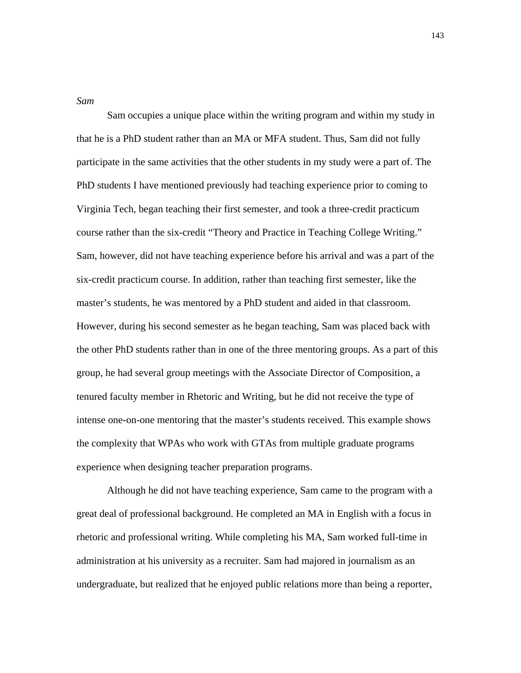*Sam*

Sam occupies a unique place within the writing program and within my study in that he is a PhD student rather than an MA or MFA student. Thus, Sam did not fully participate in the same activities that the other students in my study were a part of. The PhD students I have mentioned previously had teaching experience prior to coming to Virginia Tech, began teaching their first semester, and took a three-credit practicum course rather than the six-credit "Theory and Practice in Teaching College Writing." Sam, however, did not have teaching experience before his arrival and was a part of the six-credit practicum course. In addition, rather than teaching first semester, like the master's students, he was mentored by a PhD student and aided in that classroom. However, during his second semester as he began teaching, Sam was placed back with the other PhD students rather than in one of the three mentoring groups. As a part of this group, he had several group meetings with the Associate Director of Composition, a tenured faculty member in Rhetoric and Writing, but he did not receive the type of intense one-on-one mentoring that the master's students received. This example shows the complexity that WPAs who work with GTAs from multiple graduate programs experience when designing teacher preparation programs.

Although he did not have teaching experience, Sam came to the program with a great deal of professional background. He completed an MA in English with a focus in rhetoric and professional writing. While completing his MA, Sam worked full-time in administration at his university as a recruiter. Sam had majored in journalism as an undergraduate, but realized that he enjoyed public relations more than being a reporter,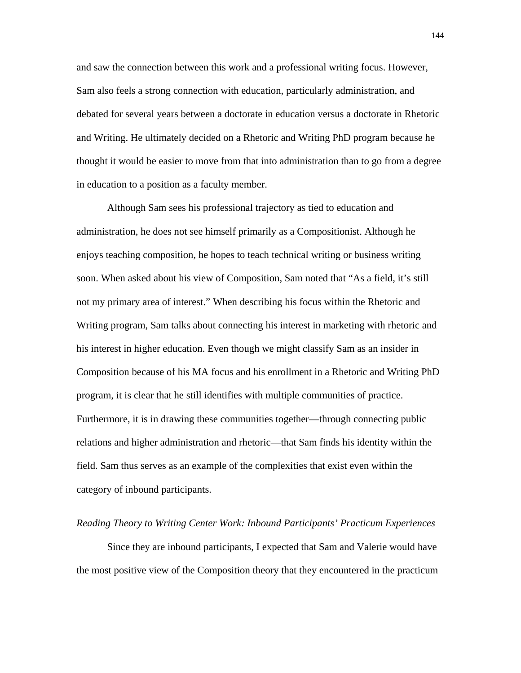and saw the connection between this work and a professional writing focus. However, Sam also feels a strong connection with education, particularly administration, and debated for several years between a doctorate in education versus a doctorate in Rhetoric and Writing. He ultimately decided on a Rhetoric and Writing PhD program because he thought it would be easier to move from that into administration than to go from a degree in education to a position as a faculty member.

Although Sam sees his professional trajectory as tied to education and administration, he does not see himself primarily as a Compositionist. Although he enjoys teaching composition, he hopes to teach technical writing or business writing soon. When asked about his view of Composition, Sam noted that "As a field, it's still not my primary area of interest." When describing his focus within the Rhetoric and Writing program, Sam talks about connecting his interest in marketing with rhetoric and his interest in higher education. Even though we might classify Sam as an insider in Composition because of his MA focus and his enrollment in a Rhetoric and Writing PhD program, it is clear that he still identifies with multiple communities of practice. Furthermore, it is in drawing these communities together—through connecting public relations and higher administration and rhetoric—that Sam finds his identity within the field. Sam thus serves as an example of the complexities that exist even within the category of inbound participants.

### *Reading Theory to Writing Center Work: Inbound Participants' Practicum Experiences*

Since they are inbound participants, I expected that Sam and Valerie would have the most positive view of the Composition theory that they encountered in the practicum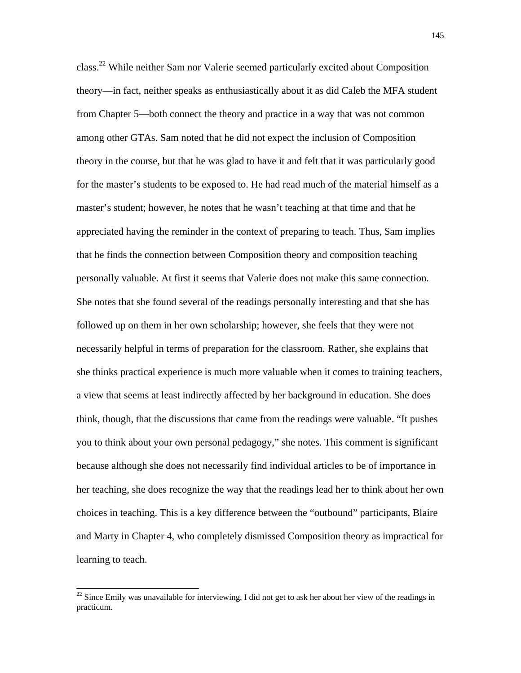class.22 While neither Sam nor Valerie seemed particularly excited about Composition theory—in fact, neither speaks as enthusiastically about it as did Caleb the MFA student from Chapter 5—both connect the theory and practice in a way that was not common among other GTAs. Sam noted that he did not expect the inclusion of Composition theory in the course, but that he was glad to have it and felt that it was particularly good for the master's students to be exposed to. He had read much of the material himself as a master's student; however, he notes that he wasn't teaching at that time and that he appreciated having the reminder in the context of preparing to teach. Thus, Sam implies that he finds the connection between Composition theory and composition teaching personally valuable. At first it seems that Valerie does not make this same connection. She notes that she found several of the readings personally interesting and that she has followed up on them in her own scholarship; however, she feels that they were not necessarily helpful in terms of preparation for the classroom. Rather, she explains that she thinks practical experience is much more valuable when it comes to training teachers, a view that seems at least indirectly affected by her background in education. She does think, though, that the discussions that came from the readings were valuable. "It pushes you to think about your own personal pedagogy," she notes. This comment is significant because although she does not necessarily find individual articles to be of importance in her teaching, she does recognize the way that the readings lead her to think about her own choices in teaching. This is a key difference between the "outbound" participants, Blaire and Marty in Chapter 4, who completely dismissed Composition theory as impractical for learning to teach.

 $\overline{a}$ 

 $22$  Since Emily was unavailable for interviewing, I did not get to ask her about her view of the readings in practicum.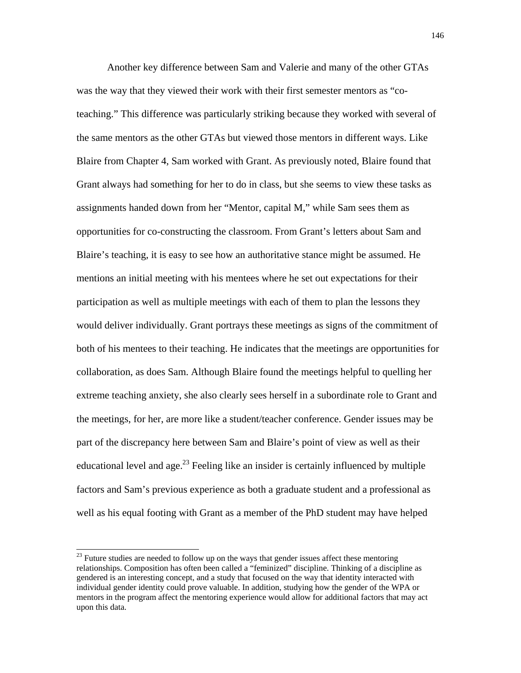Another key difference between Sam and Valerie and many of the other GTAs was the way that they viewed their work with their first semester mentors as "coteaching." This difference was particularly striking because they worked with several of the same mentors as the other GTAs but viewed those mentors in different ways. Like Blaire from Chapter 4, Sam worked with Grant. As previously noted, Blaire found that Grant always had something for her to do in class, but she seems to view these tasks as assignments handed down from her "Mentor, capital M," while Sam sees them as opportunities for co-constructing the classroom. From Grant's letters about Sam and Blaire's teaching, it is easy to see how an authoritative stance might be assumed. He mentions an initial meeting with his mentees where he set out expectations for their participation as well as multiple meetings with each of them to plan the lessons they would deliver individually. Grant portrays these meetings as signs of the commitment of both of his mentees to their teaching. He indicates that the meetings are opportunities for collaboration, as does Sam. Although Blaire found the meetings helpful to quelling her extreme teaching anxiety, she also clearly sees herself in a subordinate role to Grant and the meetings, for her, are more like a student/teacher conference. Gender issues may be part of the discrepancy here between Sam and Blaire's point of view as well as their educational level and age.<sup>23</sup> Feeling like an insider is certainly influenced by multiple factors and Sam's previous experience as both a graduate student and a professional as well as his equal footing with Grant as a member of the PhD student may have helped

l

 $2<sup>23</sup>$  Future studies are needed to follow up on the ways that gender issues affect these mentoring relationships. Composition has often been called a "feminized" discipline. Thinking of a discipline as gendered is an interesting concept, and a study that focused on the way that identity interacted with individual gender identity could prove valuable. In addition, studying how the gender of the WPA or mentors in the program affect the mentoring experience would allow for additional factors that may act upon this data.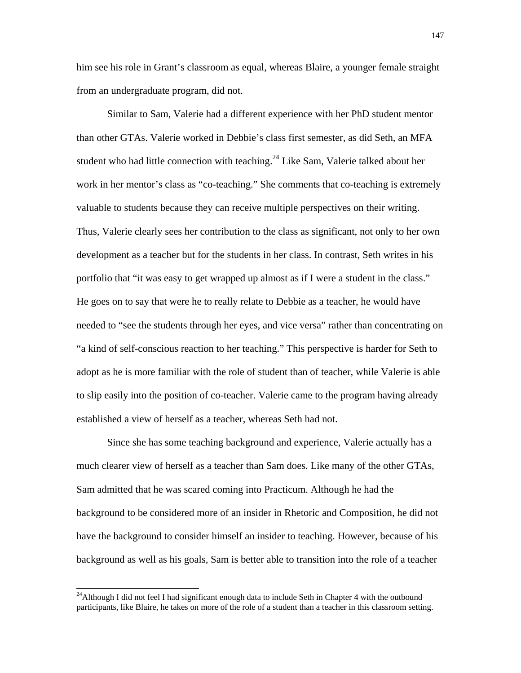him see his role in Grant's classroom as equal, whereas Blaire, a younger female straight from an undergraduate program, did not.

Similar to Sam, Valerie had a different experience with her PhD student mentor than other GTAs. Valerie worked in Debbie's class first semester, as did Seth, an MFA student who had little connection with teaching.<sup>24</sup> Like Sam, Valerie talked about her work in her mentor's class as "co-teaching." She comments that co-teaching is extremely valuable to students because they can receive multiple perspectives on their writing. Thus, Valerie clearly sees her contribution to the class as significant, not only to her own development as a teacher but for the students in her class. In contrast, Seth writes in his portfolio that "it was easy to get wrapped up almost as if I were a student in the class." He goes on to say that were he to really relate to Debbie as a teacher, he would have needed to "see the students through her eyes, and vice versa" rather than concentrating on "a kind of self-conscious reaction to her teaching." This perspective is harder for Seth to adopt as he is more familiar with the role of student than of teacher, while Valerie is able to slip easily into the position of co-teacher. Valerie came to the program having already established a view of herself as a teacher, whereas Seth had not.

Since she has some teaching background and experience, Valerie actually has a much clearer view of herself as a teacher than Sam does. Like many of the other GTAs, Sam admitted that he was scared coming into Practicum. Although he had the background to be considered more of an insider in Rhetoric and Composition, he did not have the background to consider himself an insider to teaching. However, because of his background as well as his goals, Sam is better able to transition into the role of a teacher

 $\overline{a}$ 

<sup>&</sup>lt;sup>24</sup>Although I did not feel I had significant enough data to include Seth in Chapter 4 with the outbound participants, like Blaire, he takes on more of the role of a student than a teacher in this classroom setting.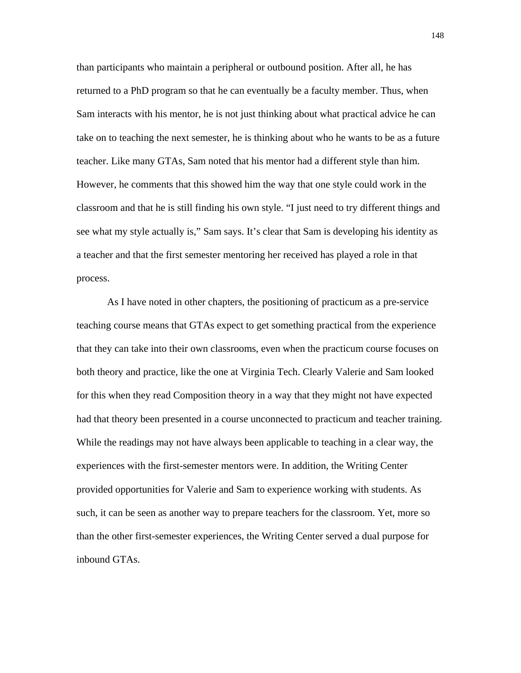than participants who maintain a peripheral or outbound position. After all, he has returned to a PhD program so that he can eventually be a faculty member. Thus, when Sam interacts with his mentor, he is not just thinking about what practical advice he can take on to teaching the next semester, he is thinking about who he wants to be as a future teacher. Like many GTAs, Sam noted that his mentor had a different style than him. However, he comments that this showed him the way that one style could work in the classroom and that he is still finding his own style. "I just need to try different things and see what my style actually is," Sam says. It's clear that Sam is developing his identity as a teacher and that the first semester mentoring her received has played a role in that process.

As I have noted in other chapters, the positioning of practicum as a pre-service teaching course means that GTAs expect to get something practical from the experience that they can take into their own classrooms, even when the practicum course focuses on both theory and practice, like the one at Virginia Tech. Clearly Valerie and Sam looked for this when they read Composition theory in a way that they might not have expected had that theory been presented in a course unconnected to practicum and teacher training. While the readings may not have always been applicable to teaching in a clear way, the experiences with the first-semester mentors were. In addition, the Writing Center provided opportunities for Valerie and Sam to experience working with students. As such, it can be seen as another way to prepare teachers for the classroom. Yet, more so than the other first-semester experiences, the Writing Center served a dual purpose for inbound GTAs.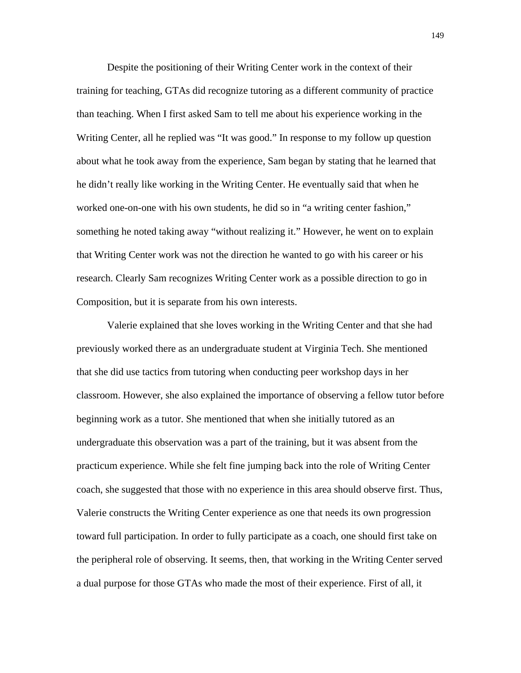Despite the positioning of their Writing Center work in the context of their training for teaching, GTAs did recognize tutoring as a different community of practice than teaching. When I first asked Sam to tell me about his experience working in the Writing Center, all he replied was "It was good." In response to my follow up question about what he took away from the experience, Sam began by stating that he learned that he didn't really like working in the Writing Center. He eventually said that when he worked one-on-one with his own students, he did so in "a writing center fashion," something he noted taking away "without realizing it." However, he went on to explain that Writing Center work was not the direction he wanted to go with his career or his research. Clearly Sam recognizes Writing Center work as a possible direction to go in Composition, but it is separate from his own interests.

Valerie explained that she loves working in the Writing Center and that she had previously worked there as an undergraduate student at Virginia Tech. She mentioned that she did use tactics from tutoring when conducting peer workshop days in her classroom. However, she also explained the importance of observing a fellow tutor before beginning work as a tutor. She mentioned that when she initially tutored as an undergraduate this observation was a part of the training, but it was absent from the practicum experience. While she felt fine jumping back into the role of Writing Center coach, she suggested that those with no experience in this area should observe first. Thus, Valerie constructs the Writing Center experience as one that needs its own progression toward full participation. In order to fully participate as a coach, one should first take on the peripheral role of observing. It seems, then, that working in the Writing Center served a dual purpose for those GTAs who made the most of their experience. First of all, it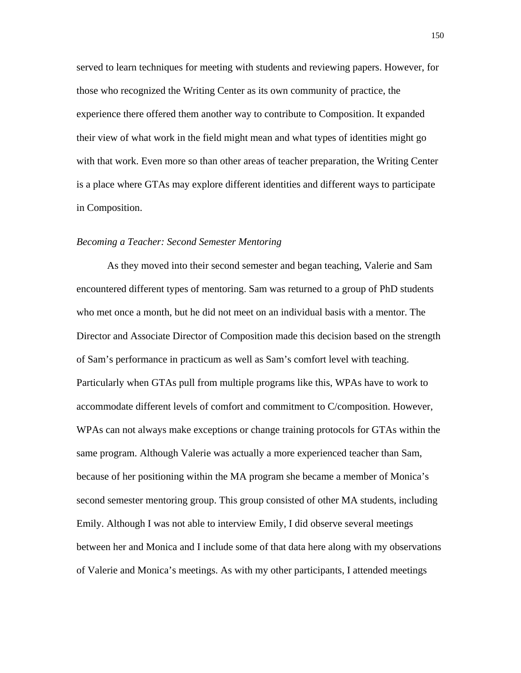served to learn techniques for meeting with students and reviewing papers. However, for those who recognized the Writing Center as its own community of practice, the experience there offered them another way to contribute to Composition. It expanded their view of what work in the field might mean and what types of identities might go with that work. Even more so than other areas of teacher preparation, the Writing Center is a place where GTAs may explore different identities and different ways to participate in Composition.

#### *Becoming a Teacher: Second Semester Mentoring*

As they moved into their second semester and began teaching, Valerie and Sam encountered different types of mentoring. Sam was returned to a group of PhD students who met once a month, but he did not meet on an individual basis with a mentor. The Director and Associate Director of Composition made this decision based on the strength of Sam's performance in practicum as well as Sam's comfort level with teaching. Particularly when GTAs pull from multiple programs like this, WPAs have to work to accommodate different levels of comfort and commitment to C/composition. However, WPAs can not always make exceptions or change training protocols for GTAs within the same program. Although Valerie was actually a more experienced teacher than Sam, because of her positioning within the MA program she became a member of Monica's second semester mentoring group. This group consisted of other MA students, including Emily. Although I was not able to interview Emily, I did observe several meetings between her and Monica and I include some of that data here along with my observations of Valerie and Monica's meetings. As with my other participants, I attended meetings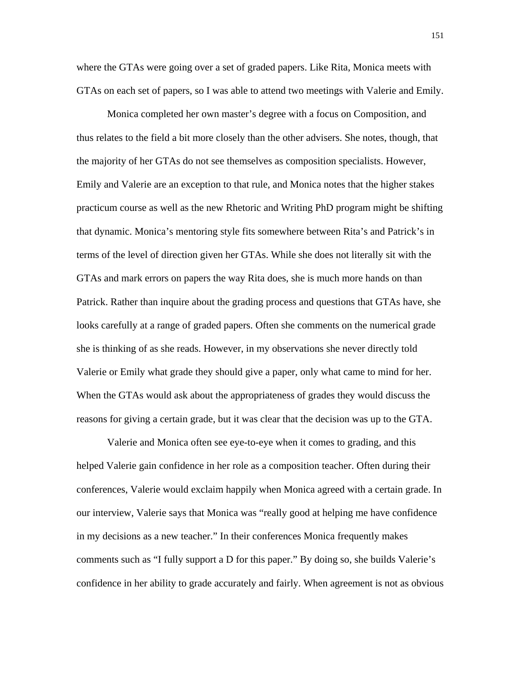where the GTAs were going over a set of graded papers. Like Rita, Monica meets with GTAs on each set of papers, so I was able to attend two meetings with Valerie and Emily.

Monica completed her own master's degree with a focus on Composition, and thus relates to the field a bit more closely than the other advisers. She notes, though, that the majority of her GTAs do not see themselves as composition specialists. However, Emily and Valerie are an exception to that rule, and Monica notes that the higher stakes practicum course as well as the new Rhetoric and Writing PhD program might be shifting that dynamic. Monica's mentoring style fits somewhere between Rita's and Patrick's in terms of the level of direction given her GTAs. While she does not literally sit with the GTAs and mark errors on papers the way Rita does, she is much more hands on than Patrick. Rather than inquire about the grading process and questions that GTAs have, she looks carefully at a range of graded papers. Often she comments on the numerical grade she is thinking of as she reads. However, in my observations she never directly told Valerie or Emily what grade they should give a paper, only what came to mind for her. When the GTAs would ask about the appropriateness of grades they would discuss the reasons for giving a certain grade, but it was clear that the decision was up to the GTA.

Valerie and Monica often see eye-to-eye when it comes to grading, and this helped Valerie gain confidence in her role as a composition teacher. Often during their conferences, Valerie would exclaim happily when Monica agreed with a certain grade. In our interview, Valerie says that Monica was "really good at helping me have confidence in my decisions as a new teacher." In their conferences Monica frequently makes comments such as "I fully support a D for this paper." By doing so, she builds Valerie's confidence in her ability to grade accurately and fairly. When agreement is not as obvious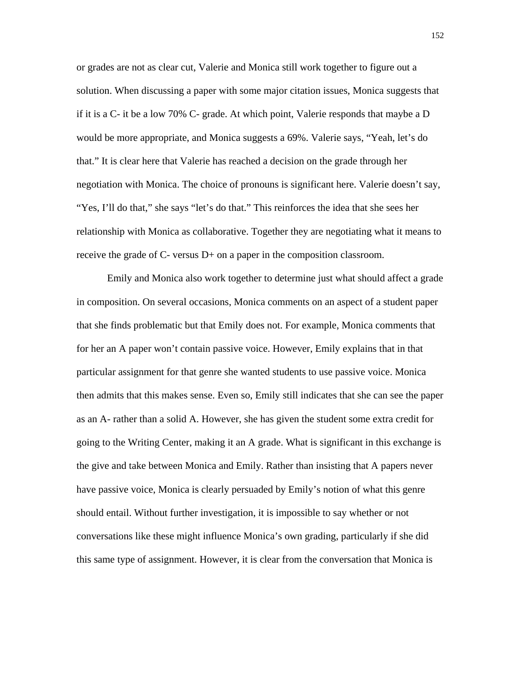or grades are not as clear cut, Valerie and Monica still work together to figure out a solution. When discussing a paper with some major citation issues, Monica suggests that if it is a C- it be a low 70% C- grade. At which point, Valerie responds that maybe a D would be more appropriate, and Monica suggests a 69%. Valerie says, "Yeah, let's do that." It is clear here that Valerie has reached a decision on the grade through her negotiation with Monica. The choice of pronouns is significant here. Valerie doesn't say, "Yes, I'll do that," she says "let's do that." This reinforces the idea that she sees her relationship with Monica as collaborative. Together they are negotiating what it means to receive the grade of C- versus D+ on a paper in the composition classroom.

Emily and Monica also work together to determine just what should affect a grade in composition. On several occasions, Monica comments on an aspect of a student paper that she finds problematic but that Emily does not. For example, Monica comments that for her an A paper won't contain passive voice. However, Emily explains that in that particular assignment for that genre she wanted students to use passive voice. Monica then admits that this makes sense. Even so, Emily still indicates that she can see the paper as an A- rather than a solid A. However, she has given the student some extra credit for going to the Writing Center, making it an A grade. What is significant in this exchange is the give and take between Monica and Emily. Rather than insisting that A papers never have passive voice, Monica is clearly persuaded by Emily's notion of what this genre should entail. Without further investigation, it is impossible to say whether or not conversations like these might influence Monica's own grading, particularly if she did this same type of assignment. However, it is clear from the conversation that Monica is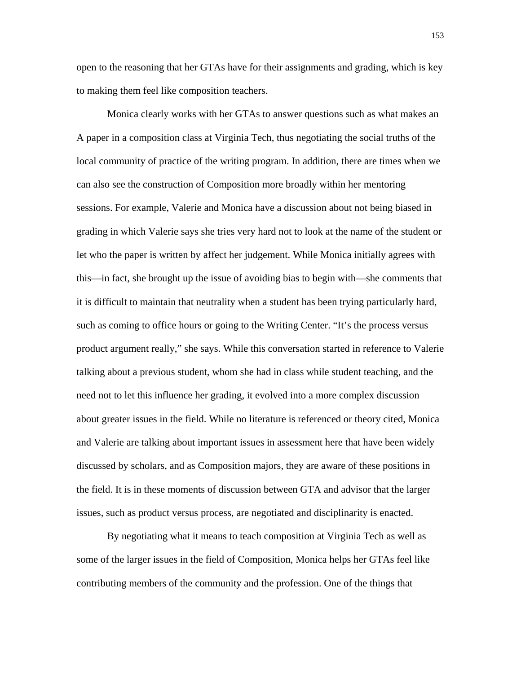open to the reasoning that her GTAs have for their assignments and grading, which is key to making them feel like composition teachers.

Monica clearly works with her GTAs to answer questions such as what makes an A paper in a composition class at Virginia Tech, thus negotiating the social truths of the local community of practice of the writing program. In addition, there are times when we can also see the construction of Composition more broadly within her mentoring sessions. For example, Valerie and Monica have a discussion about not being biased in grading in which Valerie says she tries very hard not to look at the name of the student or let who the paper is written by affect her judgement. While Monica initially agrees with this—in fact, she brought up the issue of avoiding bias to begin with—she comments that it is difficult to maintain that neutrality when a student has been trying particularly hard, such as coming to office hours or going to the Writing Center. "It's the process versus product argument really," she says. While this conversation started in reference to Valerie talking about a previous student, whom she had in class while student teaching, and the need not to let this influence her grading, it evolved into a more complex discussion about greater issues in the field. While no literature is referenced or theory cited, Monica and Valerie are talking about important issues in assessment here that have been widely discussed by scholars, and as Composition majors, they are aware of these positions in the field. It is in these moments of discussion between GTA and advisor that the larger issues, such as product versus process, are negotiated and disciplinarity is enacted.

By negotiating what it means to teach composition at Virginia Tech as well as some of the larger issues in the field of Composition, Monica helps her GTAs feel like contributing members of the community and the profession. One of the things that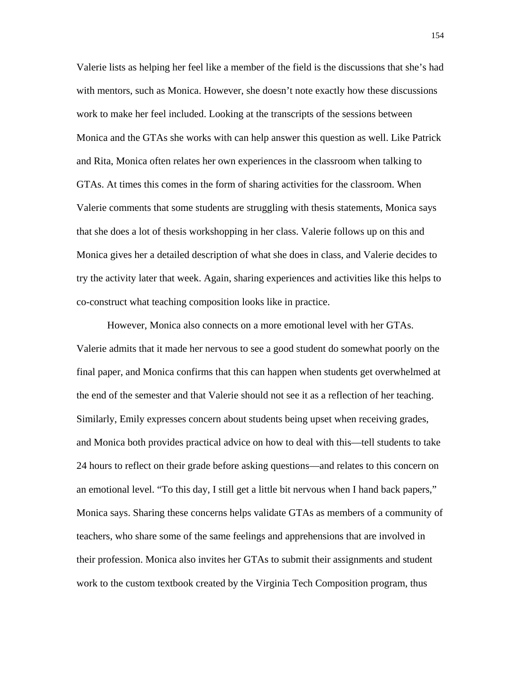Valerie lists as helping her feel like a member of the field is the discussions that she's had with mentors, such as Monica. However, she doesn't note exactly how these discussions work to make her feel included. Looking at the transcripts of the sessions between Monica and the GTAs she works with can help answer this question as well. Like Patrick and Rita, Monica often relates her own experiences in the classroom when talking to GTAs. At times this comes in the form of sharing activities for the classroom. When Valerie comments that some students are struggling with thesis statements, Monica says that she does a lot of thesis workshopping in her class. Valerie follows up on this and Monica gives her a detailed description of what she does in class, and Valerie decides to try the activity later that week. Again, sharing experiences and activities like this helps to co-construct what teaching composition looks like in practice.

However, Monica also connects on a more emotional level with her GTAs. Valerie admits that it made her nervous to see a good student do somewhat poorly on the final paper, and Monica confirms that this can happen when students get overwhelmed at the end of the semester and that Valerie should not see it as a reflection of her teaching. Similarly, Emily expresses concern about students being upset when receiving grades, and Monica both provides practical advice on how to deal with this—tell students to take 24 hours to reflect on their grade before asking questions—and relates to this concern on an emotional level. "To this day, I still get a little bit nervous when I hand back papers," Monica says. Sharing these concerns helps validate GTAs as members of a community of teachers, who share some of the same feelings and apprehensions that are involved in their profession. Monica also invites her GTAs to submit their assignments and student work to the custom textbook created by the Virginia Tech Composition program, thus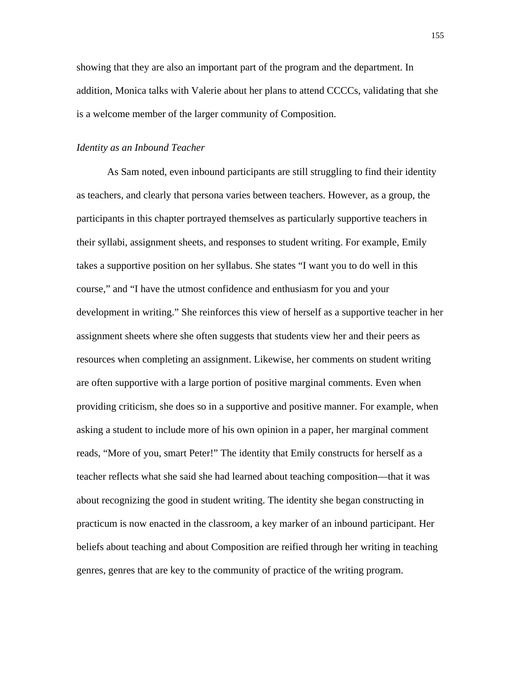showing that they are also an important part of the program and the department. In addition, Monica talks with Valerie about her plans to attend CCCCs, validating that she is a welcome member of the larger community of Composition.

#### *Identity as an Inbound Teacher*

As Sam noted, even inbound participants are still struggling to find their identity as teachers, and clearly that persona varies between teachers. However, as a group, the participants in this chapter portrayed themselves as particularly supportive teachers in their syllabi, assignment sheets, and responses to student writing. For example, Emily takes a supportive position on her syllabus. She states "I want you to do well in this course," and "I have the utmost confidence and enthusiasm for you and your development in writing." She reinforces this view of herself as a supportive teacher in her assignment sheets where she often suggests that students view her and their peers as resources when completing an assignment. Likewise, her comments on student writing are often supportive with a large portion of positive marginal comments. Even when providing criticism, she does so in a supportive and positive manner. For example, when asking a student to include more of his own opinion in a paper, her marginal comment reads, "More of you, smart Peter!" The identity that Emily constructs for herself as a teacher reflects what she said she had learned about teaching composition—that it was about recognizing the good in student writing. The identity she began constructing in practicum is now enacted in the classroom, a key marker of an inbound participant. Her beliefs about teaching and about Composition are reified through her writing in teaching genres, genres that are key to the community of practice of the writing program.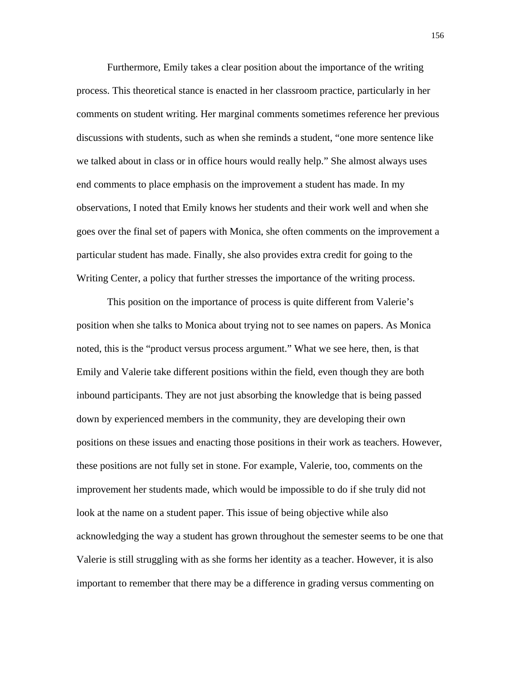Furthermore, Emily takes a clear position about the importance of the writing process. This theoretical stance is enacted in her classroom practice, particularly in her comments on student writing. Her marginal comments sometimes reference her previous discussions with students, such as when she reminds a student, "one more sentence like we talked about in class or in office hours would really help." She almost always uses end comments to place emphasis on the improvement a student has made. In my observations, I noted that Emily knows her students and their work well and when she goes over the final set of papers with Monica, she often comments on the improvement a particular student has made. Finally, she also provides extra credit for going to the Writing Center, a policy that further stresses the importance of the writing process.

This position on the importance of process is quite different from Valerie's position when she talks to Monica about trying not to see names on papers. As Monica noted, this is the "product versus process argument." What we see here, then, is that Emily and Valerie take different positions within the field, even though they are both inbound participants. They are not just absorbing the knowledge that is being passed down by experienced members in the community, they are developing their own positions on these issues and enacting those positions in their work as teachers. However, these positions are not fully set in stone. For example, Valerie, too, comments on the improvement her students made, which would be impossible to do if she truly did not look at the name on a student paper. This issue of being objective while also acknowledging the way a student has grown throughout the semester seems to be one that Valerie is still struggling with as she forms her identity as a teacher. However, it is also important to remember that there may be a difference in grading versus commenting on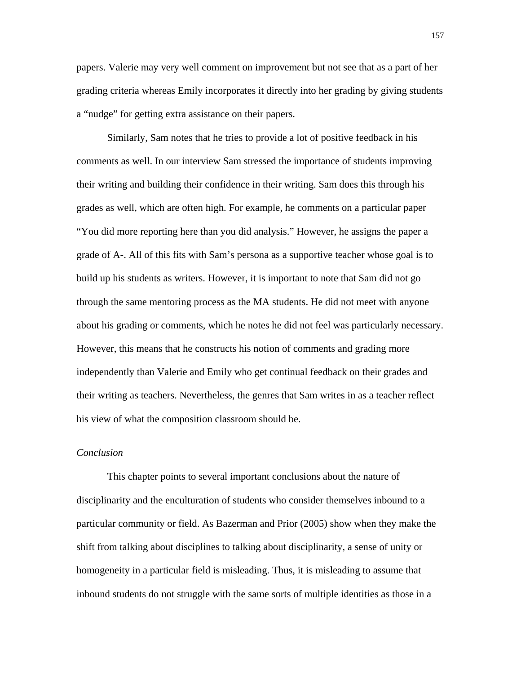papers. Valerie may very well comment on improvement but not see that as a part of her grading criteria whereas Emily incorporates it directly into her grading by giving students a "nudge" for getting extra assistance on their papers.

Similarly, Sam notes that he tries to provide a lot of positive feedback in his comments as well. In our interview Sam stressed the importance of students improving their writing and building their confidence in their writing. Sam does this through his grades as well, which are often high. For example, he comments on a particular paper "You did more reporting here than you did analysis." However, he assigns the paper a grade of A-. All of this fits with Sam's persona as a supportive teacher whose goal is to build up his students as writers. However, it is important to note that Sam did not go through the same mentoring process as the MA students. He did not meet with anyone about his grading or comments, which he notes he did not feel was particularly necessary. However, this means that he constructs his notion of comments and grading more independently than Valerie and Emily who get continual feedback on their grades and their writing as teachers. Nevertheless, the genres that Sam writes in as a teacher reflect his view of what the composition classroom should be.

# *Conclusion*

This chapter points to several important conclusions about the nature of disciplinarity and the enculturation of students who consider themselves inbound to a particular community or field. As Bazerman and Prior (2005) show when they make the shift from talking about disciplines to talking about disciplinarity, a sense of unity or homogeneity in a particular field is misleading. Thus, it is misleading to assume that inbound students do not struggle with the same sorts of multiple identities as those in a

157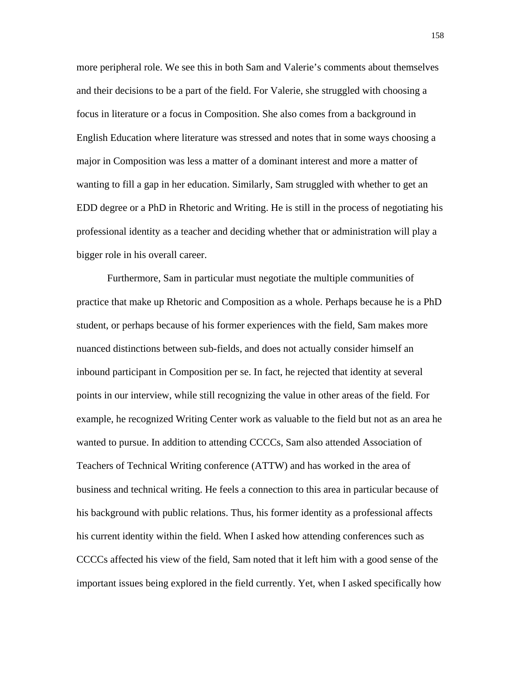more peripheral role. We see this in both Sam and Valerie's comments about themselves and their decisions to be a part of the field. For Valerie, she struggled with choosing a focus in literature or a focus in Composition. She also comes from a background in English Education where literature was stressed and notes that in some ways choosing a major in Composition was less a matter of a dominant interest and more a matter of wanting to fill a gap in her education. Similarly, Sam struggled with whether to get an EDD degree or a PhD in Rhetoric and Writing. He is still in the process of negotiating his professional identity as a teacher and deciding whether that or administration will play a bigger role in his overall career.

Furthermore, Sam in particular must negotiate the multiple communities of practice that make up Rhetoric and Composition as a whole. Perhaps because he is a PhD student, or perhaps because of his former experiences with the field, Sam makes more nuanced distinctions between sub-fields, and does not actually consider himself an inbound participant in Composition per se. In fact, he rejected that identity at several points in our interview, while still recognizing the value in other areas of the field. For example, he recognized Writing Center work as valuable to the field but not as an area he wanted to pursue. In addition to attending CCCCs, Sam also attended Association of Teachers of Technical Writing conference (ATTW) and has worked in the area of business and technical writing. He feels a connection to this area in particular because of his background with public relations. Thus, his former identity as a professional affects his current identity within the field. When I asked how attending conferences such as CCCCs affected his view of the field, Sam noted that it left him with a good sense of the important issues being explored in the field currently. Yet, when I asked specifically how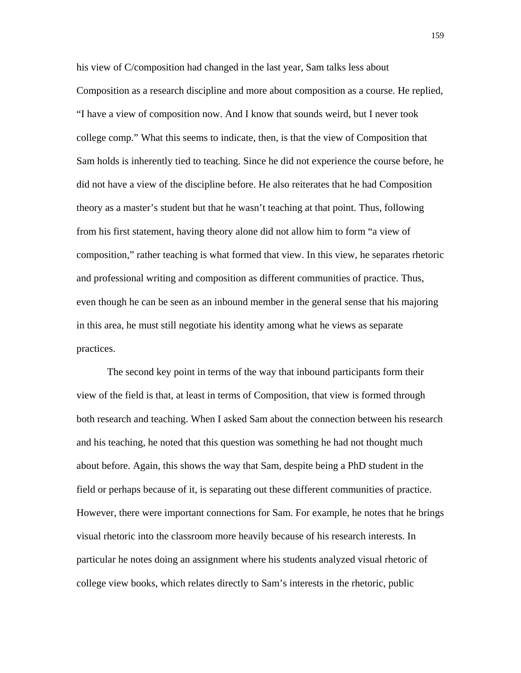his view of C/composition had changed in the last year, Sam talks less about Composition as a research discipline and more about composition as a course. He replied, "I have a view of composition now. And I know that sounds weird, but I never took college comp." What this seems to indicate, then, is that the view of Composition that Sam holds is inherently tied to teaching. Since he did not experience the course before, he did not have a view of the discipline before. He also reiterates that he had Composition theory as a master's student but that he wasn't teaching at that point. Thus, following from his first statement, having theory alone did not allow him to form "a view of composition," rather teaching is what formed that view. In this view, he separates rhetoric and professional writing and composition as different communities of practice. Thus, even though he can be seen as an inbound member in the general sense that his majoring in this area, he must still negotiate his identity among what he views as separate practices.

The second key point in terms of the way that inbound participants form their view of the field is that, at least in terms of Composition, that view is formed through both research and teaching. When I asked Sam about the connection between his research and his teaching, he noted that this question was something he had not thought much about before. Again, this shows the way that Sam, despite being a PhD student in the field or perhaps because of it, is separating out these different communities of practice. However, there were important connections for Sam. For example, he notes that he brings visual rhetoric into the classroom more heavily because of his research interests. In particular he notes doing an assignment where his students analyzed visual rhetoric of college view books, which relates directly to Sam's interests in the rhetoric, public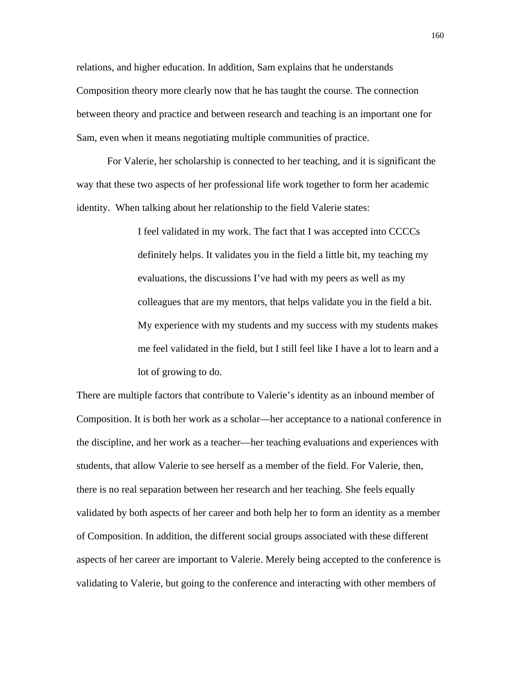relations, and higher education. In addition, Sam explains that he understands Composition theory more clearly now that he has taught the course. The connection between theory and practice and between research and teaching is an important one for Sam, even when it means negotiating multiple communities of practice.

For Valerie, her scholarship is connected to her teaching, and it is significant the way that these two aspects of her professional life work together to form her academic identity. When talking about her relationship to the field Valerie states:

> I feel validated in my work. The fact that I was accepted into CCCCs definitely helps. It validates you in the field a little bit, my teaching my evaluations, the discussions I've had with my peers as well as my colleagues that are my mentors, that helps validate you in the field a bit. My experience with my students and my success with my students makes me feel validated in the field, but I still feel like I have a lot to learn and a lot of growing to do.

There are multiple factors that contribute to Valerie's identity as an inbound member of Composition. It is both her work as a scholar—her acceptance to a national conference in the discipline, and her work as a teacher—her teaching evaluations and experiences with students, that allow Valerie to see herself as a member of the field. For Valerie, then, there is no real separation between her research and her teaching. She feels equally validated by both aspects of her career and both help her to form an identity as a member of Composition. In addition, the different social groups associated with these different aspects of her career are important to Valerie. Merely being accepted to the conference is validating to Valerie, but going to the conference and interacting with other members of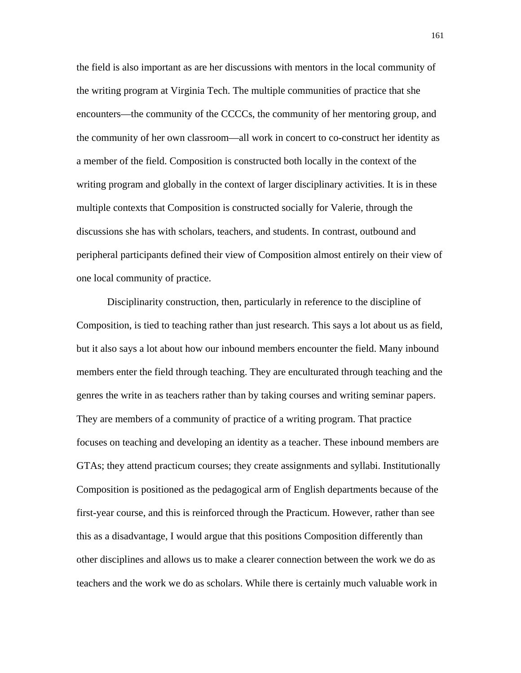the field is also important as are her discussions with mentors in the local community of the writing program at Virginia Tech. The multiple communities of practice that she encounters—the community of the CCCCs, the community of her mentoring group, and the community of her own classroom—all work in concert to co-construct her identity as a member of the field. Composition is constructed both locally in the context of the writing program and globally in the context of larger disciplinary activities. It is in these multiple contexts that Composition is constructed socially for Valerie, through the discussions she has with scholars, teachers, and students. In contrast, outbound and peripheral participants defined their view of Composition almost entirely on their view of one local community of practice.

Disciplinarity construction, then, particularly in reference to the discipline of Composition, is tied to teaching rather than just research. This says a lot about us as field, but it also says a lot about how our inbound members encounter the field. Many inbound members enter the field through teaching. They are enculturated through teaching and the genres the write in as teachers rather than by taking courses and writing seminar papers. They are members of a community of practice of a writing program. That practice focuses on teaching and developing an identity as a teacher. These inbound members are GTAs; they attend practicum courses; they create assignments and syllabi. Institutionally Composition is positioned as the pedagogical arm of English departments because of the first-year course, and this is reinforced through the Practicum. However, rather than see this as a disadvantage, I would argue that this positions Composition differently than other disciplines and allows us to make a clearer connection between the work we do as teachers and the work we do as scholars. While there is certainly much valuable work in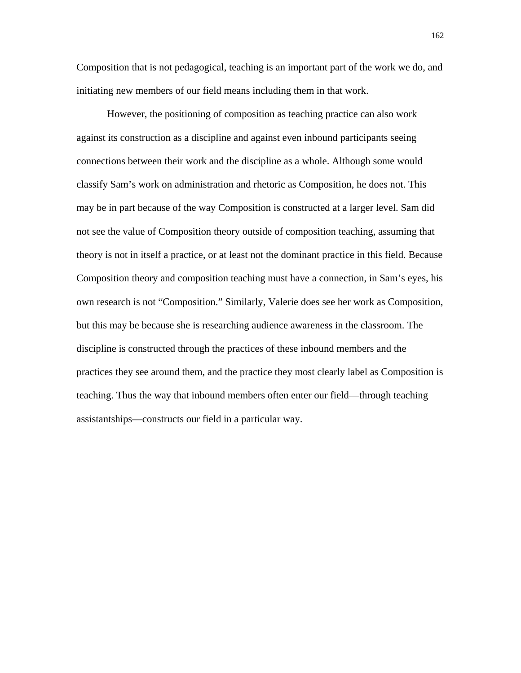Composition that is not pedagogical, teaching is an important part of the work we do, and initiating new members of our field means including them in that work.

However, the positioning of composition as teaching practice can also work against its construction as a discipline and against even inbound participants seeing connections between their work and the discipline as a whole. Although some would classify Sam's work on administration and rhetoric as Composition, he does not. This may be in part because of the way Composition is constructed at a larger level. Sam did not see the value of Composition theory outside of composition teaching, assuming that theory is not in itself a practice, or at least not the dominant practice in this field. Because Composition theory and composition teaching must have a connection, in Sam's eyes, his own research is not "Composition." Similarly, Valerie does see her work as Composition, but this may be because she is researching audience awareness in the classroom. The discipline is constructed through the practices of these inbound members and the practices they see around them, and the practice they most clearly label as Composition is teaching. Thus the way that inbound members often enter our field—through teaching assistantships—constructs our field in a particular way.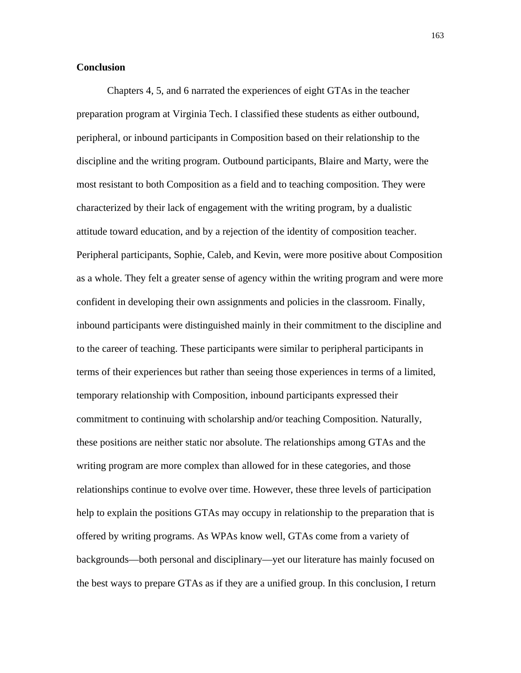# **Conclusion**

Chapters 4, 5, and 6 narrated the experiences of eight GTAs in the teacher preparation program at Virginia Tech. I classified these students as either outbound, peripheral, or inbound participants in Composition based on their relationship to the discipline and the writing program. Outbound participants, Blaire and Marty, were the most resistant to both Composition as a field and to teaching composition. They were characterized by their lack of engagement with the writing program, by a dualistic attitude toward education, and by a rejection of the identity of composition teacher. Peripheral participants, Sophie, Caleb, and Kevin, were more positive about Composition as a whole. They felt a greater sense of agency within the writing program and were more confident in developing their own assignments and policies in the classroom. Finally, inbound participants were distinguished mainly in their commitment to the discipline and to the career of teaching. These participants were similar to peripheral participants in terms of their experiences but rather than seeing those experiences in terms of a limited, temporary relationship with Composition, inbound participants expressed their commitment to continuing with scholarship and/or teaching Composition. Naturally, these positions are neither static nor absolute. The relationships among GTAs and the writing program are more complex than allowed for in these categories, and those relationships continue to evolve over time. However, these three levels of participation help to explain the positions GTAs may occupy in relationship to the preparation that is offered by writing programs. As WPAs know well, GTAs come from a variety of backgrounds—both personal and disciplinary—yet our literature has mainly focused on the best ways to prepare GTAs as if they are a unified group. In this conclusion, I return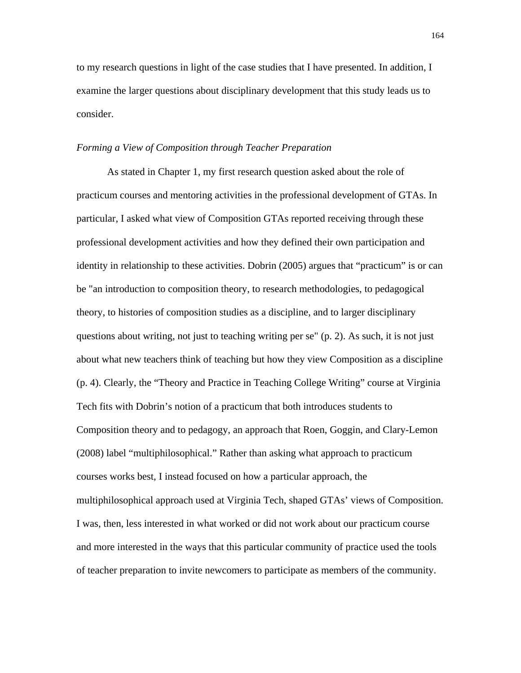to my research questions in light of the case studies that I have presented. In addition, I examine the larger questions about disciplinary development that this study leads us to consider.

#### *Forming a View of Composition through Teacher Preparation*

As stated in Chapter 1, my first research question asked about the role of practicum courses and mentoring activities in the professional development of GTAs. In particular, I asked what view of Composition GTAs reported receiving through these professional development activities and how they defined their own participation and identity in relationship to these activities. Dobrin (2005) argues that "practicum" is or can be "an introduction to composition theory, to research methodologies, to pedagogical theory, to histories of composition studies as a discipline, and to larger disciplinary questions about writing, not just to teaching writing per se" (p. 2). As such, it is not just about what new teachers think of teaching but how they view Composition as a discipline (p. 4). Clearly, the "Theory and Practice in Teaching College Writing" course at Virginia Tech fits with Dobrin's notion of a practicum that both introduces students to Composition theory and to pedagogy, an approach that Roen, Goggin, and Clary-Lemon (2008) label "multiphilosophical." Rather than asking what approach to practicum courses works best, I instead focused on how a particular approach, the multiphilosophical approach used at Virginia Tech, shaped GTAs' views of Composition. I was, then, less interested in what worked or did not work about our practicum course and more interested in the ways that this particular community of practice used the tools of teacher preparation to invite newcomers to participate as members of the community.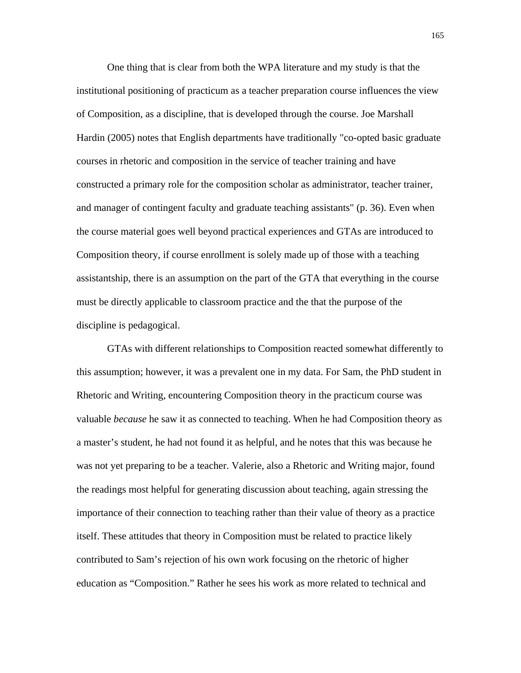One thing that is clear from both the WPA literature and my study is that the institutional positioning of practicum as a teacher preparation course influences the view of Composition, as a discipline, that is developed through the course. Joe Marshall Hardin (2005) notes that English departments have traditionally "co-opted basic graduate courses in rhetoric and composition in the service of teacher training and have constructed a primary role for the composition scholar as administrator, teacher trainer, and manager of contingent faculty and graduate teaching assistants" (p. 36). Even when the course material goes well beyond practical experiences and GTAs are introduced to Composition theory, if course enrollment is solely made up of those with a teaching assistantship, there is an assumption on the part of the GTA that everything in the course must be directly applicable to classroom practice and the that the purpose of the discipline is pedagogical.

GTAs with different relationships to Composition reacted somewhat differently to this assumption; however, it was a prevalent one in my data. For Sam, the PhD student in Rhetoric and Writing, encountering Composition theory in the practicum course was valuable *because* he saw it as connected to teaching. When he had Composition theory as a master's student, he had not found it as helpful, and he notes that this was because he was not yet preparing to be a teacher. Valerie, also a Rhetoric and Writing major, found the readings most helpful for generating discussion about teaching, again stressing the importance of their connection to teaching rather than their value of theory as a practice itself. These attitudes that theory in Composition must be related to practice likely contributed to Sam's rejection of his own work focusing on the rhetoric of higher education as "Composition." Rather he sees his work as more related to technical and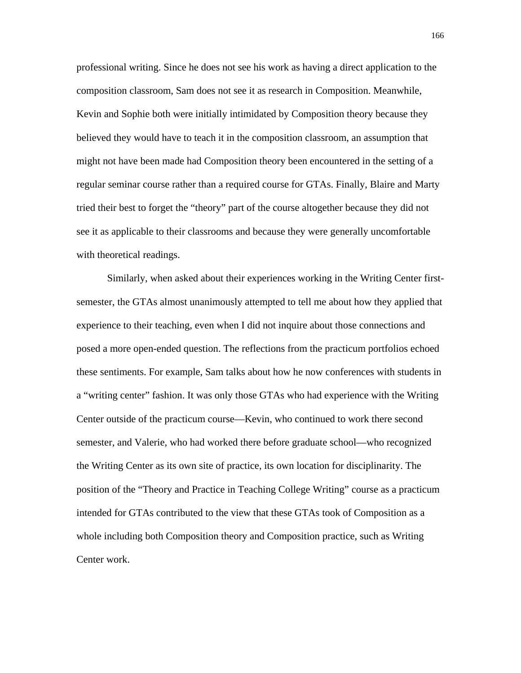professional writing. Since he does not see his work as having a direct application to the composition classroom, Sam does not see it as research in Composition. Meanwhile, Kevin and Sophie both were initially intimidated by Composition theory because they believed they would have to teach it in the composition classroom, an assumption that might not have been made had Composition theory been encountered in the setting of a regular seminar course rather than a required course for GTAs. Finally, Blaire and Marty tried their best to forget the "theory" part of the course altogether because they did not see it as applicable to their classrooms and because they were generally uncomfortable with theoretical readings.

Similarly, when asked about their experiences working in the Writing Center firstsemester, the GTAs almost unanimously attempted to tell me about how they applied that experience to their teaching, even when I did not inquire about those connections and posed a more open-ended question. The reflections from the practicum portfolios echoed these sentiments. For example, Sam talks about how he now conferences with students in a "writing center" fashion. It was only those GTAs who had experience with the Writing Center outside of the practicum course—Kevin, who continued to work there second semester, and Valerie, who had worked there before graduate school—who recognized the Writing Center as its own site of practice, its own location for disciplinarity. The position of the "Theory and Practice in Teaching College Writing" course as a practicum intended for GTAs contributed to the view that these GTAs took of Composition as a whole including both Composition theory and Composition practice, such as Writing Center work.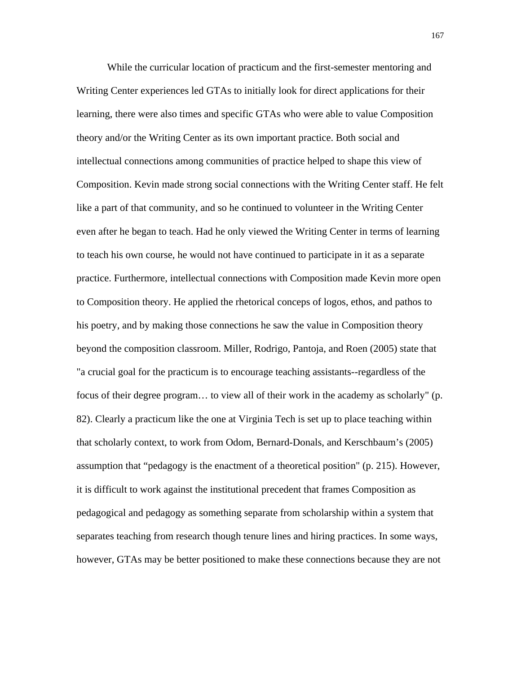While the curricular location of practicum and the first-semester mentoring and Writing Center experiences led GTAs to initially look for direct applications for their learning, there were also times and specific GTAs who were able to value Composition theory and/or the Writing Center as its own important practice. Both social and intellectual connections among communities of practice helped to shape this view of Composition. Kevin made strong social connections with the Writing Center staff. He felt like a part of that community, and so he continued to volunteer in the Writing Center even after he began to teach. Had he only viewed the Writing Center in terms of learning to teach his own course, he would not have continued to participate in it as a separate practice. Furthermore, intellectual connections with Composition made Kevin more open to Composition theory. He applied the rhetorical conceps of logos, ethos, and pathos to his poetry, and by making those connections he saw the value in Composition theory beyond the composition classroom. Miller, Rodrigo, Pantoja, and Roen (2005) state that "a crucial goal for the practicum is to encourage teaching assistants--regardless of the focus of their degree program… to view all of their work in the academy as scholarly" (p. 82). Clearly a practicum like the one at Virginia Tech is set up to place teaching within that scholarly context, to work from Odom, Bernard-Donals, and Kerschbaum's (2005) assumption that "pedagogy is the enactment of a theoretical position" (p. 215). However, it is difficult to work against the institutional precedent that frames Composition as pedagogical and pedagogy as something separate from scholarship within a system that separates teaching from research though tenure lines and hiring practices. In some ways, however, GTAs may be better positioned to make these connections because they are not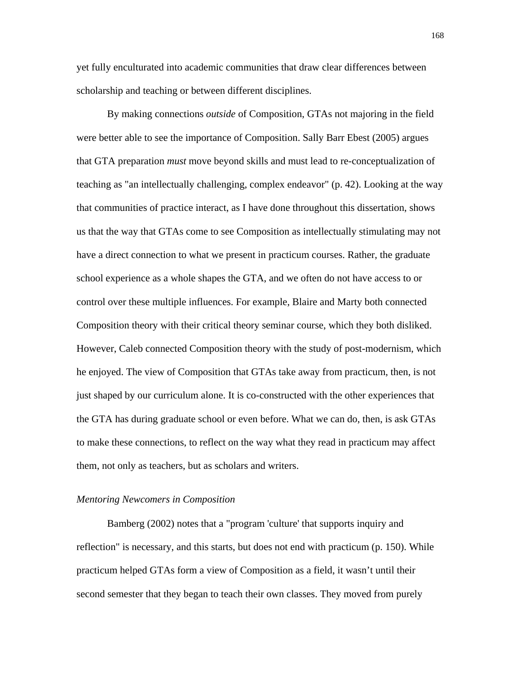yet fully enculturated into academic communities that draw clear differences between scholarship and teaching or between different disciplines.

By making connections *outside* of Composition, GTAs not majoring in the field were better able to see the importance of Composition. Sally Barr Ebest (2005) argues that GTA preparation *must* move beyond skills and must lead to re-conceptualization of teaching as "an intellectually challenging, complex endeavor" (p. 42). Looking at the way that communities of practice interact, as I have done throughout this dissertation, shows us that the way that GTAs come to see Composition as intellectually stimulating may not have a direct connection to what we present in practicum courses. Rather, the graduate school experience as a whole shapes the GTA, and we often do not have access to or control over these multiple influences. For example, Blaire and Marty both connected Composition theory with their critical theory seminar course, which they both disliked. However, Caleb connected Composition theory with the study of post-modernism, which he enjoyed. The view of Composition that GTAs take away from practicum, then, is not just shaped by our curriculum alone. It is co-constructed with the other experiences that the GTA has during graduate school or even before. What we can do, then, is ask GTAs to make these connections, to reflect on the way what they read in practicum may affect them, not only as teachers, but as scholars and writers.

# *Mentoring Newcomers in Composition*

Bamberg (2002) notes that a "program 'culture' that supports inquiry and reflection" is necessary, and this starts, but does not end with practicum (p. 150). While practicum helped GTAs form a view of Composition as a field, it wasn't until their second semester that they began to teach their own classes. They moved from purely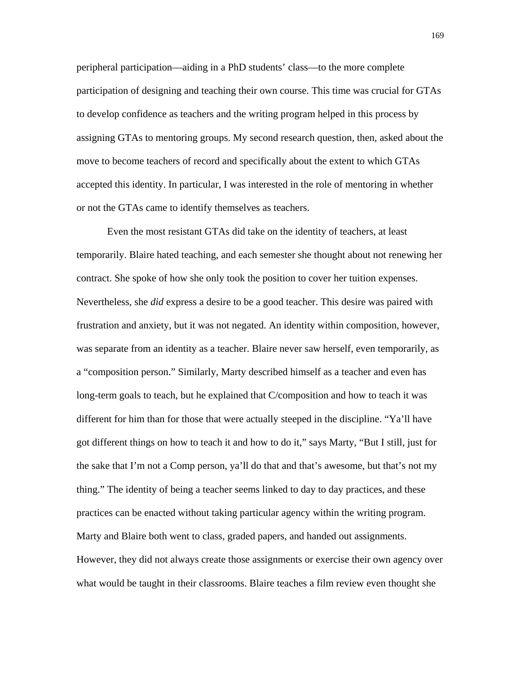peripheral participation—aiding in a PhD students' class—to the more complete participation of designing and teaching their own course. This time was crucial for GTAs to develop confidence as teachers and the writing program helped in this process by assigning GTAs to mentoring groups. My second research question, then, asked about the move to become teachers of record and specifically about the extent to which GTAs accepted this identity. In particular, I was interested in the role of mentoring in whether or not the GTAs came to identify themselves as teachers.

Even the most resistant GTAs did take on the identity of teachers, at least temporarily. Blaire hated teaching, and each semester she thought about not renewing her contract. She spoke of how she only took the position to cover her tuition expenses. Nevertheless, she *did* express a desire to be a good teacher. This desire was paired with frustration and anxiety, but it was not negated. An identity within composition, however, was separate from an identity as a teacher. Blaire never saw herself, even temporarily, as a "composition person." Similarly, Marty described himself as a teacher and even has long-term goals to teach, but he explained that C/composition and how to teach it was different for him than for those that were actually steeped in the discipline. "Ya'll have got different things on how to teach it and how to do it," says Marty, "But I still, just for the sake that I'm not a Comp person, ya'll do that and that's awesome, but that's not my thing." The identity of being a teacher seems linked to day to day practices, and these practices can be enacted without taking particular agency within the writing program. Marty and Blaire both went to class, graded papers, and handed out assignments. However, they did not always create those assignments or exercise their own agency over what would be taught in their classrooms. Blaire teaches a film review even thought she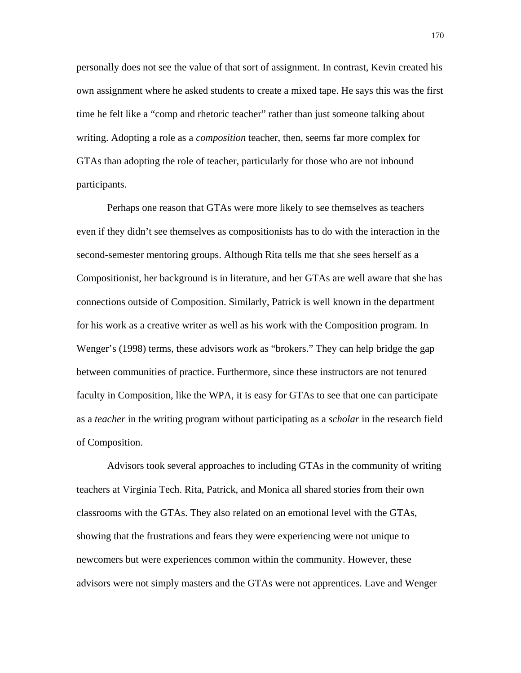personally does not see the value of that sort of assignment. In contrast, Kevin created his own assignment where he asked students to create a mixed tape. He says this was the first time he felt like a "comp and rhetoric teacher" rather than just someone talking about writing. Adopting a role as a *composition* teacher, then, seems far more complex for GTAs than adopting the role of teacher, particularly for those who are not inbound participants.

Perhaps one reason that GTAs were more likely to see themselves as teachers even if they didn't see themselves as compositionists has to do with the interaction in the second-semester mentoring groups. Although Rita tells me that she sees herself as a Compositionist, her background is in literature, and her GTAs are well aware that she has connections outside of Composition. Similarly, Patrick is well known in the department for his work as a creative writer as well as his work with the Composition program. In Wenger's (1998) terms, these advisors work as "brokers." They can help bridge the gap between communities of practice. Furthermore, since these instructors are not tenured faculty in Composition, like the WPA, it is easy for GTAs to see that one can participate as a *teacher* in the writing program without participating as a *scholar* in the research field of Composition.

Advisors took several approaches to including GTAs in the community of writing teachers at Virginia Tech. Rita, Patrick, and Monica all shared stories from their own classrooms with the GTAs. They also related on an emotional level with the GTAs, showing that the frustrations and fears they were experiencing were not unique to newcomers but were experiences common within the community. However, these advisors were not simply masters and the GTAs were not apprentices. Lave and Wenger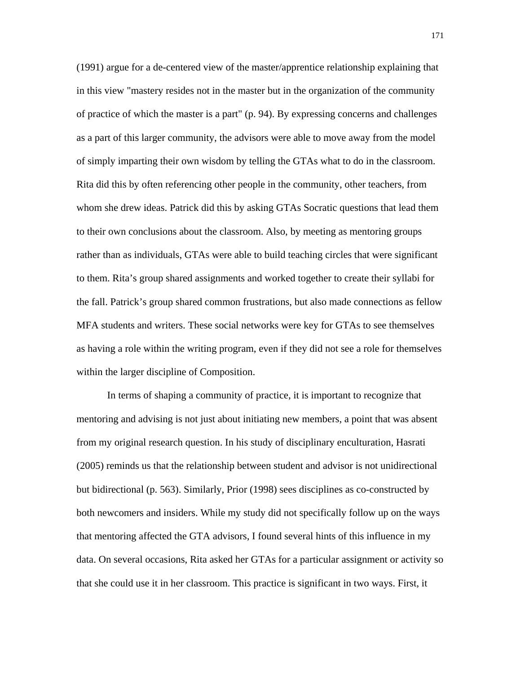(1991) argue for a de-centered view of the master/apprentice relationship explaining that in this view "mastery resides not in the master but in the organization of the community of practice of which the master is a part" (p. 94). By expressing concerns and challenges as a part of this larger community, the advisors were able to move away from the model of simply imparting their own wisdom by telling the GTAs what to do in the classroom. Rita did this by often referencing other people in the community, other teachers, from whom she drew ideas. Patrick did this by asking GTAs Socratic questions that lead them to their own conclusions about the classroom. Also, by meeting as mentoring groups rather than as individuals, GTAs were able to build teaching circles that were significant to them. Rita's group shared assignments and worked together to create their syllabi for the fall. Patrick's group shared common frustrations, but also made connections as fellow MFA students and writers. These social networks were key for GTAs to see themselves as having a role within the writing program, even if they did not see a role for themselves within the larger discipline of Composition.

In terms of shaping a community of practice, it is important to recognize that mentoring and advising is not just about initiating new members, a point that was absent from my original research question. In his study of disciplinary enculturation, Hasrati (2005) reminds us that the relationship between student and advisor is not unidirectional but bidirectional (p. 563). Similarly, Prior (1998) sees disciplines as co-constructed by both newcomers and insiders. While my study did not specifically follow up on the ways that mentoring affected the GTA advisors, I found several hints of this influence in my data. On several occasions, Rita asked her GTAs for a particular assignment or activity so that she could use it in her classroom. This practice is significant in two ways. First, it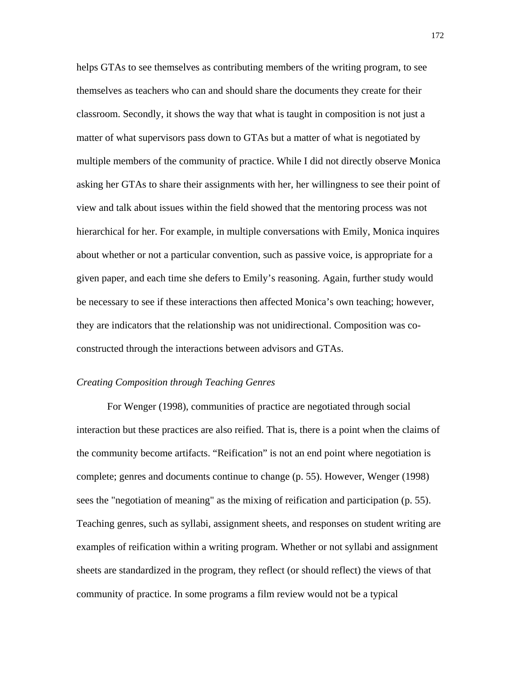helps GTAs to see themselves as contributing members of the writing program, to see themselves as teachers who can and should share the documents they create for their classroom. Secondly, it shows the way that what is taught in composition is not just a matter of what supervisors pass down to GTAs but a matter of what is negotiated by multiple members of the community of practice. While I did not directly observe Monica asking her GTAs to share their assignments with her, her willingness to see their point of view and talk about issues within the field showed that the mentoring process was not hierarchical for her. For example, in multiple conversations with Emily, Monica inquires about whether or not a particular convention, such as passive voice, is appropriate for a given paper, and each time she defers to Emily's reasoning. Again, further study would be necessary to see if these interactions then affected Monica's own teaching; however, they are indicators that the relationship was not unidirectional. Composition was coconstructed through the interactions between advisors and GTAs.

### *Creating Composition through Teaching Genres*

For Wenger (1998), communities of practice are negotiated through social interaction but these practices are also reified. That is, there is a point when the claims of the community become artifacts. "Reification" is not an end point where negotiation is complete; genres and documents continue to change (p. 55). However, Wenger (1998) sees the "negotiation of meaning" as the mixing of reification and participation (p. 55). Teaching genres, such as syllabi, assignment sheets, and responses on student writing are examples of reification within a writing program. Whether or not syllabi and assignment sheets are standardized in the program, they reflect (or should reflect) the views of that community of practice. In some programs a film review would not be a typical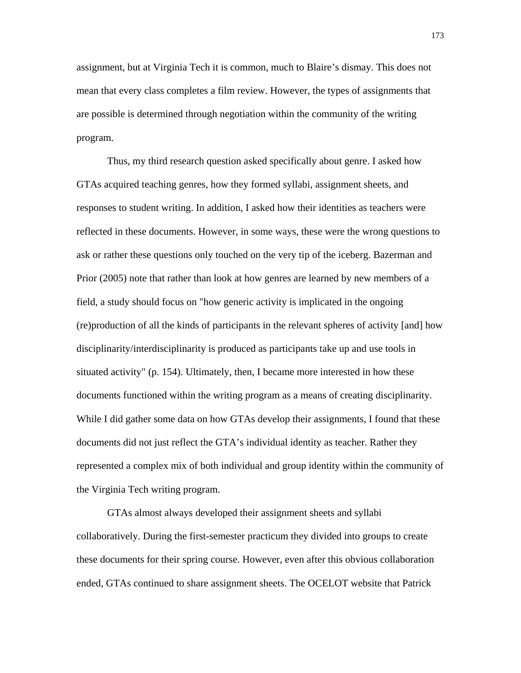assignment, but at Virginia Tech it is common, much to Blaire's dismay. This does not mean that every class completes a film review. However, the types of assignments that are possible is determined through negotiation within the community of the writing program.

Thus, my third research question asked specifically about genre. I asked how GTAs acquired teaching genres, how they formed syllabi, assignment sheets, and responses to student writing. In addition, I asked how their identities as teachers were reflected in these documents. However, in some ways, these were the wrong questions to ask or rather these questions only touched on the very tip of the iceberg. Bazerman and Prior (2005) note that rather than look at how genres are learned by new members of a field, a study should focus on "how generic activity is implicated in the ongoing (re)production of all the kinds of participants in the relevant spheres of activity [and] how disciplinarity/interdisciplinarity is produced as participants take up and use tools in situated activity" (p. 154). Ultimately, then, I became more interested in how these documents functioned within the writing program as a means of creating disciplinarity. While I did gather some data on how GTAs develop their assignments, I found that these documents did not just reflect the GTA's individual identity as teacher. Rather they represented a complex mix of both individual and group identity within the community of the Virginia Tech writing program.

GTAs almost always developed their assignment sheets and syllabi collaboratively. During the first-semester practicum they divided into groups to create these documents for their spring course. However, even after this obvious collaboration ended, GTAs continued to share assignment sheets. The OCELOT website that Patrick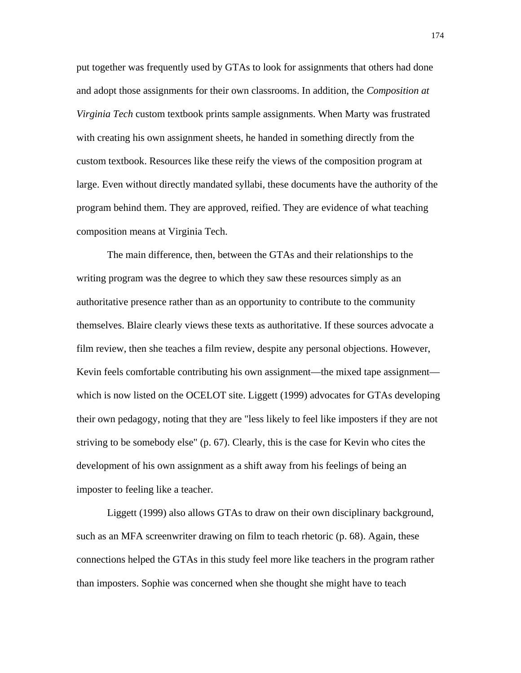put together was frequently used by GTAs to look for assignments that others had done and adopt those assignments for their own classrooms. In addition, the *Composition at Virginia Tech* custom textbook prints sample assignments. When Marty was frustrated with creating his own assignment sheets, he handed in something directly from the custom textbook. Resources like these reify the views of the composition program at large. Even without directly mandated syllabi, these documents have the authority of the program behind them. They are approved, reified. They are evidence of what teaching composition means at Virginia Tech.

The main difference, then, between the GTAs and their relationships to the writing program was the degree to which they saw these resources simply as an authoritative presence rather than as an opportunity to contribute to the community themselves. Blaire clearly views these texts as authoritative. If these sources advocate a film review, then she teaches a film review, despite any personal objections. However, Kevin feels comfortable contributing his own assignment—the mixed tape assignment which is now listed on the OCELOT site. Liggett (1999) advocates for GTAs developing their own pedagogy, noting that they are "less likely to feel like imposters if they are not striving to be somebody else" (p. 67). Clearly, this is the case for Kevin who cites the development of his own assignment as a shift away from his feelings of being an imposter to feeling like a teacher.

Liggett (1999) also allows GTAs to draw on their own disciplinary background, such as an MFA screenwriter drawing on film to teach rhetoric (p. 68). Again, these connections helped the GTAs in this study feel more like teachers in the program rather than imposters. Sophie was concerned when she thought she might have to teach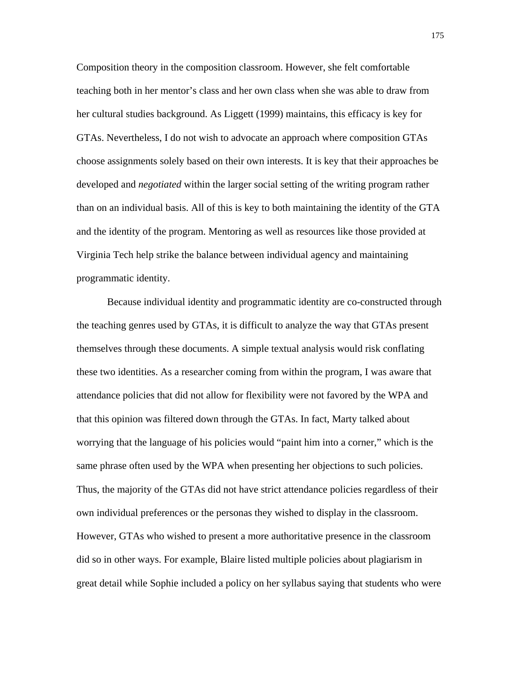Composition theory in the composition classroom. However, she felt comfortable teaching both in her mentor's class and her own class when she was able to draw from her cultural studies background. As Liggett (1999) maintains, this efficacy is key for GTAs. Nevertheless, I do not wish to advocate an approach where composition GTAs choose assignments solely based on their own interests. It is key that their approaches be developed and *negotiated* within the larger social setting of the writing program rather than on an individual basis. All of this is key to both maintaining the identity of the GTA and the identity of the program. Mentoring as well as resources like those provided at Virginia Tech help strike the balance between individual agency and maintaining programmatic identity.

Because individual identity and programmatic identity are co-constructed through the teaching genres used by GTAs, it is difficult to analyze the way that GTAs present themselves through these documents. A simple textual analysis would risk conflating these two identities. As a researcher coming from within the program, I was aware that attendance policies that did not allow for flexibility were not favored by the WPA and that this opinion was filtered down through the GTAs. In fact, Marty talked about worrying that the language of his policies would "paint him into a corner," which is the same phrase often used by the WPA when presenting her objections to such policies. Thus, the majority of the GTAs did not have strict attendance policies regardless of their own individual preferences or the personas they wished to display in the classroom. However, GTAs who wished to present a more authoritative presence in the classroom did so in other ways. For example, Blaire listed multiple policies about plagiarism in great detail while Sophie included a policy on her syllabus saying that students who were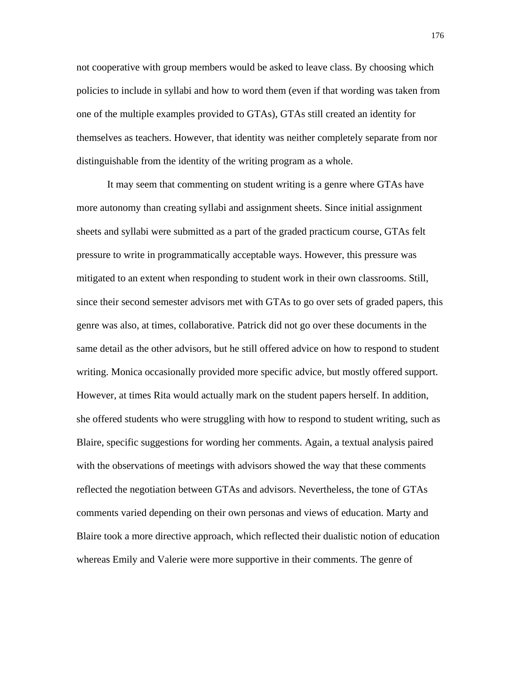not cooperative with group members would be asked to leave class. By choosing which policies to include in syllabi and how to word them (even if that wording was taken from one of the multiple examples provided to GTAs), GTAs still created an identity for themselves as teachers. However, that identity was neither completely separate from nor distinguishable from the identity of the writing program as a whole.

It may seem that commenting on student writing is a genre where GTAs have more autonomy than creating syllabi and assignment sheets. Since initial assignment sheets and syllabi were submitted as a part of the graded practicum course, GTAs felt pressure to write in programmatically acceptable ways. However, this pressure was mitigated to an extent when responding to student work in their own classrooms. Still, since their second semester advisors met with GTAs to go over sets of graded papers, this genre was also, at times, collaborative. Patrick did not go over these documents in the same detail as the other advisors, but he still offered advice on how to respond to student writing. Monica occasionally provided more specific advice, but mostly offered support. However, at times Rita would actually mark on the student papers herself. In addition, she offered students who were struggling with how to respond to student writing, such as Blaire, specific suggestions for wording her comments. Again, a textual analysis paired with the observations of meetings with advisors showed the way that these comments reflected the negotiation between GTAs and advisors. Nevertheless, the tone of GTAs comments varied depending on their own personas and views of education. Marty and Blaire took a more directive approach, which reflected their dualistic notion of education whereas Emily and Valerie were more supportive in their comments. The genre of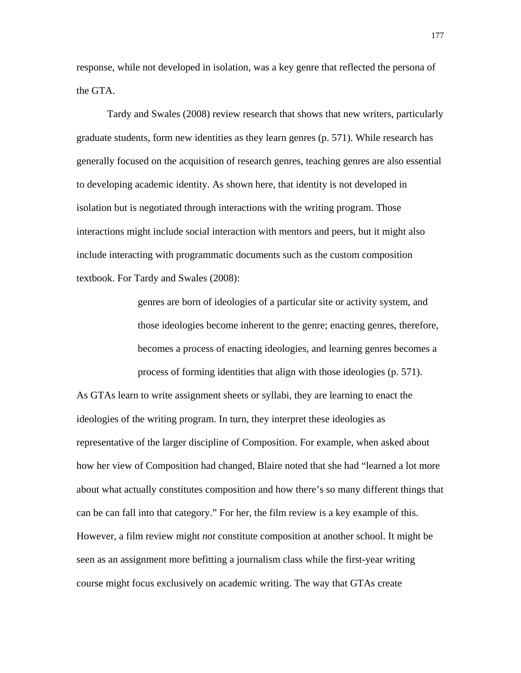response, while not developed in isolation, was a key genre that reflected the persona of the GTA.

Tardy and Swales (2008) review research that shows that new writers, particularly graduate students, form new identities as they learn genres (p. 571). While research has generally focused on the acquisition of research genres, teaching genres are also essential to developing academic identity. As shown here, that identity is not developed in isolation but is negotiated through interactions with the writing program. Those interactions might include social interaction with mentors and peers, but it might also include interacting with programmatic documents such as the custom composition textbook. For Tardy and Swales (2008):

> genres are born of ideologies of a particular site or activity system, and those ideologies become inherent to the genre; enacting genres, therefore, becomes a process of enacting ideologies, and learning genres becomes a process of forming identities that align with those ideologies (p. 571).

As GTAs learn to write assignment sheets or syllabi, they are learning to enact the ideologies of the writing program. In turn, they interpret these ideologies as representative of the larger discipline of Composition. For example, when asked about how her view of Composition had changed, Blaire noted that she had "learned a lot more about what actually constitutes composition and how there's so many different things that can be can fall into that category." For her, the film review is a key example of this. However, a film review might *not* constitute composition at another school. It might be seen as an assignment more befitting a journalism class while the first-year writing course might focus exclusively on academic writing. The way that GTAs create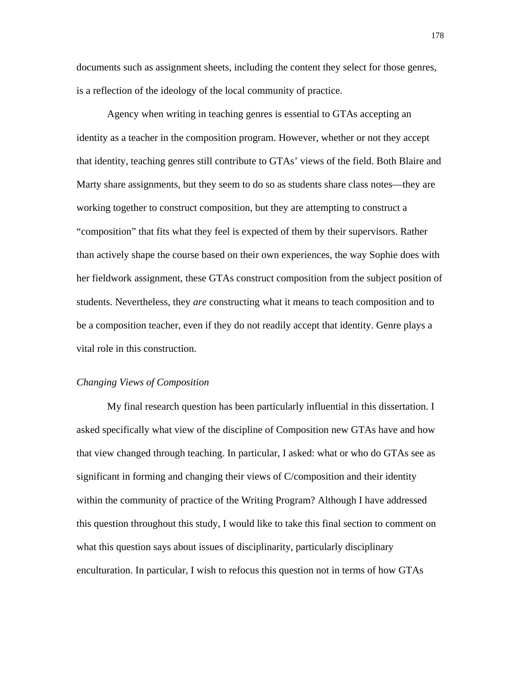documents such as assignment sheets, including the content they select for those genres, is a reflection of the ideology of the local community of practice.

Agency when writing in teaching genres is essential to GTAs accepting an identity as a teacher in the composition program. However, whether or not they accept that identity, teaching genres still contribute to GTAs' views of the field. Both Blaire and Marty share assignments, but they seem to do so as students share class notes—they are working together to construct composition, but they are attempting to construct a "composition" that fits what they feel is expected of them by their supervisors. Rather than actively shape the course based on their own experiences, the way Sophie does with her fieldwork assignment, these GTAs construct composition from the subject position of students. Nevertheless, they *are* constructing what it means to teach composition and to be a composition teacher, even if they do not readily accept that identity. Genre plays a vital role in this construction.

### *Changing Views of Composition*

My final research question has been particularly influential in this dissertation. I asked specifically what view of the discipline of Composition new GTAs have and how that view changed through teaching. In particular, I asked: what or who do GTAs see as significant in forming and changing their views of C/composition and their identity within the community of practice of the Writing Program? Although I have addressed this question throughout this study, I would like to take this final section to comment on what this question says about issues of disciplinarity, particularly disciplinary enculturation. In particular, I wish to refocus this question not in terms of how GTAs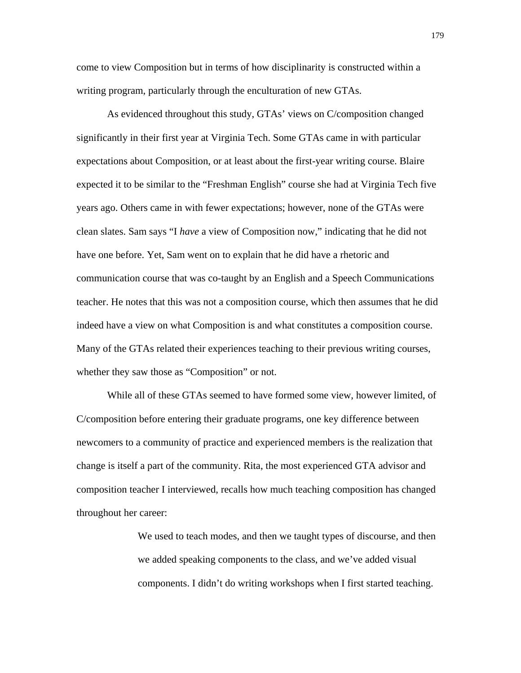come to view Composition but in terms of how disciplinarity is constructed within a writing program, particularly through the enculturation of new GTAs.

As evidenced throughout this study, GTAs' views on C/composition changed significantly in their first year at Virginia Tech. Some GTAs came in with particular expectations about Composition, or at least about the first-year writing course. Blaire expected it to be similar to the "Freshman English" course she had at Virginia Tech five years ago. Others came in with fewer expectations; however, none of the GTAs were clean slates. Sam says "I *have* a view of Composition now," indicating that he did not have one before. Yet, Sam went on to explain that he did have a rhetoric and communication course that was co-taught by an English and a Speech Communications teacher. He notes that this was not a composition course, which then assumes that he did indeed have a view on what Composition is and what constitutes a composition course. Many of the GTAs related their experiences teaching to their previous writing courses, whether they saw those as "Composition" or not.

While all of these GTAs seemed to have formed some view, however limited, of C/composition before entering their graduate programs, one key difference between newcomers to a community of practice and experienced members is the realization that change is itself a part of the community. Rita, the most experienced GTA advisor and composition teacher I interviewed, recalls how much teaching composition has changed throughout her career:

> We used to teach modes, and then we taught types of discourse, and then we added speaking components to the class, and we've added visual components. I didn't do writing workshops when I first started teaching.

179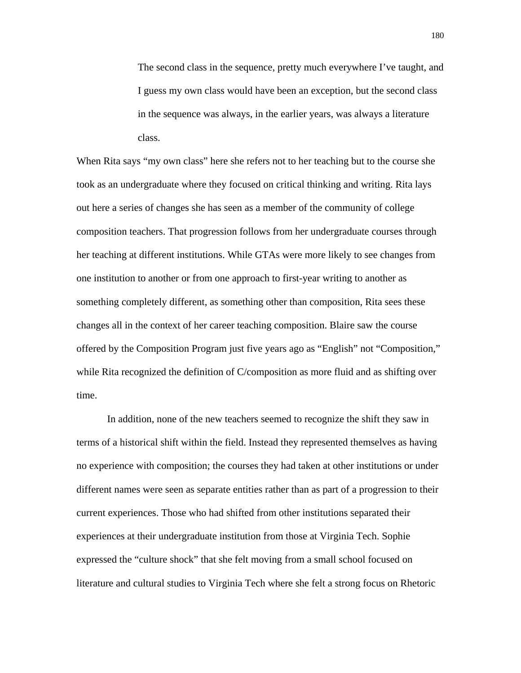The second class in the sequence, pretty much everywhere I've taught, and I guess my own class would have been an exception, but the second class in the sequence was always, in the earlier years, was always a literature class.

When Rita says "my own class" here she refers not to her teaching but to the course she took as an undergraduate where they focused on critical thinking and writing. Rita lays out here a series of changes she has seen as a member of the community of college composition teachers. That progression follows from her undergraduate courses through her teaching at different institutions. While GTAs were more likely to see changes from one institution to another or from one approach to first-year writing to another as something completely different, as something other than composition, Rita sees these changes all in the context of her career teaching composition. Blaire saw the course offered by the Composition Program just five years ago as "English" not "Composition," while Rita recognized the definition of C/composition as more fluid and as shifting over time.

In addition, none of the new teachers seemed to recognize the shift they saw in terms of a historical shift within the field. Instead they represented themselves as having no experience with composition; the courses they had taken at other institutions or under different names were seen as separate entities rather than as part of a progression to their current experiences. Those who had shifted from other institutions separated their experiences at their undergraduate institution from those at Virginia Tech. Sophie expressed the "culture shock" that she felt moving from a small school focused on literature and cultural studies to Virginia Tech where she felt a strong focus on Rhetoric

180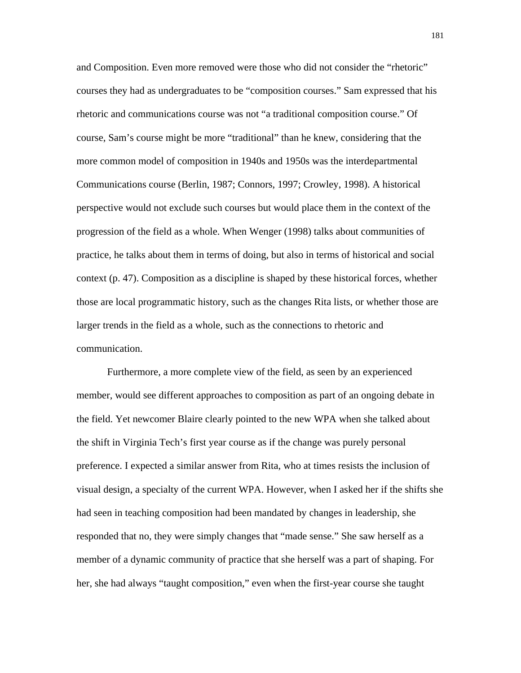and Composition. Even more removed were those who did not consider the "rhetoric" courses they had as undergraduates to be "composition courses." Sam expressed that his rhetoric and communications course was not "a traditional composition course." Of course, Sam's course might be more "traditional" than he knew, considering that the more common model of composition in 1940s and 1950s was the interdepartmental Communications course (Berlin, 1987; Connors, 1997; Crowley, 1998). A historical perspective would not exclude such courses but would place them in the context of the progression of the field as a whole. When Wenger (1998) talks about communities of practice, he talks about them in terms of doing, but also in terms of historical and social context (p. 47). Composition as a discipline is shaped by these historical forces, whether those are local programmatic history, such as the changes Rita lists, or whether those are larger trends in the field as a whole, such as the connections to rhetoric and communication.

Furthermore, a more complete view of the field, as seen by an experienced member, would see different approaches to composition as part of an ongoing debate in the field. Yet newcomer Blaire clearly pointed to the new WPA when she talked about the shift in Virginia Tech's first year course as if the change was purely personal preference. I expected a similar answer from Rita, who at times resists the inclusion of visual design, a specialty of the current WPA. However, when I asked her if the shifts she had seen in teaching composition had been mandated by changes in leadership, she responded that no, they were simply changes that "made sense." She saw herself as a member of a dynamic community of practice that she herself was a part of shaping. For her, she had always "taught composition," even when the first-year course she taught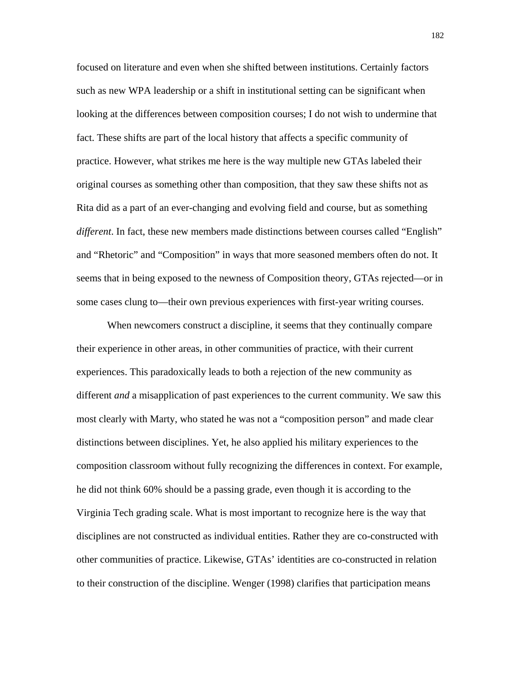focused on literature and even when she shifted between institutions. Certainly factors such as new WPA leadership or a shift in institutional setting can be significant when looking at the differences between composition courses; I do not wish to undermine that fact. These shifts are part of the local history that affects a specific community of practice. However, what strikes me here is the way multiple new GTAs labeled their original courses as something other than composition, that they saw these shifts not as Rita did as a part of an ever-changing and evolving field and course, but as something *different*. In fact, these new members made distinctions between courses called "English" and "Rhetoric" and "Composition" in ways that more seasoned members often do not. It seems that in being exposed to the newness of Composition theory, GTAs rejected—or in some cases clung to—their own previous experiences with first-year writing courses.

When newcomers construct a discipline, it seems that they continually compare their experience in other areas, in other communities of practice, with their current experiences. This paradoxically leads to both a rejection of the new community as different *and* a misapplication of past experiences to the current community. We saw this most clearly with Marty, who stated he was not a "composition person" and made clear distinctions between disciplines. Yet, he also applied his military experiences to the composition classroom without fully recognizing the differences in context. For example, he did not think 60% should be a passing grade, even though it is according to the Virginia Tech grading scale. What is most important to recognize here is the way that disciplines are not constructed as individual entities. Rather they are co-constructed with other communities of practice. Likewise, GTAs' identities are co-constructed in relation to their construction of the discipline. Wenger (1998) clarifies that participation means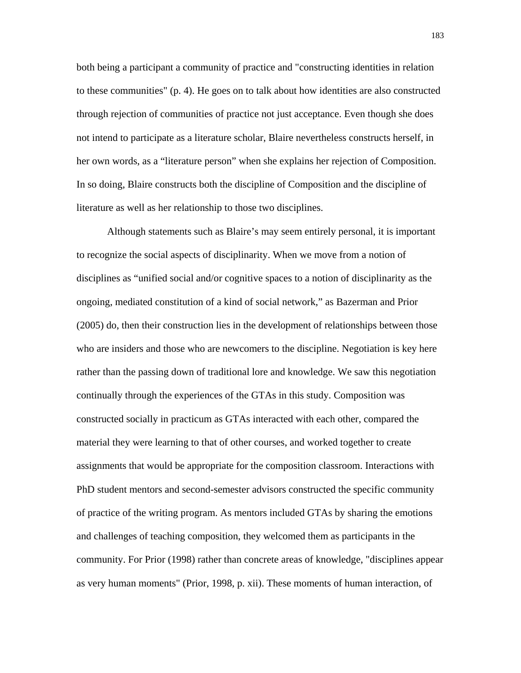both being a participant a community of practice and "constructing identities in relation to these communities" (p. 4). He goes on to talk about how identities are also constructed through rejection of communities of practice not just acceptance. Even though she does not intend to participate as a literature scholar, Blaire nevertheless constructs herself, in her own words, as a "literature person" when she explains her rejection of Composition. In so doing, Blaire constructs both the discipline of Composition and the discipline of literature as well as her relationship to those two disciplines.

Although statements such as Blaire's may seem entirely personal, it is important to recognize the social aspects of disciplinarity. When we move from a notion of disciplines as "unified social and/or cognitive spaces to a notion of disciplinarity as the ongoing, mediated constitution of a kind of social network," as Bazerman and Prior (2005) do, then their construction lies in the development of relationships between those who are insiders and those who are newcomers to the discipline. Negotiation is key here rather than the passing down of traditional lore and knowledge. We saw this negotiation continually through the experiences of the GTAs in this study. Composition was constructed socially in practicum as GTAs interacted with each other, compared the material they were learning to that of other courses, and worked together to create assignments that would be appropriate for the composition classroom. Interactions with PhD student mentors and second-semester advisors constructed the specific community of practice of the writing program. As mentors included GTAs by sharing the emotions and challenges of teaching composition, they welcomed them as participants in the community. For Prior (1998) rather than concrete areas of knowledge, "disciplines appear as very human moments" (Prior, 1998, p. xii). These moments of human interaction, of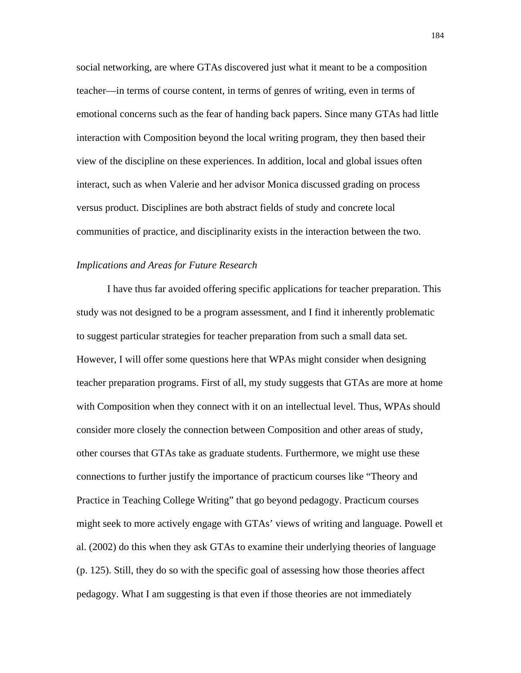social networking, are where GTAs discovered just what it meant to be a composition teacher—in terms of course content, in terms of genres of writing, even in terms of emotional concerns such as the fear of handing back papers. Since many GTAs had little interaction with Composition beyond the local writing program, they then based their view of the discipline on these experiences. In addition, local and global issues often interact, such as when Valerie and her advisor Monica discussed grading on process versus product. Disciplines are both abstract fields of study and concrete local communities of practice, and disciplinarity exists in the interaction between the two.

#### *Implications and Areas for Future Research*

I have thus far avoided offering specific applications for teacher preparation. This study was not designed to be a program assessment, and I find it inherently problematic to suggest particular strategies for teacher preparation from such a small data set. However, I will offer some questions here that WPAs might consider when designing teacher preparation programs. First of all, my study suggests that GTAs are more at home with Composition when they connect with it on an intellectual level. Thus, WPAs should consider more closely the connection between Composition and other areas of study, other courses that GTAs take as graduate students. Furthermore, we might use these connections to further justify the importance of practicum courses like "Theory and Practice in Teaching College Writing" that go beyond pedagogy. Practicum courses might seek to more actively engage with GTAs' views of writing and language. Powell et al. (2002) do this when they ask GTAs to examine their underlying theories of language (p. 125). Still, they do so with the specific goal of assessing how those theories affect pedagogy. What I am suggesting is that even if those theories are not immediately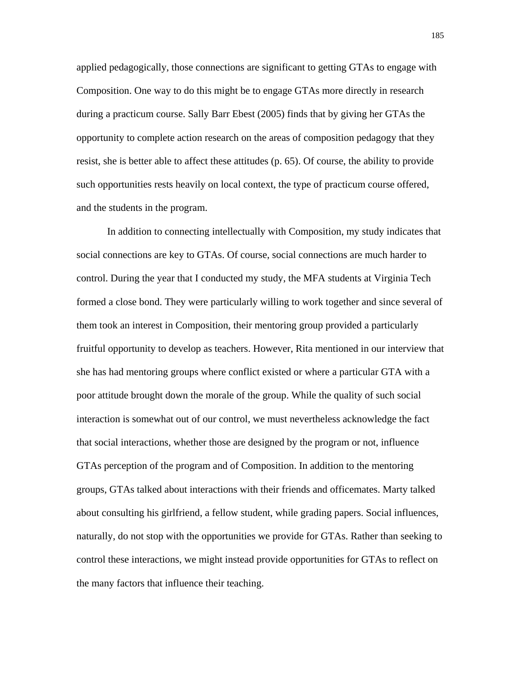applied pedagogically, those connections are significant to getting GTAs to engage with Composition. One way to do this might be to engage GTAs more directly in research during a practicum course. Sally Barr Ebest (2005) finds that by giving her GTAs the opportunity to complete action research on the areas of composition pedagogy that they resist, she is better able to affect these attitudes (p. 65). Of course, the ability to provide such opportunities rests heavily on local context, the type of practicum course offered, and the students in the program.

In addition to connecting intellectually with Composition, my study indicates that social connections are key to GTAs. Of course, social connections are much harder to control. During the year that I conducted my study, the MFA students at Virginia Tech formed a close bond. They were particularly willing to work together and since several of them took an interest in Composition, their mentoring group provided a particularly fruitful opportunity to develop as teachers. However, Rita mentioned in our interview that she has had mentoring groups where conflict existed or where a particular GTA with a poor attitude brought down the morale of the group. While the quality of such social interaction is somewhat out of our control, we must nevertheless acknowledge the fact that social interactions, whether those are designed by the program or not, influence GTAs perception of the program and of Composition. In addition to the mentoring groups, GTAs talked about interactions with their friends and officemates. Marty talked about consulting his girlfriend, a fellow student, while grading papers. Social influences, naturally, do not stop with the opportunities we provide for GTAs. Rather than seeking to control these interactions, we might instead provide opportunities for GTAs to reflect on the many factors that influence their teaching.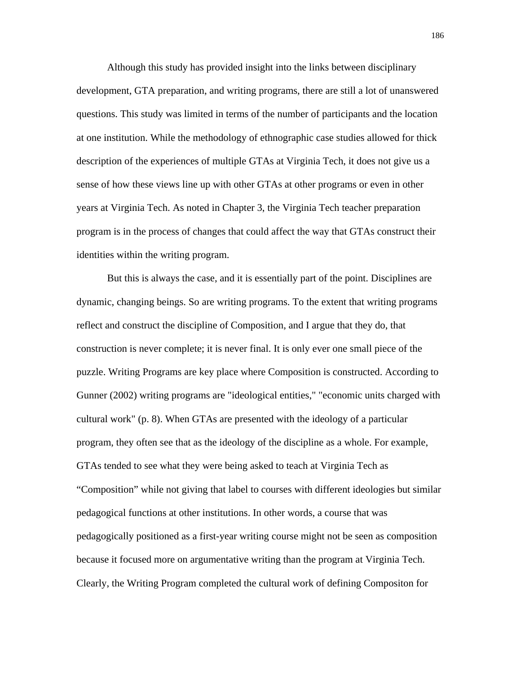Although this study has provided insight into the links between disciplinary development, GTA preparation, and writing programs, there are still a lot of unanswered questions. This study was limited in terms of the number of participants and the location at one institution. While the methodology of ethnographic case studies allowed for thick description of the experiences of multiple GTAs at Virginia Tech, it does not give us a sense of how these views line up with other GTAs at other programs or even in other years at Virginia Tech. As noted in Chapter 3, the Virginia Tech teacher preparation program is in the process of changes that could affect the way that GTAs construct their identities within the writing program.

But this is always the case, and it is essentially part of the point. Disciplines are dynamic, changing beings. So are writing programs. To the extent that writing programs reflect and construct the discipline of Composition, and I argue that they do, that construction is never complete; it is never final. It is only ever one small piece of the puzzle. Writing Programs are key place where Composition is constructed. According to Gunner (2002) writing programs are "ideological entities," "economic units charged with cultural work" (p. 8). When GTAs are presented with the ideology of a particular program, they often see that as the ideology of the discipline as a whole. For example, GTAs tended to see what they were being asked to teach at Virginia Tech as "Composition" while not giving that label to courses with different ideologies but similar pedagogical functions at other institutions. In other words, a course that was pedagogically positioned as a first-year writing course might not be seen as composition because it focused more on argumentative writing than the program at Virginia Tech. Clearly, the Writing Program completed the cultural work of defining Compositon for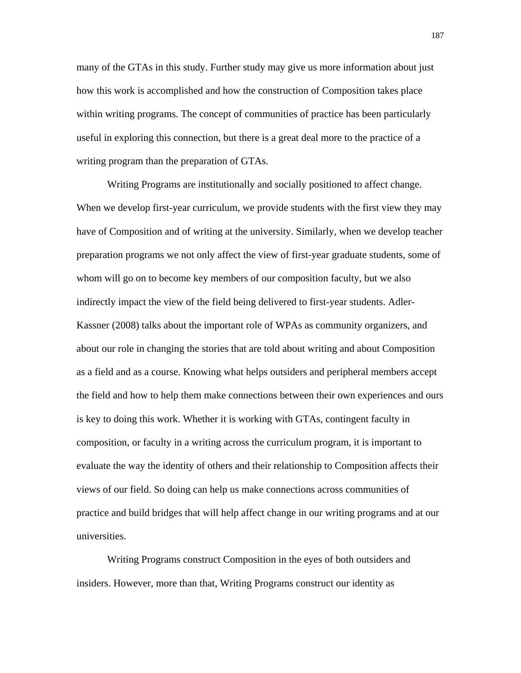many of the GTAs in this study. Further study may give us more information about just how this work is accomplished and how the construction of Composition takes place within writing programs. The concept of communities of practice has been particularly useful in exploring this connection, but there is a great deal more to the practice of a writing program than the preparation of GTAs.

Writing Programs are institutionally and socially positioned to affect change. When we develop first-year curriculum, we provide students with the first view they may have of Composition and of writing at the university. Similarly, when we develop teacher preparation programs we not only affect the view of first-year graduate students, some of whom will go on to become key members of our composition faculty, but we also indirectly impact the view of the field being delivered to first-year students. Adler-Kassner (2008) talks about the important role of WPAs as community organizers, and about our role in changing the stories that are told about writing and about Composition as a field and as a course. Knowing what helps outsiders and peripheral members accept the field and how to help them make connections between their own experiences and ours is key to doing this work. Whether it is working with GTAs, contingent faculty in composition, or faculty in a writing across the curriculum program, it is important to evaluate the way the identity of others and their relationship to Composition affects their views of our field. So doing can help us make connections across communities of practice and build bridges that will help affect change in our writing programs and at our universities.

Writing Programs construct Composition in the eyes of both outsiders and insiders. However, more than that, Writing Programs construct our identity as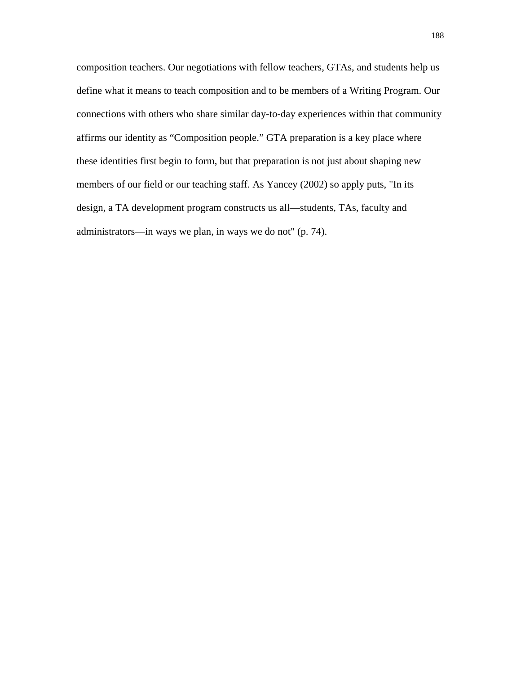composition teachers. Our negotiations with fellow teachers, GTAs, and students help us define what it means to teach composition and to be members of a Writing Program. Our connections with others who share similar day-to-day experiences within that community affirms our identity as "Composition people." GTA preparation is a key place where these identities first begin to form, but that preparation is not just about shaping new members of our field or our teaching staff. As Yancey (2002) so apply puts, "In its design, a TA development program constructs us all—students, TAs, faculty and administrators—in ways we plan, in ways we do not" (p. 74).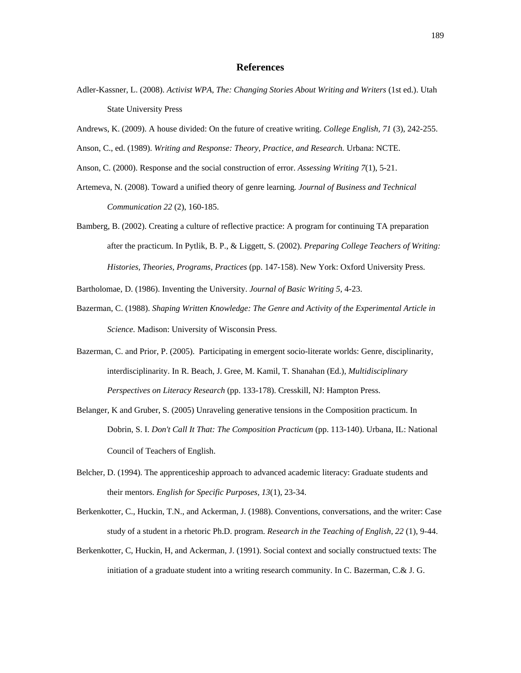#### **References**

- Adler-Kassner, L. (2008). *Activist WPA, The: Changing Stories About Writing and Writers* (1st ed.). Utah State University Press
- Andrews, K. (2009). A house divided: On the future of creative writing. *College English, 71* (3), 242-255.
- Anson, C., ed. (1989). *Writing and Response: Theory, Practice, and Research.* Urbana: NCTE.
- Anson, C. (2000). Response and the social construction of error. *Assessing Writing 7*(1), 5-21.
- Artemeva, N. (2008). Toward a unified theory of genre learning*. Journal of Business and Technical Communication 22* (2), 160-185.
- Bamberg, B. (2002). Creating a culture of reflective practice: A program for continuing TA preparation after the practicum. In Pytlik, B. P., & Liggett, S. (2002). *Preparing College Teachers of Writing: Histories, Theories, Programs, Practices* (pp. 147-158). New York: Oxford University Press.
- Bartholomae, D. (1986). Inventing the University. *Journal of Basic Writing 5*, 4-23.
- Bazerman, C. (1988). *Shaping Written Knowledge: The Genre and Activity of the Experimental Article in Science.* Madison: University of Wisconsin Press.
- Bazerman, C. and Prior, P. (2005). Participating in emergent socio-literate worlds: Genre, disciplinarity, interdisciplinarity. In R. Beach, J. Gree, M. Kamil, T. Shanahan (Ed.), *Multidisciplinary Perspectives on Literacy Research* (pp. 133-178). Cresskill, NJ: Hampton Press.
- Belanger, K and Gruber, S. (2005) Unraveling generative tensions in the Composition practicum. In Dobrin, S. I. *Don't Call It That: The Composition Practicum* (pp. 113-140). Urbana, IL: National Council of Teachers of English.
- Belcher, D. (1994). The apprenticeship approach to advanced academic literacy: Graduate students and their mentors. *English for Specific Purposes, 13*(1), 23-34.
- Berkenkotter, C., Huckin, T.N., and Ackerman, J. (1988). Conventions, conversations, and the writer: Case study of a student in a rhetoric Ph.D. program. *Research in the Teaching of English, 22* (1), 9-44.
- Berkenkotter, C, Huckin, H, and Ackerman, J. (1991). Social context and socially constructued texts: The initiation of a graduate student into a writing research community. In C. Bazerman, C.& J. G.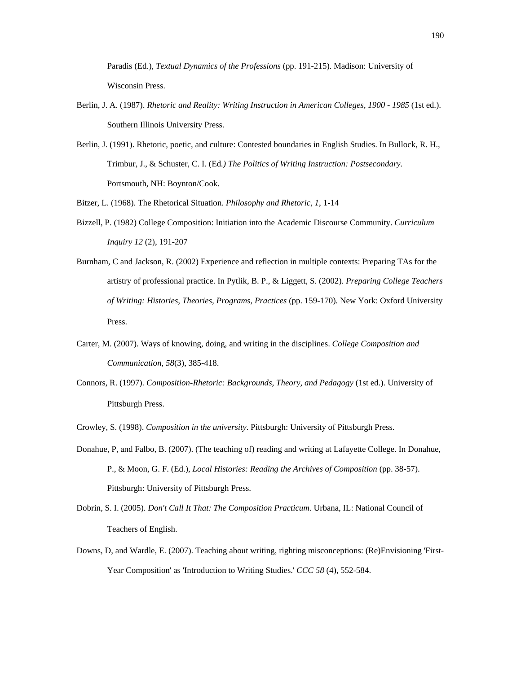Paradis (Ed.), *Textual Dynamics of the Professions* (pp. 191-215). Madison: University of Wisconsin Press.

- Berlin, J. A. (1987). *Rhetoric and Reality: Writing Instruction in American Colleges, 1900 1985* (1st ed.). Southern Illinois University Press.
- Berlin, J. (1991). Rhetoric, poetic, and culture: Contested boundaries in English Studies. In Bullock, R. H., Trimbur, J., & Schuster, C. I. (Ed*.) The Politics of Writing Instruction: Postsecondary*. Portsmouth, NH: Boynton/Cook.

Bitzer, L. (1968). The Rhetorical Situation. *Philosophy and Rhetoric, 1*, 1-14

- Bizzell, P. (1982) College Composition: Initiation into the Academic Discourse Community. *Curriculum Inquiry 12* (2), 191-207
- Burnham, C and Jackson, R. (2002) Experience and reflection in multiple contexts: Preparing TAs for the artistry of professional practice. In Pytlik, B. P., & Liggett, S. (2002). *Preparing College Teachers of Writing: Histories, Theories, Programs, Practices* (pp. 159-170). New York: Oxford University Press.
- Carter, M. (2007). Ways of knowing, doing, and writing in the disciplines. *College Composition and Communication, 58*(3), 385-418.
- Connors, R. (1997). *Composition-Rhetoric: Backgrounds, Theory, and Pedagogy* (1st ed.). University of Pittsburgh Press.

Crowley, S. (1998). *Composition in the university*. Pittsburgh: University of Pittsburgh Press.

- Donahue, P, and Falbo, B. (2007). (The teaching of) reading and writing at Lafayette College. In Donahue, P., & Moon, G. F. (Ed.), *Local Histories: Reading the Archives of Composition* (pp. 38-57). Pittsburgh: University of Pittsburgh Press.
- Dobrin, S. I. (2005). *Don't Call It That: The Composition Practicum*. Urbana, IL: National Council of Teachers of English.
- Downs, D, and Wardle, E. (2007). Teaching about writing, righting misconceptions: (Re)Envisioning 'First-Year Composition' as 'Introduction to Writing Studies.' *CCC 58* (4), 552-584.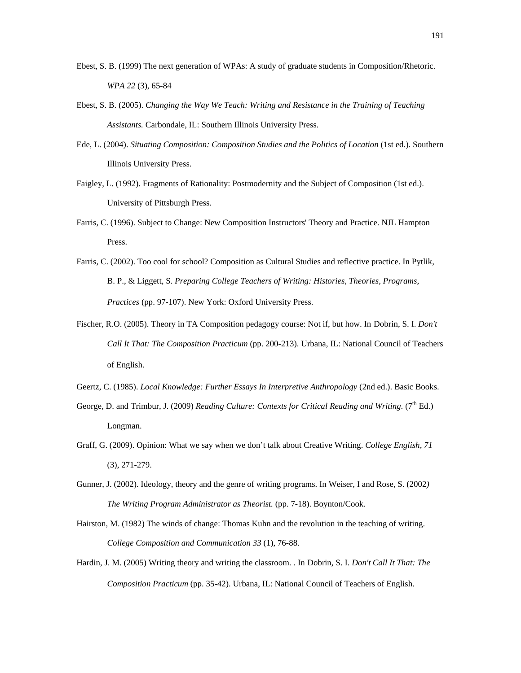- Ebest, S. B. (1999) The next generation of WPAs: A study of graduate students in Composition/Rhetoric. *WPA 22* (3), 65-84
- Ebest, S. B. (2005). *Changing the Way We Teach: Writing and Resistance in the Training of Teaching Assistants.* Carbondale, IL: Southern Illinois University Press.
- Ede, L. (2004). *Situating Composition: Composition Studies and the Politics of Location* (1st ed.). Southern Illinois University Press.
- Faigley, L. (1992). Fragments of Rationality: Postmodernity and the Subject of Composition (1st ed.). University of Pittsburgh Press.
- Farris, C. (1996). Subject to Change: New Composition Instructors' Theory and Practice. NJL Hampton Press.
- Farris, C. (2002). Too cool for school? Composition as Cultural Studies and reflective practice. In Pytlik, B. P., & Liggett, S. *Preparing College Teachers of Writing: Histories, Theories, Programs, Practices* (pp. 97-107). New York: Oxford University Press.
- Fischer, R.O. (2005). Theory in TA Composition pedagogy course: Not if, but how. In Dobrin, S. I. *Don't Call It That: The Composition Practicum* (pp. 200-213). Urbana, IL: National Council of Teachers of English.
- Geertz, C. (1985). *Local Knowledge: Further Essays In Interpretive Anthropology* (2nd ed.). Basic Books.
- George, D. and Trimbur, J. (2009) *Reading Culture: Contexts for Critical Reading and Writing.* (7<sup>th</sup> Ed.) Longman.
- Graff, G. (2009). Opinion: What we say when we don't talk about Creative Writing. *College English, 71* (3), 271-279.
- Gunner, J. (2002). Ideology, theory and the genre of writing programs. In Weiser, I and Rose, S. (2002*) The Writing Program Administrator as Theorist.* (pp. 7-18). Boynton/Cook.
- Hairston, M. (1982) The winds of change: Thomas Kuhn and the revolution in the teaching of writing. *College Composition and Communication 33* (1), 76-88.
- Hardin, J. M. (2005) Writing theory and writing the classroom. . In Dobrin, S. I. *Don't Call It That: The Composition Practicum* (pp. 35-42). Urbana, IL: National Council of Teachers of English.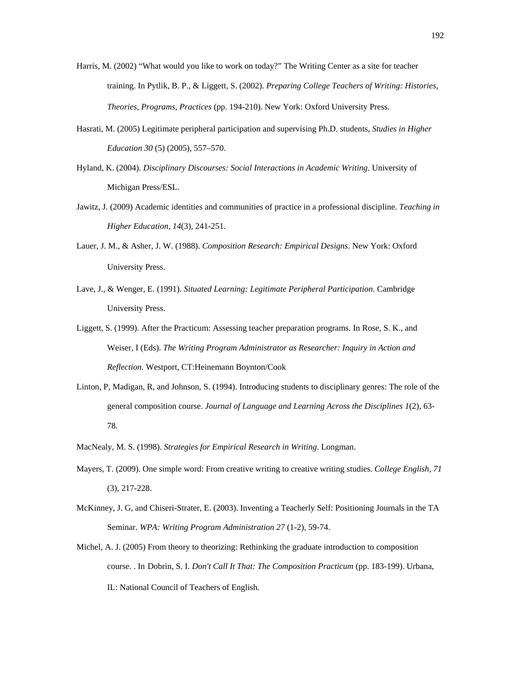- Harris, M. (2002) "What would you like to work on today?" The Writing Center as a site for teacher training. In Pytlik, B. P., & Liggett, S. (2002). *Preparing College Teachers of Writing: Histories, Theories, Programs, Practices* (pp. 194-210). New York: Oxford University Press.
- Hasrati, M. (2005) Legitimate peripheral participation and supervising Ph.D. students, *Studies in Higher Education 30* (5) (2005), 557–570.
- Hyland, K. (2004). *Disciplinary Discourses: Social Interactions in Academic Writing*. University of Michigan Press/ESL.
- Jawitz, J. (2009) Academic identities and communities of practice in a professional discipline. *Teaching in Higher Education, 14*(3), 241-251.
- Lauer, J. M., & Asher, J. W. (1988). *Composition Research: Empirical Designs*. New York: Oxford University Press.
- Lave, J., & Wenger, E. (1991). *Situated Learning: Legitimate Peripheral Participation*. Cambridge University Press.
- Liggett, S. (1999). After the Practicum: Assessing teacher preparation programs. In Rose, S. K., and Weiser, I (Eds). *The Writing Program Administrator as Researcher: Inquiry in Action and Reflection.* Westport, CT:Heinemann Boynton/Cook
- Linton, P, Madigan, R, and Johnson, S. (1994). Introducing students to disciplinary genres: The role of the general composition course. *Journal of Language and Learning Across the Disciplines 1*(2), 63- 78.
- MacNealy, M. S. (1998). *Strategies for Empirical Research in Writing*. Longman.
- Mayers, T. (2009). One simple word: From creative writing to creative writing studies. *College English, 71* (3), 217-228.
- McKinney, J. G, and Chiseri-Strater, E. (2003). Inventing a Teacherly Self: Positioning Journals in the TA Seminar. *WPA: Writing Program Administration 27* (1-2), 59-74.
- Michel, A. J. (2005) From theory to theorizing: Rethinking the graduate introduction to composition course. . In Dobrin, S. I. *Don't Call It That: The Composition Practicum* (pp. 183-199). Urbana, IL: National Council of Teachers of English.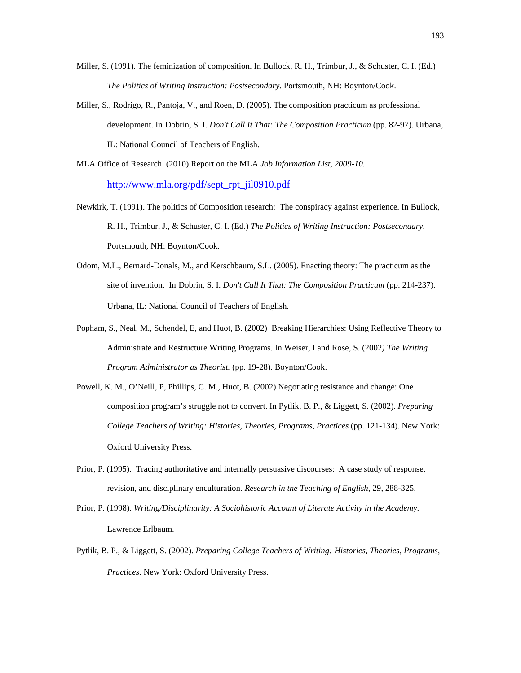- Miller, S. (1991). The feminization of composition. In Bullock, R. H., Trimbur, J., & Schuster, C. I. (Ed.) *The Politics of Writing Instruction: Postsecondary*. Portsmouth, NH: Boynton/Cook.
- Miller, S., Rodrigo, R., Pantoja, V., and Roen, D. (2005). The composition practicum as professional development. In Dobrin, S. I. *Don't Call It That: The Composition Practicum* (pp. 82-97). Urbana, IL: National Council of Teachers of English.
- MLA Office of Research. (2010) Report on the MLA *Job Information List, 2009-10.* http://www.mla.org/pdf/sept\_rpt\_jil0910.pdf
- Newkirk, T. (1991). The politics of Composition research: The conspiracy against experience. In Bullock, R. H., Trimbur, J., & Schuster, C. I. (Ed.) *The Politics of Writing Instruction: Postsecondary*. Portsmouth, NH: Boynton/Cook.
- Odom, M.L., Bernard-Donals, M., and Kerschbaum, S.L. (2005). Enacting theory: The practicum as the site of invention. In Dobrin, S. I. *Don't Call It That: The Composition Practicum* (pp. 214-237). Urbana, IL: National Council of Teachers of English.
- Popham, S., Neal, M., Schendel, E, and Huot, B. (2002) Breaking Hierarchies: Using Reflective Theory to Administrate and Restructure Writing Programs. In Weiser, I and Rose, S. (2002*) The Writing Program Administrator as Theorist.* (pp. 19-28). Boynton/Cook.
- Powell, K. M., O'Neill, P, Phillips, C. M., Huot, B. (2002) Negotiating resistance and change: One composition program's struggle not to convert. In Pytlik, B. P., & Liggett, S. (2002). *Preparing College Teachers of Writing: Histories, Theories, Programs, Practices* (pp. 121-134). New York: Oxford University Press.
- Prior, P. (1995). Tracing authoritative and internally persuasive discourses: A case study of response, revision, and disciplinary enculturation*. Research in the Teaching of English*, 29, 288-325.
- Prior, P. (1998). *Writing/Disciplinarity: A Sociohistoric Account of Literate Activity in the Academy*. Lawrence Erlbaum.
- Pytlik, B. P., & Liggett, S. (2002). *Preparing College Teachers of Writing: Histories, Theories, Programs, Practices*. New York: Oxford University Press.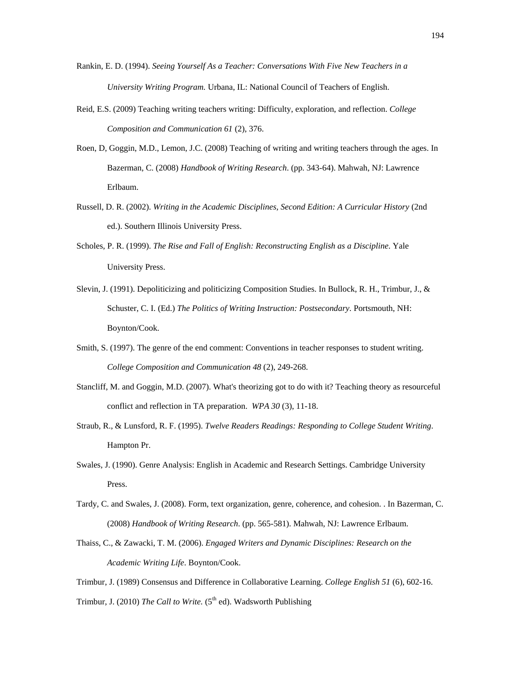- Rankin, E. D. (1994). *Seeing Yourself As a Teacher: Conversations With Five New Teachers in a University Writing Program.* Urbana, IL: National Council of Teachers of English.
- Reid, E.S. (2009) Teaching writing teachers writing: Difficulty, exploration, and reflection. *College Composition and Communication 61* (2), 376.
- Roen, D, Goggin, M.D., Lemon, J.C. (2008) Teaching of writing and writing teachers through the ages. In Bazerman, C. (2008) *Handbook of Writing Research*. (pp. 343-64). Mahwah, NJ: Lawrence Erlbaum.
- Russell, D. R. (2002). *Writing in the Academic Disciplines, Second Edition: A Curricular History* (2nd ed.). Southern Illinois University Press.
- Scholes, P. R. (1999). *The Rise and Fall of English: Reconstructing English as a Discipline*. Yale University Press.
- Slevin, J. (1991). Depoliticizing and politicizing Composition Studies. In Bullock, R. H., Trimbur, J., & Schuster, C. I. (Ed.) *The Politics of Writing Instruction: Postsecondary*. Portsmouth, NH: Boynton/Cook.
- Smith, S. (1997). The genre of the end comment: Conventions in teacher responses to student writing. *College Composition and Communication 48* (2), 249-268.
- Stancliff, M. and Goggin, M.D. (2007). What's theorizing got to do with it? Teaching theory as resourceful conflict and reflection in TA preparation. *WPA 30* (3), 11-18.
- Straub, R., & Lunsford, R. F. (1995). *Twelve Readers Readings: Responding to College Student Writing*. Hampton Pr.
- Swales, J. (1990). Genre Analysis: English in Academic and Research Settings. Cambridge University Press.
- Tardy, C. and Swales, J. (2008). Form, text organization, genre, coherence, and cohesion. . In Bazerman, C. (2008) *Handbook of Writing Research*. (pp. 565-581). Mahwah, NJ: Lawrence Erlbaum.
- Thaiss, C., & Zawacki, T. M. (2006). *Engaged Writers and Dynamic Disciplines: Research on the Academic Writing Life*. Boynton/Cook.

Trimbur, J. (1989) Consensus and Difference in Collaborative Learning. *College English 51* (6), 602-16. Trimbur, J. (2010) *The Call to Write.* (5<sup>th</sup> ed). Wadsworth Publishing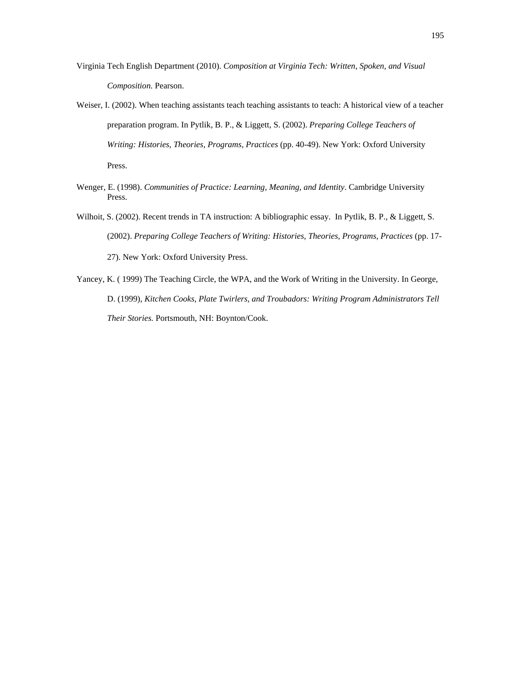- Virginia Tech English Department (2010). *Composition at Virginia Tech: Written, Spoken, and Visual Composition.* Pearson.
- Weiser, I. (2002). When teaching assistants teach teaching assistants to teach: A historical view of a teacher preparation program. In Pytlik, B. P., & Liggett, S. (2002). *Preparing College Teachers of Writing: Histories, Theories, Programs, Practices* (pp. 40-49). New York: Oxford University Press.
- Wenger, E. (1998). *Communities of Practice: Learning, Meaning, and Identity*. Cambridge University Press.
- Wilhoit, S. (2002). Recent trends in TA instruction: A bibliographic essay. In Pytlik, B. P., & Liggett, S. (2002). *Preparing College Teachers of Writing: Histories, Theories, Programs, Practices* (pp. 17- 27). New York: Oxford University Press.
- Yancey, K. ( 1999) The Teaching Circle, the WPA, and the Work of Writing in the University. In George, D. (1999), *Kitchen Cooks, Plate Twirlers, and Troubadors: Writing Program Administrators Tell Their Stories.* Portsmouth, NH: Boynton/Cook.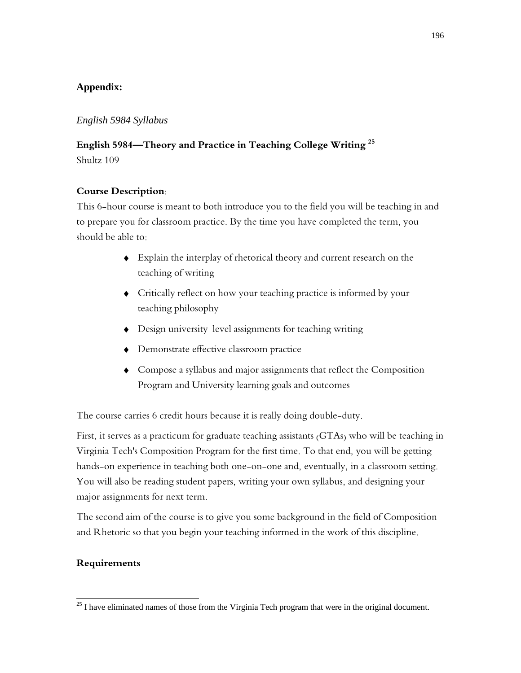## **Appendix:**

### *English 5984 Syllabus*

## **English 5984—Theory and Practice in Teaching College Writing 25**

Shultz 109

## **Course Description:**

This 6-hour course is meant to both introduce you to the field you will be teaching in and to prepare you for classroom practice. By the time you have completed the term, you should be able to:

- Explain the interplay of rhetorical theory and current research on the teaching of writing
- Critically reflect on how your teaching practice is informed by your teaching philosophy
- Design university-level assignments for teaching writing
- Demonstrate effective classroom practice
- Compose a syllabus and major assignments that reflect the Composition Program and University learning goals and outcomes

The course carries 6 credit hours because it is really doing double-duty.

First, it serves as a practicum for graduate teaching assistants (GTAs) who will be teaching in Virginia Tech's Composition Program for the first time. To that end, you will be getting hands-on experience in teaching both one-on-one and, eventually, in a classroom setting. You will also be reading student papers, writing your own syllabus, and designing your major assignments for next term.

The second aim of the course is to give you some background in the field of Composition and Rhetoric so that you begin your teaching informed in the work of this discipline.

### **Requirements**

 $\overline{a}$ 

<sup>&</sup>lt;sup>25</sup> I have eliminated names of those from the Virginia Tech program that were in the original document.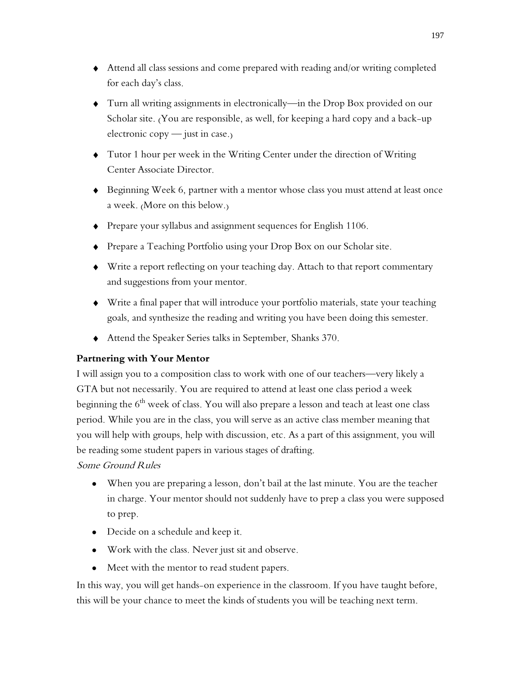- Attend all class sessions and come prepared with reading and/or writing completed for each day's class.
- Turn all writing assignments in electronically—in the Drop Box provided on our Scholar site. (You are responsible, as well, for keeping a hard copy and a back-up electronic copy — just in case.)
- Tutor 1 hour per week in the Writing Center under the direction of Writing Center Associate Director.
- Beginning Week 6, partner with a mentor whose class you must attend at least once a week. (More on this below.)
- Prepare your syllabus and assignment sequences for English 1106.
- Prepare a Teaching Portfolio using your Drop Box on our Scholar site.
- Write a report reflecting on your teaching day. Attach to that report commentary and suggestions from your mentor.
- Write a final paper that will introduce your portfolio materials, state your teaching goals, and synthesize the reading and writing you have been doing this semester.
- Attend the Speaker Series talks in September, Shanks 370.

## **Partnering with Your Mentor**

I will assign you to a composition class to work with one of our teachers—very likely a GTA but not necessarily. You are required to attend at least one class period a week beginning the  $6<sup>th</sup>$  week of class. You will also prepare a lesson and teach at least one class period. While you are in the class, you will serve as an active class member meaning that you will help with groups, help with discussion, etc. As a part of this assignment, you will be reading some student papers in various stages of drafting.

## Some Ground Rules

- When you are preparing a lesson, don't bail at the last minute. You are the teacher in charge. Your mentor should not suddenly have to prep a class you were supposed to prep.
- Decide on a schedule and keep it.
- Work with the class. Never just sit and observe.
- Meet with the mentor to read student papers.

In this way, you will get hands-on experience in the classroom. If you have taught before, this will be your chance to meet the kinds of students you will be teaching next term.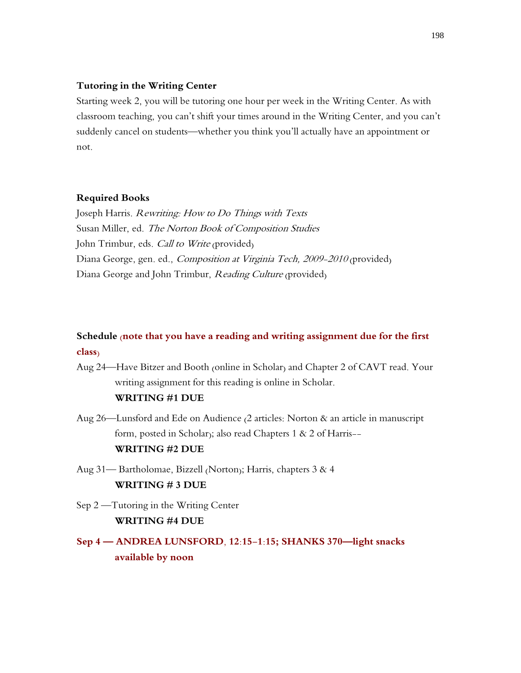#### **Tutoring in the Writing Center**

Starting week 2, you will be tutoring one hour per week in the Writing Center. As with classroom teaching, you can't shift your times around in the Writing Center, and you can't suddenly cancel on students—whether you think you'll actually have an appointment or not.

#### **Required Books**

Joseph Harris. Rewriting: How to Do Things with Texts Susan Miller, ed. The Norton Book of Composition Studies John Trimbur, eds. *Call to Write* (provided) Diana George, gen. ed., *Composition at Virginia Tech, 2009-2010* (provided) Diana George and John Trimbur, Reading Culture (provided)

# **Schedule (note that you have a reading and writing assignment due for the first class)**

- Aug 24—Have Bitzer and Booth (online in Scholar) and Chapter 2 of CAVT read. Your writing assignment for this reading is online in Scholar. **WRITING #1 DUE**
- Aug 26—Lunsford and Ede on Audience (2 articles: Norton & an article in manuscript form, posted in Scholar); also read Chapters 1 & 2 of Harris-- **WRITING #2 DUE**
- Aug 31— Bartholomae, Bizzell (Norton); Harris, chapters 3 & 4 **WRITING # 3 DUE**
- Sep 2 —Tutoring in the Writing Center **WRITING #4 DUE**

# **Sep 4 — ANDREA LUNSFORD, 12:15-1:15; SHANKS 370—light snacks available by noon**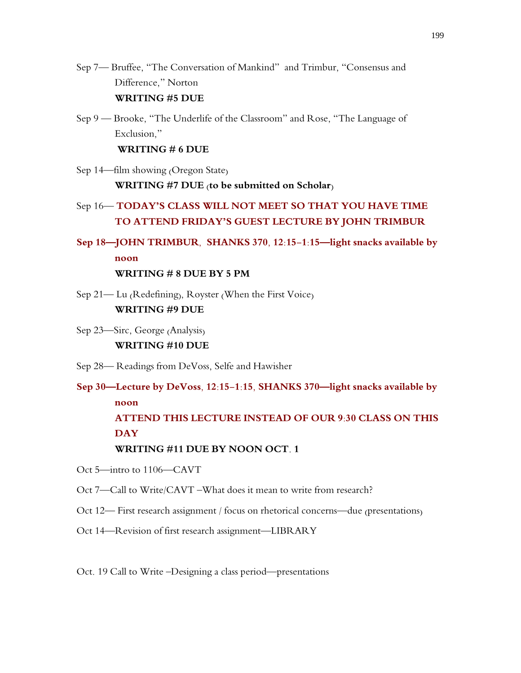- Sep 7— Bruffee, "The Conversation of Mankind" and Trimbur, "Consensus and Difference," Norton **WRITING #5 DUE**
- Sep 9 Brooke, "The Underlife of the Classroom" and Rose, "The Language of Exclusion,"

**WRITING # 6 DUE**

Sep 14—film showing (Oregon State) **WRITING #7 DUE (to be submitted on Scholar)**

# Sep 16— **TODAY'S CLASS WILL NOT MEET SO THAT YOU HAVE TIME TO ATTEND FRIDAY'S GUEST LECTURE BY JOHN TRIMBUR**

**Sep 18—JOHN TRIMBUR, SHANKS 370, 12:15-1:15—light snacks available by noon**

## **WRITING # 8 DUE BY 5 PM**

- Sep 21— Lu (Redefining), Royster (When the First Voice) **WRITING #9 DUE**
- Sep 23—Sirc, George (Analysis) **WRITING #10 DUE**
- Sep 28— Readings from DeVoss, Selfe and Hawisher
- **Sep 30—Lecture by DeVoss, 12:15-1:15, SHANKS 370—light snacks available by noon ATTEND THIS LECTURE INSTEAD OF OUR 9:30 CLASS ON THIS DAY WRITING #11 DUE BY NOON OCT. 1**
- Oct 5—intro to 1106—CAVT
- Oct 7—Call to Write/CAVT –What does it mean to write from research?
- Oct 12— First research assignment / focus on rhetorical concerns—due (presentations)
- Oct 14—Revision of first research assignment—LIBRARY
- Oct. 19 Call to Write –Designing a class period—presentations